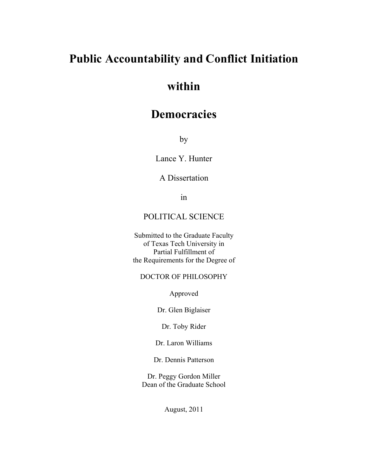# **Public Accountability and Conflict Initiation**

# **within**

## **Democracies**

by

Lance Y. Hunter

## A Dissertation

in

### POLITICAL SCIENCE

Submitted to the Graduate Faculty of Texas Tech University in Partial Fulfillment of the Requirements for the Degree of

#### DOCTOR OF PHILOSOPHY

Approved

Dr. Glen Biglaiser

Dr. Toby Rider

Dr. Laron Williams

Dr. Dennis Patterson

Dr. Peggy Gordon Miller Dean of the Graduate School

August, 2011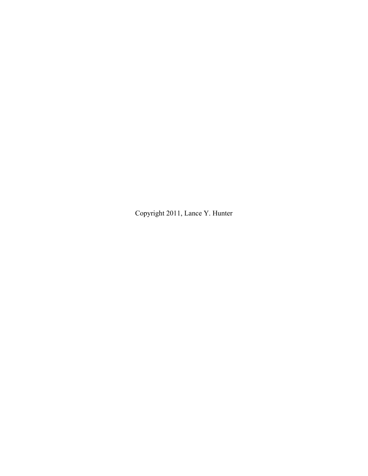Copyright 2011, Lance Y. Hunter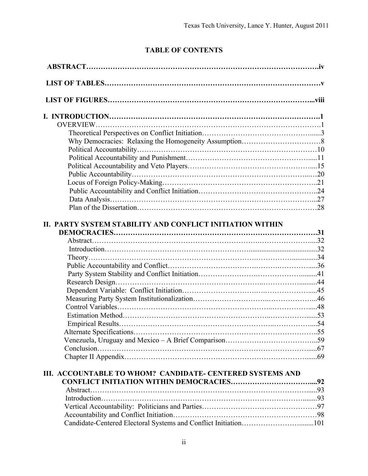## **TABLE OF CONTENTS**

| II. PARTY SYSTEM STABILITY AND CONFLICT INITIATION WITHIN       |  |
|-----------------------------------------------------------------|--|
|                                                                 |  |
|                                                                 |  |
|                                                                 |  |
|                                                                 |  |
|                                                                 |  |
|                                                                 |  |
|                                                                 |  |
|                                                                 |  |
|                                                                 |  |
|                                                                 |  |
|                                                                 |  |
|                                                                 |  |
|                                                                 |  |
|                                                                 |  |
| III. ACCOUNTABLE TO WHOM? CANDIDATE- CENTERED SYSTEMS AND       |  |
|                                                                 |  |
|                                                                 |  |
|                                                                 |  |
|                                                                 |  |
|                                                                 |  |
| Candidate-Centered Electoral Systems and Conflict Initiation101 |  |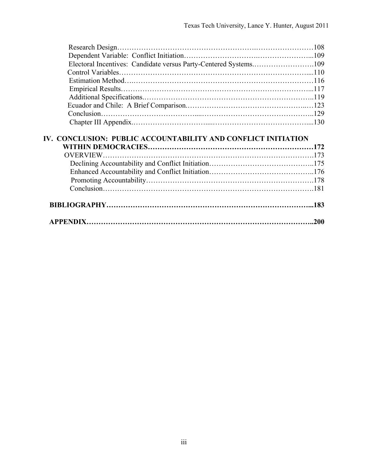| Electoral Incentives: Candidate versus Party-Centered Systems109 |  |
|------------------------------------------------------------------|--|
|                                                                  |  |
|                                                                  |  |
|                                                                  |  |
|                                                                  |  |
|                                                                  |  |
|                                                                  |  |
|                                                                  |  |
|                                                                  |  |
| IV. CONCLUSION: PUBLIC ACCOUNTABILITY AND CONFLICT INITIATION    |  |
|                                                                  |  |
| <b>OVERVIEW.</b>                                                 |  |
|                                                                  |  |
|                                                                  |  |
|                                                                  |  |
|                                                                  |  |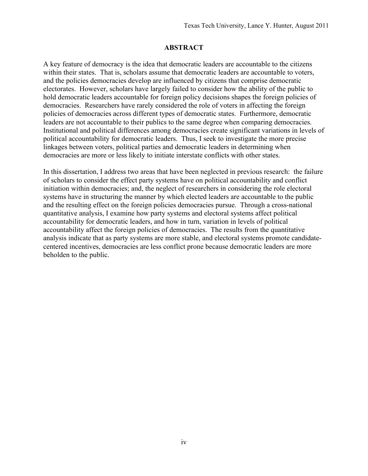#### **ABSTRACT**

A key feature of democracy is the idea that democratic leaders are accountable to the citizens within their states. That is, scholars assume that democratic leaders are accountable to voters, and the policies democracies develop are influenced by citizens that comprise democratic electorates. However, scholars have largely failed to consider how the ability of the public to hold democratic leaders accountable for foreign policy decisions shapes the foreign policies of democracies. Researchers have rarely considered the role of voters in affecting the foreign policies of democracies across different types of democratic states. Furthermore, democratic leaders are not accountable to their publics to the same degree when comparing democracies. Institutional and political differences among democracies create significant variations in levels of political accountability for democratic leaders. Thus, I seek to investigate the more precise linkages between voters, political parties and democratic leaders in determining when democracies are more or less likely to initiate interstate conflicts with other states.

In this dissertation, I address two areas that have been neglected in previous research: the failure of scholars to consider the effect party systems have on political accountability and conflict initiation within democracies; and, the neglect of researchers in considering the role electoral systems have in structuring the manner by which elected leaders are accountable to the public and the resulting effect on the foreign policies democracies pursue. Through a cross-national quantitative analysis, I examine how party systems and electoral systems affect political accountability for democratic leaders, and how in turn, variation in levels of political accountability affect the foreign policies of democracies. The results from the quantitative analysis indicate that as party systems are more stable, and electoral systems promote candidatecentered incentives, democracies are less conflict prone because democratic leaders are more beholden to the public.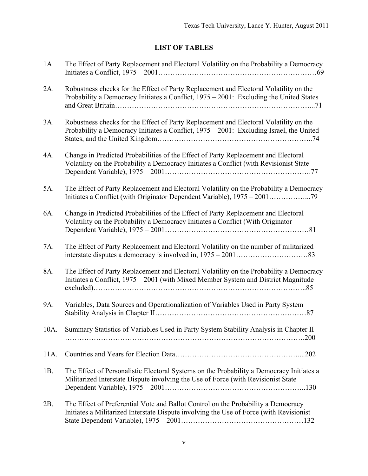## **LIST OF TABLES**

| $1A$ . | The Effect of Party Replacement and Electoral Volatility on the Probability a Democracy                                                                                          |
|--------|----------------------------------------------------------------------------------------------------------------------------------------------------------------------------------|
| 2A.    | Robustness checks for the Effect of Party Replacement and Electoral Volatility on the<br>Probability a Democracy Initiates a Conflict, 1975 - 2001: Excluding the United States  |
| 3A.    | Robustness checks for the Effect of Party Replacement and Electoral Volatility on the<br>Probability a Democracy Initiates a Conflict, 1975 - 2001: Excluding Israel, the United |
| 4A.    | Change in Predicted Probabilities of the Effect of Party Replacement and Electoral<br>Volatility on the Probability a Democracy Initiates a Conflict (with Revisionist State     |
| 5A.    | The Effect of Party Replacement and Electoral Volatility on the Probability a Democracy                                                                                          |
| 6A.    | Change in Predicted Probabilities of the Effect of Party Replacement and Electoral<br>Volatility on the Probability a Democracy Initiates a Conflict (With Originator            |
| 7A.    | The Effect of Party Replacement and Electoral Volatility on the number of militarized                                                                                            |
| 8A.    | The Effect of Party Replacement and Electoral Volatility on the Probability a Democracy<br>Initiates a Conflict, 1975 - 2001 (with Mixed Member System and District Magnitude    |
| 9A.    | Variables, Data Sources and Operationalization of Variables Used in Party System                                                                                                 |
| 10A.   | Summary Statistics of Variables Used in Party System Stability Analysis in Chapter II                                                                                            |
| 11A.   |                                                                                                                                                                                  |
| 1B.    | The Effect of Personalistic Electoral Systems on the Probability a Democracy Initiates a<br>Militarized Interstate Dispute involving the Use of Force (with Revisionist State    |
| 2B.    | The Effect of Preferential Vote and Ballot Control on the Probability a Democracy<br>Initiates a Militarized Interstate Dispute involving the Use of Force (with Revisionist     |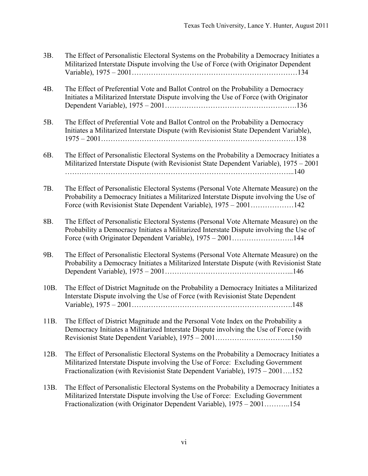| 3B.  | The Effect of Personalistic Electoral Systems on the Probability a Democracy Initiates a<br>Militarized Interstate Dispute involving the Use of Force (with Originator Dependent                                                                             |
|------|--------------------------------------------------------------------------------------------------------------------------------------------------------------------------------------------------------------------------------------------------------------|
| 4B.  | The Effect of Preferential Vote and Ballot Control on the Probability a Democracy<br>Initiates a Militarized Interstate Dispute involving the Use of Force (with Originator                                                                                  |
| 5B.  | The Effect of Preferential Vote and Ballot Control on the Probability a Democracy<br>Initiates a Militarized Interstate Dispute (with Revisionist State Dependent Variable),                                                                                 |
| 6B.  | The Effect of Personalistic Electoral Systems on the Probability a Democracy Initiates a<br>Militarized Interstate Dispute (with Revisionist State Dependent Variable), 1975 – 2001                                                                          |
| 7B.  | The Effect of Personalistic Electoral Systems (Personal Vote Alternate Measure) on the<br>Probability a Democracy Initiates a Militarized Interstate Dispute involving the Use of                                                                            |
| 8B.  | The Effect of Personalistic Electoral Systems (Personal Vote Alternate Measure) on the<br>Probability a Democracy Initiates a Militarized Interstate Dispute involving the Use of<br>Force (with Originator Dependent Variable), 1975 – 2001144              |
| 9B.  | The Effect of Personalistic Electoral Systems (Personal Vote Alternate Measure) on the<br>Probability a Democracy Initiates a Militarized Interstate Dispute (with Revisionist State                                                                         |
| 10B. | The Effect of District Magnitude on the Probability a Democracy Initiates a Militarized<br>Interstate Dispute involving the Use of Force (with Revisionist State Dependent                                                                                   |
| 11B  | The Effect of District Magnitude and the Personal Vote Index on the Probability a<br>Democracy Initiates a Militarized Interstate Dispute involving the Use of Force (with                                                                                   |
| 12B. | The Effect of Personalistic Electoral Systems on the Probability a Democracy Initiates a<br>Militarized Interstate Dispute involving the Use of Force: Excluding Government<br>Fractionalization (with Revisionist State Dependent Variable), 1975 - 2001152 |
| 13B. | The Effect of Personalistic Electoral Systems on the Probability a Democracy Initiates a<br>Militarized Interstate Dispute involving the Use of Force: Excluding Government                                                                                  |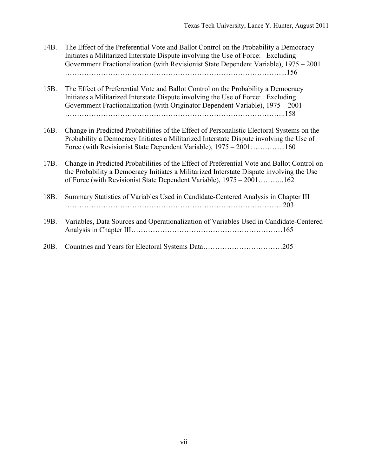- 14B. The Effect of the Preferential Vote and Ballot Control on the Probability a Democracy Initiates a Militarized Interstate Dispute involving the Use of Force: Excluding Government Fractionalization (with Revisionist State Dependent Variable), 1975 – 2001 ………………………………………………………………………………...156
- 15B. The Effect of Preferential Vote and Ballot Control on the Probability a Democracy Initiates a Militarized Interstate Dispute involving the Use of Force: Excluding Government Fractionalization (with Originator Dependent Variable), 1975 – 2001 ………………………………………………………………………………..158
- 16B. Change in Predicted Probabilities of the Effect of Personalistic Electoral Systems on the Probability a Democracy Initiates a Militarized Interstate Dispute involving the Use of Force (with Revisionist State Dependent Variable), 1975 – 2001…………...160
- 17B. Change in Predicted Probabilities of the Effect of Preferential Vote and Ballot Control on the Probability a Democracy Initiates a Militarized Interstate Dispute involving the Use of Force (with Revisionist State Dependent Variable), 1975 – 2001………..162
- 18B. Summary Statistics of Variables Used in Candidate-Centered Analysis in Chapter III ……………………………………………………………………………….203 19B. Variables, Data Sources and Operationalization of Variables Used in Candidate-Centered Analysis in Chapter III………………………………………………………165
- 20B. Countries and Years for Electoral Systems Data……………………………205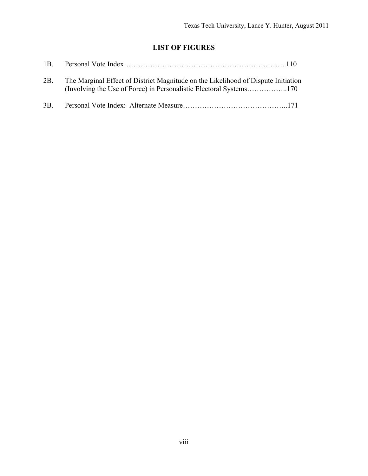## **LIST OF FIGURES**

| 2B. | The Marginal Effect of District Magnitude on the Likelihood of Dispute Initiation |
|-----|-----------------------------------------------------------------------------------|
| 3B  |                                                                                   |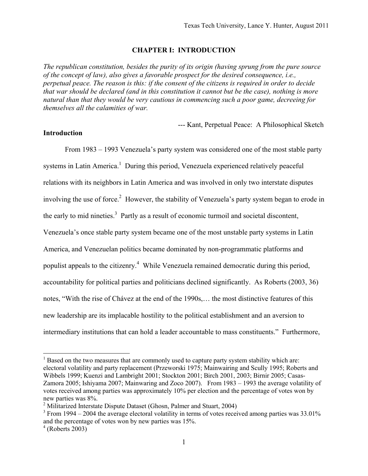#### **CHAPTER I: INTRODUCTION**

*The republican constitution, besides the purity of its origin (having sprung from the pure source of the concept of law), also gives a favorable prospect for the desired consequence, i.e., perpetual peace. The reason is this: if the consent of the citizens is required in order to decide that war should be declared (and in this constitution it cannot but be the case), nothing is more natural than that they would be very cautious in commencing such a poor game, decreeing for themselves all the calamities of war.* 

--- Kant, Perpetual Peace: A Philosophical Sketch

#### **Introduction**

From 1983 – 1993 Venezuela's party system was considered one of the most stable party systems in Latin America.<sup>1</sup> During this period, Venezuela experienced relatively peaceful relations with its neighbors in Latin America and was involved in only two interstate disputes involving the use of force.<sup>2</sup> However, the stability of Venezuela's party system began to erode in the early to mid nineties.<sup>3</sup> Partly as a result of economic turmoil and societal discontent, Venezuela's once stable party system became one of the most unstable party systems in Latin America, and Venezuelan politics became dominated by non-programmatic platforms and populist appeals to the citizenry.<sup>4</sup> While Venezuela remained democratic during this period, accountability for political parties and politicians declined significantly. As Roberts (2003, 36) notes, "With the rise of Chávez at the end of the 1990s,… the most distinctive features of this new leadership are its implacable hostility to the political establishment and an aversion to intermediary institutions that can hold a leader accountable to mass constituents." Furthermore,

 $<sup>1</sup>$  Based on the two measures that are commonly used to capture party system stability which are:</sup> electoral volatility and party replacement (Przeworski 1975; Mainwairing and Scully 1995; Roberts and Wibbels 1999; Kuenzi and Lambright 2001; Stockton 2001; Birch 2001, 2003; Birnir 2005; Casas-Zamora 2005; Ishiyama 2007; Mainwaring and Zoco 2007). From 1983 – 1993 the average volatility of votes received among parties was approximately 10% per election and the percentage of votes won by new parties was 8%.

<sup>&</sup>lt;sup>2</sup> Militarized Interstate Dispute Dataset (Ghosn, Palmer and Stuart, 2004)

 $3$  From 1994 – 2004 the average electoral volatility in terms of votes received among parties was 33.01% and the percentage of votes won by new parties was 15%.

 $4$  (Roberts 2003)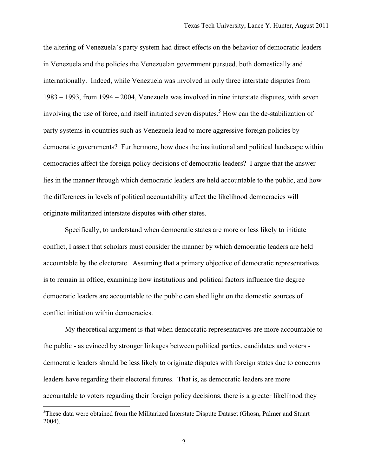the altering of Venezuela's party system had direct effects on the behavior of democratic leaders in Venezuela and the policies the Venezuelan government pursued, both domestically and internationally. Indeed, while Venezuela was involved in only three interstate disputes from 1983 – 1993, from 1994 – 2004, Venezuela was involved in nine interstate disputes, with seven involving the use of force, and itself initiated seven disputes.<sup>5</sup> How can the de-stabilization of party systems in countries such as Venezuela lead to more aggressive foreign policies by democratic governments? Furthermore, how does the institutional and political landscape within democracies affect the foreign policy decisions of democratic leaders? I argue that the answer lies in the manner through which democratic leaders are held accountable to the public, and how the differences in levels of political accountability affect the likelihood democracies will originate militarized interstate disputes with other states.

Specifically, to understand when democratic states are more or less likely to initiate conflict, I assert that scholars must consider the manner by which democratic leaders are held accountable by the electorate. Assuming that a primary objective of democratic representatives is to remain in office, examining how institutions and political factors influence the degree democratic leaders are accountable to the public can shed light on the domestic sources of conflict initiation within democracies.

My theoretical argument is that when democratic representatives are more accountable to the public - as evinced by stronger linkages between political parties, candidates and voters democratic leaders should be less likely to originate disputes with foreign states due to concerns leaders have regarding their electoral futures. That is, as democratic leaders are more accountable to voters regarding their foreign policy decisions, there is a greater likelihood they

<sup>&</sup>lt;sup>5</sup>These data were obtained from the Militarized Interstate Dispute Dataset (Ghosn, Palmer and Stuart 2004).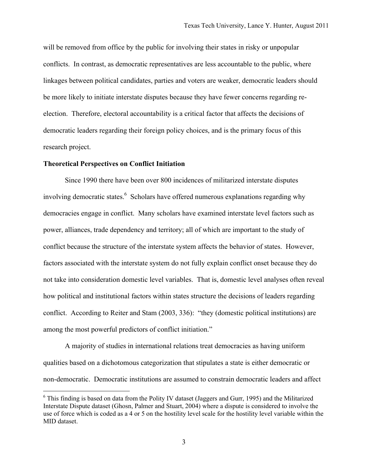will be removed from office by the public for involving their states in risky or unpopular conflicts. In contrast, as democratic representatives are less accountable to the public, where linkages between political candidates, parties and voters are weaker, democratic leaders should be more likely to initiate interstate disputes because they have fewer concerns regarding reelection. Therefore, electoral accountability is a critical factor that affects the decisions of democratic leaders regarding their foreign policy choices, and is the primary focus of this research project.

#### **Theoretical Perspectives on Conflict Initiation**

 $\overline{a}$ 

Since 1990 there have been over 800 incidences of militarized interstate disputes involving democratic states.<sup>6</sup> Scholars have offered numerous explanations regarding why democracies engage in conflict. Many scholars have examined interstate level factors such as power, alliances, trade dependency and territory; all of which are important to the study of conflict because the structure of the interstate system affects the behavior of states. However, factors associated with the interstate system do not fully explain conflict onset because they do not take into consideration domestic level variables. That is, domestic level analyses often reveal how political and institutional factors within states structure the decisions of leaders regarding conflict. According to Reiter and Stam (2003, 336): "they (domestic political institutions) are among the most powerful predictors of conflict initiation."

A majority of studies in international relations treat democracies as having uniform qualities based on a dichotomous categorization that stipulates a state is either democratic or non-democratic. Democratic institutions are assumed to constrain democratic leaders and affect

<sup>&</sup>lt;sup>6</sup> This finding is based on data from the Polity IV dataset (Jaggers and Gurr, 1995) and the Militarized Interstate Dispute dataset (Ghosn, Palmer and Stuart, 2004) where a dispute is considered to involve the use of force which is coded as a 4 or 5 on the hostility level scale for the hostility level variable within the MID dataset.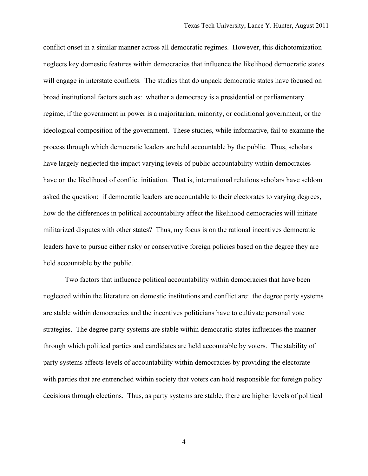conflict onset in a similar manner across all democratic regimes. However, this dichotomization neglects key domestic features within democracies that influence the likelihood democratic states will engage in interstate conflicts. The studies that do unpack democratic states have focused on broad institutional factors such as: whether a democracy is a presidential or parliamentary regime, if the government in power is a majoritarian, minority, or coalitional government, or the ideological composition of the government. These studies, while informative, fail to examine the process through which democratic leaders are held accountable by the public. Thus, scholars have largely neglected the impact varying levels of public accountability within democracies have on the likelihood of conflict initiation. That is, international relations scholars have seldom asked the question: if democratic leaders are accountable to their electorates to varying degrees, how do the differences in political accountability affect the likelihood democracies will initiate militarized disputes with other states? Thus, my focus is on the rational incentives democratic leaders have to pursue either risky or conservative foreign policies based on the degree they are held accountable by the public.

Two factors that influence political accountability within democracies that have been neglected within the literature on domestic institutions and conflict are: the degree party systems are stable within democracies and the incentives politicians have to cultivate personal vote strategies. The degree party systems are stable within democratic states influences the manner through which political parties and candidates are held accountable by voters. The stability of party systems affects levels of accountability within democracies by providing the electorate with parties that are entrenched within society that voters can hold responsible for foreign policy decisions through elections. Thus, as party systems are stable, there are higher levels of political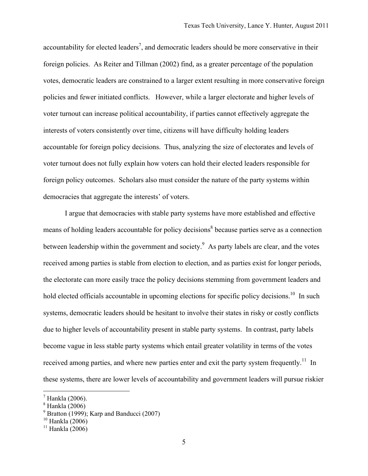accountability for elected leaders<sup>7</sup>, and democratic leaders should be more conservative in their foreign policies. As Reiter and Tillman (2002) find, as a greater percentage of the population votes, democratic leaders are constrained to a larger extent resulting in more conservative foreign policies and fewer initiated conflicts. However, while a larger electorate and higher levels of voter turnout can increase political accountability, if parties cannot effectively aggregate the interests of voters consistently over time, citizens will have difficulty holding leaders accountable for foreign policy decisions. Thus, analyzing the size of electorates and levels of voter turnout does not fully explain how voters can hold their elected leaders responsible for foreign policy outcomes. Scholars also must consider the nature of the party systems within democracies that aggregate the interests' of voters.

I argue that democracies with stable party systems have more established and effective means of holding leaders accountable for policy decisions<sup>8</sup> because parties serve as a connection between leadership within the government and society.<sup>9</sup> As party labels are clear, and the votes received among parties is stable from election to election, and as parties exist for longer periods, the electorate can more easily trace the policy decisions stemming from government leaders and hold elected officials accountable in upcoming elections for specific policy decisions.<sup>10</sup> In such systems, democratic leaders should be hesitant to involve their states in risky or costly conflicts due to higher levels of accountability present in stable party systems. In contrast, party labels become vague in less stable party systems which entail greater volatility in terms of the votes received among parties, and where new parties enter and exit the party system frequently.<sup>11</sup> In these systems, there are lower levels of accountability and government leaders will pursue riskier

 $<sup>7</sup>$  Hankla (2006).</sup>

 $^8$  Hankla (2006)

 $9$  Bratton (1999); Karp and Banducci (2007)

 $10$  Hankla (2006)

 $11$  Hankla (2006)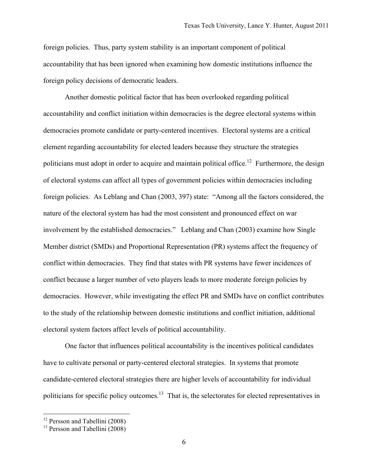foreign policies. Thus, party system stability is an important component of political accountability that has been ignored when examining how domestic institutions influence the foreign policy decisions of democratic leaders.

Another domestic political factor that has been overlooked regarding political accountability and conflict initiation within democracies is the degree electoral systems within democracies promote candidate or party-centered incentives. Electoral systems are a critical element regarding accountability for elected leaders because they structure the strategies politicians must adopt in order to acquire and maintain political office.<sup>12</sup> Furthermore, the design of electoral systems can affect all types of government policies within democracies including foreign policies. As Leblang and Chan (2003, 397) state: "Among all the factors considered, the nature of the electoral system has had the most consistent and pronounced effect on war involvement by the established democracies." Leblang and Chan (2003) examine how Single Member district (SMDs) and Proportional Representation (PR) systems affect the frequency of conflict within democracies. They find that states with PR systems have fewer incidences of conflict because a larger number of veto players leads to more moderate foreign policies by democracies. However, while investigating the effect PR and SMDs have on conflict contributes to the study of the relationship between domestic institutions and conflict initiation, additional electoral system factors affect levels of political accountability.

One factor that influences political accountability is the incentives political candidates have to cultivate personal or party-centered electoral strategies. In systems that promote candidate-centered electoral strategies there are higher levels of accountability for individual politicians for specific policy outcomes.<sup>13</sup> That is, the selectorates for elected representatives in

<sup>&</sup>lt;sup>12</sup> Persson and Tabellini (2008)

 $13$  Persson and Tabellini  $(2008)$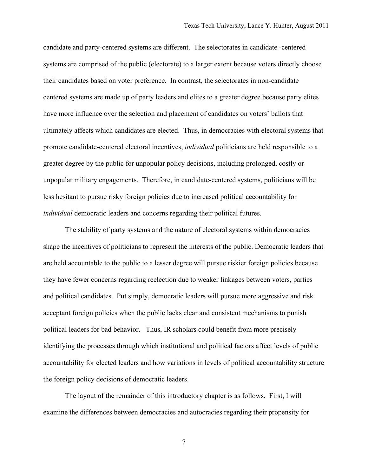candidate and party-centered systems are different. The selectorates in candidate -centered systems are comprised of the public (electorate) to a larger extent because voters directly choose their candidates based on voter preference. In contrast, the selectorates in non-candidate centered systems are made up of party leaders and elites to a greater degree because party elites have more influence over the selection and placement of candidates on voters' ballots that ultimately affects which candidates are elected. Thus, in democracies with electoral systems that promote candidate-centered electoral incentives, *individual* politicians are held responsible to a greater degree by the public for unpopular policy decisions, including prolonged, costly or unpopular military engagements. Therefore, in candidate-centered systems, politicians will be less hesitant to pursue risky foreign policies due to increased political accountability for *individual* democratic leaders and concerns regarding their political futures.

The stability of party systems and the nature of electoral systems within democracies shape the incentives of politicians to represent the interests of the public. Democratic leaders that are held accountable to the public to a lesser degree will pursue riskier foreign policies because they have fewer concerns regarding reelection due to weaker linkages between voters, parties and political candidates. Put simply, democratic leaders will pursue more aggressive and risk acceptant foreign policies when the public lacks clear and consistent mechanisms to punish political leaders for bad behavior. Thus, IR scholars could benefit from more precisely identifying the processes through which institutional and political factors affect levels of public accountability for elected leaders and how variations in levels of political accountability structure the foreign policy decisions of democratic leaders.

The layout of the remainder of this introductory chapter is as follows. First, I will examine the differences between democracies and autocracies regarding their propensity for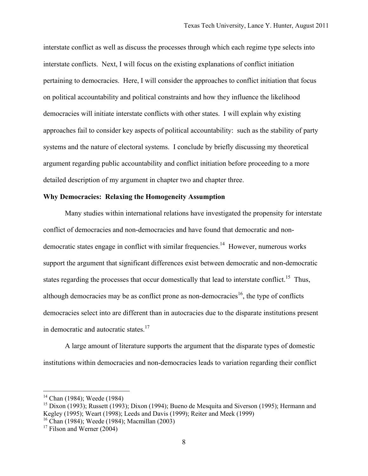interstate conflict as well as discuss the processes through which each regime type selects into interstate conflicts. Next, I will focus on the existing explanations of conflict initiation pertaining to democracies. Here, I will consider the approaches to conflict initiation that focus on political accountability and political constraints and how they influence the likelihood democracies will initiate interstate conflicts with other states. I will explain why existing approaches fail to consider key aspects of political accountability: such as the stability of party systems and the nature of electoral systems. I conclude by briefly discussing my theoretical argument regarding public accountability and conflict initiation before proceeding to a more detailed description of my argument in chapter two and chapter three.

#### **Why Democracies: Relaxing the Homogeneity Assumption**

Many studies within international relations have investigated the propensity for interstate conflict of democracies and non-democracies and have found that democratic and nondemocratic states engage in conflict with similar frequencies.<sup>14</sup> However, numerous works support the argument that significant differences exist between democratic and non-democratic states regarding the processes that occur domestically that lead to interstate conflict.<sup>15</sup> Thus, although democracies may be as conflict prone as non-democracies<sup>16</sup>, the type of conflicts democracies select into are different than in autocracies due to the disparate institutions present in democratic and autocratic states.<sup>17</sup>

A large amount of literature supports the argument that the disparate types of domestic institutions within democracies and non-democracies leads to variation regarding their conflict

<sup>&</sup>lt;sup>14</sup> Chan (1984); Weede (1984)

<sup>&</sup>lt;sup>15</sup> Dixon (1993); Russett (1993); Dixon (1994); Bueno de Mesquita and Siverson (1995); Hermann and Kegley (1995); Weart (1998); Leeds and Davis (1999); Reiter and Meek (1999)

<sup>16</sup> Chan (1984); Weede (1984); Macmillan (2003)

 $17$  Filson and Werner (2004)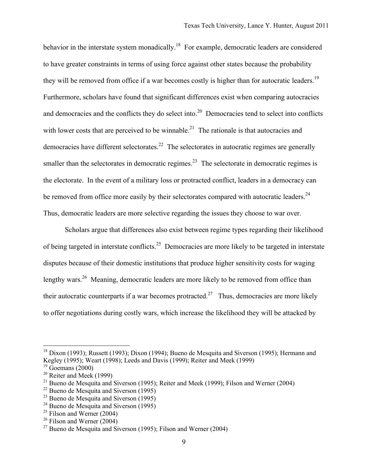behavior in the interstate system monadically.<sup>18</sup> For example, democratic leaders are considered to have greater constraints in terms of using force against other states because the probability they will be removed from office if a war becomes costly is higher than for autocratic leaders.<sup>19</sup> Furthermore, scholars have found that significant differences exist when comparing autocracies and democracies and the conflicts they do select into.<sup>20</sup> Democracies tend to select into conflicts with lower costs that are perceived to be winnable.<sup>21</sup> The rationale is that autocracies and democracies have different selectorates.<sup>22</sup> The selectorates in autocratic regimes are generally smaller than the selectorates in democratic regimes.<sup>23</sup> The selectorate in democratic regimes is the electorate. In the event of a military loss or protracted conflict, leaders in a democracy can be removed from office more easily by their selectorates compared with autocratic leaders.<sup>24</sup> Thus, democratic leaders are more selective regarding the issues they choose to war over.

Scholars argue that differences also exist between regime types regarding their likelihood of being targeted in interstate conflicts.25 Democracies are more likely to be targeted in interstate disputes because of their domestic institutions that produce higher sensitivity costs for waging lengthy wars.<sup>26</sup> Meaning, democratic leaders are more likely to be removed from office than their autocratic counterparts if a war becomes protracted.<sup>27</sup> Thus, democracies are more likely to offer negotiations during costly wars, which increase the likelihood they will be attacked by

<sup>&</sup>lt;sup>18</sup> Dixon (1993); Russett (1993); Dixon (1994); Bueno de Mesquita and Siverson (1995); Hermann and Kegley (1995); Weart (1998); Leeds and Davis (1999); Reiter and Meek (1999)

 $19$  Goemans (2000)

 $20$  Reiter and Meek (1999)

<sup>&</sup>lt;sup>21</sup> Bueno de Mesquita and Siverson (1995); Reiter and Meek (1999); Filson and Werner (2004)

 $22$  Bueno de Mesquita and Siverson (1995)

<sup>&</sup>lt;sup>23</sup> Bueno de Mesquita and Siverson  $(1995)$ 

 $^{24}$  Bueno de Mesquita and Siverson (1995)

 $25$  Filson and Werner (2004)

 $26$  Filson and Werner (2004)

<sup>&</sup>lt;sup>27</sup> Bueno de Mesquita and Siverson (1995); Filson and Werner (2004)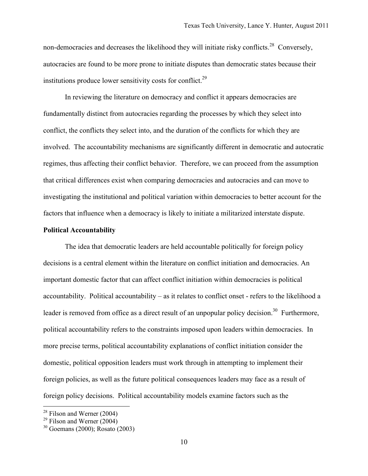non-democracies and decreases the likelihood they will initiate risky conflicts.<sup>28</sup> Conversely, autocracies are found to be more prone to initiate disputes than democratic states because their institutions produce lower sensitivity costs for conflict.<sup>29</sup>

In reviewing the literature on democracy and conflict it appears democracies are fundamentally distinct from autocracies regarding the processes by which they select into conflict, the conflicts they select into, and the duration of the conflicts for which they are involved. The accountability mechanisms are significantly different in democratic and autocratic regimes, thus affecting their conflict behavior. Therefore, we can proceed from the assumption that critical differences exist when comparing democracies and autocracies and can move to investigating the institutional and political variation within democracies to better account for the factors that influence when a democracy is likely to initiate a militarized interstate dispute.

#### **Political Accountability**

The idea that democratic leaders are held accountable politically for foreign policy decisions is a central element within the literature on conflict initiation and democracies. An important domestic factor that can affect conflict initiation within democracies is political accountability. Political accountability – as it relates to conflict onset - refers to the likelihood a leader is removed from office as a direct result of an unpopular policy decision.<sup>30</sup> Furthermore, political accountability refers to the constraints imposed upon leaders within democracies. In more precise terms, political accountability explanations of conflict initiation consider the domestic, political opposition leaders must work through in attempting to implement their foreign policies, as well as the future political consequences leaders may face as a result of foreign policy decisions. Political accountability models examine factors such as the

 $28$  Filson and Werner (2004)

 $29$  Filson and Werner (2004)

 $30$  Goemans (2000): Rosato (2003)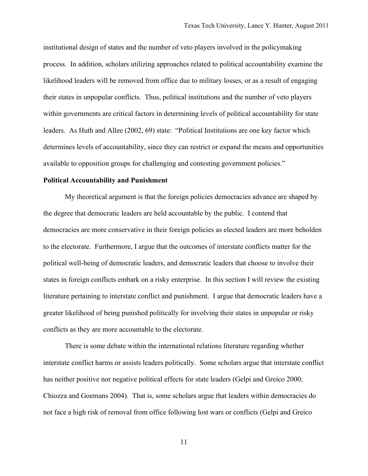institutional design of states and the number of veto players involved in the policymaking process. In addition, scholars utilizing approaches related to political accountability examine the likelihood leaders will be removed from office due to military losses, or as a result of engaging their states in unpopular conflicts. Thus, political institutions and the number of veto players within governments are critical factors in determining levels of political accountability for state leaders. As Huth and Allee (2002, 69) state: "Political Institutions are one key factor which determines levels of accountability, since they can restrict or expand the means and opportunities available to opposition groups for challenging and contesting government policies."

#### **Political Accountability and Punishment**

My theoretical argument is that the foreign policies democracies advance are shaped by the degree that democratic leaders are held accountable by the public. I contend that democracies are more conservative in their foreign policies as elected leaders are more beholden to the electorate. Furthermore, I argue that the outcomes of interstate conflicts matter for the political well-being of democratic leaders, and democratic leaders that choose to involve their states in foreign conflicts embark on a risky enterprise. In this section I will review the existing literature pertaining to interstate conflict and punishment. I argue that democratic leaders have a greater likelihood of being punished politically for involving their states in unpopular or risky conflicts as they are more accountable to the electorate.

There is some debate within the international relations literature regarding whether interstate conflict harms or assists leaders politically. Some scholars argue that interstate conflict has neither positive nor negative political effects for state leaders (Gelpi and Greico 2000; Chiozza and Goemans 2004). That is, some scholars argue that leaders within democracies do not face a high risk of removal from office following lost wars or conflicts (Gelpi and Greico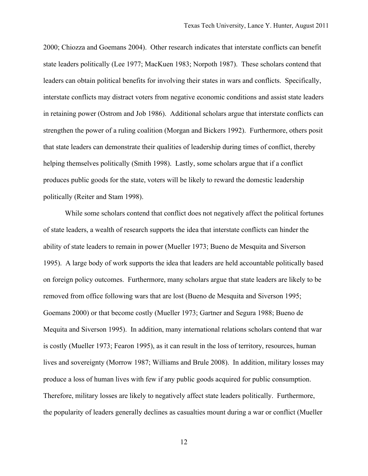2000; Chiozza and Goemans 2004). Other research indicates that interstate conflicts can benefit state leaders politically (Lee 1977; MacKuen 1983; Norpoth 1987). These scholars contend that leaders can obtain political benefits for involving their states in wars and conflicts. Specifically, interstate conflicts may distract voters from negative economic conditions and assist state leaders in retaining power (Ostrom and Job 1986). Additional scholars argue that interstate conflicts can strengthen the power of a ruling coalition (Morgan and Bickers 1992). Furthermore, others posit that state leaders can demonstrate their qualities of leadership during times of conflict, thereby helping themselves politically (Smith 1998). Lastly, some scholars argue that if a conflict produces public goods for the state, voters will be likely to reward the domestic leadership politically (Reiter and Stam 1998).

While some scholars contend that conflict does not negatively affect the political fortunes of state leaders, a wealth of research supports the idea that interstate conflicts can hinder the ability of state leaders to remain in power (Mueller 1973; Bueno de Mesquita and Siverson 1995). A large body of work supports the idea that leaders are held accountable politically based on foreign policy outcomes. Furthermore, many scholars argue that state leaders are likely to be removed from office following wars that are lost (Bueno de Mesquita and Siverson 1995; Goemans 2000) or that become costly (Mueller 1973; Gartner and Segura 1988; Bueno de Mequita and Siverson 1995). In addition, many international relations scholars contend that war is costly (Mueller 1973; Fearon 1995), as it can result in the loss of territory, resources, human lives and sovereignty (Morrow 1987; Williams and Brule 2008). In addition, military losses may produce a loss of human lives with few if any public goods acquired for public consumption. Therefore, military losses are likely to negatively affect state leaders politically. Furthermore, the popularity of leaders generally declines as casualties mount during a war or conflict (Mueller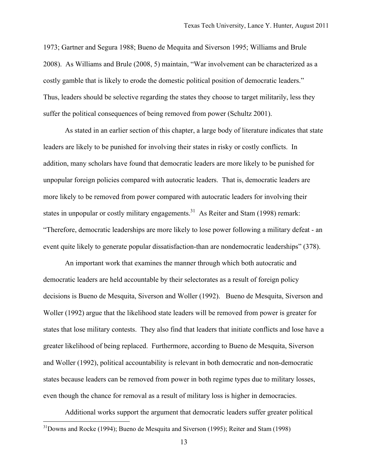1973; Gartner and Segura 1988; Bueno de Mequita and Siverson 1995; Williams and Brule 2008). As Williams and Brule (2008, 5) maintain, "War involvement can be characterized as a costly gamble that is likely to erode the domestic political position of democratic leaders." Thus, leaders should be selective regarding the states they choose to target militarily, less they suffer the political consequences of being removed from power (Schultz 2001).

As stated in an earlier section of this chapter, a large body of literature indicates that state leaders are likely to be punished for involving their states in risky or costly conflicts. In addition, many scholars have found that democratic leaders are more likely to be punished for unpopular foreign policies compared with autocratic leaders. That is, democratic leaders are more likely to be removed from power compared with autocratic leaders for involving their states in unpopular or costly military engagements.<sup>31</sup> As Reiter and Stam (1998) remark: "Therefore, democratic leaderships are more likely to lose power following a military defeat - an event quite likely to generate popular dissatisfaction-than are nondemocratic leaderships" (378).

An important work that examines the manner through which both autocratic and democratic leaders are held accountable by their selectorates as a result of foreign policy decisions is Bueno de Mesquita, Siverson and Woller (1992). Bueno de Mesquita, Siverson and Woller (1992) argue that the likelihood state leaders will be removed from power is greater for states that lose military contests. They also find that leaders that initiate conflicts and lose have a greater likelihood of being replaced. Furthermore, according to Bueno de Mesquita, Siverson and Woller (1992), political accountability is relevant in both democratic and non-democratic states because leaders can be removed from power in both regime types due to military losses, even though the chance for removal as a result of military loss is higher in democracies.

Additional works support the argument that democratic leaders suffer greater political 31Downs and Rocke (1994); Bueno de Mesquita and Siverson (1995); Reiter and Stam (1998)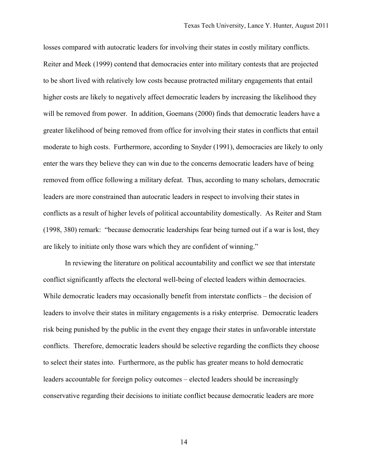losses compared with autocratic leaders for involving their states in costly military conflicts. Reiter and Meek (1999) contend that democracies enter into military contests that are projected to be short lived with relatively low costs because protracted military engagements that entail higher costs are likely to negatively affect democratic leaders by increasing the likelihood they will be removed from power. In addition, Goemans (2000) finds that democratic leaders have a greater likelihood of being removed from office for involving their states in conflicts that entail moderate to high costs. Furthermore, according to Snyder (1991), democracies are likely to only enter the wars they believe they can win due to the concerns democratic leaders have of being removed from office following a military defeat. Thus, according to many scholars, democratic leaders are more constrained than autocratic leaders in respect to involving their states in conflicts as a result of higher levels of political accountability domestically. As Reiter and Stam (1998, 380) remark: "because democratic leaderships fear being turned out if a war is lost, they are likely to initiate only those wars which they are confident of winning."

In reviewing the literature on political accountability and conflict we see that interstate conflict significantly affects the electoral well-being of elected leaders within democracies. While democratic leaders may occasionally benefit from interstate conflicts – the decision of leaders to involve their states in military engagements is a risky enterprise. Democratic leaders risk being punished by the public in the event they engage their states in unfavorable interstate conflicts. Therefore, democratic leaders should be selective regarding the conflicts they choose to select their states into. Furthermore, as the public has greater means to hold democratic leaders accountable for foreign policy outcomes – elected leaders should be increasingly conservative regarding their decisions to initiate conflict because democratic leaders are more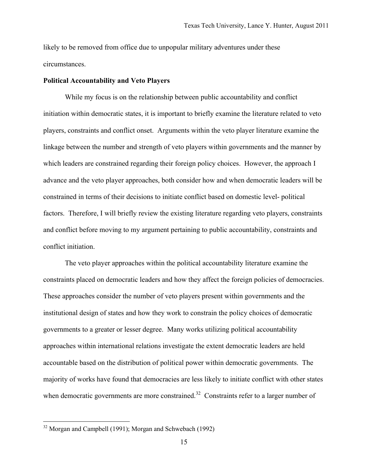likely to be removed from office due to unpopular military adventures under these circumstances.

#### **Political Accountability and Veto Players**

While my focus is on the relationship between public accountability and conflict initiation within democratic states, it is important to briefly examine the literature related to veto players, constraints and conflict onset. Arguments within the veto player literature examine the linkage between the number and strength of veto players within governments and the manner by which leaders are constrained regarding their foreign policy choices. However, the approach I advance and the veto player approaches, both consider how and when democratic leaders will be constrained in terms of their decisions to initiate conflict based on domestic level- political factors. Therefore, I will briefly review the existing literature regarding veto players, constraints and conflict before moving to my argument pertaining to public accountability, constraints and conflict initiation.

The veto player approaches within the political accountability literature examine the constraints placed on democratic leaders and how they affect the foreign policies of democracies. These approaches consider the number of veto players present within governments and the institutional design of states and how they work to constrain the policy choices of democratic governments to a greater or lesser degree. Many works utilizing political accountability approaches within international relations investigate the extent democratic leaders are held accountable based on the distribution of political power within democratic governments. The majority of works have found that democracies are less likely to initiate conflict with other states when democratic governments are more constrained.<sup>32</sup> Constraints refer to a larger number of

<sup>32</sup> Morgan and Campbell (1991); Morgan and Schwebach (1992)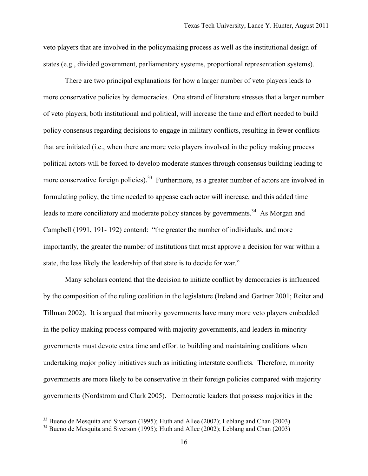veto players that are involved in the policymaking process as well as the institutional design of states (e.g., divided government, parliamentary systems, proportional representation systems).

There are two principal explanations for how a larger number of veto players leads to more conservative policies by democracies. One strand of literature stresses that a larger number of veto players, both institutional and political, will increase the time and effort needed to build policy consensus regarding decisions to engage in military conflicts, resulting in fewer conflicts that are initiated (i.e., when there are more veto players involved in the policy making process political actors will be forced to develop moderate stances through consensus building leading to more conservative foreign policies).<sup>33</sup> Furthermore, as a greater number of actors are involved in formulating policy, the time needed to appease each actor will increase, and this added time leads to more conciliatory and moderate policy stances by governments.<sup>34</sup> As Morgan and Campbell (1991, 191- 192) contend: "the greater the number of individuals, and more importantly, the greater the number of institutions that must approve a decision for war within a state, the less likely the leadership of that state is to decide for war."

Many scholars contend that the decision to initiate conflict by democracies is influenced by the composition of the ruling coalition in the legislature (Ireland and Gartner 2001; Reiter and Tillman 2002). It is argued that minority governments have many more veto players embedded in the policy making process compared with majority governments, and leaders in minority governments must devote extra time and effort to building and maintaining coalitions when undertaking major policy initiatives such as initiating interstate conflicts. Therefore, minority governments are more likely to be conservative in their foreign policies compared with majority governments (Nordstrom and Clark 2005). Democratic leaders that possess majorities in the

 $33$  Bueno de Mesquita and Siverson (1995); Huth and Allee (2002); Leblang and Chan (2003)

 $34$  Bueno de Mesquita and Siverson (1995); Huth and Allee (2002); Leblang and Chan (2003)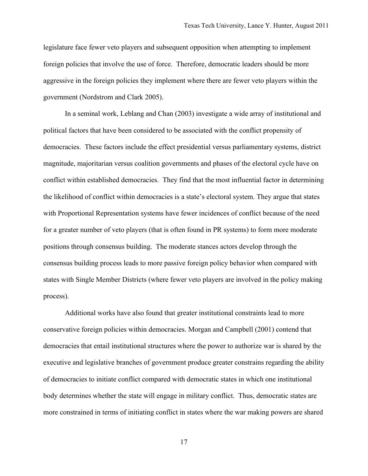legislature face fewer veto players and subsequent opposition when attempting to implement foreign policies that involve the use of force. Therefore, democratic leaders should be more aggressive in the foreign policies they implement where there are fewer veto players within the government (Nordstrom and Clark 2005).

In a seminal work, Leblang and Chan (2003) investigate a wide array of institutional and political factors that have been considered to be associated with the conflict propensity of democracies. These factors include the effect presidential versus parliamentary systems, district magnitude, majoritarian versus coalition governments and phases of the electoral cycle have on conflict within established democracies. They find that the most influential factor in determining the likelihood of conflict within democracies is a state's electoral system. They argue that states with Proportional Representation systems have fewer incidences of conflict because of the need for a greater number of veto players (that is often found in PR systems) to form more moderate positions through consensus building. The moderate stances actors develop through the consensus building process leads to more passive foreign policy behavior when compared with states with Single Member Districts (where fewer veto players are involved in the policy making process).

Additional works have also found that greater institutional constraints lead to more conservative foreign policies within democracies. Morgan and Campbell (2001) contend that democracies that entail institutional structures where the power to authorize war is shared by the executive and legislative branches of government produce greater constrains regarding the ability of democracies to initiate conflict compared with democratic states in which one institutional body determines whether the state will engage in military conflict. Thus, democratic states are more constrained in terms of initiating conflict in states where the war making powers are shared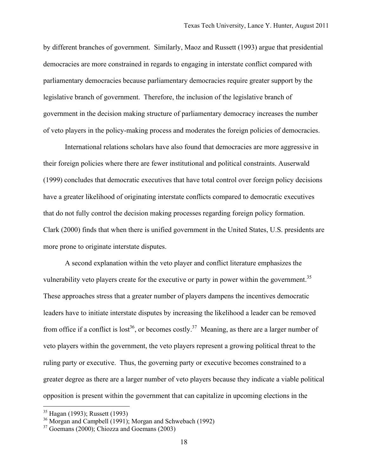by different branches of government. Similarly, Maoz and Russett (1993) argue that presidential democracies are more constrained in regards to engaging in interstate conflict compared with parliamentary democracies because parliamentary democracies require greater support by the legislative branch of government. Therefore, the inclusion of the legislative branch of government in the decision making structure of parliamentary democracy increases the number of veto players in the policy-making process and moderates the foreign policies of democracies.

International relations scholars have also found that democracies are more aggressive in their foreign policies where there are fewer institutional and political constraints. Auserwald (1999) concludes that democratic executives that have total control over foreign policy decisions have a greater likelihood of originating interstate conflicts compared to democratic executives that do not fully control the decision making processes regarding foreign policy formation. Clark (2000) finds that when there is unified government in the United States, U.S. presidents are more prone to originate interstate disputes.

A second explanation within the veto player and conflict literature emphasizes the vulnerability veto players create for the executive or party in power within the government.<sup>35</sup> These approaches stress that a greater number of players dampens the incentives democratic leaders have to initiate interstate disputes by increasing the likelihood a leader can be removed from office if a conflict is lost<sup>36</sup>, or becomes costly.<sup>37</sup> Meaning, as there are a larger number of veto players within the government, the veto players represent a growing political threat to the ruling party or executive. Thus, the governing party or executive becomes constrained to a greater degree as there are a larger number of veto players because they indicate a viable political opposition is present within the government that can capitalize in upcoming elections in the

<sup>35</sup> Hagan (1993); Russett (1993)

<sup>&</sup>lt;sup>36</sup> Morgan and Campbell  $(1991)$ ; Morgan and Schwebach (1992)

 $37$  Goemans (2000): Chiozza and Goemans (2003)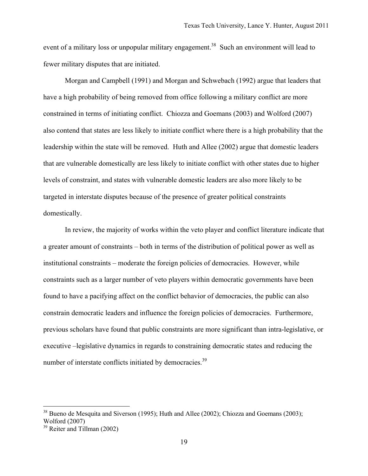event of a military loss or unpopular military engagement.<sup>38</sup> Such an environment will lead to fewer military disputes that are initiated.

Morgan and Campbell (1991) and Morgan and Schwebach (1992) argue that leaders that have a high probability of being removed from office following a military conflict are more constrained in terms of initiating conflict. Chiozza and Goemans (2003) and Wolford (2007) also contend that states are less likely to initiate conflict where there is a high probability that the leadership within the state will be removed. Huth and Allee (2002) argue that domestic leaders that are vulnerable domestically are less likely to initiate conflict with other states due to higher levels of constraint, and states with vulnerable domestic leaders are also more likely to be targeted in interstate disputes because of the presence of greater political constraints domestically.

In review, the majority of works within the veto player and conflict literature indicate that a greater amount of constraints – both in terms of the distribution of political power as well as institutional constraints – moderate the foreign policies of democracies. However, while constraints such as a larger number of veto players within democratic governments have been found to have a pacifying affect on the conflict behavior of democracies, the public can also constrain democratic leaders and influence the foreign policies of democracies. Furthermore, previous scholars have found that public constraints are more significant than intra-legislative, or executive –legislative dynamics in regards to constraining democratic states and reducing the number of interstate conflicts initiated by democracies.<sup>39</sup>

<u>.</u>

<sup>&</sup>lt;sup>38</sup> Bueno de Mesquita and Siverson (1995); Huth and Allee (2002); Chiozza and Goemans (2003); Wolford (2007)

 $39$  Reiter and Tillman (2002)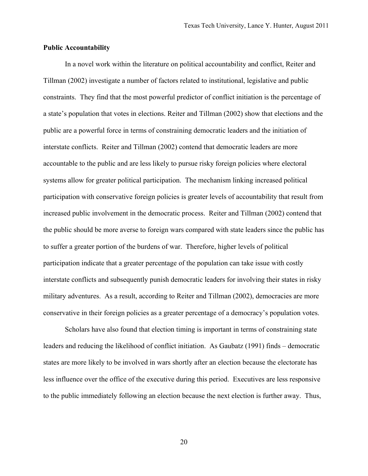#### **Public Accountability**

In a novel work within the literature on political accountability and conflict, Reiter and Tillman (2002) investigate a number of factors related to institutional, legislative and public constraints. They find that the most powerful predictor of conflict initiation is the percentage of a state's population that votes in elections. Reiter and Tillman (2002) show that elections and the public are a powerful force in terms of constraining democratic leaders and the initiation of interstate conflicts. Reiter and Tillman (2002) contend that democratic leaders are more accountable to the public and are less likely to pursue risky foreign policies where electoral systems allow for greater political participation. The mechanism linking increased political participation with conservative foreign policies is greater levels of accountability that result from increased public involvement in the democratic process. Reiter and Tillman (2002) contend that the public should be more averse to foreign wars compared with state leaders since the public has to suffer a greater portion of the burdens of war. Therefore, higher levels of political participation indicate that a greater percentage of the population can take issue with costly interstate conflicts and subsequently punish democratic leaders for involving their states in risky military adventures. As a result, according to Reiter and Tillman (2002), democracies are more conservative in their foreign policies as a greater percentage of a democracy's population votes.

Scholars have also found that election timing is important in terms of constraining state leaders and reducing the likelihood of conflict initiation. As Gaubatz (1991) finds – democratic states are more likely to be involved in wars shortly after an election because the electorate has less influence over the office of the executive during this period. Executives are less responsive to the public immediately following an election because the next election is further away. Thus,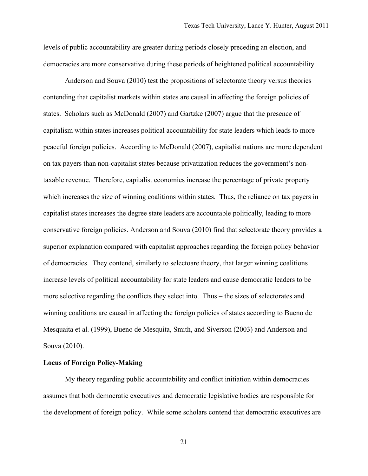levels of public accountability are greater during periods closely preceding an election, and democracies are more conservative during these periods of heightened political accountability

Anderson and Souva (2010) test the propositions of selectorate theory versus theories contending that capitalist markets within states are causal in affecting the foreign policies of states. Scholars such as McDonald (2007) and Gartzke (2007) argue that the presence of capitalism within states increases political accountability for state leaders which leads to more peaceful foreign policies. According to McDonald (2007), capitalist nations are more dependent on tax payers than non-capitalist states because privatization reduces the government's nontaxable revenue. Therefore, capitalist economies increase the percentage of private property which increases the size of winning coalitions within states. Thus, the reliance on tax payers in capitalist states increases the degree state leaders are accountable politically, leading to more conservative foreign policies. Anderson and Souva (2010) find that selectorate theory provides a superior explanation compared with capitalist approaches regarding the foreign policy behavior of democracies. They contend, similarly to selectoare theory, that larger winning coalitions increase levels of political accountability for state leaders and cause democratic leaders to be more selective regarding the conflicts they select into. Thus – the sizes of selectorates and winning coalitions are causal in affecting the foreign policies of states according to Bueno de Mesquaita et al. (1999), Bueno de Mesquita, Smith, and Siverson (2003) and Anderson and Souva (2010).

#### **Locus of Foreign Policy-Making**

My theory regarding public accountability and conflict initiation within democracies assumes that both democratic executives and democratic legislative bodies are responsible for the development of foreign policy. While some scholars contend that democratic executives are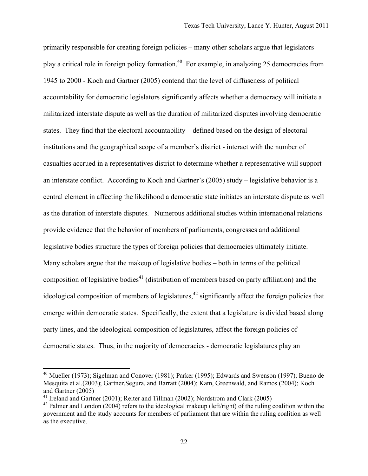primarily responsible for creating foreign policies – many other scholars argue that legislators play a critical role in foreign policy formation.40 For example, in analyzing 25 democracies from 1945 to 2000 - Koch and Gartner (2005) contend that the level of diffuseness of political accountability for democratic legislators significantly affects whether a democracy will initiate a militarized interstate dispute as well as the duration of militarized disputes involving democratic states. They find that the electoral accountability – defined based on the design of electoral institutions and the geographical scope of a member's district - interact with the number of casualties accrued in a representatives district to determine whether a representative will support an interstate conflict. According to Koch and Gartner's (2005) study – legislative behavior is a central element in affecting the likelihood a democratic state initiates an interstate dispute as well as the duration of interstate disputes. Numerous additional studies within international relations provide evidence that the behavior of members of parliaments, congresses and additional legislative bodies structure the types of foreign policies that democracies ultimately initiate. Many scholars argue that the makeup of legislative bodies – both in terms of the political composition of legislative bodies<sup>41</sup> (distribution of members based on party affiliation) and the ideological composition of members of legislatures,<sup>42</sup> significantly affect the foreign policies that emerge within democratic states. Specifically, the extent that a legislature is divided based along party lines, and the ideological composition of legislatures, affect the foreign policies of democratic states. Thus, in the majority of democracies - democratic legislatures play an

<sup>&</sup>lt;sup>40</sup> Mueller (1973); Sigelman and Conover (1981); Parker (1995); Edwards and Swenson (1997); Bueno de Mesquita et al.(2003); Gartner,Segura, and Barratt (2004); Kam, Greenwald, and Ramos (2004); Koch and Gartner (2005)

<sup>&</sup>lt;sup>41</sup> Ireland and Gartner (2001); Reiter and Tillman (2002); Nordstrom and Clark (2005)

<sup>&</sup>lt;sup>42</sup> Palmer and London (2004) refers to the ideological makeup (left/right) of the ruling coalition within the government and the study accounts for members of parliament that are within the ruling coalition as well as the executive.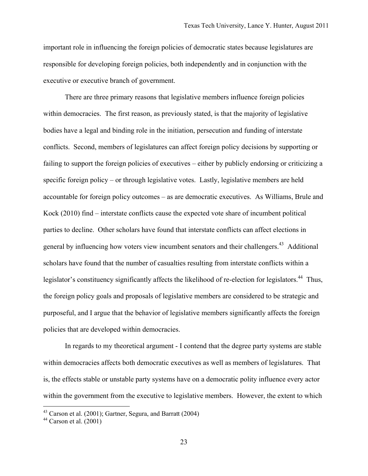important role in influencing the foreign policies of democratic states because legislatures are responsible for developing foreign policies, both independently and in conjunction with the executive or executive branch of government.

There are three primary reasons that legislative members influence foreign policies within democracies. The first reason, as previously stated, is that the majority of legislative bodies have a legal and binding role in the initiation, persecution and funding of interstate conflicts. Second, members of legislatures can affect foreign policy decisions by supporting or failing to support the foreign policies of executives – either by publicly endorsing or criticizing a specific foreign policy – or through legislative votes. Lastly, legislative members are held accountable for foreign policy outcomes – as are democratic executives. As Williams, Brule and Kock (2010) find – interstate conflicts cause the expected vote share of incumbent political parties to decline. Other scholars have found that interstate conflicts can affect elections in general by influencing how voters view incumbent senators and their challengers.<sup>43</sup> Additional scholars have found that the number of casualties resulting from interstate conflicts within a legislator's constituency significantly affects the likelihood of re-election for legislators.<sup>44</sup> Thus, the foreign policy goals and proposals of legislative members are considered to be strategic and purposeful, and I argue that the behavior of legislative members significantly affects the foreign policies that are developed within democracies.

In regards to my theoretical argument - I contend that the degree party systems are stable within democracies affects both democratic executives as well as members of legislatures. That is, the effects stable or unstable party systems have on a democratic polity influence every actor within the government from the executive to legislative members. However, the extent to which

 $43$  Carson et al. (2001); Gartner, Segura, and Barratt (2004)

 $44$  Carson et al. (2001)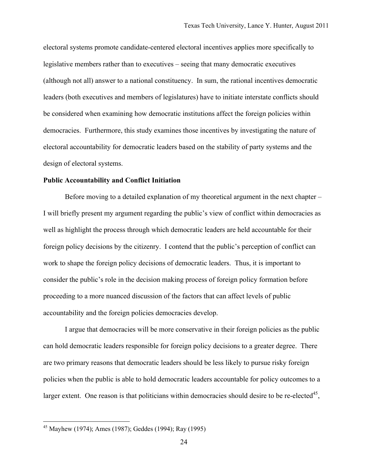electoral systems promote candidate-centered electoral incentives applies more specifically to legislative members rather than to executives – seeing that many democratic executives (although not all) answer to a national constituency. In sum, the rational incentives democratic leaders (both executives and members of legislatures) have to initiate interstate conflicts should be considered when examining how democratic institutions affect the foreign policies within democracies. Furthermore, this study examines those incentives by investigating the nature of electoral accountability for democratic leaders based on the stability of party systems and the design of electoral systems.

#### **Public Accountability and Conflict Initiation**

Before moving to a detailed explanation of my theoretical argument in the next chapter – I will briefly present my argument regarding the public's view of conflict within democracies as well as highlight the process through which democratic leaders are held accountable for their foreign policy decisions by the citizenry. I contend that the public's perception of conflict can work to shape the foreign policy decisions of democratic leaders. Thus, it is important to consider the public's role in the decision making process of foreign policy formation before proceeding to a more nuanced discussion of the factors that can affect levels of public accountability and the foreign policies democracies develop.

I argue that democracies will be more conservative in their foreign policies as the public can hold democratic leaders responsible for foreign policy decisions to a greater degree. There are two primary reasons that democratic leaders should be less likely to pursue risky foreign policies when the public is able to hold democratic leaders accountable for policy outcomes to a larger extent. One reason is that politicians within democracies should desire to be re-elected $45$ ,

<sup>45</sup> Mayhew (1974); Ames (1987); Geddes (1994); Ray (1995)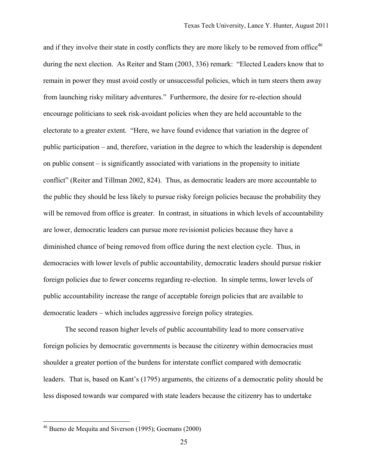and if they involve their state in costly conflicts they are more likely to be removed from office<sup>46</sup> during the next election. As Reiter and Stam (2003, 336) remark: "Elected Leaders know that to remain in power they must avoid costly or unsuccessful policies, which in turn steers them away from launching risky military adventures." Furthermore, the desire for re-election should encourage politicians to seek risk-avoidant policies when they are held accountable to the electorate to a greater extent. "Here, we have found evidence that variation in the degree of public participation – and, therefore, variation in the degree to which the leadership is dependent on public consent – is significantly associated with variations in the propensity to initiate conflict" (Reiter and Tillman 2002, 824). Thus, as democratic leaders are more accountable to the public they should be less likely to pursue risky foreign policies because the probability they will be removed from office is greater. In contrast, in situations in which levels of accountability are lower, democratic leaders can pursue more revisionist policies because they have a diminished chance of being removed from office during the next election cycle. Thus, in democracies with lower levels of public accountability, democratic leaders should pursue riskier foreign policies due to fewer concerns regarding re-election. In simple terms, lower levels of public accountability increase the range of acceptable foreign policies that are available to democratic leaders – which includes aggressive foreign policy strategies.

The second reason higher levels of public accountability lead to more conservative foreign policies by democratic governments is because the citizenry within democracies must shoulder a greater portion of the burdens for interstate conflict compared with democratic leaders. That is, based on Kant's (1795) arguments, the citizens of a democratic polity should be less disposed towards war compared with state leaders because the citizenry has to undertake

<sup>46</sup> Bueno de Mequita and Siverson (1995); Goemans (2000)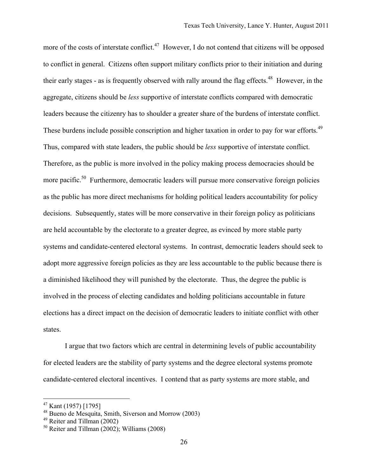more of the costs of interstate conflict.<sup>47</sup> However, I do not contend that citizens will be opposed to conflict in general. Citizens often support military conflicts prior to their initiation and during their early stages - as is frequently observed with rally around the flag effects.<sup>48</sup> However, in the aggregate, citizens should be *less* supportive of interstate conflicts compared with democratic leaders because the citizenry has to shoulder a greater share of the burdens of interstate conflict. These burdens include possible conscription and higher taxation in order to pay for war efforts.<sup>49</sup> Thus, compared with state leaders, the public should be *less* supportive of interstate conflict. Therefore, as the public is more involved in the policy making process democracies should be more pacific.<sup>50</sup> Furthermore, democratic leaders will pursue more conservative foreign policies as the public has more direct mechanisms for holding political leaders accountability for policy decisions. Subsequently, states will be more conservative in their foreign policy as politicians are held accountable by the electorate to a greater degree, as evinced by more stable party systems and candidate-centered electoral systems. In contrast, democratic leaders should seek to adopt more aggressive foreign policies as they are less accountable to the public because there is a diminished likelihood they will punished by the electorate. Thus, the degree the public is involved in the process of electing candidates and holding politicians accountable in future elections has a direct impact on the decision of democratic leaders to initiate conflict with other states.

I argue that two factors which are central in determining levels of public accountability for elected leaders are the stability of party systems and the degree electoral systems promote candidate-centered electoral incentives. I contend that as party systems are more stable, and

 $47$  Kant (1957) [1795]

<sup>48</sup> Bueno de Mesquita, Smith, Siverson and Morrow (2003)

 $49$  Reiter and Tillman (2002)

 $50$  Reiter and Tillman  $(2002)$ : Williams  $(2008)$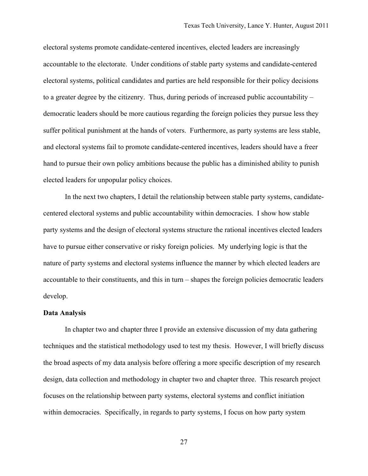electoral systems promote candidate-centered incentives, elected leaders are increasingly accountable to the electorate. Under conditions of stable party systems and candidate-centered electoral systems, political candidates and parties are held responsible for their policy decisions to a greater degree by the citizenry. Thus, during periods of increased public accountability – democratic leaders should be more cautious regarding the foreign policies they pursue less they suffer political punishment at the hands of voters. Furthermore, as party systems are less stable, and electoral systems fail to promote candidate-centered incentives, leaders should have a freer hand to pursue their own policy ambitions because the public has a diminished ability to punish elected leaders for unpopular policy choices.

In the next two chapters, I detail the relationship between stable party systems, candidatecentered electoral systems and public accountability within democracies. I show how stable party systems and the design of electoral systems structure the rational incentives elected leaders have to pursue either conservative or risky foreign policies. My underlying logic is that the nature of party systems and electoral systems influence the manner by which elected leaders are accountable to their constituents, and this in turn – shapes the foreign policies democratic leaders develop.

#### **Data Analysis**

In chapter two and chapter three I provide an extensive discussion of my data gathering techniques and the statistical methodology used to test my thesis. However, I will briefly discuss the broad aspects of my data analysis before offering a more specific description of my research design, data collection and methodology in chapter two and chapter three. This research project focuses on the relationship between party systems, electoral systems and conflict initiation within democracies. Specifically, in regards to party systems, I focus on how party system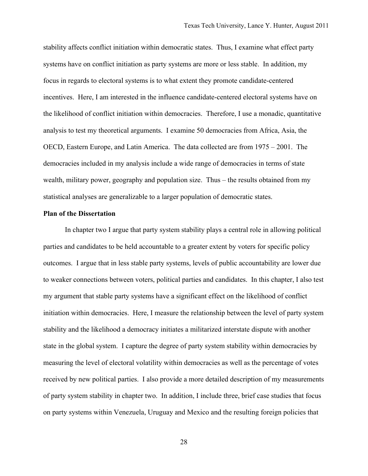stability affects conflict initiation within democratic states. Thus, I examine what effect party systems have on conflict initiation as party systems are more or less stable. In addition, my focus in regards to electoral systems is to what extent they promote candidate-centered incentives. Here, I am interested in the influence candidate-centered electoral systems have on the likelihood of conflict initiation within democracies. Therefore, I use a monadic, quantitative analysis to test my theoretical arguments. I examine 50 democracies from Africa, Asia, the OECD, Eastern Europe, and Latin America. The data collected are from 1975 – 2001. The democracies included in my analysis include a wide range of democracies in terms of state wealth, military power, geography and population size. Thus – the results obtained from my statistical analyses are generalizable to a larger population of democratic states.

## **Plan of the Dissertation**

In chapter two I argue that party system stability plays a central role in allowing political parties and candidates to be held accountable to a greater extent by voters for specific policy outcomes. I argue that in less stable party systems, levels of public accountability are lower due to weaker connections between voters, political parties and candidates. In this chapter, I also test my argument that stable party systems have a significant effect on the likelihood of conflict initiation within democracies. Here, I measure the relationship between the level of party system stability and the likelihood a democracy initiates a militarized interstate dispute with another state in the global system. I capture the degree of party system stability within democracies by measuring the level of electoral volatility within democracies as well as the percentage of votes received by new political parties. I also provide a more detailed description of my measurements of party system stability in chapter two. In addition, I include three, brief case studies that focus on party systems within Venezuela, Uruguay and Mexico and the resulting foreign policies that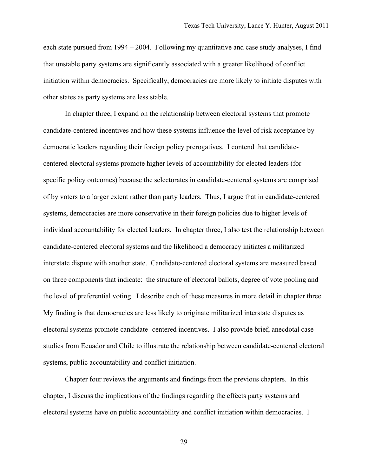each state pursued from 1994 – 2004. Following my quantitative and case study analyses, I find that unstable party systems are significantly associated with a greater likelihood of conflict initiation within democracies. Specifically, democracies are more likely to initiate disputes with other states as party systems are less stable.

In chapter three, I expand on the relationship between electoral systems that promote candidate-centered incentives and how these systems influence the level of risk acceptance by democratic leaders regarding their foreign policy prerogatives. I contend that candidatecentered electoral systems promote higher levels of accountability for elected leaders (for specific policy outcomes) because the selectorates in candidate-centered systems are comprised of by voters to a larger extent rather than party leaders. Thus, I argue that in candidate-centered systems, democracies are more conservative in their foreign policies due to higher levels of individual accountability for elected leaders. In chapter three, I also test the relationship between candidate-centered electoral systems and the likelihood a democracy initiates a militarized interstate dispute with another state. Candidate-centered electoral systems are measured based on three components that indicate: the structure of electoral ballots, degree of vote pooling and the level of preferential voting. I describe each of these measures in more detail in chapter three. My finding is that democracies are less likely to originate militarized interstate disputes as electoral systems promote candidate -centered incentives. I also provide brief, anecdotal case studies from Ecuador and Chile to illustrate the relationship between candidate-centered electoral systems, public accountability and conflict initiation.

Chapter four reviews the arguments and findings from the previous chapters. In this chapter, I discuss the implications of the findings regarding the effects party systems and electoral systems have on public accountability and conflict initiation within democracies. I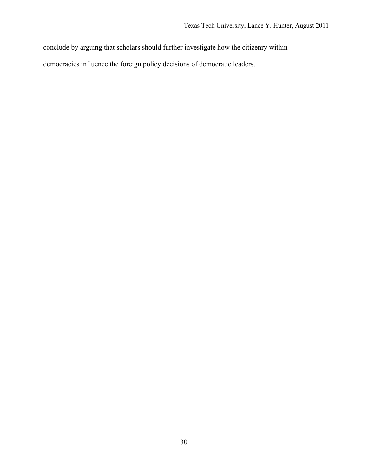conclude by arguing that scholars should further investigate how the citizenry within

democracies influence the foreign policy decisions of democratic leaders.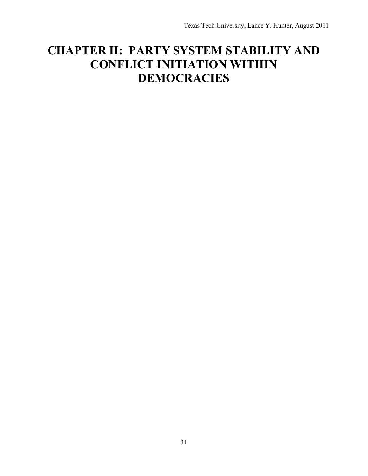# **CHAPTER II: PARTY SYSTEM STABILITY AND CONFLICT INITIATION WITHIN DEMOCRACIES**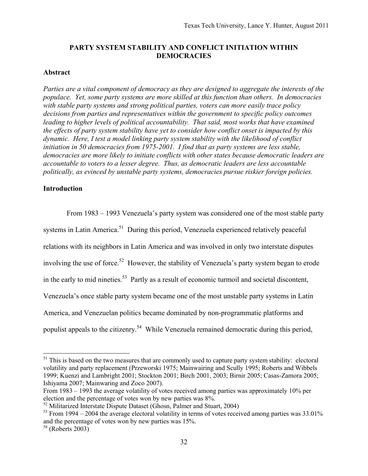# **PARTY SYSTEM STABILITY AND CONFLICT INITIATION WITHIN DEMOCRACIES**

# **Abstract**

*Parties are a vital component of democracy as they are designed to aggregate the interests of the populace. Yet, some party systems are more skilled at this function than others. In democracies with stable party systems and strong political parties, voters can more easily trace policy decisions from parties and representatives within the government to specific policy outcomes leading to higher levels of political accountability. That said, most works that have examined the effects of party system stability have yet to consider how conflict onset is impacted by this dynamic. Here, I test a model linking party system stability with the likelihood of conflict initiation in 50 democracies from 1975-2001. I find that as party systems are less stable, democracies are more likely to initiate conflicts with other states because democratic leaders are accountable to voters to a lesser degree. Thus, as democratic leaders are less accountable politically, as evinced by unstable party systems, democracies pursue riskier foreign policies.* 

# **Introduction**

From 1983 – 1993 Venezuela's party system was considered one of the most stable party systems in Latin America.<sup>51</sup> During this period, Venezuela experienced relatively peaceful relations with its neighbors in Latin America and was involved in only two interstate disputes involving the use of force.<sup>52</sup> However, the stability of Venezuela's party system began to erode in the early to mid nineties.<sup>53</sup> Partly as a result of economic turmoil and societal discontent, Venezuela's once stable party system became one of the most unstable party systems in Latin America, and Venezuelan politics became dominated by non-programmatic platforms and populist appeals to the citizenry.<sup>54</sup> While Venezuela remained democratic during this period,

 $51$  This is based on the two measures that are commonly used to capture party system stability: electoral volatility and party replacement (Przeworski 1975; Mainwairing and Scully 1995; Roberts and Wibbels 1999; Kuenzi and Lambright 2001; Stockton 2001; Birch 2001, 2003; Birnir 2005; Casas-Zamora 2005; Ishiyama 2007; Mainwaring and Zoco 2007).

From 1983 – 1993 the average volatility of votes received among parties was approximately 10% per election and the percentage of votes won by new parties was 8%.

 $52$  Militarized Interstate Dispute Dataset (Ghosn, Palmer and Stuart, 2004)

 $53$  From 1994 – 2004 the average electoral volatility in terms of votes received among parties was 33.01% and the percentage of votes won by new parties was 15%.

 $54$  (Roberts 2003)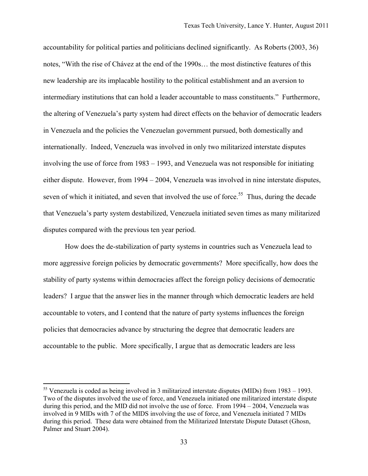accountability for political parties and politicians declined significantly. As Roberts (2003, 36) notes, "With the rise of Chávez at the end of the 1990s… the most distinctive features of this new leadership are its implacable hostility to the political establishment and an aversion to intermediary institutions that can hold a leader accountable to mass constituents." Furthermore, the altering of Venezuela's party system had direct effects on the behavior of democratic leaders in Venezuela and the policies the Venezuelan government pursued, both domestically and internationally. Indeed, Venezuela was involved in only two militarized interstate disputes involving the use of force from 1983 – 1993, and Venezuela was not responsible for initiating either dispute. However, from 1994 – 2004, Venezuela was involved in nine interstate disputes, seven of which it initiated, and seven that involved the use of force.<sup>55</sup> Thus, during the decade that Venezuela's party system destabilized, Venezuela initiated seven times as many militarized disputes compared with the previous ten year period.

How does the de-stabilization of party systems in countries such as Venezuela lead to more aggressive foreign policies by democratic governments? More specifically, how does the stability of party systems within democracies affect the foreign policy decisions of democratic leaders? I argue that the answer lies in the manner through which democratic leaders are held accountable to voters, and I contend that the nature of party systems influences the foreign policies that democracies advance by structuring the degree that democratic leaders are accountable to the public. More specifically, I argue that as democratic leaders are less

<sup>55</sup> Venezuela is coded as being involved in 3 militarized interstate disputes (MIDs) from 1983 – 1993. Two of the disputes involved the use of force, and Venezuela initiated one militarized interstate dispute during this period, and the MID did not involve the use of force. From 1994 – 2004, Venezuela was involved in 9 MIDs with 7 of the MIDS involving the use of force, and Venezuela initiated 7 MIDs during this period. These data were obtained from the Militarized Interstate Dispute Dataset (Ghosn, Palmer and Stuart 2004).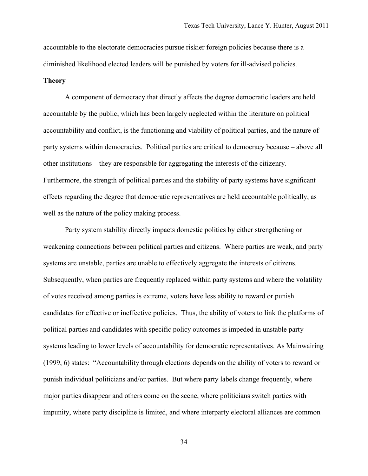accountable to the electorate democracies pursue riskier foreign policies because there is a diminished likelihood elected leaders will be punished by voters for ill-advised policies.

### **Theory**

A component of democracy that directly affects the degree democratic leaders are held accountable by the public, which has been largely neglected within the literature on political accountability and conflict, is the functioning and viability of political parties, and the nature of party systems within democracies. Political parties are critical to democracy because – above all other institutions – they are responsible for aggregating the interests of the citizenry. Furthermore, the strength of political parties and the stability of party systems have significant effects regarding the degree that democratic representatives are held accountable politically, as well as the nature of the policy making process.

Party system stability directly impacts domestic politics by either strengthening or weakening connections between political parties and citizens. Where parties are weak, and party systems are unstable, parties are unable to effectively aggregate the interests of citizens. Subsequently, when parties are frequently replaced within party systems and where the volatility of votes received among parties is extreme, voters have less ability to reward or punish candidates for effective or ineffective policies. Thus, the ability of voters to link the platforms of political parties and candidates with specific policy outcomes is impeded in unstable party systems leading to lower levels of accountability for democratic representatives. As Mainwairing (1999, 6) states: "Accountability through elections depends on the ability of voters to reward or punish individual politicians and/or parties. But where party labels change frequently, where major parties disappear and others come on the scene, where politicians switch parties with impunity, where party discipline is limited, and where interparty electoral alliances are common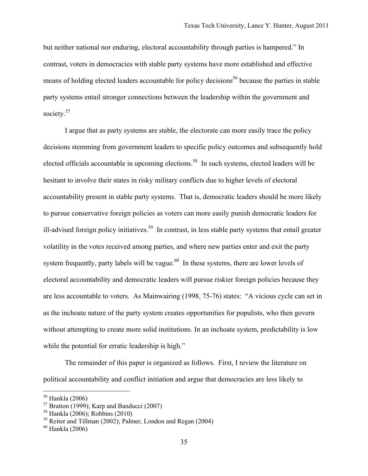but neither national nor enduring, electoral accountability through parties is hampered." In contrast, voters in democracies with stable party systems have more established and effective means of holding elected leaders accountable for policy decisions<sup>56</sup> because the parties in stable party systems entail stronger connections between the leadership within the government and society.<sup>57</sup>

I argue that as party systems are stable, the electorate can more easily trace the policy decisions stemming from government leaders to specific policy outcomes and subsequently hold elected officials accountable in upcoming elections.<sup>58</sup> In such systems, elected leaders will be hesitant to involve their states in risky military conflicts due to higher levels of electoral accountability present in stable party systems. That is, democratic leaders should be more likely to pursue conservative foreign policies as voters can more easily punish democratic leaders for ill-advised foreign policy initiatives.<sup>59</sup> In contrast, in less stable party systems that entail greater volatility in the votes received among parties, and where new parties enter and exit the party system frequently, party labels will be vague.<sup>60</sup> In these systems, there are lower levels of electoral accountability and democratic leaders will pursue riskier foreign policies because they are less accountable to voters. As Mainwairing (1998, 75-76) states: "A vicious cycle can set in as the inchoate nature of the party system creates opportunities for populists, who then govern without attempting to create more solid institutions. In an inchoate system, predictability is low while the potential for erratic leadership is high."

The remainder of this paper is organized as follows. First, I review the literature on political accountability and conflict initiation and argue that democracies are less likely to

<sup>56</sup> Hankla (2006)

 $57$  Bratton (1999); Karp and Banducci (2007)

<sup>58</sup> Hankla (2006); Robbins (2010)

<sup>59</sup> Reiter and Tillman (2002); Palmer, London and Regan (2004)

<sup>60</sup> Hankla (2006)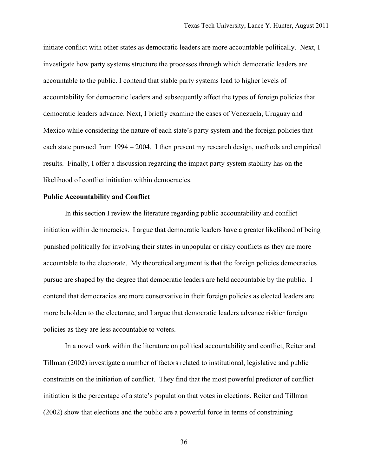initiate conflict with other states as democratic leaders are more accountable politically. Next, I investigate how party systems structure the processes through which democratic leaders are accountable to the public. I contend that stable party systems lead to higher levels of accountability for democratic leaders and subsequently affect the types of foreign policies that democratic leaders advance. Next, I briefly examine the cases of Venezuela, Uruguay and Mexico while considering the nature of each state's party system and the foreign policies that each state pursued from 1994 – 2004. I then present my research design, methods and empirical results. Finally, I offer a discussion regarding the impact party system stability has on the likelihood of conflict initiation within democracies.

## **Public Accountability and Conflict**

In this section I review the literature regarding public accountability and conflict initiation within democracies. I argue that democratic leaders have a greater likelihood of being punished politically for involving their states in unpopular or risky conflicts as they are more accountable to the electorate. My theoretical argument is that the foreign policies democracies pursue are shaped by the degree that democratic leaders are held accountable by the public. I contend that democracies are more conservative in their foreign policies as elected leaders are more beholden to the electorate, and I argue that democratic leaders advance riskier foreign policies as they are less accountable to voters.

In a novel work within the literature on political accountability and conflict, Reiter and Tillman (2002) investigate a number of factors related to institutional, legislative and public constraints on the initiation of conflict. They find that the most powerful predictor of conflict initiation is the percentage of a state's population that votes in elections. Reiter and Tillman (2002) show that elections and the public are a powerful force in terms of constraining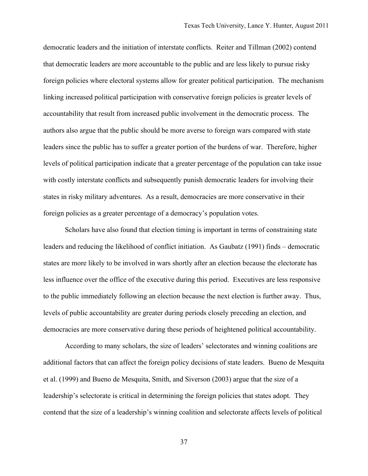democratic leaders and the initiation of interstate conflicts. Reiter and Tillman (2002) contend that democratic leaders are more accountable to the public and are less likely to pursue risky foreign policies where electoral systems allow for greater political participation. The mechanism linking increased political participation with conservative foreign policies is greater levels of accountability that result from increased public involvement in the democratic process. The authors also argue that the public should be more averse to foreign wars compared with state leaders since the public has to suffer a greater portion of the burdens of war. Therefore, higher levels of political participation indicate that a greater percentage of the population can take issue with costly interstate conflicts and subsequently punish democratic leaders for involving their states in risky military adventures. As a result, democracies are more conservative in their foreign policies as a greater percentage of a democracy's population votes.

Scholars have also found that election timing is important in terms of constraining state leaders and reducing the likelihood of conflict initiation. As Gaubatz (1991) finds – democratic states are more likely to be involved in wars shortly after an election because the electorate has less influence over the office of the executive during this period. Executives are less responsive to the public immediately following an election because the next election is further away. Thus, levels of public accountability are greater during periods closely preceding an election, and democracies are more conservative during these periods of heightened political accountability.

According to many scholars, the size of leaders' selectorates and winning coalitions are additional factors that can affect the foreign policy decisions of state leaders. Bueno de Mesquita et al. (1999) and Bueno de Mesquita, Smith, and Siverson (2003) argue that the size of a leadership's selectorate is critical in determining the foreign policies that states adopt. They contend that the size of a leadership's winning coalition and selectorate affects levels of political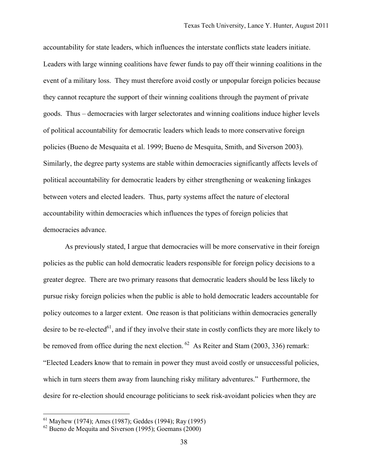accountability for state leaders, which influences the interstate conflicts state leaders initiate. Leaders with large winning coalitions have fewer funds to pay off their winning coalitions in the event of a military loss. They must therefore avoid costly or unpopular foreign policies because they cannot recapture the support of their winning coalitions through the payment of private goods. Thus – democracies with larger selectorates and winning coalitions induce higher levels of political accountability for democratic leaders which leads to more conservative foreign policies (Bueno de Mesquaita et al. 1999; Bueno de Mesquita, Smith, and Siverson 2003). Similarly, the degree party systems are stable within democracies significantly affects levels of political accountability for democratic leaders by either strengthening or weakening linkages between voters and elected leaders. Thus, party systems affect the nature of electoral accountability within democracies which influences the types of foreign policies that democracies advance.

As previously stated, I argue that democracies will be more conservative in their foreign policies as the public can hold democratic leaders responsible for foreign policy decisions to a greater degree. There are two primary reasons that democratic leaders should be less likely to pursue risky foreign policies when the public is able to hold democratic leaders accountable for policy outcomes to a larger extent. One reason is that politicians within democracies generally desire to be re-elected<sup>61</sup>, and if they involve their state in costly conflicts they are more likely to be removed from office during the next election.  $^{62}$  As Reiter and Stam (2003, 336) remark: "Elected Leaders know that to remain in power they must avoid costly or unsuccessful policies, which in turn steers them away from launching risky military adventures." Furthermore, the desire for re-election should encourage politicians to seek risk-avoidant policies when they are

<sup>61</sup> Mayhew (1974); Ames (1987); Geddes (1994); Ray (1995)

 $62$  Bueno de Mequita and Siverson (1995); Goemans (2000)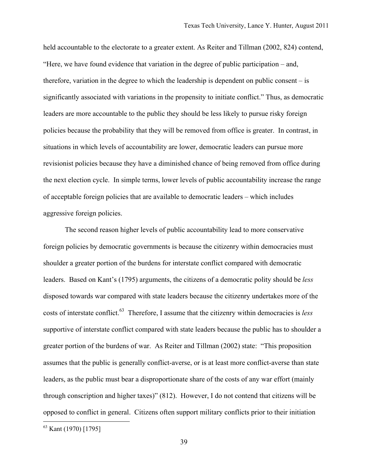held accountable to the electorate to a greater extent. As Reiter and Tillman (2002, 824) contend, "Here, we have found evidence that variation in the degree of public participation – and, therefore, variation in the degree to which the leadership is dependent on public consent – is significantly associated with variations in the propensity to initiate conflict." Thus, as democratic leaders are more accountable to the public they should be less likely to pursue risky foreign policies because the probability that they will be removed from office is greater. In contrast, in situations in which levels of accountability are lower, democratic leaders can pursue more revisionist policies because they have a diminished chance of being removed from office during the next election cycle. In simple terms, lower levels of public accountability increase the range of acceptable foreign policies that are available to democratic leaders – which includes aggressive foreign policies.

The second reason higher levels of public accountability lead to more conservative foreign policies by democratic governments is because the citizenry within democracies must shoulder a greater portion of the burdens for interstate conflict compared with democratic leaders. Based on Kant's (1795) arguments, the citizens of a democratic polity should be *less* disposed towards war compared with state leaders because the citizenry undertakes more of the costs of interstate conflict.63 Therefore, I assume that the citizenry within democracies is *less* supportive of interstate conflict compared with state leaders because the public has to shoulder a greater portion of the burdens of war. As Reiter and Tillman (2002) state: "This proposition assumes that the public is generally conflict-averse, or is at least more conflict-averse than state leaders, as the public must bear a disproportionate share of the costs of any war effort (mainly through conscription and higher taxes)" (812). However, I do not contend that citizens will be opposed to conflict in general. Citizens often support military conflicts prior to their initiation

<sup>63</sup> Kant (1970) [1795]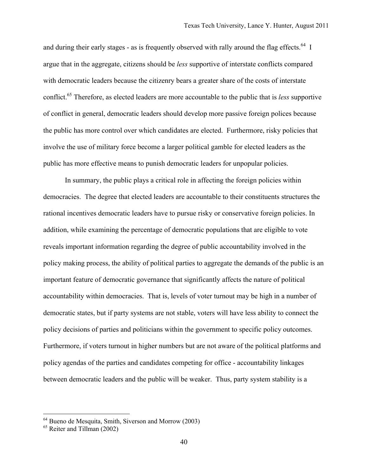and during their early stages - as is frequently observed with rally around the flag effects.<sup>64</sup> I argue that in the aggregate, citizens should be *less* supportive of interstate conflicts compared with democratic leaders because the citizenry bears a greater share of the costs of interstate conflict.65 Therefore, as elected leaders are more accountable to the public that is *less* supportive of conflict in general, democratic leaders should develop more passive foreign polices because the public has more control over which candidates are elected. Furthermore, risky policies that involve the use of military force become a larger political gamble for elected leaders as the public has more effective means to punish democratic leaders for unpopular policies.

In summary, the public plays a critical role in affecting the foreign policies within democracies. The degree that elected leaders are accountable to their constituents structures the rational incentives democratic leaders have to pursue risky or conservative foreign policies. In addition, while examining the percentage of democratic populations that are eligible to vote reveals important information regarding the degree of public accountability involved in the policy making process, the ability of political parties to aggregate the demands of the public is an important feature of democratic governance that significantly affects the nature of political accountability within democracies. That is, levels of voter turnout may be high in a number of democratic states, but if party systems are not stable, voters will have less ability to connect the policy decisions of parties and politicians within the government to specific policy outcomes. Furthermore, if voters turnout in higher numbers but are not aware of the political platforms and policy agendas of the parties and candidates competing for office - accountability linkages between democratic leaders and the public will be weaker. Thus, party system stability is a

<sup>64</sup> Bueno de Mesquita, Smith, Siverson and Morrow (2003)

<sup>&</sup>lt;sup>65</sup> Reiter and Tillman (2002)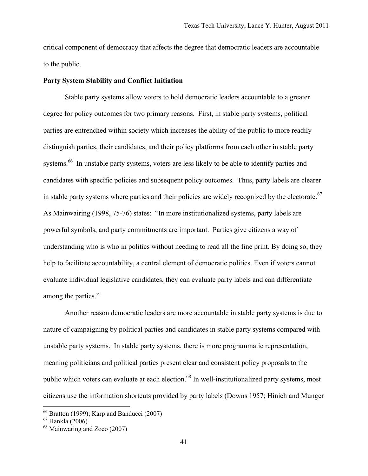critical component of democracy that affects the degree that democratic leaders are accountable to the public.

## **Party System Stability and Conflict Initiation**

Stable party systems allow voters to hold democratic leaders accountable to a greater degree for policy outcomes for two primary reasons. First, in stable party systems, political parties are entrenched within society which increases the ability of the public to more readily distinguish parties, their candidates, and their policy platforms from each other in stable party systems.<sup>66</sup> In unstable party systems, voters are less likely to be able to identify parties and candidates with specific policies and subsequent policy outcomes. Thus, party labels are clearer in stable party systems where parties and their policies are widely recognized by the electorate.<sup>67</sup> As Mainwairing (1998, 75-76) states: "In more institutionalized systems, party labels are powerful symbols, and party commitments are important. Parties give citizens a way of understanding who is who in politics without needing to read all the fine print. By doing so, they help to facilitate accountability, a central element of democratic politics. Even if voters cannot evaluate individual legislative candidates, they can evaluate party labels and can differentiate among the parties."

Another reason democratic leaders are more accountable in stable party systems is due to nature of campaigning by political parties and candidates in stable party systems compared with unstable party systems. In stable party systems, there is more programmatic representation, meaning politicians and political parties present clear and consistent policy proposals to the public which voters can evaluate at each election.<sup>68</sup> In well-institutionalized party systems, most citizens use the information shortcuts provided by party labels (Downs 1957; Hinich and Munger

<sup>66</sup> Bratton (1999); Karp and Banducci (2007)

<sup>67</sup> Hankla (2006)

<sup>68</sup> Mainwaring and Zoco (2007)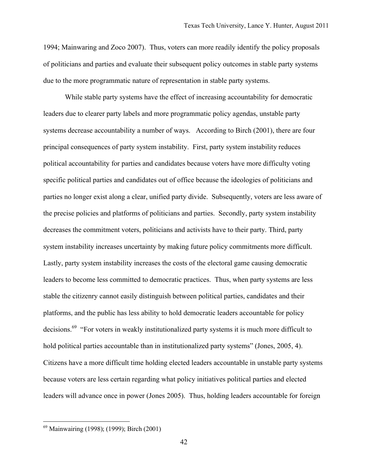1994; Mainwaring and Zoco 2007). Thus, voters can more readily identify the policy proposals of politicians and parties and evaluate their subsequent policy outcomes in stable party systems due to the more programmatic nature of representation in stable party systems.

While stable party systems have the effect of increasing accountability for democratic leaders due to clearer party labels and more programmatic policy agendas, unstable party systems decrease accountability a number of ways. According to Birch (2001), there are four principal consequences of party system instability. First, party system instability reduces political accountability for parties and candidates because voters have more difficulty voting specific political parties and candidates out of office because the ideologies of politicians and parties no longer exist along a clear, unified party divide. Subsequently, voters are less aware of the precise policies and platforms of politicians and parties. Secondly, party system instability decreases the commitment voters, politicians and activists have to their party. Third, party system instability increases uncertainty by making future policy commitments more difficult. Lastly, party system instability increases the costs of the electoral game causing democratic leaders to become less committed to democratic practices. Thus, when party systems are less stable the citizenry cannot easily distinguish between political parties, candidates and their platforms, and the public has less ability to hold democratic leaders accountable for policy decisions.<sup>69</sup> "For voters in weakly institutionalized party systems it is much more difficult to hold political parties accountable than in institutionalized party systems" (Jones, 2005, 4). Citizens have a more difficult time holding elected leaders accountable in unstable party systems because voters are less certain regarding what policy initiatives political parties and elected leaders will advance once in power (Jones 2005). Thus, holding leaders accountable for foreign

<sup>69</sup> Mainwairing (1998); (1999); Birch (2001)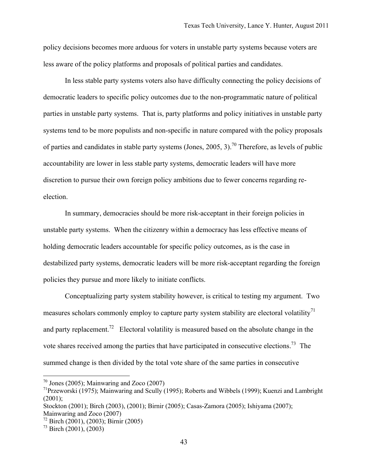policy decisions becomes more arduous for voters in unstable party systems because voters are less aware of the policy platforms and proposals of political parties and candidates.

In less stable party systems voters also have difficulty connecting the policy decisions of democratic leaders to specific policy outcomes due to the non-programmatic nature of political parties in unstable party systems. That is, party platforms and policy initiatives in unstable party systems tend to be more populists and non-specific in nature compared with the policy proposals of parties and candidates in stable party systems (Jones, 2005, 3).<sup>70</sup> Therefore, as levels of public accountability are lower in less stable party systems, democratic leaders will have more discretion to pursue their own foreign policy ambitions due to fewer concerns regarding reelection.

In summary, democracies should be more risk-acceptant in their foreign policies in unstable party systems. When the citizenry within a democracy has less effective means of holding democratic leaders accountable for specific policy outcomes, as is the case in destabilized party systems, democratic leaders will be more risk-acceptant regarding the foreign policies they pursue and more likely to initiate conflicts.

Conceptualizing party system stability however, is critical to testing my argument. Two measures scholars commonly employ to capture party system stability are electoral volatility<sup>71</sup> and party replacement.<sup>72</sup> Electoral volatility is measured based on the absolute change in the vote shares received among the parties that have participated in consecutive elections.73 The summed change is then divided by the total vote share of the same parties in consecutive

<u>.</u>

 $70$  Jones (2005); Mainwaring and Zoco (2007)

<sup>71</sup>Przeworski (1975); Mainwaring and Scully (1995); Roberts and Wibbels (1999); Kuenzi and Lambright  $(2001);$ 

Stockton (2001); Birch (2003), (2001); Birnir (2005); Casas-Zamora (2005); Ishiyama (2007); Mainwaring and Zoco (2007)

 $72$  Birch (2001), (2003); Birnir (2005)

 $^{73}$  Birch (2001), (2003)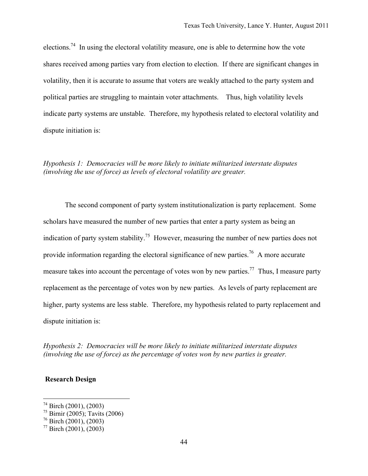elections.<sup>74</sup> In using the electoral volatility measure, one is able to determine how the vote shares received among parties vary from election to election. If there are significant changes in volatility, then it is accurate to assume that voters are weakly attached to the party system and political parties are struggling to maintain voter attachments. Thus, high volatility levels indicate party systems are unstable. Therefore, my hypothesis related to electoral volatility and dispute initiation is:

# *Hypothesis 1: Democracies will be more likely to initiate militarized interstate disputes (involving the use of force) as levels of electoral volatility are greater.*

The second component of party system institutionalization is party replacement. Some scholars have measured the number of new parties that enter a party system as being an indication of party system stability.<sup>75</sup> However, measuring the number of new parties does not provide information regarding the electoral significance of new parties.<sup>76</sup> A more accurate measure takes into account the percentage of votes won by new parties.<sup>77</sup> Thus, I measure party replacement as the percentage of votes won by new parties. As levels of party replacement are higher, party systems are less stable. Therefore, my hypothesis related to party replacement and dispute initiation is:

*Hypothesis 2: Democracies will be more likely to initiate militarized interstate disputes (involving the use of force) as the percentage of votes won by new parties is greater.* 

## **Research Design**

 $74$  Birch (2001), (2003)

 $75$  Birnir (2005); Tavits (2006)

 $76$  Birch (2001), (2003)

 $77$  Birch (2001), (2003)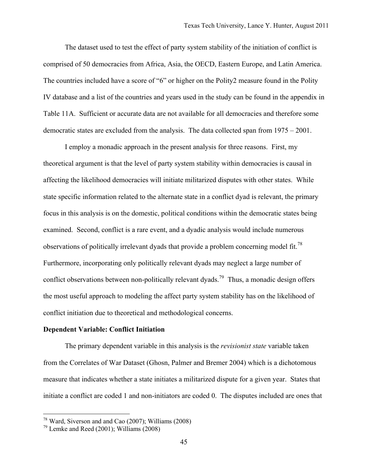The dataset used to test the effect of party system stability of the initiation of conflict is comprised of 50 democracies from Africa, Asia, the OECD, Eastern Europe, and Latin America. The countries included have a score of "6" or higher on the Polity2 measure found in the Polity IV database and a list of the countries and years used in the study can be found in the appendix in Table 11A. Sufficient or accurate data are not available for all democracies and therefore some democratic states are excluded from the analysis. The data collected span from 1975 – 2001.

I employ a monadic approach in the present analysis for three reasons. First, my theoretical argument is that the level of party system stability within democracies is causal in affecting the likelihood democracies will initiate militarized disputes with other states. While state specific information related to the alternate state in a conflict dyad is relevant, the primary focus in this analysis is on the domestic, political conditions within the democratic states being examined. Second, conflict is a rare event, and a dyadic analysis would include numerous observations of politically irrelevant dyads that provide a problem concerning model fit.<sup>78</sup> Furthermore, incorporating only politically relevant dyads may neglect a large number of conflict observations between non-politically relevant dyads.<sup>79</sup> Thus, a monadic design offers the most useful approach to modeling the affect party system stability has on the likelihood of conflict initiation due to theoretical and methodological concerns.

### **Dependent Variable: Conflict Initiation**

The primary dependent variable in this analysis is the *revisionist state* variable taken from the Correlates of War Dataset (Ghosn, Palmer and Bremer 2004) which is a dichotomous measure that indicates whether a state initiates a militarized dispute for a given year. States that initiate a conflict are coded 1 and non-initiators are coded 0. The disputes included are ones that

 $78$  Ward, Siverson and and Cao (2007); Williams (2008)

 $79$  Lemke and Reed (2001): Williams (2008)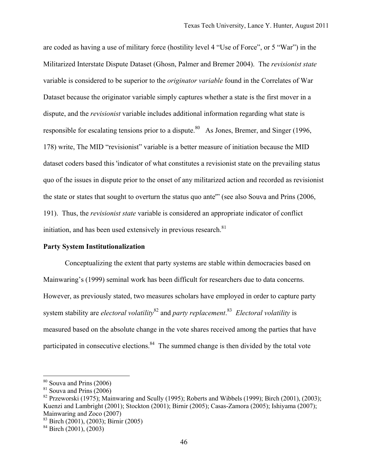are coded as having a use of military force (hostility level 4 "Use of Force", or 5 "War") in the Militarized Interstate Dispute Dataset (Ghosn, Palmer and Bremer 2004). The *revisionist state* variable is considered to be superior to the *originator variable* found in the Correlates of War Dataset because the originator variable simply captures whether a state is the first mover in a dispute, and the *revisionist* variable includes additional information regarding what state is responsible for escalating tensions prior to a dispute.<sup>80</sup> As Jones, Bremer, and Singer (1996, 178) write, The MID "revisionist" variable is a better measure of initiation because the MID dataset coders based this 'indicator of what constitutes a revisionist state on the prevailing status quo of the issues in dispute prior to the onset of any militarized action and recorded as revisionist the state or states that sought to overturn the status quo ante'" (see also Souva and Prins (2006, 191). Thus, the *revisionist state* variable is considered an appropriate indicator of conflict initiation, and has been used extensively in previous research. $81$ 

#### **Party System Institutionalization**

Conceptualizing the extent that party systems are stable within democracies based on Mainwaring's (1999) seminal work has been difficult for researchers due to data concerns. However, as previously stated, two measures scholars have employed in order to capture party system stability are *electoral volatility*<sup>82</sup> and *party replacement*. 83 *Electoral volatility* is measured based on the absolute change in the vote shares received among the parties that have participated in consecutive elections.<sup>84</sup> The summed change is then divided by the total vote

 $80$  Souva and Prins (2006)

 $81$  Souva and Prins  $(2006)$ 

<sup>&</sup>lt;sup>82</sup> Przeworski (1975); Mainwaring and Scully (1995); Roberts and Wibbels (1999); Birch (2001), (2003); Kuenzi and Lambright (2001); Stockton (2001); Birnir (2005); Casas-Zamora (2005); Ishiyama (2007); Mainwaring and Zoco (2007)

 $83$  Birch (2001), (2003); Birnir (2005)

 $84$  Birch (2001), (2003)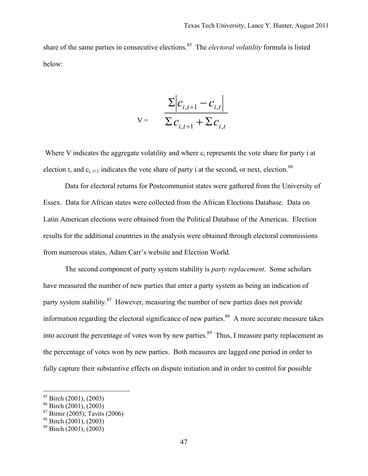share of the same parties in consecutive elections.<sup>85</sup> The *electoral volatility* formula is listed below:

$$
V = \frac{\sum |c_{i,t+1} - c_{i,t}|}{\sum c_{i,t+1} + \sum c_{i,t}}
$$

Where V indicates the aggregate volatility and where  $c_i$  represents the vote share for party i at election t, and  $c_{i,t+1}$  indicates the vote share of party i at the second, or next, election.<sup>86</sup>

Data for electoral returns for Postcommunist states were gathered from the University of Essex. Data for African states were collected from the African Elections Database. Data on Latin American elections were obtained from the Political Database of the Americas. Election results for the additional countries in the analysis were obtained through electoral commissions from numerous states, Adam Carr's website and Election World.

The second component of party system stability is *party replacement*. Some scholars have measured the number of new parties that enter a party system as being an indication of party system stability.<sup>87</sup> However, measuring the number of new parties does not provide information regarding the electoral significance of new parties.<sup>88</sup> A more accurate measure takes into account the percentage of votes won by new parties.<sup>89</sup> Thus, I measure party replacement as the percentage of votes won by new parties. Both measures are lagged one period in order to fully capture their substantive effects on dispute initiation and in order to control for possible

 $85$  Birch (2001), (2003)

 $86$  Birch (2001), (2003)

<sup>87</sup> Birnir (2005); Tavits (2006)

<sup>88</sup> Birch (2001), (2003)

 $89$  Birch (2001), (2003)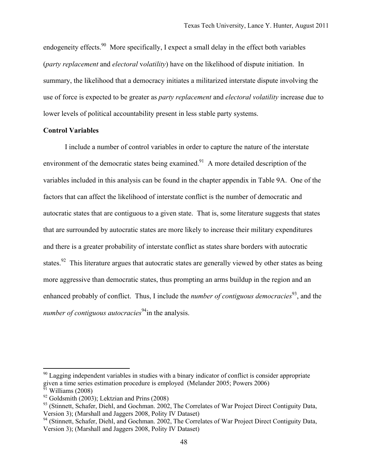endogeneity effects.<sup>90</sup> More specifically. I expect a small delay in the effect both variables (*party replacement* and *electoral* v*olatility*) have on the likelihood of dispute initiation. In summary, the likelihood that a democracy initiates a militarized interstate dispute involving the use of force is expected to be greater as *party replacement* and *electoral volatility* increase due to lower levels of political accountability present in less stable party systems.

### **Control Variables**

I include a number of control variables in order to capture the nature of the interstate environment of the democratic states being examined.<sup>91</sup> A more detailed description of the variables included in this analysis can be found in the chapter appendix in Table 9A. One of the factors that can affect the likelihood of interstate conflict is the number of democratic and autocratic states that are contiguous to a given state. That is, some literature suggests that states that are surrounded by autocratic states are more likely to increase their military expenditures and there is a greater probability of interstate conflict as states share borders with autocratic states.<sup>92</sup> This literature argues that autocratic states are generally viewed by other states as being more aggressive than democratic states, thus prompting an arms buildup in the region and an enhanced probably of conflict. Thus, I include the *number of contiguous democracies*<sup>93</sup>, and the *number of contiguous autocracies*<sup>94</sup>in the analysis.

 $90$  Lagging independent variables in studies with a binary indicator of conflict is consider appropriate given a time series estimation procedure is employed (Melander 2005; Powers 2006)  $\overline{91}$  Williams (2008)

 $92$  Goldsmith (2003); Lektzian and Prins (2008)

<sup>&</sup>lt;sup>93</sup> (Stinnett, Schafer, Diehl, and Gochman. 2002, The Correlates of War Project Direct Contiguity Data, Version 3); (Marshall and Jaggers 2008, Polity IV Dataset)

<sup>&</sup>lt;sup>94</sup> (Stinnett, Schafer, Diehl, and Gochman. 2002, The Correlates of War Project Direct Contiguity Data, Version 3); (Marshall and Jaggers 2008, Polity IV Dataset)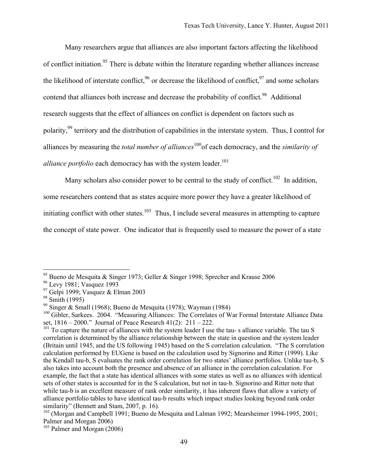Many researchers argue that alliances are also important factors affecting the likelihood of conflict initiation.<sup>95</sup> There is debate within the literature regarding whether alliances increase the likelihood of interstate conflict,  $96$  or decrease the likelihood of conflict,  $97$  and some scholars contend that alliances both increase and decrease the probability of conflict.<sup>98</sup> Additional research suggests that the effect of alliances on conflict is dependent on factors such as polarity,99 territory and the distribution of capabilities in the interstate system. Thus, I control for alliances by measuring the *total number of alliances*<sup>100</sup>of each democracy, and the *similarity of alliance portfolio* each democracy has with the system leader.<sup>101</sup>

Many scholars also consider power to be central to the study of conflict.<sup>102</sup> In addition,

some researchers contend that as states acquire more power they have a greater likelihood of

initiating conflict with other states.<sup>103</sup> Thus, I include several measures in attempting to capture

the concept of state power. One indicator that is frequently used to measure the power of a state

<sup>&</sup>lt;sup>95</sup> Bueno de Mesquita & Singer 1973; Geller & Singer 1998; Sprecher and Krause 2006

<sup>96</sup> Levy 1981; Vasquez 1993

<sup>&</sup>lt;sup>97</sup> Gelpi 1999; Vasquez & Elman 2003

<sup>&</sup>lt;sup>98</sup> Smith (1995)

<sup>99</sup> Singer & Small (1968); Bueno de Mesquita (1978); Wayman (1984)

<sup>&</sup>lt;sup>100</sup> Gibler, Sarkees. 2004. "Measuring Alliances: The Correlates of War Formal Interstate Alliance Data set, 1816 – 2000." Journal of Peace Research 41(2): 211 – 222.

<sup>&</sup>lt;sup>101</sup> To capture the nature of alliances with the system leader I use the tau-s alliance variable. The tau S correlation is determined by the alliance relationship between the state in question and the system leader (Britain until 1945, and the US following 1945) based on the S correlation calculation. "The S correlation calculation performed by EUGene is based on the calculation used by Signorino and Ritter (1999). Like the Kendall tau-b, S evaluates the rank order correlation for two states' alliance portfolios. Unlike tau-b, S also takes into account both the presence and absence of an alliance in the correlation calculation. For example, the fact that a state has identical alliances with some states as well as no alliances with identical sets of other states is accounted for in the S calculation, but not in tau-b. Signorino and Ritter note that while tau-b is an excellent measure of rank order similarity, it has inherent flaws that allow a variety of alliance portfolio tables to have identical tau-b results which impact studies looking beyond rank order similarity" (Bennett and Stam, 2007, p. 16).

<sup>&</sup>lt;sup>102</sup> (Morgan and Campbell 1991; Bueno de Mesquita and Lalman 1992; Mearsheimer 1994-1995, 2001; Palmer and Morgan 2006)

<sup>103</sup> Palmer and Morgan (2006)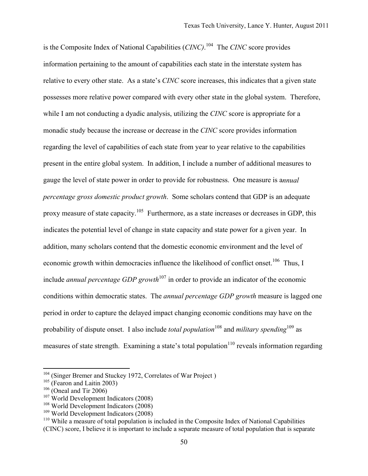is the Composite Index of National Capabilities (*CINC)*. 104 The *CINC* score provides information pertaining to the amount of capabilities each state in the interstate system has relative to every other state. As a state's *CINC* score increases, this indicates that a given state possesses more relative power compared with every other state in the global system. Therefore, while I am not conducting a dyadic analysis, utilizing the *CINC* score is appropriate for a monadic study because the increase or decrease in the *CINC* score provides information regarding the level of capabilities of each state from year to year relative to the capabilities present in the entire global system. In addition, I include a number of additional measures to gauge the level of state power in order to provide for robustness. One measure is a*nnual percentage gross domestic product growth*. Some scholars contend that GDP is an adequate proxy measure of state capacity.<sup>105</sup> Furthermore, as a state increases or decreases in GDP, this indicates the potential level of change in state capacity and state power for a given year. In addition, many scholars contend that the domestic economic environment and the level of economic growth within democracies influence the likelihood of conflict onset.<sup>106</sup> Thus, I include *annual percentage GDP growth*<sup>107</sup> in order to provide an indicator of the economic conditions within democratic states. The *annual percentage GDP growth* measure is lagged one period in order to capture the delayed impact changing economic conditions may have on the probability of dispute onset. I also include *total population*<sup>108</sup> and *military spending*<sup>109</sup> as measures of state strength. Examining a state's total population<sup>110</sup> reveals information regarding

<sup>&</sup>lt;sup>104</sup> (Singer Bremer and Stuckey 1972, Correlates of War Project)

 $105$  (Fearon and Laitin 2003)

 $106$  (Oneal and Tir 2006)

 $107$  World Development Indicators (2008)

<sup>108</sup> World Development Indicators (2008)

<sup>109</sup> World Development Indicators (2008)

<sup>&</sup>lt;sup>110</sup> While a measure of total population is included in the Composite Index of National Capabilities (CINC) score, I believe it is important to include a separate measure of total population that is separate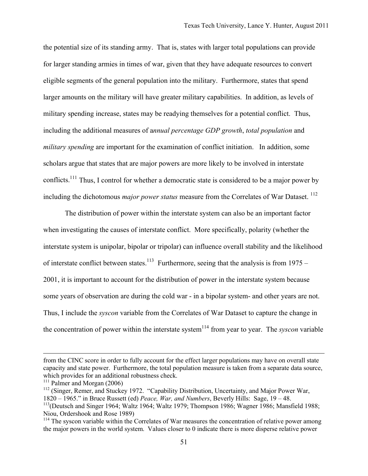the potential size of its standing army. That is, states with larger total populations can provide for larger standing armies in times of war, given that they have adequate resources to convert eligible segments of the general population into the military. Furthermore, states that spend larger amounts on the military will have greater military capabilities. In addition, as levels of military spending increase, states may be readying themselves for a potential conflict. Thus, including the additional measures of a*nnual percentage GDP growth*, *total population* and *military spending* are important for the examination of conflict initiation. In addition, some scholars argue that states that are major powers are more likely to be involved in interstate conflicts.<sup>111</sup> Thus, I control for whether a democratic state is considered to be a major power by including the dichotomous *major power status* measure from the Correlates of War Dataset.<sup>112</sup>

The distribution of power within the interstate system can also be an important factor when investigating the causes of interstate conflict. More specifically, polarity (whether the interstate system is unipolar, bipolar or tripolar) can influence overall stability and the likelihood of interstate conflict between states.<sup>113</sup> Furthermore, seeing that the analysis is from 1975 – 2001, it is important to account for the distribution of power in the interstate system because some years of observation are during the cold war - in a bipolar system- and other years are not. Thus, I include the *syscon* variable from the Correlates of War Dataset to capture the change in the concentration of power within the interstate system<sup>114</sup> from year to year. The *syscon* variable

from the CINC score in order to fully account for the effect larger populations may have on overall state capacity and state power. Furthermore, the total population measure is taken from a separate data source, which provides for an additional robustness check.

 $111$  Palmer and Morgan (2006)

<sup>&</sup>lt;sup>112</sup> (Singer, Remer, and Stuckey 1972. "Capability Distribution, Uncertainty, and Major Power War, 1820 – 1965." in Bruce Russett (ed) *Peace, War, and Numbers*, Beverly Hills: Sage, 19 – 48.

<sup>&</sup>lt;sup>113</sup>(Deutsch and Singer 1964; Waltz 1964; Waltz 1979; Thompson 1986; Wagner 1986; Mansfield 1988; Niou, Ordershook and Rose 1989)

<sup>&</sup>lt;sup>114</sup> The syscon variable within the Correlates of War measures the concentration of relative power among the major powers in the world system. Values closer to 0 indicate there is more disperse relative power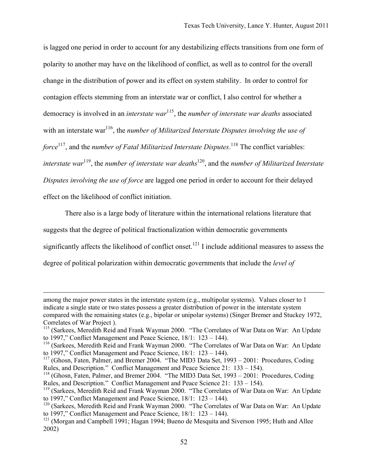is lagged one period in order to account for any destabilizing effects transitions from one form of polarity to another may have on the likelihood of conflict, as well as to control for the overall change in the distribution of power and its effect on system stability. In order to control for contagion effects stemming from an interstate war or conflict, I also control for whether a democracy is involved in an *interstate war*115, the *number of interstate war deaths* associated with an interstate war<sup>116</sup>, the *number of Militarized Interstate Disputes involving the use of* force<sup>117</sup>, and the *number of Fatal Militarized Interstate Disputes*.<sup>118</sup> The conflict variables: *interstate war*119, the *number of interstate war deaths*120, and the *number of Militarized Interstate Disputes involving the use of force* are lagged one period in order to account for their delayed effect on the likelihood of conflict initiation.

There also is a large body of literature within the international relations literature that

suggests that the degree of political fractionalization within democratic governments

significantly affects the likelihood of conflict onset.<sup>121</sup> I include additional measures to assess the

degree of political polarization within democratic governments that include the *level of* 

among the major power states in the interstate system (e.g., multipolar systems). Values closer to 1 indicate a single state or two states possess a greater distribution of power in the interstate system compared with the remaining states (e.g., bipolar or unipolar systems) (Singer Bremer and Stuckey 1972, Correlates of War Project ).

<sup>&</sup>lt;sup>115</sup> (Sarkees, Meredith Reid and Frank Wayman 2000. "The Correlates of War Data on War: An Update to 1997," Conflict Management and Peace Science, 18/1: 123 – 144).

<sup>&</sup>lt;sup>116</sup> (Sarkees, Meredith Reid and Frank Wayman 2000. "The Correlates of War Data on War: An Update to 1997," Conflict Management and Peace Science, 18/1: 123 – 144).

<sup>&</sup>lt;sup>117</sup> (Ghosn, Faten, Palmer, and Bremer 2004. "The MID3 Data Set, 1993 – 2001: Procedures, Coding Rules, and Description." Conflict Management and Peace Science 21: 133 – 154).

<sup>&</sup>lt;sup>118</sup> (Ghosn, Faten, Palmer, and Bremer 2004. "The MID3 Data Set, 1993 – 2001: Procedures, Coding Rules, and Description." Conflict Management and Peace Science 21: 133 – 154).

<sup>&</sup>lt;sup>119</sup> (Sarkees, Meredith Reid and Frank Wayman 2000. "The Correlates of War Data on War: An Update to 1997," Conflict Management and Peace Science, 18/1: 123 – 144).

<sup>&</sup>lt;sup>120</sup> (Sarkees, Meredith Reid and Frank Wayman 2000. "The Correlates of War Data on War: An Update to 1997," Conflict Management and Peace Science, 18/1: 123 – 144).

<sup>&</sup>lt;sup>121</sup> (Morgan and Campbell 1991; Hagan 1994; Bueno de Mesquita and Siverson 1995; Huth and Allee 2002)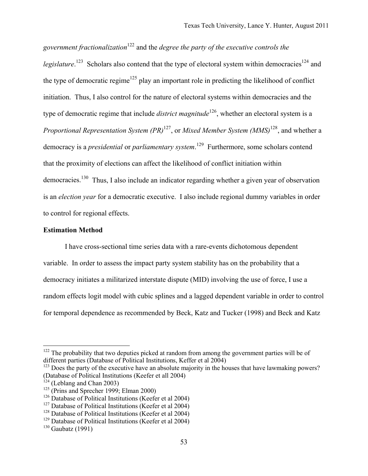*government fractionalization*<sup>122</sup> and the *degree the party of the executive controls the*  legislature.<sup>123</sup> Scholars also contend that the type of electoral system within democracies<sup>124</sup> and the type of democratic regime<sup>125</sup> play an important role in predicting the likelihood of conflict initiation. Thus, I also control for the nature of electoral systems within democracies and the type of democratic regime that include *district magnitude*<sup>126</sup>, whether an electoral system is a *Proportional Representation System (PR)*<sup>127</sup>, or *Mixed Member System (MMS)*<sup>128</sup>, and whether a democracy is a *presidential* or *parliamentary system*. 129 Furthermore, some scholars contend that the proximity of elections can affect the likelihood of conflict initiation within democracies.<sup>130</sup> Thus, I also include an indicator regarding whether a given year of observation is an *election year* for a democratic executive. I also include regional dummy variables in order to control for regional effects.

## **Estimation Method**

I have cross-sectional time series data with a rare-events dichotomous dependent variable. In order to assess the impact party system stability has on the probability that a democracy initiates a militarized interstate dispute (MID) involving the use of force, I use a random effects logit model with cubic splines and a lagged dependent variable in order to control for temporal dependence as recommended by Beck, Katz and Tucker (1998) and Beck and Katz

 $122$  The probability that two deputies picked at random from among the government parties will be of different parties (Database of Political Institutions, Keffer et al 2004)

 $123$  Does the party of the executive have an absolute majority in the houses that have lawmaking powers? (Database of Political Institutions (Keefer et all 2004)

 $124$  (Leblang and Chan 2003)

 $125$  (Prins and Sprecher 1999; Elman 2000)

 $126$  Database of Political Institutions (Keefer et al 2004)

 $127$  Database of Political Institutions (Keefer et al 2004)

<sup>&</sup>lt;sup>128</sup> Database of Political Institutions (Keefer et al 2004)

<sup>129</sup> Database of Political Institutions (Keefer et al 2004)

 $130$  Gaubatz (1991)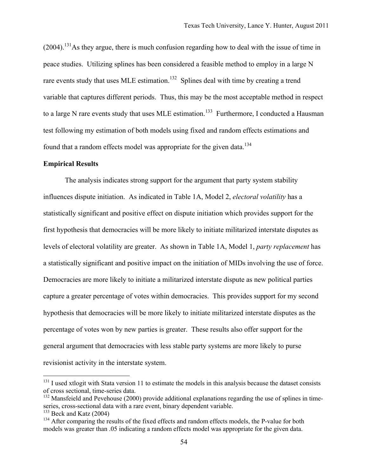(2004).131As they argue, there is much confusion regarding how to deal with the issue of time in peace studies. Utilizing splines has been considered a feasible method to employ in a large N rare events study that uses MLE estimation.<sup>132</sup> Splines deal with time by creating a trend variable that captures different periods. Thus, this may be the most acceptable method in respect to a large N rare events study that uses MLE estimation.<sup>133</sup> Furthermore, I conducted a Hausman test following my estimation of both models using fixed and random effects estimations and found that a random effects model was appropriate for the given data.<sup>134</sup>

### **Empirical Results**

The analysis indicates strong support for the argument that party system stability influences dispute initiation. As indicated in Table 1A, Model 2, *electoral volatility* has a statistically significant and positive effect on dispute initiation which provides support for the first hypothesis that democracies will be more likely to initiate militarized interstate disputes as levels of electoral volatility are greater. As shown in Table 1A, Model 1, *party replacement* has a statistically significant and positive impact on the initiation of MIDs involving the use of force. Democracies are more likely to initiate a militarized interstate dispute as new political parties capture a greater percentage of votes within democracies. This provides support for my second hypothesis that democracies will be more likely to initiate militarized interstate disputes as the percentage of votes won by new parties is greater. These results also offer support for the general argument that democracies with less stable party systems are more likely to purse revisionist activity in the interstate system.

<sup>&</sup>lt;sup>131</sup> I used xtlogit with Stata version 11 to estimate the models in this analysis because the dataset consists of cross sectional, time-series data.

 $132$  Mansfeield and Pevehouse (2000) provide additional explanations regarding the use of splines in timeseries, cross-sectional data with a rare event, binary dependent variable.

 $133$  Beck and Katz (2004)

<sup>&</sup>lt;sup>134</sup> After comparing the results of the fixed effects and random effects models, the P-value for both models was greater than .05 indicating a random effects model was appropriate for the given data.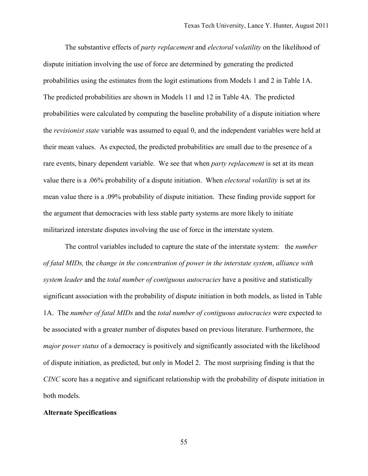The substantive effects of *party replacement* and *electoral* v*olatility* on the likelihood of dispute initiation involving the use of force are determined by generating the predicted probabilities using the estimates from the logit estimations from Models 1 and 2 in Table 1A. The predicted probabilities are shown in Models 11 and 12 in Table 4A. The predicted probabilities were calculated by computing the baseline probability of a dispute initiation where the *revisionist state* variable was assumed to equal 0, and the independent variables were held at their mean values. As expected, the predicted probabilities are small due to the presence of a rare events, binary dependent variable. We see that when *party replacement* is set at its mean value there is a .06% probability of a dispute initiation. When *electoral volatility* is set at its mean value there is a .09% probability of dispute initiation. These finding provide support for the argument that democracies with less stable party systems are more likely to initiate militarized interstate disputes involving the use of force in the interstate system.

The control variables included to capture the state of the interstate system: the *number of fatal MIDs,* the *change in the concentration of power in the interstate system*, *alliance with system leader* and the *total number of contiguous autocracies* have a positive and statistically significant association with the probability of dispute initiation in both models, as listed in Table 1A. The *number of fatal MIDs* and the *total number of contiguous autocracies* were expected to be associated with a greater number of disputes based on previous literature. Furthermore, the *major power status* of a democracy is positively and significantly associated with the likelihood of dispute initiation, as predicted, but only in Model 2. The most surprising finding is that the *CINC* score has a negative and significant relationship with the probability of dispute initiation in both models.

## **Alternate Specifications**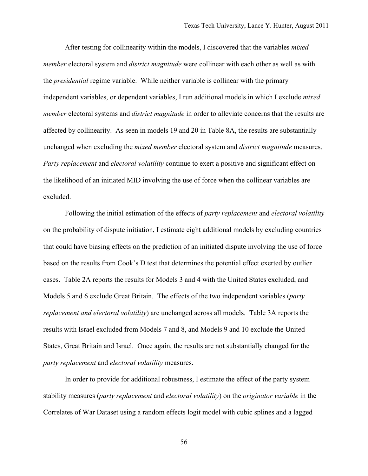After testing for collinearity within the models, I discovered that the variables *mixed member* electoral system and *district magnitude* were collinear with each other as well as with the *presidential* regime variable. While neither variable is collinear with the primary independent variables, or dependent variables, I run additional models in which I exclude *mixed member* electoral systems and *district magnitude* in order to alleviate concerns that the results are affected by collinearity. As seen in models 19 and 20 in Table 8A, the results are substantially unchanged when excluding the *mixed member* electoral system and *district magnitude* measures. *Party replacement* and *electoral volatility* continue to exert a positive and significant effect on the likelihood of an initiated MID involving the use of force when the collinear variables are excluded.

Following the initial estimation of the effects of *party replacement* and *electoral volatility* on the probability of dispute initiation, I estimate eight additional models by excluding countries that could have biasing effects on the prediction of an initiated dispute involving the use of force based on the results from Cook's D test that determines the potential effect exerted by outlier cases. Table 2A reports the results for Models 3 and 4 with the United States excluded, and Models 5 and 6 exclude Great Britain. The effects of the two independent variables (*party replacement and electoral volatility*) are unchanged across all models. Table 3A reports the results with Israel excluded from Models 7 and 8, and Models 9 and 10 exclude the United States, Great Britain and Israel. Once again, the results are not substantially changed for the *party replacement* and *electoral volatility* measures.

In order to provide for additional robustness, I estimate the effect of the party system stability measures (*party replacement* and *electoral volatility*) on the *originator variable* in the Correlates of War Dataset using a random effects logit model with cubic splines and a lagged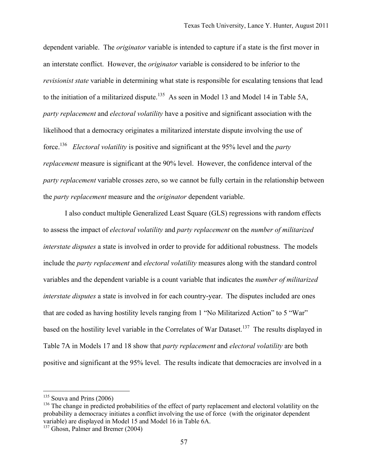dependent variable. The *originator* variable is intended to capture if a state is the first mover in an interstate conflict. However, the *originator* variable is considered to be inferior to the *revisionist state* variable in determining what state is responsible for escalating tensions that lead to the initiation of a militarized dispute.<sup>135</sup> As seen in Model 13 and Model 14 in Table 5A, *party replacement* and *electoral volatility* have a positive and significant association with the likelihood that a democracy originates a militarized interstate dispute involving the use of force.136 *Electoral volatility* is positive and significant at the 95% level and the *party replacement* measure is significant at the 90% level. However, the confidence interval of the *party replacement* variable crosses zero, so we cannot be fully certain in the relationship between the *party replacement* measure and the *originator* dependent variable.

I also conduct multiple Generalized Least Square (GLS) regressions with random effects to assess the impact of *electoral volatility* and *party replacement* on the *number of militarized interstate disputes* a state is involved in order to provide for additional robustness. The models include the *party replacement* and *electoral volatility* measures along with the standard control variables and the dependent variable is a count variable that indicates the *number of militarized interstate disputes* a state is involved in for each country-year. The disputes included are ones that are coded as having hostility levels ranging from 1 "No Militarized Action" to 5 "War" based on the hostility level variable in the Correlates of War Dataset.<sup>137</sup> The results displayed in Table 7A in Models 17 and 18 show that *party replacement* and *electoral volatility* are both positive and significant at the 95% level. The results indicate that democracies are involved in a

 $135$  Souva and Prins (2006)

<sup>&</sup>lt;sup>136</sup> The change in predicted probabilities of the effect of party replacement and electoral volatility on the probability a democracy initiates a conflict involving the use of force (with the originator dependent variable) are displayed in Model 15 and Model 16 in Table 6A.

<sup>&</sup>lt;sup>137</sup> Ghosn, Palmer and Bremer (2004)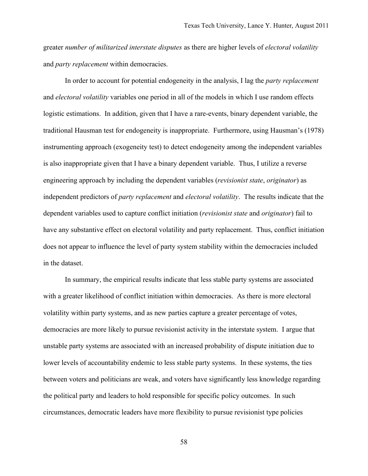greater *number of militarized interstate disputes* as there are higher levels of *electoral volatility* and *party replacement* within democracies.

In order to account for potential endogeneity in the analysis, I lag the *party replacement* and *electoral volatility* variables one period in all of the models in which I use random effects logistic estimations. In addition, given that I have a rare-events, binary dependent variable, the traditional Hausman test for endogeneity is inappropriate. Furthermore, using Hausman's (1978) instrumenting approach (exogeneity test) to detect endogeneity among the independent variables is also inappropriate given that I have a binary dependent variable. Thus, I utilize a reverse engineering approach by including the dependent variables (*revisionist state*, *originator*) as independent predictors of *party replacement* and *electoral volatility*. The results indicate that the dependent variables used to capture conflict initiation (*revisionist state* and *originator*) fail to have any substantive effect on electoral volatility and party replacement. Thus, conflict initiation does not appear to influence the level of party system stability within the democracies included in the dataset.

In summary, the empirical results indicate that less stable party systems are associated with a greater likelihood of conflict initiation within democracies. As there is more electoral volatility within party systems, and as new parties capture a greater percentage of votes, democracies are more likely to pursue revisionist activity in the interstate system. I argue that unstable party systems are associated with an increased probability of dispute initiation due to lower levels of accountability endemic to less stable party systems. In these systems, the ties between voters and politicians are weak, and voters have significantly less knowledge regarding the political party and leaders to hold responsible for specific policy outcomes. In such circumstances, democratic leaders have more flexibility to pursue revisionist type policies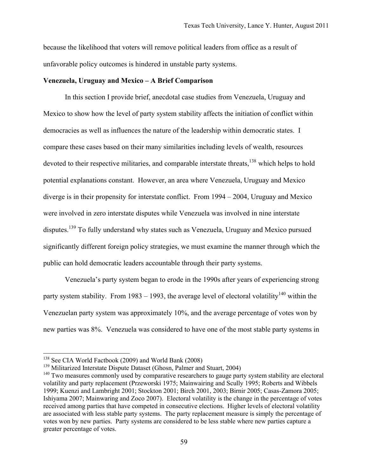because the likelihood that voters will remove political leaders from office as a result of unfavorable policy outcomes is hindered in unstable party systems.

## **Venezuela, Uruguay and Mexico – A Brief Comparison**

In this section I provide brief, anecdotal case studies from Venezuela, Uruguay and Mexico to show how the level of party system stability affects the initiation of conflict within democracies as well as influences the nature of the leadership within democratic states. I compare these cases based on their many similarities including levels of wealth, resources devoted to their respective militaries, and comparable interstate threats,  $^{138}$  which helps to hold potential explanations constant. However, an area where Venezuela, Uruguay and Mexico diverge is in their propensity for interstate conflict. From 1994 – 2004, Uruguay and Mexico were involved in zero interstate disputes while Venezuela was involved in nine interstate disputes.<sup>139</sup> To fully understand why states such as Venezuela, Uruguay and Mexico pursued significantly different foreign policy strategies, we must examine the manner through which the public can hold democratic leaders accountable through their party systems.

Venezuela's party system began to erode in the 1990s after years of experiencing strong party system stability. From 1983 – 1993, the average level of electoral volatility<sup>140</sup> within the Venezuelan party system was approximately 10%, and the average percentage of votes won by new parties was 8%. Venezuela was considered to have one of the most stable party systems in

<sup>&</sup>lt;sup>138</sup> See CIA World Factbook (2009) and World Bank (2008)

<sup>&</sup>lt;sup>139</sup> Militarized Interstate Dispute Dataset (Ghosn, Palmer and Stuart, 2004)

<sup>&</sup>lt;sup>140</sup> Two measures commonly used by comparative researchers to gauge party system stability are electoral volatility and party replacement (Przeworski 1975; Mainwairing and Scully 1995; Roberts and Wibbels 1999; Kuenzi and Lambright 2001; Stockton 2001; Birch 2001, 2003; Birnir 2005; Casas-Zamora 2005; Ishiyama 2007; Mainwaring and Zoco 2007). Electoral volatility is the change in the percentage of votes received among parties that have competed in consecutive elections. Higher levels of electoral volatility are associated with less stable party systems. The party replacement measure is simply the percentage of votes won by new parties. Party systems are considered to be less stable where new parties capture a greater percentage of votes.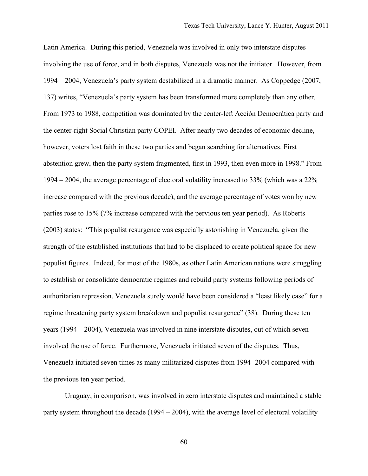Latin America. During this period, Venezuela was involved in only two interstate disputes involving the use of force, and in both disputes, Venezuela was not the initiator. However, from 1994 – 2004, Venezuela's party system destabilized in a dramatic manner. As Coppedge (2007, 137) writes, "Venezuela's party system has been transformed more completely than any other. From 1973 to 1988, competition was dominated by the center-left Acción Democrática party and the center-right Social Christian party COPEI. After nearly two decades of economic decline, however, voters lost faith in these two parties and began searching for alternatives. First abstention grew, then the party system fragmented, first in 1993, then even more in 1998." From 1994 – 2004, the average percentage of electoral volatility increased to 33% (which was a 22% increase compared with the previous decade), and the average percentage of votes won by new parties rose to 15% (7% increase compared with the pervious ten year period). As Roberts (2003) states: "This populist resurgence was especially astonishing in Venezuela, given the strength of the established institutions that had to be displaced to create political space for new populist figures. Indeed, for most of the 1980s, as other Latin American nations were struggling to establish or consolidate democratic regimes and rebuild party systems following periods of authoritarian repression, Venezuela surely would have been considered a "least likely case" for a regime threatening party system breakdown and populist resurgence" (38). During these ten years (1994 – 2004), Venezuela was involved in nine interstate disputes, out of which seven involved the use of force. Furthermore, Venezuela initiated seven of the disputes. Thus, Venezuela initiated seven times as many militarized disputes from 1994 -2004 compared with the previous ten year period.

Uruguay, in comparison, was involved in zero interstate disputes and maintained a stable party system throughout the decade (1994 – 2004), with the average level of electoral volatility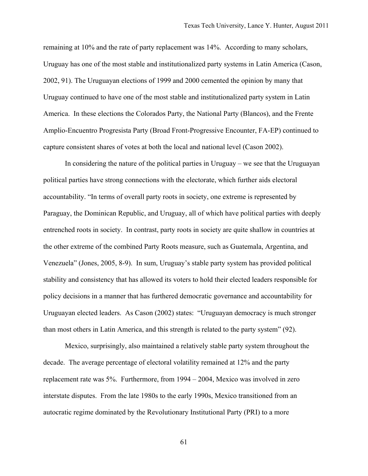remaining at 10% and the rate of party replacement was 14%. According to many scholars, Uruguay has one of the most stable and institutionalized party systems in Latin America (Cason, 2002, 91). The Uruguayan elections of 1999 and 2000 cemented the opinion by many that Uruguay continued to have one of the most stable and institutionalized party system in Latin America. In these elections the Colorados Party, the National Party (Blancos), and the Frente Amplio-Encuentro Progresista Party (Broad Front-Progressive Encounter, FA-EP) continued to capture consistent shares of votes at both the local and national level (Cason 2002).

In considering the nature of the political parties in Uruguay – we see that the Uruguayan political parties have strong connections with the electorate, which further aids electoral accountability. "In terms of overall party roots in society, one extreme is represented by Paraguay, the Dominican Republic, and Uruguay, all of which have political parties with deeply entrenched roots in society. In contrast, party roots in society are quite shallow in countries at the other extreme of the combined Party Roots measure, such as Guatemala, Argentina, and Venezuela" (Jones, 2005, 8-9). In sum, Uruguay's stable party system has provided political stability and consistency that has allowed its voters to hold their elected leaders responsible for policy decisions in a manner that has furthered democratic governance and accountability for Uruguayan elected leaders. As Cason (2002) states: "Uruguayan democracy is much stronger than most others in Latin America, and this strength is related to the party system" (92).

Mexico, surprisingly, also maintained a relatively stable party system throughout the decade. The average percentage of electoral volatility remained at 12% and the party replacement rate was 5%. Furthermore, from 1994 – 2004, Mexico was involved in zero interstate disputes. From the late 1980s to the early 1990s, Mexico transitioned from an autocratic regime dominated by the Revolutionary Institutional Party (PRI) to a more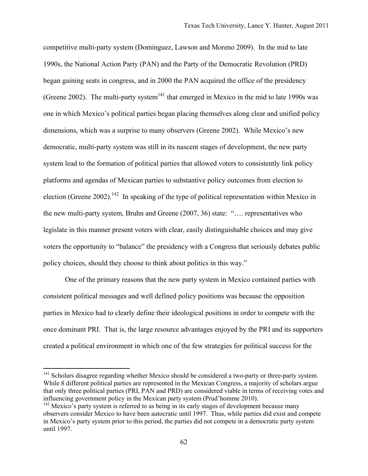competitive multi-party system (Dominguez, Lawson and Moreno 2009). In the mid to late 1990s, the National Action Party (PAN) and the Party of the Democratic Revolution (PRD) began gaining seats in congress, and in 2000 the PAN acquired the office of the presidency (Greene 2002). The multi-party system<sup>141</sup> that emerged in Mexico in the mid to late 1990s was one in which Mexico's political parties began placing themselves along clear and unified policy dimensions, which was a surprise to many observers (Greene 2002). While Mexico's new democratic, multi-party system was still in its nascent stages of development, the new party system lead to the formation of political parties that allowed voters to consistently link policy platforms and agendas of Mexican parties to substantive policy outcomes from election to election (Greene 2002).<sup>142</sup> In speaking of the type of political representation within Mexico in the new multi-party system, Bruhn and Greene (2007, 36) state: "…. representatives who legislate in this manner present voters with clear, easily distinguishable choices and may give voters the opportunity to "balance" the presidency with a Congress that seriously debates public policy choices, should they choose to think about politics in this way."

One of the primary reasons that the new party system in Mexico contained parties with consistent political messages and well defined policy positions was because the opposition parties in Mexico had to clearly define their ideological positions in order to compete with the once dominant PRI. That is, the large resource advantages enjoyed by the PRI and its supporters created a political environment in which one of the few strategies for political success for the

<sup>&</sup>lt;sup>141</sup> Scholars disagree regarding whether Mexico should be considered a two-party or three-party system. While 8 different political parties are represented in the Mexican Congress, a majority of scholars argue that only three political parties (PRI, PAN and PRD) are considered viable in terms of receiving votes and influencing government policy in the Mexican party system (Prud'homme 2010).

 $142$  Mexico's party system is referred to as being in its early stages of development because many observers consider Mexico to have been autocratic until 1997. Thus, while parties did exist and compete in Mexico's party system prior to this period, the parties did not compete in a democratic party system until 1997.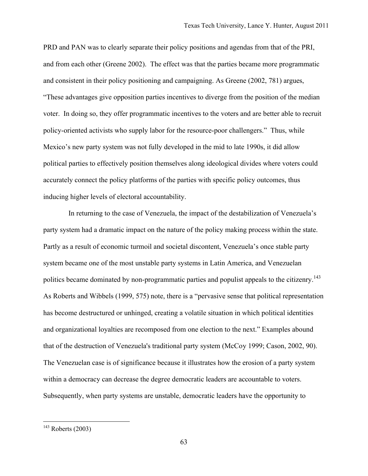PRD and PAN was to clearly separate their policy positions and agendas from that of the PRI, and from each other (Greene 2002). The effect was that the parties became more programmatic and consistent in their policy positioning and campaigning. As Greene (2002, 781) argues, "These advantages give opposition parties incentives to diverge from the position of the median voter. In doing so, they offer programmatic incentives to the voters and are better able to recruit policy-oriented activists who supply labor for the resource-poor challengers." Thus, while Mexico's new party system was not fully developed in the mid to late 1990s, it did allow political parties to effectively position themselves along ideological divides where voters could accurately connect the policy platforms of the parties with specific policy outcomes, thus inducing higher levels of electoral accountability.

 In returning to the case of Venezuela, the impact of the destabilization of Venezuela's party system had a dramatic impact on the nature of the policy making process within the state. Partly as a result of economic turmoil and societal discontent, Venezuela's once stable party system became one of the most unstable party systems in Latin America, and Venezuelan politics became dominated by non-programmatic parties and populist appeals to the citizenry.<sup>143</sup> As Roberts and Wibbels (1999, 575) note, there is a "pervasive sense that political representation has become destructured or unhinged, creating a volatile situation in which political identities and organizational loyalties are recomposed from one election to the next." Examples abound that of the destruction of Venezuela's traditional party system (McCoy 1999; Cason, 2002, 90). The Venezuelan case is of significance because it illustrates how the erosion of a party system within a democracy can decrease the degree democratic leaders are accountable to voters. Subsequently, when party systems are unstable, democratic leaders have the opportunity to

 $143$  Roberts (2003)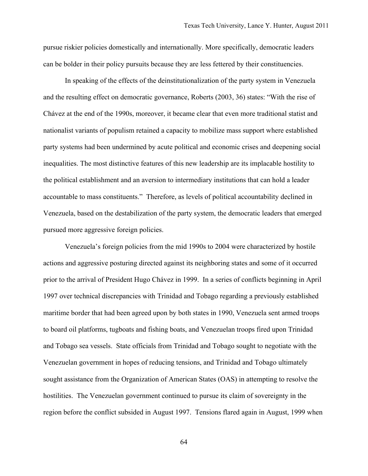pursue riskier policies domestically and internationally. More specifically, democratic leaders can be bolder in their policy pursuits because they are less fettered by their constituencies.

In speaking of the effects of the deinstitutionalization of the party system in Venezuela and the resulting effect on democratic governance, Roberts (2003, 36) states: "With the rise of Chávez at the end of the 1990s, moreover, it became clear that even more traditional statist and nationalist variants of populism retained a capacity to mobilize mass support where established party systems had been undermined by acute political and economic crises and deepening social inequalities. The most distinctive features of this new leadership are its implacable hostility to the political establishment and an aversion to intermediary institutions that can hold a leader accountable to mass constituents." Therefore, as levels of political accountability declined in Venezuela, based on the destabilization of the party system, the democratic leaders that emerged pursued more aggressive foreign policies.

Venezuela's foreign policies from the mid 1990s to 2004 were characterized by hostile actions and aggressive posturing directed against its neighboring states and some of it occurred prior to the arrival of President Hugo Chávez in 1999. In a series of conflicts beginning in April 1997 over technical discrepancies with Trinidad and Tobago regarding a previously established maritime border that had been agreed upon by both states in 1990, Venezuela sent armed troops to board oil platforms, tugboats and fishing boats, and Venezuelan troops fired upon Trinidad and Tobago sea vessels. State officials from Trinidad and Tobago sought to negotiate with the Venezuelan government in hopes of reducing tensions, and Trinidad and Tobago ultimately sought assistance from the Organization of American States (OAS) in attempting to resolve the hostilities. The Venezuelan government continued to pursue its claim of sovereignty in the region before the conflict subsided in August 1997. Tensions flared again in August, 1999 when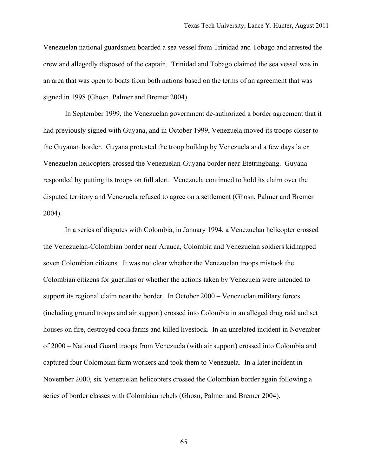Venezuelan national guardsmen boarded a sea vessel from Trinidad and Tobago and arrested the crew and allegedly disposed of the captain. Trinidad and Tobago claimed the sea vessel was in an area that was open to boats from both nations based on the terms of an agreement that was signed in 1998 (Ghosn, Palmer and Bremer 2004).

In September 1999, the Venezuelan government de-authorized a border agreement that it had previously signed with Guyana, and in October 1999, Venezuela moved its troops closer to the Guyanan border. Guyana protested the troop buildup by Venezuela and a few days later Venezuelan helicopters crossed the Venezuelan-Guyana border near Etetringbang. Guyana responded by putting its troops on full alert. Venezuela continued to hold its claim over the disputed territory and Venezuela refused to agree on a settlement (Ghosn, Palmer and Bremer 2004).

In a series of disputes with Colombia, in January 1994, a Venezuelan helicopter crossed the Venezuelan-Colombian border near Arauca, Colombia and Venezuelan soldiers kidnapped seven Colombian citizens. It was not clear whether the Venezuelan troops mistook the Colombian citizens for guerillas or whether the actions taken by Venezuela were intended to support its regional claim near the border. In October 2000 – Venezuelan military forces (including ground troops and air support) crossed into Colombia in an alleged drug raid and set houses on fire, destroyed coca farms and killed livestock. In an unrelated incident in November of 2000 – National Guard troops from Venezuela (with air support) crossed into Colombia and captured four Colombian farm workers and took them to Venezuela. In a later incident in November 2000, six Venezuelan helicopters crossed the Colombian border again following a series of border classes with Colombian rebels (Ghosn, Palmer and Bremer 2004).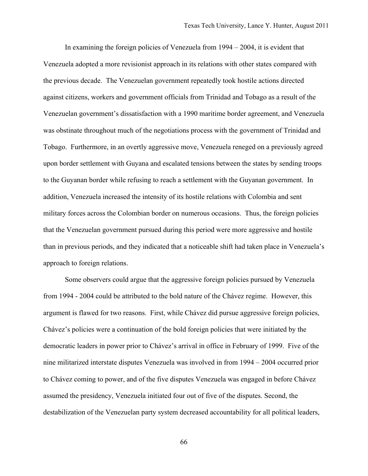In examining the foreign policies of Venezuela from 1994 – 2004, it is evident that Venezuela adopted a more revisionist approach in its relations with other states compared with the previous decade. The Venezuelan government repeatedly took hostile actions directed against citizens, workers and government officials from Trinidad and Tobago as a result of the Venezuelan government's dissatisfaction with a 1990 maritime border agreement, and Venezuela was obstinate throughout much of the negotiations process with the government of Trinidad and Tobago. Furthermore, in an overtly aggressive move, Venezuela reneged on a previously agreed upon border settlement with Guyana and escalated tensions between the states by sending troops to the Guyanan border while refusing to reach a settlement with the Guyanan government. In addition, Venezuela increased the intensity of its hostile relations with Colombia and sent military forces across the Colombian border on numerous occasions. Thus, the foreign policies that the Venezuelan government pursued during this period were more aggressive and hostile than in previous periods, and they indicated that a noticeable shift had taken place in Venezuela's approach to foreign relations.

Some observers could argue that the aggressive foreign policies pursued by Venezuela from 1994 - 2004 could be attributed to the bold nature of the Chávez regime. However, this argument is flawed for two reasons. First, while Chávez did pursue aggressive foreign policies, Chávez's policies were a continuation of the bold foreign policies that were initiated by the democratic leaders in power prior to Chávez's arrival in office in February of 1999. Five of the nine militarized interstate disputes Venezuela was involved in from 1994 – 2004 occurred prior to Chávez coming to power, and of the five disputes Venezuela was engaged in before Chávez assumed the presidency, Venezuela initiated four out of five of the disputes. Second, the destabilization of the Venezuelan party system decreased accountability for all political leaders,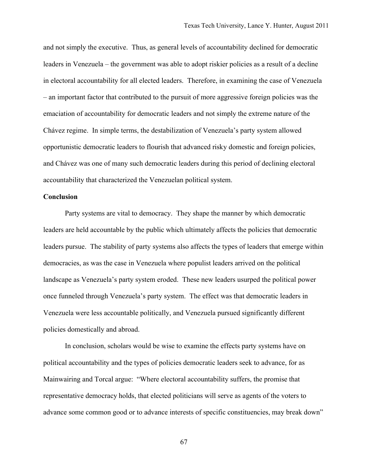and not simply the executive. Thus, as general levels of accountability declined for democratic leaders in Venezuela – the government was able to adopt riskier policies as a result of a decline in electoral accountability for all elected leaders. Therefore, in examining the case of Venezuela – an important factor that contributed to the pursuit of more aggressive foreign policies was the emaciation of accountability for democratic leaders and not simply the extreme nature of the Chávez regime. In simple terms, the destabilization of Venezuela's party system allowed opportunistic democratic leaders to flourish that advanced risky domestic and foreign policies, and Chávez was one of many such democratic leaders during this period of declining electoral accountability that characterized the Venezuelan political system.

# **Conclusion**

Party systems are vital to democracy. They shape the manner by which democratic leaders are held accountable by the public which ultimately affects the policies that democratic leaders pursue. The stability of party systems also affects the types of leaders that emerge within democracies, as was the case in Venezuela where populist leaders arrived on the political landscape as Venezuela's party system eroded. These new leaders usurped the political power once funneled through Venezuela's party system. The effect was that democratic leaders in Venezuela were less accountable politically, and Venezuela pursued significantly different policies domestically and abroad.

In conclusion, scholars would be wise to examine the effects party systems have on political accountability and the types of policies democratic leaders seek to advance, for as Mainwairing and Torcal argue: "Where electoral accountability suffers, the promise that representative democracy holds, that elected politicians will serve as agents of the voters to advance some common good or to advance interests of specific constituencies, may break down"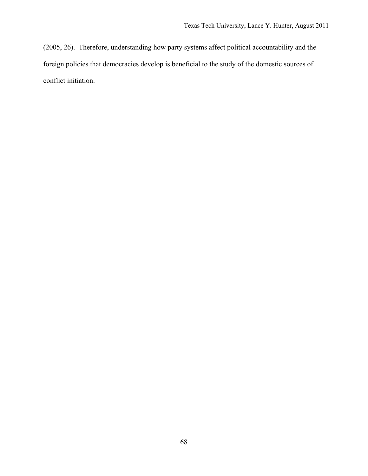(2005, 26). Therefore, understanding how party systems affect political accountability and the foreign policies that democracies develop is beneficial to the study of the domestic sources of conflict initiation.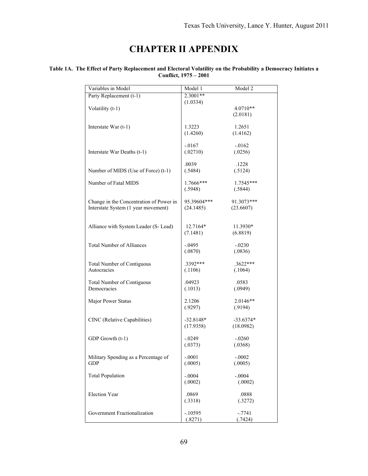# **CHAPTER II APPENDIX**

#### **Table 1A. The Effect of Party Replacement and Electoral Volatility on the Probability a Democracy Initiates a Conflict, 1975 – 2001**

| 2.3001**<br>Party Replacement (t-1)<br>(1.0334)<br>Volatility (t-1)<br>$4.0710**$<br>(2.0181)<br>1.3223<br>1.2651<br>Interstate War $(t-1)$<br>(1.4260)<br>(1.4162)<br>$-.0167$<br>$-0.0162$<br>(.02710)<br>(.0256)<br>Interstate War Deaths (t-1)<br>.0039<br>.1228<br>Number of MIDS (Use of Force) (t-1)<br>(.5484)<br>(.5124)<br>Number of Fatal MIDS<br>1.7666***<br>1.7545***<br>(.5948)<br>(.5844)<br>95.39604***<br>91.3073***<br>Change in the Concentration of Power in<br>Interstate System (1 year movement)<br>(24.1485)<br>(23.6607)<br>Alliance with System Leader (S- Lead)<br>12.7164*<br>11.3930*<br>(6.8819)<br>(7.1481)<br><b>Total Number of Alliances</b><br>$-.0495$<br>$-.0230$<br>(.0870)<br>(.0836)<br>.3392***<br>$.3622***$<br><b>Total Number of Contiguous</b><br>Autocracies<br>(.1106)<br>(.1064)<br><b>Total Number of Contiguous</b><br>.04923<br>.0583<br>Democracies<br>(.1013)<br>(.0949)<br>2.1206<br>$2.0146**$<br>Major Power Status<br>(.9297)<br>(.9194)<br>CINC (Relative Capabilities)<br>$-32.8148*$<br>$-33.6374*$<br>(17.9358)<br>(18.0982)<br>GDP Growth (t-1)<br>$-0.0249$<br>$-.0260$<br>(.0373)<br>(.0368)<br>$-.0001$<br>$-.0002$<br>Military Spending as a Percentage of<br>(.0005)<br><b>GDP</b><br>(.0005)<br>$-.0004$<br><b>Total Population</b><br>$-.0004$<br>(.0002)<br>(.0002)<br><b>Election Year</b><br>.0869<br>.0888<br>(.3318)<br>(.3272)<br>Government Fractionalization<br>$-.10595$<br>$-.7741$<br>(.8271)<br>(.7424) | Variables in Model | Model 1 | Model 2 |
|-------------------------------------------------------------------------------------------------------------------------------------------------------------------------------------------------------------------------------------------------------------------------------------------------------------------------------------------------------------------------------------------------------------------------------------------------------------------------------------------------------------------------------------------------------------------------------------------------------------------------------------------------------------------------------------------------------------------------------------------------------------------------------------------------------------------------------------------------------------------------------------------------------------------------------------------------------------------------------------------------------------------------------------------------------------------------------------------------------------------------------------------------------------------------------------------------------------------------------------------------------------------------------------------------------------------------------------------------------------------------------------------------------------------------------------------------------------------------------------------|--------------------|---------|---------|
|                                                                                                                                                                                                                                                                                                                                                                                                                                                                                                                                                                                                                                                                                                                                                                                                                                                                                                                                                                                                                                                                                                                                                                                                                                                                                                                                                                                                                                                                                           |                    |         |         |
|                                                                                                                                                                                                                                                                                                                                                                                                                                                                                                                                                                                                                                                                                                                                                                                                                                                                                                                                                                                                                                                                                                                                                                                                                                                                                                                                                                                                                                                                                           |                    |         |         |
|                                                                                                                                                                                                                                                                                                                                                                                                                                                                                                                                                                                                                                                                                                                                                                                                                                                                                                                                                                                                                                                                                                                                                                                                                                                                                                                                                                                                                                                                                           |                    |         |         |
|                                                                                                                                                                                                                                                                                                                                                                                                                                                                                                                                                                                                                                                                                                                                                                                                                                                                                                                                                                                                                                                                                                                                                                                                                                                                                                                                                                                                                                                                                           |                    |         |         |
|                                                                                                                                                                                                                                                                                                                                                                                                                                                                                                                                                                                                                                                                                                                                                                                                                                                                                                                                                                                                                                                                                                                                                                                                                                                                                                                                                                                                                                                                                           |                    |         |         |
|                                                                                                                                                                                                                                                                                                                                                                                                                                                                                                                                                                                                                                                                                                                                                                                                                                                                                                                                                                                                                                                                                                                                                                                                                                                                                                                                                                                                                                                                                           |                    |         |         |
|                                                                                                                                                                                                                                                                                                                                                                                                                                                                                                                                                                                                                                                                                                                                                                                                                                                                                                                                                                                                                                                                                                                                                                                                                                                                                                                                                                                                                                                                                           |                    |         |         |
|                                                                                                                                                                                                                                                                                                                                                                                                                                                                                                                                                                                                                                                                                                                                                                                                                                                                                                                                                                                                                                                                                                                                                                                                                                                                                                                                                                                                                                                                                           |                    |         |         |
|                                                                                                                                                                                                                                                                                                                                                                                                                                                                                                                                                                                                                                                                                                                                                                                                                                                                                                                                                                                                                                                                                                                                                                                                                                                                                                                                                                                                                                                                                           |                    |         |         |
|                                                                                                                                                                                                                                                                                                                                                                                                                                                                                                                                                                                                                                                                                                                                                                                                                                                                                                                                                                                                                                                                                                                                                                                                                                                                                                                                                                                                                                                                                           |                    |         |         |
|                                                                                                                                                                                                                                                                                                                                                                                                                                                                                                                                                                                                                                                                                                                                                                                                                                                                                                                                                                                                                                                                                                                                                                                                                                                                                                                                                                                                                                                                                           |                    |         |         |
|                                                                                                                                                                                                                                                                                                                                                                                                                                                                                                                                                                                                                                                                                                                                                                                                                                                                                                                                                                                                                                                                                                                                                                                                                                                                                                                                                                                                                                                                                           |                    |         |         |
|                                                                                                                                                                                                                                                                                                                                                                                                                                                                                                                                                                                                                                                                                                                                                                                                                                                                                                                                                                                                                                                                                                                                                                                                                                                                                                                                                                                                                                                                                           |                    |         |         |
|                                                                                                                                                                                                                                                                                                                                                                                                                                                                                                                                                                                                                                                                                                                                                                                                                                                                                                                                                                                                                                                                                                                                                                                                                                                                                                                                                                                                                                                                                           |                    |         |         |
|                                                                                                                                                                                                                                                                                                                                                                                                                                                                                                                                                                                                                                                                                                                                                                                                                                                                                                                                                                                                                                                                                                                                                                                                                                                                                                                                                                                                                                                                                           |                    |         |         |
|                                                                                                                                                                                                                                                                                                                                                                                                                                                                                                                                                                                                                                                                                                                                                                                                                                                                                                                                                                                                                                                                                                                                                                                                                                                                                                                                                                                                                                                                                           |                    |         |         |
|                                                                                                                                                                                                                                                                                                                                                                                                                                                                                                                                                                                                                                                                                                                                                                                                                                                                                                                                                                                                                                                                                                                                                                                                                                                                                                                                                                                                                                                                                           |                    |         |         |
|                                                                                                                                                                                                                                                                                                                                                                                                                                                                                                                                                                                                                                                                                                                                                                                                                                                                                                                                                                                                                                                                                                                                                                                                                                                                                                                                                                                                                                                                                           |                    |         |         |
|                                                                                                                                                                                                                                                                                                                                                                                                                                                                                                                                                                                                                                                                                                                                                                                                                                                                                                                                                                                                                                                                                                                                                                                                                                                                                                                                                                                                                                                                                           |                    |         |         |
|                                                                                                                                                                                                                                                                                                                                                                                                                                                                                                                                                                                                                                                                                                                                                                                                                                                                                                                                                                                                                                                                                                                                                                                                                                                                                                                                                                                                                                                                                           |                    |         |         |
|                                                                                                                                                                                                                                                                                                                                                                                                                                                                                                                                                                                                                                                                                                                                                                                                                                                                                                                                                                                                                                                                                                                                                                                                                                                                                                                                                                                                                                                                                           |                    |         |         |
|                                                                                                                                                                                                                                                                                                                                                                                                                                                                                                                                                                                                                                                                                                                                                                                                                                                                                                                                                                                                                                                                                                                                                                                                                                                                                                                                                                                                                                                                                           |                    |         |         |
|                                                                                                                                                                                                                                                                                                                                                                                                                                                                                                                                                                                                                                                                                                                                                                                                                                                                                                                                                                                                                                                                                                                                                                                                                                                                                                                                                                                                                                                                                           |                    |         |         |
|                                                                                                                                                                                                                                                                                                                                                                                                                                                                                                                                                                                                                                                                                                                                                                                                                                                                                                                                                                                                                                                                                                                                                                                                                                                                                                                                                                                                                                                                                           |                    |         |         |
|                                                                                                                                                                                                                                                                                                                                                                                                                                                                                                                                                                                                                                                                                                                                                                                                                                                                                                                                                                                                                                                                                                                                                                                                                                                                                                                                                                                                                                                                                           |                    |         |         |
|                                                                                                                                                                                                                                                                                                                                                                                                                                                                                                                                                                                                                                                                                                                                                                                                                                                                                                                                                                                                                                                                                                                                                                                                                                                                                                                                                                                                                                                                                           |                    |         |         |
|                                                                                                                                                                                                                                                                                                                                                                                                                                                                                                                                                                                                                                                                                                                                                                                                                                                                                                                                                                                                                                                                                                                                                                                                                                                                                                                                                                                                                                                                                           |                    |         |         |
|                                                                                                                                                                                                                                                                                                                                                                                                                                                                                                                                                                                                                                                                                                                                                                                                                                                                                                                                                                                                                                                                                                                                                                                                                                                                                                                                                                                                                                                                                           |                    |         |         |
|                                                                                                                                                                                                                                                                                                                                                                                                                                                                                                                                                                                                                                                                                                                                                                                                                                                                                                                                                                                                                                                                                                                                                                                                                                                                                                                                                                                                                                                                                           |                    |         |         |
|                                                                                                                                                                                                                                                                                                                                                                                                                                                                                                                                                                                                                                                                                                                                                                                                                                                                                                                                                                                                                                                                                                                                                                                                                                                                                                                                                                                                                                                                                           |                    |         |         |
|                                                                                                                                                                                                                                                                                                                                                                                                                                                                                                                                                                                                                                                                                                                                                                                                                                                                                                                                                                                                                                                                                                                                                                                                                                                                                                                                                                                                                                                                                           |                    |         |         |
|                                                                                                                                                                                                                                                                                                                                                                                                                                                                                                                                                                                                                                                                                                                                                                                                                                                                                                                                                                                                                                                                                                                                                                                                                                                                                                                                                                                                                                                                                           |                    |         |         |
|                                                                                                                                                                                                                                                                                                                                                                                                                                                                                                                                                                                                                                                                                                                                                                                                                                                                                                                                                                                                                                                                                                                                                                                                                                                                                                                                                                                                                                                                                           |                    |         |         |
|                                                                                                                                                                                                                                                                                                                                                                                                                                                                                                                                                                                                                                                                                                                                                                                                                                                                                                                                                                                                                                                                                                                                                                                                                                                                                                                                                                                                                                                                                           |                    |         |         |
|                                                                                                                                                                                                                                                                                                                                                                                                                                                                                                                                                                                                                                                                                                                                                                                                                                                                                                                                                                                                                                                                                                                                                                                                                                                                                                                                                                                                                                                                                           |                    |         |         |
|                                                                                                                                                                                                                                                                                                                                                                                                                                                                                                                                                                                                                                                                                                                                                                                                                                                                                                                                                                                                                                                                                                                                                                                                                                                                                                                                                                                                                                                                                           |                    |         |         |
|                                                                                                                                                                                                                                                                                                                                                                                                                                                                                                                                                                                                                                                                                                                                                                                                                                                                                                                                                                                                                                                                                                                                                                                                                                                                                                                                                                                                                                                                                           |                    |         |         |
|                                                                                                                                                                                                                                                                                                                                                                                                                                                                                                                                                                                                                                                                                                                                                                                                                                                                                                                                                                                                                                                                                                                                                                                                                                                                                                                                                                                                                                                                                           |                    |         |         |
|                                                                                                                                                                                                                                                                                                                                                                                                                                                                                                                                                                                                                                                                                                                                                                                                                                                                                                                                                                                                                                                                                                                                                                                                                                                                                                                                                                                                                                                                                           |                    |         |         |
|                                                                                                                                                                                                                                                                                                                                                                                                                                                                                                                                                                                                                                                                                                                                                                                                                                                                                                                                                                                                                                                                                                                                                                                                                                                                                                                                                                                                                                                                                           |                    |         |         |
|                                                                                                                                                                                                                                                                                                                                                                                                                                                                                                                                                                                                                                                                                                                                                                                                                                                                                                                                                                                                                                                                                                                                                                                                                                                                                                                                                                                                                                                                                           |                    |         |         |
|                                                                                                                                                                                                                                                                                                                                                                                                                                                                                                                                                                                                                                                                                                                                                                                                                                                                                                                                                                                                                                                                                                                                                                                                                                                                                                                                                                                                                                                                                           |                    |         |         |
|                                                                                                                                                                                                                                                                                                                                                                                                                                                                                                                                                                                                                                                                                                                                                                                                                                                                                                                                                                                                                                                                                                                                                                                                                                                                                                                                                                                                                                                                                           |                    |         |         |
|                                                                                                                                                                                                                                                                                                                                                                                                                                                                                                                                                                                                                                                                                                                                                                                                                                                                                                                                                                                                                                                                                                                                                                                                                                                                                                                                                                                                                                                                                           |                    |         |         |
|                                                                                                                                                                                                                                                                                                                                                                                                                                                                                                                                                                                                                                                                                                                                                                                                                                                                                                                                                                                                                                                                                                                                                                                                                                                                                                                                                                                                                                                                                           |                    |         |         |
|                                                                                                                                                                                                                                                                                                                                                                                                                                                                                                                                                                                                                                                                                                                                                                                                                                                                                                                                                                                                                                                                                                                                                                                                                                                                                                                                                                                                                                                                                           |                    |         |         |
|                                                                                                                                                                                                                                                                                                                                                                                                                                                                                                                                                                                                                                                                                                                                                                                                                                                                                                                                                                                                                                                                                                                                                                                                                                                                                                                                                                                                                                                                                           |                    |         |         |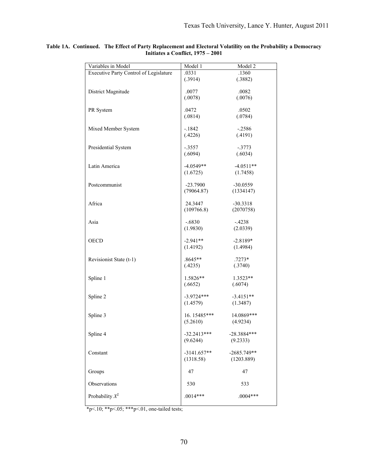| Variables in Model                     | Model 1       | Model 2       |
|----------------------------------------|---------------|---------------|
| Executive Party Control of Legislature | .0331         | .1360         |
|                                        | (.3914)       | (.3882)       |
|                                        |               |               |
| District Magnitude                     | .0077         | .0082         |
|                                        | (.0078)       | (.0076)       |
| PR System                              | .0472         | .0502         |
|                                        | (.0814)       | (.0784)       |
|                                        |               |               |
| Mixed Member System                    | $-1842$       | $-.2586$      |
|                                        | (.4226)       | (.4191)       |
|                                        |               |               |
| Presidential System                    | $-.3557$      | $-.3773$      |
|                                        | (.6094)       | (.6034)       |
|                                        |               |               |
| Latin America                          | $-4.0549**$   | $-4.0511**$   |
|                                        | (1.6725)      | (1.7458)      |
| Postcommunist                          | $-23.7900$    | $-30.0559$    |
|                                        | (79064.87)    | (1334147)     |
|                                        |               |               |
| Africa                                 | 24.3447       | $-30.3318$    |
|                                        | (109766.8)    | (2070758)     |
|                                        |               |               |
| Asia                                   | $-.6830$      | $-4238$       |
|                                        | (1.9830)      | (2.0339)      |
|                                        |               |               |
| <b>OECD</b>                            | $-2.941**$    | $-2.8189*$    |
|                                        | (1.4192)      | (1.4984)      |
|                                        | .8645**       | $.7273*$      |
| Revisionist State (t-1)                | (.4235)       | (.3740)       |
|                                        |               |               |
| Spline 1                               | $1.5826**$    | $1.3523**$    |
|                                        | (.6652)       | (.6074)       |
|                                        |               |               |
| Spline 2                               | $-3.9724***$  | $-3.4151**$   |
|                                        | (1.4579)      | (1.3487)      |
|                                        |               |               |
| Spline 3                               | 16.15485***   | 14.0869***    |
|                                        | (5.2610)      | (4.9234)      |
|                                        | $-32.2413***$ | $-28.3884***$ |
| Spline 4                               | (9.6244)      |               |
|                                        |               | (9.2333)      |
| Constant                               | $-3141.657**$ | $-2685.749**$ |
|                                        | (1318.58)     | (1203.889)    |
|                                        |               |               |
| Groups                                 | 47            | 47            |
|                                        |               |               |
| Observations                           | 530           | 533           |
|                                        |               |               |
| Probability $X^2$                      | $.0014***$    | $.0004***$    |
|                                        |               |               |

#### **Table 1A. Continued. The Effect of Party Replacement and Electoral Volatility on the Probability a Democracy Initiates a Conflict, 1975 – 2001**

\*p<.10; \*\*p<.05; \*\*\*p<.01, one-tailed tests;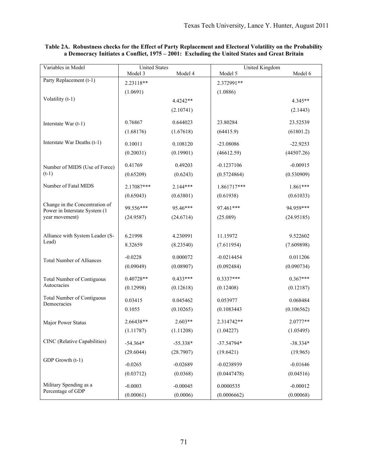| Variables in Model                | <b>United States</b> |            | United Kingdom |            |
|-----------------------------------|----------------------|------------|----------------|------------|
|                                   | Model 3              | Model 4    | Model 5        | Model 6    |
| Party Replacement (t-1)           | 2.23118**            |            | 2.372991**     |            |
|                                   | (1.0691)             |            | (1.0886)       |            |
| Volatility (t-1)                  |                      | 4.4242**   |                | $4.345**$  |
|                                   |                      | (2.10741)  |                | (2.1443)   |
|                                   |                      |            |                |            |
| Interstate War (t-1)              | 0.76867              | 0.644023   | 23.80284       | 23.52539   |
|                                   | (1.68176)            | (1.67618)  | (64415.9)      | (61801.2)  |
| Interstate War Deaths (t-1)       | 0.10011              | 0.108120   | -23.08086      | $-22.9253$ |
|                                   | (0.20031)            | (0.19901)  | (46612.59)     | (44507.26) |
| Number of MIDS (Use of Force)     | 0.41769              | 0.49203    | $-0.1237106$   | $-0.00915$ |
| $(t-1)$                           | (0.65209)            | (0.6243)   | (0.5724864)    | (0.530909) |
| Number of Fatal MIDS              | 2.17087***           | $2.144***$ | 1.861717***    | 1.861***   |
|                                   | (0.65043)            | (0.63801)  | (0.61938)      | (0.61033)  |
| Change in the Concentration of    |                      |            |                |            |
| Power in Interstate System (1     | 99.556***            | 95.46***   | 97.461***      | 94.959***  |
| year movement)                    | (24.9587)            | (24.6714)  | (25.089)       | (24.95185) |
|                                   |                      |            |                |            |
| Alliance with System Leader (S-   | 6.21998              | 4.230991   | 11.15972       | 9.522602   |
| Lead)                             | 8.32659              | (8.23540)  | (7.611954)     | (7.609898) |
| <b>Total Number of Alliances</b>  | $-0.0228$            | 0.000072   | $-0.0214454$   | 0.011206   |
|                                   | (0.09049)            | (0.08907)  | (0.092484)     | (0.090734) |
| <b>Total Number of Contiguous</b> | 0.40728**            | $0.433***$ | 0.3337***      | $0.367***$ |
| Autocracies                       | (0.12998)            | (0.12618)  | (0.12408)      | (0.12187)  |
| <b>Total Number of Contiguous</b> | 0.03415              | 0.045462   | 0.053977       | 0.068484   |
| Democracies                       | 0.1055               | (0.10265)  | (0.1083443)    | (0.106562) |
|                                   |                      |            |                |            |
| Major Power Status                | 2.66438**            | $2.603**$  | 2.314742**     | 2.0777**   |
|                                   | (1.11787)            | (1.11208)  | (1.04227)      | (1.05495)  |
| CINC (Relative Capabilities)      | $-54.364*$           | $-55.338*$ | $-37.54794*$   | $-38.334*$ |
|                                   | (29.6044)            | (28.7907)  | (19.6421)      | (19.965)   |
| GDP Growth (t-1)                  | $-0.0265$            | $-0.02689$ | $-0.0238939$   | $-0.01646$ |
|                                   | (0.03712)            | (0.0368)   | (0.0447478)    | (0.04516)  |
| Military Spending as a            |                      |            |                |            |
| Percentage of GDP                 | $-0.0003$            | $-0.00045$ | 0.0000535      | $-0.00012$ |
|                                   | (0.00061)            | (0.0006)   | (0.0006662)    | (0.00068)  |

#### **Table 2A. Robustness checks for the Effect of Party Replacement and Electoral Volatility on the Probability a Democracy Initiates a Conflict, 1975 – 2001: Excluding the United States and Great Britain**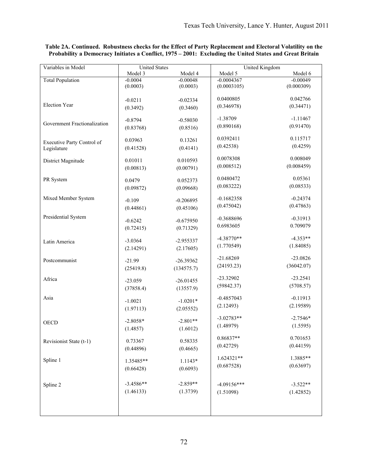| Variables in Model           | <b>United States</b> |             | United Kingdom |            |
|------------------------------|----------------------|-------------|----------------|------------|
|                              | Model 3              | Model 4     | Model 5        | Model 6    |
| <b>Total Population</b>      | $-0.0004$            | $-0.00048$  | $-0.0004367$   | $-0.00049$ |
|                              | (0.0003)             | (0.0003)    | (0.0003105)    | (0.000309) |
|                              |                      |             | 0.0400805      | 0.042766   |
| <b>Election Year</b>         | $-0.0211$            | $-0.02334$  | (0.346978)     | (0.34471)  |
|                              | (0.3492)             | (0.3460)    |                |            |
|                              | $-0.8794$            | $-0.58030$  | $-1.38709$     | $-1.11467$ |
| Government Fractionalization | (0.83768)            | (0.8516)    | (0.890168)     | (0.91470)  |
|                              |                      |             | 0.0392411      | 0.115717   |
| Executive Party Control of   | 0.03963              | 0.13261     | (0.42538)      | (0.4259)   |
| Legislature                  | (0.41528)            | (0.4141)    |                |            |
| District Magnitude           | 0.01011              | 0.010593    | 0.0078308      | 0.008049   |
|                              | (0.00813)            | (0.00791)   | (0.008512)     | (0.008459) |
|                              |                      |             |                |            |
| PR System                    | 0.0479               | 0.052373    | 0.0480472      | 0.05361    |
|                              | (0.09872)            | (0.09668)   | (0.083222)     | (0.08533)  |
| Mixed Member System          | $-0.109$             | $-0.206895$ | $-0.1682358$   | $-0.24374$ |
|                              | (0.44861)            | (0.45106)   | (0.475042)     | (0.47863)  |
|                              |                      |             |                |            |
| Presidential System          | $-0.6242$            | $-0.675950$ | $-0.3688696$   | $-0.31913$ |
|                              | (0.72415)            | (0.71329)   | 0.6983605      | 0.709079   |
|                              |                      |             | $-4.38770**$   | $-4.353**$ |
| Latin America                | $-3.0364$            | $-2.955337$ | (1.770549)     | (1.84085)  |
|                              | (2.14291)            | (2.17605)   |                |            |
| Postcommunist                | $-21.99$             | $-26.39362$ | $-21.68269$    | $-23.0826$ |
|                              | (25419.8)            | (134575.7)  | (24193.23)     | (36042.07) |
|                              |                      |             |                |            |
| Africa                       | $-23.059$            | $-26.01455$ | $-23.32902$    | $-23.2541$ |
|                              | (37858.4)            | (13557.9)   | (59842.37)     | (5708.57)  |
| Asia                         |                      |             | $-0.4857043$   | $-0.11913$ |
|                              | $-1.0021$            | $-1.0201*$  | (2.12493)      | (2.19589)  |
|                              | (1.97113)            | (2.05552)   |                |            |
| <b>OECD</b>                  | $-2.8058*$           | $-2.801**$  | $-3.02783**$   | $-2.7546*$ |
|                              | (1.4857)             | (1.6012)    | (1.48979)      | (1.5595)   |
|                              |                      |             |                | 0.701653   |
| Revisionist State (t-1)      | 0.73367              | 0.58335     | 0.86837**      |            |
|                              | (0.44896)            | (0.4665)    | (0.42729)      | (0.44159)  |
| Spline 1                     |                      |             | 1.624321**     | 1.3885**   |
|                              | 1.35485**            | 1.1143*     | (0.687528)     | (0.63697)  |
|                              | (0.66428)            | (0.6093)    |                |            |
|                              | $-3.4586**$          | $-2.859**$  | $-4.09156***$  | $-3.522**$ |
| Spline 2                     | (1.46133)            | (1.3739)    |                |            |
|                              |                      |             | (1.51098)      | (1.42852)  |
|                              |                      |             |                |            |
|                              |                      |             |                |            |
|                              |                      |             |                |            |

## **Table 2A. Continued. Robustness checks for the Effect of Party Replacement and Electoral Volatility on the Probability a Democracy Initiates a Conflict, 1975 – 2001: Excluding the United States and Great Britain**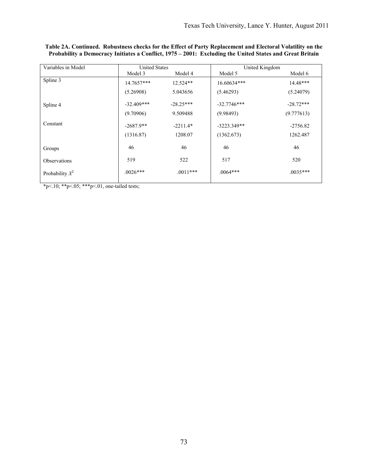| Variables in Model | <b>United States</b> |             | United Kingdom |             |
|--------------------|----------------------|-------------|----------------|-------------|
|                    | Model 3              | Model 4     | Model 5        | Model 6     |
| Spline 3           | 14.7657***           | $12.524**$  | 16.60634***    | $14.48***$  |
|                    | (5.26908)            | 5.043656    | (5.46293)      | (5.24079)   |
| Spline 4           | $-32.409***$         | $-28.25***$ | $-32.7746***$  | $-28.72***$ |
|                    | (9.70906)            | 9.509488    | (9.98493)      | (9.777613)  |
| Constant           | $-2687.9**$          | $-2211.4*$  | $-3223.349**$  | $-2756.82$  |
|                    | (1316.87)            | 1208.07     | (1362.673)     | 1262.487    |
| Groups             | 46                   | 46          | 46             | 46          |
| Observations       | 519                  | 522         | 517            | 520         |
| Probability $X^2$  | $.0026***$           | $.0011***$  | $.0064***$     | $.0035***$  |

**Table 2A. Continued. Robustness checks for the Effect of Party Replacement and Electoral Volatility on the Probability a Democracy Initiates a Conflict, 1975 – 2001: Excluding the United States and Great Britain**

 $\frac{1}{\text{*p} < 10; \text{**p} < 05; \text{**p} < 01, \text{one-tailed tests}}$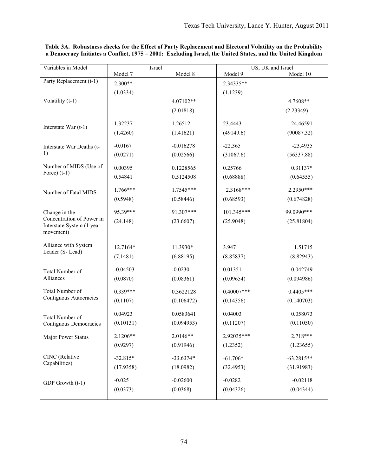| Variables in Model<br>US, UK and Israel<br>Israel<br>Model 10<br>Model 7<br>Model 8<br>Model 9<br>Party Replacement (t-1)<br>$2.300**$<br>2.34335**<br>(1.0334)<br>(1.1239)<br>Volatility (t-1)<br>4.07102**<br>4.7608**<br>(2.01818)<br>(2.23349)<br>1.26512<br>23.4443<br>1.32237<br>24.46591<br>Interstate War $(t-1)$<br>(1.4260)<br>(1.41621)<br>(49149.6)<br>(90087.32)<br>$-0.016278$<br>$-22.365$<br>$-0.0167$<br>$-23.4935$<br>Interstate War Deaths (t-<br>1)<br>(0.0271)<br>(0.02566)<br>(31067.6)<br>(56337.88)<br>Number of MIDS (Use of<br>0.00395<br>0.1228565<br>0.25766<br>0.31137*<br>Force) $(t-1)$<br>0.54841<br>0.5124508<br>(0.68888)<br>(0.64555)<br>$1.766***$<br>1.7545***<br>2.3168***<br>2.2950***<br>Number of Fatal MIDS<br>(0.5948)<br>(0.58446)<br>(0.68593)<br>(0.674828)<br>95.39***<br>99.0990 ***<br>91.307***<br>101.345***<br>Change in the<br>Concentration of Power in<br>(24.148)<br>(23.6607)<br>(25.9048)<br>(25.81804)<br>Interstate System (1 year<br>movement)<br>Alliance with System<br>12.7164*<br>11.3930*<br>3.947<br>1.51715 |
|---------------------------------------------------------------------------------------------------------------------------------------------------------------------------------------------------------------------------------------------------------------------------------------------------------------------------------------------------------------------------------------------------------------------------------------------------------------------------------------------------------------------------------------------------------------------------------------------------------------------------------------------------------------------------------------------------------------------------------------------------------------------------------------------------------------------------------------------------------------------------------------------------------------------------------------------------------------------------------------------------------------------------------------------------------------------------------|
|                                                                                                                                                                                                                                                                                                                                                                                                                                                                                                                                                                                                                                                                                                                                                                                                                                                                                                                                                                                                                                                                                 |
|                                                                                                                                                                                                                                                                                                                                                                                                                                                                                                                                                                                                                                                                                                                                                                                                                                                                                                                                                                                                                                                                                 |
|                                                                                                                                                                                                                                                                                                                                                                                                                                                                                                                                                                                                                                                                                                                                                                                                                                                                                                                                                                                                                                                                                 |
|                                                                                                                                                                                                                                                                                                                                                                                                                                                                                                                                                                                                                                                                                                                                                                                                                                                                                                                                                                                                                                                                                 |
|                                                                                                                                                                                                                                                                                                                                                                                                                                                                                                                                                                                                                                                                                                                                                                                                                                                                                                                                                                                                                                                                                 |
|                                                                                                                                                                                                                                                                                                                                                                                                                                                                                                                                                                                                                                                                                                                                                                                                                                                                                                                                                                                                                                                                                 |
|                                                                                                                                                                                                                                                                                                                                                                                                                                                                                                                                                                                                                                                                                                                                                                                                                                                                                                                                                                                                                                                                                 |
|                                                                                                                                                                                                                                                                                                                                                                                                                                                                                                                                                                                                                                                                                                                                                                                                                                                                                                                                                                                                                                                                                 |
|                                                                                                                                                                                                                                                                                                                                                                                                                                                                                                                                                                                                                                                                                                                                                                                                                                                                                                                                                                                                                                                                                 |
|                                                                                                                                                                                                                                                                                                                                                                                                                                                                                                                                                                                                                                                                                                                                                                                                                                                                                                                                                                                                                                                                                 |
|                                                                                                                                                                                                                                                                                                                                                                                                                                                                                                                                                                                                                                                                                                                                                                                                                                                                                                                                                                                                                                                                                 |
|                                                                                                                                                                                                                                                                                                                                                                                                                                                                                                                                                                                                                                                                                                                                                                                                                                                                                                                                                                                                                                                                                 |
|                                                                                                                                                                                                                                                                                                                                                                                                                                                                                                                                                                                                                                                                                                                                                                                                                                                                                                                                                                                                                                                                                 |
|                                                                                                                                                                                                                                                                                                                                                                                                                                                                                                                                                                                                                                                                                                                                                                                                                                                                                                                                                                                                                                                                                 |
|                                                                                                                                                                                                                                                                                                                                                                                                                                                                                                                                                                                                                                                                                                                                                                                                                                                                                                                                                                                                                                                                                 |
|                                                                                                                                                                                                                                                                                                                                                                                                                                                                                                                                                                                                                                                                                                                                                                                                                                                                                                                                                                                                                                                                                 |
| Leader (S-Lead)<br>(7.1481)<br>(6.88195)<br>(8.85837)<br>(8.82943)                                                                                                                                                                                                                                                                                                                                                                                                                                                                                                                                                                                                                                                                                                                                                                                                                                                                                                                                                                                                              |
| $-0.0230$<br>0.01351<br>0.042749<br>$-0.04503$<br>Total Number of                                                                                                                                                                                                                                                                                                                                                                                                                                                                                                                                                                                                                                                                                                                                                                                                                                                                                                                                                                                                               |
| Alliances<br>(0.0870)<br>(0.08361)<br>(0.09654)<br>(0.094986)                                                                                                                                                                                                                                                                                                                                                                                                                                                                                                                                                                                                                                                                                                                                                                                                                                                                                                                                                                                                                   |
| Total Number of<br>$0.339***$<br>$0.40007***$<br>$0.4405***$<br>0.3622128                                                                                                                                                                                                                                                                                                                                                                                                                                                                                                                                                                                                                                                                                                                                                                                                                                                                                                                                                                                                       |
| Contiguous Autocracies<br>(0.1107)<br>(0.106472)<br>(0.14356)<br>(0.140703)                                                                                                                                                                                                                                                                                                                                                                                                                                                                                                                                                                                                                                                                                                                                                                                                                                                                                                                                                                                                     |
| 0.04923<br>0.0583641<br>0.04003<br>0.058073<br>Total Number of                                                                                                                                                                                                                                                                                                                                                                                                                                                                                                                                                                                                                                                                                                                                                                                                                                                                                                                                                                                                                  |
| (0.11207)<br>(0.11050)<br>(0.10131)<br>(0.094953)<br>Contiguous Democracies                                                                                                                                                                                                                                                                                                                                                                                                                                                                                                                                                                                                                                                                                                                                                                                                                                                                                                                                                                                                     |
| 2.0146**<br>2.1206**<br>2.92035***<br>2.718***<br>Major Power Status                                                                                                                                                                                                                                                                                                                                                                                                                                                                                                                                                                                                                                                                                                                                                                                                                                                                                                                                                                                                            |
| (0.9297)<br>(0.91946)<br>(1.2352)<br>(1.23655)                                                                                                                                                                                                                                                                                                                                                                                                                                                                                                                                                                                                                                                                                                                                                                                                                                                                                                                                                                                                                                  |
| CINC (Relative<br>$-32.815*$<br>$-33.6374*$<br>$-61.706*$<br>$-63.2815**$                                                                                                                                                                                                                                                                                                                                                                                                                                                                                                                                                                                                                                                                                                                                                                                                                                                                                                                                                                                                       |
| Capabilities)<br>(17.9358)<br>(18.0982)<br>(32.4953)<br>(31.91983)                                                                                                                                                                                                                                                                                                                                                                                                                                                                                                                                                                                                                                                                                                                                                                                                                                                                                                                                                                                                              |
| $-0.025$<br>$-0.02600$<br>$-0.0282$<br>$-0.02118$<br>GDP Growth (t-1)                                                                                                                                                                                                                                                                                                                                                                                                                                                                                                                                                                                                                                                                                                                                                                                                                                                                                                                                                                                                           |
| (0.0368)<br>(0.04344)<br>(0.0373)<br>(0.04326)                                                                                                                                                                                                                                                                                                                                                                                                                                                                                                                                                                                                                                                                                                                                                                                                                                                                                                                                                                                                                                  |

**Table 3A. Robustness checks for the Effect of Party Replacement and Electoral Volatility on the Probability a Democracy Initiates a Conflict, 1975 – 2001: Excluding Israel, the United States, and the United Kingdom**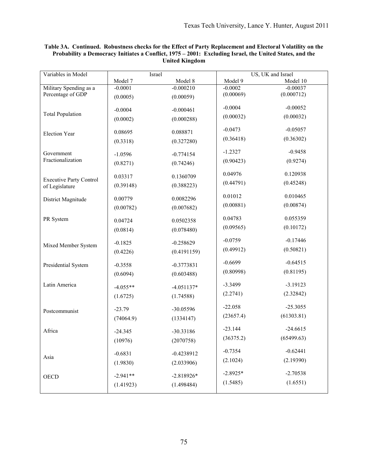| Variables in Model             | Israel     |              | US, UK and Israel |            |
|--------------------------------|------------|--------------|-------------------|------------|
|                                | Model 7    | Model 8      | Model 9           | Model 10   |
| Military Spending as a         | $-0.0001$  | $-0.000210$  | $-0.0002$         | $-0.00037$ |
| Percentage of GDP              | (0.0005)   | (0.00059)    | (0.00069)         | (0.000712) |
| <b>Total Population</b>        | $-0.0004$  | $-0.000461$  | $-0.0004$         | $-0.00052$ |
|                                | (0.0002)   | (0.000288)   | (0.00032)         | (0.00032)  |
| <b>Election Year</b>           | 0.08695    | 0.088871     | $-0.0473$         | $-0.05057$ |
|                                | (0.3318)   | (0.327280)   | (0.36418)         | (0.36302)  |
| Government                     | $-1.0596$  | $-0.774154$  | $-1.2327$         | $-0.9458$  |
| Fractionalization              | (0.8271)   | (0.74246)    | (0.90423)         | (0.9274)   |
| <b>Executive Party Control</b> | 0.03317    | 0.1360709    | 0.04976           | 0.120938   |
| of Legislature                 | (0.39148)  | (0.388223)   | (0.44791)         | (0.45248)  |
| District Magnitude             | 0.00779    | 0.0082296    | 0.01012           | 0.010465   |
|                                | (0.00782)  | (0.007682)   | (0.00881)         | (0.00874)  |
| PR System                      | 0.04724    | 0.0502358    | 0.04783           | 0.055359   |
|                                | (0.0814)   | (0.078480)   | (0.09565)         | (0.10172)  |
| Mixed Member System            | $-0.1825$  | $-0.258629$  | $-0.0759$         | $-0.17446$ |
|                                | (0.4226)   | (0.4191159)  | (0.49912)         | (0.50821)  |
| Presidential System            | $-0.3558$  | $-0.3773831$ | $-0.6699$         | $-0.64515$ |
|                                | (0.6094)   | (0.603488)   | (0.80998)         | (0.81195)  |
| Latin America                  | $-4.055**$ | $-4.051137*$ | $-3.3499$         | $-3.19123$ |
|                                | (1.6725)   | (1.74588)    | (2.2741)          | (2.32842)  |
| Postcommunist                  | $-23.79$   | -30.05596    | $-22.058$         | $-25.3055$ |
|                                | (74064.9)  | (1334147)    | (23657.4)         | (61303.81) |
| Africa                         | $-24.345$  | -30.33186    | $-23.144$         | $-24.6615$ |
|                                | (10976)    | (2070758)    | (36375.2)         | (65499.63) |
| Asia                           | $-0.6831$  | $-0.4238912$ | $-0.7354$         | $-0.62441$ |
|                                | (1.9830)   | (2.033906)   | (2.1024)          | (2.19390)  |
| <b>OECD</b>                    | $-2.941**$ | $-2.818926*$ | $-2.8925*$        | $-2.70538$ |
|                                | (1.41923)  | (1.498484)   | (1.5485)          | (1.6551)   |

## **Table 3A. Continued. Robustness checks for the Effect of Party Replacement and Electoral Volatility on the Probability a Democracy Initiates a Conflict, 1975 – 2001: Excluding Israel, the United States, and the United Kingdom**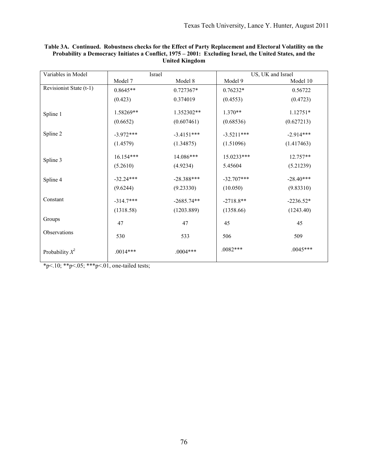| Variables in Model      | Israel      |              |              | US, UK and Israel |
|-------------------------|-------------|--------------|--------------|-------------------|
|                         | Model 7     | Model 8      | Model 9      | Model 10          |
| Revisionist State (t-1) | $0.8645**$  | 0.727367*    | $0.76232*$   | 0.56722           |
|                         | (0.423)     | 0.374019     | (0.4553)     | (0.4723)          |
| Spline 1                | 1.58269**   | 1.352302**   | $1.370**$    | 1.12751*          |
|                         | (0.6652)    | (0.607461)   | (0.68536)    | (0.627213)        |
| Spline 2                | $-3.972***$ | $-3.4151***$ | $-3.5211***$ | $-2.914***$       |
|                         | (1.4579)    | (1.34875)    | (1.51096)    | (1.417463)        |
| Spline 3                | 16.154***   | 14.086***    | 15.0233***   | 12.757**          |
|                         | (5.2610)    | (4.9234)     | 5.45604      | (5.21239)         |
| Spline 4                | $-32.24***$ | $-28.388***$ | $-32.707***$ | $-28.40***$       |
|                         | (9.6244)    | (9.23330)    | (10.050)     | (9.83310)         |
| Constant                | $-314.7***$ | $-2685.74**$ | $-2718.8**$  | $-2236.52*$       |
|                         | (1318.58)   | (1203.889)   | (1358.66)    | (1243.40)         |
| Groups                  | 47          | 47           | 45           | 45                |
| Observations            | 530         | 533          | 506          | 509               |
| Probability $X^2$       | $.0014***$  | $.0004***$   | $.0082***$   | $.0045***$        |

**Table 3A. Continued. Robustness checks for the Effect of Party Replacement and Electoral Volatility on the Probability a Democracy Initiates a Conflict, 1975 – 2001: Excluding Israel, the United States, and the United Kingdom** 

\*p<.10; \*\*p<.05; \*\*\*p<.01, one-tailed tests;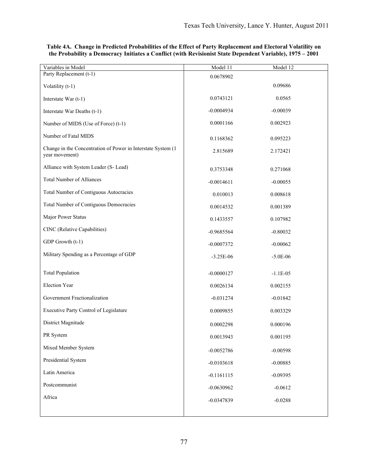| Variables in Model                                                             | Model 11     | Model 12   |
|--------------------------------------------------------------------------------|--------------|------------|
| Party Replacement (t-1)                                                        | 0.0678902    |            |
| Volatility (t-1)                                                               |              | 0.09686    |
| Interstate War $(t-1)$                                                         | 0.0743121    | 0.0565     |
| Interstate War Deaths (t-1)                                                    | $-0.0004934$ | $-0.00039$ |
| Number of MIDS (Use of Force) (t-1)                                            | 0.0001166    | 0.002923   |
| Number of Fatal MIDS                                                           | 0.1168362    | 0.095223   |
| Change in the Concentration of Power in Interstate System (1<br>year movement) | 2.815689     | 2.172421   |
| Alliance with System Leader (S- Lead)                                          | 0.3753348    | 0.271068   |
| <b>Total Number of Alliances</b>                                               | $-0.0014611$ | $-0.00055$ |
| <b>Total Number of Contiguous Autocracies</b>                                  | 0.010013     | 0.008618   |
| Total Number of Contiguous Democracies                                         | 0.0014532    | 0.001389   |
| Major Power Status                                                             | 0.1433557    | 0.107982   |
| CINC (Relative Capabilities)                                                   | $-0.9685564$ | $-0.80032$ |
| GDP Growth (t-1)                                                               | $-0.0007372$ | $-0.00062$ |
| Military Spending as a Percentage of GDP                                       | $-3.25E-06$  | $-5.0E-06$ |
| <b>Total Population</b>                                                        | $-0.0000127$ | $-1.1E-05$ |
| <b>Election Year</b>                                                           | 0.0026134    | 0.002155   |
| Government Fractionalization                                                   | $-0.031274$  | $-0.01842$ |
| Executive Party Control of Legislature                                         | 0.0009855    | 0.003329   |
| District Magnitude                                                             | 0.0002298    | 0.000196   |
| PR System                                                                      | 0.0013943    | 0.001195   |
| Mixed Member System                                                            | $-0.0052786$ | $-0.00598$ |
| Presidential System                                                            | $-0.0103618$ | $-0.00885$ |
| Latin America                                                                  | $-0.1161115$ | $-0.09395$ |
| Postcommunist                                                                  | $-0.0630962$ | $-0.0612$  |
| Africa                                                                         | $-0.0347839$ | $-0.0288$  |
|                                                                                |              |            |

## **Table 4A. Change in Predicted Probabilities of the Effect of Party Replacement and Electoral Volatility on the Probability a Democracy Initiates a Conflict (with Revisionist State Dependent Variable), 1975 – 2001**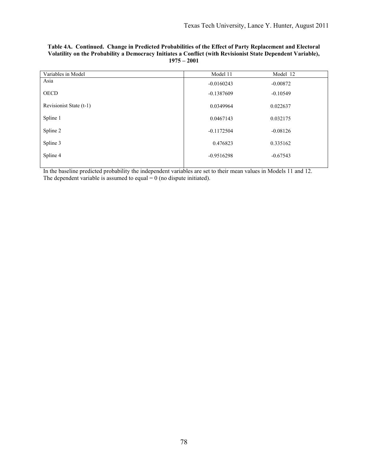| Variables in Model      | Model 11     | Model 12   |
|-------------------------|--------------|------------|
| Asia                    | $-0.0160243$ | $-0.00872$ |
| <b>OECD</b>             | $-0.1387609$ | $-0.10549$ |
| Revisionist State (t-1) | 0.0349964    | 0.022637   |
| Spline 1                | 0.0467143    | 0.032175   |
| Spline 2                | $-0.1172504$ | $-0.08126$ |
| Spline 3                | 0.476823     | 0.335162   |
| Spline 4                | $-0.9516298$ | $-0.67543$ |
|                         |              |            |

### **Table 4A. Continued. Change in Predicted Probabilities of the Effect of Party Replacement and Electoral Volatility on the Probability a Democracy Initiates a Conflict (with Revisionist State Dependent Variable), 1975 – 2001**

In the baseline predicted probability the independent variables are set to their mean values in Models 11 and 12. The dependent variable is assumed to equal  $= 0$  (no dispute initiated).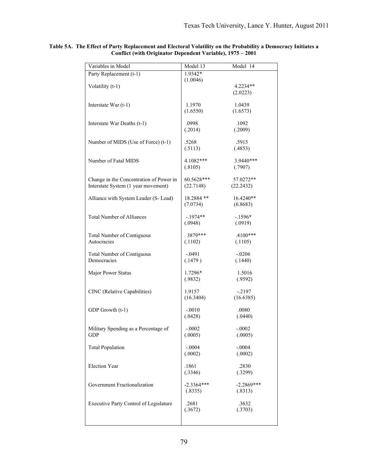| Variables in Model                               | Model 13                | Model 14                |
|--------------------------------------------------|-------------------------|-------------------------|
| Party Replacement (t-1)                          | 1.9342*                 |                         |
| Volatility (t-1)                                 | (1.0046)                | $4.2234**$              |
|                                                  |                         | (2.0223)                |
|                                                  |                         |                         |
| Interstate War $(t-1)$                           | 1.1970                  | 1.0439                  |
|                                                  | (1.6550)                | (1.6573)                |
| Interstate War Deaths (t-1)                      | .0998                   | .1092                   |
|                                                  | (.2014)                 | (.2009)                 |
|                                                  |                         |                         |
| Number of MIDS (Use of Force) (t-1)              | .5268<br>(.5113)        | .5915<br>(.4853)        |
|                                                  |                         |                         |
| Number of Fatal MIDS                             | $4.1082***$             | 3.9440***               |
|                                                  | (.8105)                 | (.7907)                 |
| Change in the Concentration of Power in          | 60.5628***              | 57.0272**               |
| Interstate System (1 year movement)              | (22.7148)               | (22.2432)               |
|                                                  |                         |                         |
| Alliance with System Leader (S- Lead)            | 18.2884 **              | 16.4240**               |
|                                                  | (7.0734)                | (6.8683)                |
| <b>Total Number of Alliances</b>                 | $-.1974**$              | $-1596*$                |
|                                                  | (.0948)                 | (.0919)                 |
|                                                  |                         |                         |
| <b>Total Number of Contiguous</b><br>Autocracies | $.3879***$<br>(.1102)   | $.4100***$<br>(.1105)   |
|                                                  |                         |                         |
| <b>Total Number of Contiguous</b>                | $-.0491$                | $-.0206$                |
| Democracies                                      | (.1479)                 | (.1440)                 |
| Major Power Status                               | 1.7296*                 | 1.5016                  |
|                                                  | (.9832)                 | (.9592)                 |
|                                                  |                         |                         |
| CINC (Relative Capabilities)                     | 1.9157<br>(16.3404)     | $-.2197$<br>(16.6385)   |
|                                                  |                         |                         |
| GDP Growth (t-1)                                 | $-.0010$                | .0080                   |
|                                                  | (.0428)                 | (.0440)                 |
| Military Spending as a Percentage of             | $-.0002$                | $-.0002$                |
| <b>GDP</b>                                       | (.0005)                 | (.0005)                 |
|                                                  |                         |                         |
| <b>Total Population</b>                          | $-.0004$                | $-.0004$                |
|                                                  | (.0002)                 | (.0002)                 |
| <b>Election Year</b>                             | .1861                   | .2830                   |
|                                                  | (.3346)                 | (.3299)                 |
|                                                  |                         |                         |
| Government Fractionalization                     | $-2.3364***$<br>(.8335) | $-2.2869***$<br>(.8313) |
|                                                  |                         |                         |
| Executive Party Control of Legislature           | .2681                   | .3632                   |
|                                                  | (.3672)                 | (.3703)                 |
|                                                  |                         |                         |
|                                                  |                         |                         |

#### **Table 5A. The Effect of Party Replacement and Electoral Volatility on the Probability a Democracy Initiates a Conflict (with Originator Dependent Variable), 1975 – 2001**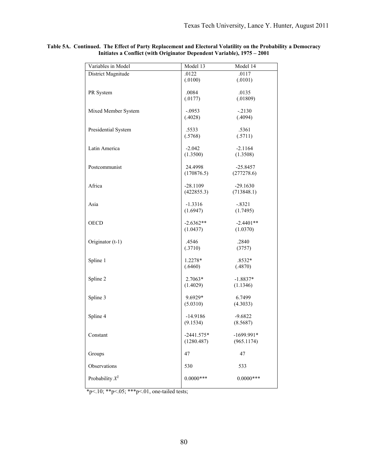| Variables in Model  | Model 13               | Model 14                 |
|---------------------|------------------------|--------------------------|
| District Magnitude  | .0122                  | .0117                    |
|                     | (.0100)                | (.0101)                  |
| PR System           | .0084                  | .0135                    |
|                     | (.0177)                | (.01809)                 |
|                     |                        |                          |
| Mixed Member System | $-.0953$               | $-.2130$                 |
|                     | (.4028)                | (.4094)                  |
| Presidential System | .5533                  | .5361                    |
|                     | (.5768)                | (.5711)                  |
|                     |                        |                          |
| Latin America       | $-2.042$<br>(1.3500)   | $-2.1164$<br>(1.3508)    |
|                     |                        |                          |
| Postcommunist       | 24.4998                | $-25.8457$               |
|                     | (170876.5)             | (277278.6)               |
| Africa              | $-28.1109$             |                          |
|                     | (422855.3)             | $-29.1630$<br>(713848.1) |
|                     |                        |                          |
| Asia                | $-1.3316$              | $-.8321$                 |
|                     | (1.6947)               | (1.7495)                 |
| <b>OECD</b>         | $-2.6362**$            | $-2.4401**$              |
|                     | (1.0437)               | (1.0370)                 |
|                     |                        |                          |
| Originator (t-1)    | .4546                  | .2840                    |
|                     | (.3710)                | (3757)                   |
| Spline 1            | 1.2278*                | $.8532*$                 |
|                     | (.6460)                | (.4870)                  |
|                     |                        |                          |
| Spline 2            | $2.7063*$              | $-1.8837*$               |
|                     | (1.4029)               | (1.1346)                 |
| Spline 3            | 9.6929*                | 6.7499                   |
|                     | (5.0310)               | (4.3033)                 |
|                     |                        |                          |
| Spline 4            | $-14.9186$<br>(9.1534) | $-9.6822$<br>(8.5687)    |
|                     |                        |                          |
| Constant            | $-2441.575*$           | $-1699.991*$             |
|                     | (1280.487)             | (965.1174)               |
|                     | 47                     | 47                       |
| Groups              |                        |                          |
| Observations        | 530                    | 533                      |
|                     |                        |                          |
| Probability $X^2$   | $0.0000***$            | $0.0000***$              |
|                     |                        |                          |

**Table 5A. Continued. The Effect of Party Replacement and Electoral Volatility on the Probability a Democracy Initiates a Conflict (with Originator Dependent Variable), 1975 – 2001**

\*p<.10; \*\*p<.05; \*\*\*p<.01, one-tailed tests;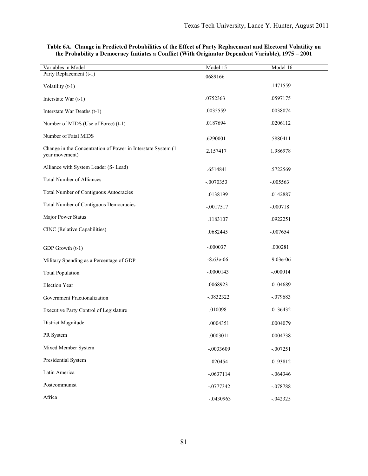| Variables in Model                                                             | Model 15    | Model 16   |
|--------------------------------------------------------------------------------|-------------|------------|
| Party Replacement (t-1)                                                        | .0689166    |            |
| Volatility (t-1)                                                               |             | .1471559   |
| Interstate War (t-1)                                                           | .0752363    | .0597175   |
| Interstate War Deaths (t-1)                                                    | .0035559    | .0038074   |
| Number of MIDS (Use of Force) (t-1)                                            | .0187694    | .0206112   |
| Number of Fatal MIDS                                                           | .6290001    | .5880411   |
| Change in the Concentration of Power in Interstate System (1<br>year movement) | 2.157417    | 1.986978   |
| Alliance with System Leader (S- Lead)                                          | .6514841    | .5722569   |
| <b>Total Number of Alliances</b>                                               | $-.0070353$ | $-.005563$ |
| Total Number of Contiguous Autocracies                                         | .0138199    | .0142887   |
| Total Number of Contiguous Democracies                                         | $-.0017517$ | $-.000718$ |
| Major Power Status                                                             | .1183107    | .0922251   |
| CINC (Relative Capabilities)                                                   | .0682445    | $-.007654$ |
| GDP Growth (t-1)                                                               | $-.000037$  | .000281    |
| Military Spending as a Percentage of GDP                                       | $-8.63e-06$ | $9.03e-06$ |
| <b>Total Population</b>                                                        | $-.0000143$ | $-.000014$ |
| Election Year                                                                  | .0068923    | .0104689   |
| Government Fractionalization                                                   | $-.0832322$ | $-.079683$ |
| Executive Party Control of Legislature                                         | .010098     | .0136432   |
| District Magnitude                                                             | .0004351    | .0004079   |
| PR System                                                                      | .0003011    | .0004738   |
| Mixed Member System                                                            | $-.0033609$ | $-.007251$ |
| Presidential System                                                            | .020454     | .0193812   |
| Latin America                                                                  | $-.0637114$ | $-.064346$ |
| Postcommunist                                                                  | $-.0777342$ | $-.078788$ |
| Africa                                                                         | $-.0430963$ | $-.042325$ |

## **Table 6A. Change in Predicted Probabilities of the Effect of Party Replacement and Electoral Volatility on the Probability a Democracy Initiates a Conflict (With Originator Dependent Variable), 1975 – 2001**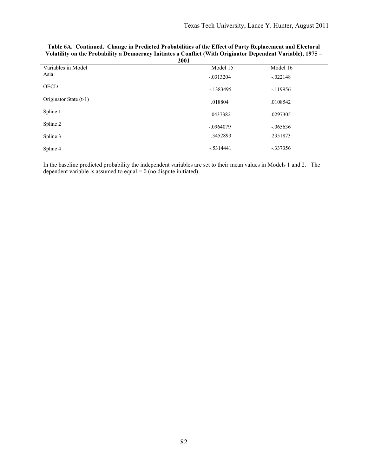| 2001                   |              |            |  |
|------------------------|--------------|------------|--|
| Variables in Model     | Model 15     | Model 16   |  |
| Asia                   | $-0.0313204$ | $-.022148$ |  |
| <b>OECD</b>            | $-1383495$   | $-119956$  |  |
| Originator State (t-1) | .018804      | .0108542   |  |
| Spline 1               | .0437382     | .0297305   |  |
| Spline 2               | $-.0964079$  | $-.065636$ |  |
| Spline 3               | .3452893     | .2351873   |  |
| Spline 4               | $-.5314441$  | $-.337356$ |  |
|                        |              |            |  |

| Table 6A. Continued. Change in Predicted Probabilities of the Effect of Party Replacement and Electoral     |
|-------------------------------------------------------------------------------------------------------------|
| Volatility on the Probability a Democracy Initiates a Conflict (With Originator Dependent Variable), 1975 – |
| 2001                                                                                                        |

In the baseline predicted probability the independent variables are set to their mean values in Models 1 and 2. The dependent variable is assumed to equal  $= 0$  (no dispute initiated).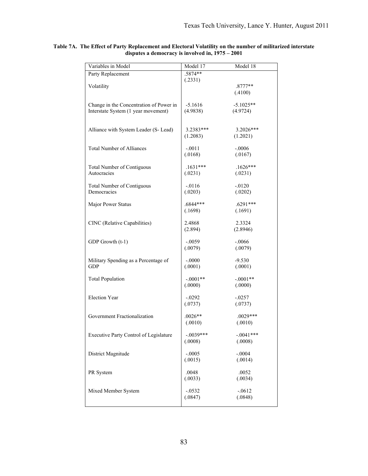| Variables in Model                            | Model 17            | Model 18             |
|-----------------------------------------------|---------------------|----------------------|
| Party Replacement                             | .5874**             |                      |
|                                               | (.2331)             |                      |
| Volatility                                    |                     | $.8777**$<br>(.4100) |
|                                               |                     |                      |
| Change in the Concentration of Power in       | $-5.1616$           | $-5.1025**$          |
| Interstate System (1 year movement)           | (4.9838)            | (4.9724)             |
|                                               |                     |                      |
| Alliance with System Leader (S-Lead)          | $3.2383***$         | $3.2026***$          |
|                                               | (1.2083)            | (1.2021)             |
|                                               |                     |                      |
| <b>Total Number of Alliances</b>              | $-.0011$<br>(.0168) | $-.0006$<br>(.0167)  |
|                                               |                     |                      |
| <b>Total Number of Contiguous</b>             | $.1631***$          | $.1626***$           |
| Autocracies                                   | (.0231)             | (.0231)              |
| <b>Total Number of Contiguous</b>             | $-0116$             | $-0.0120$            |
| Democracies                                   | (.0203)             | (.0202)              |
|                                               |                     |                      |
| Major Power Status                            | .6844***            | $.6291***$           |
|                                               | (.1698)             | (.1691)              |
| CINC (Relative Capabilities)                  | 2.4868              | 2.3324               |
|                                               | (2.894)             | (2.8946)             |
|                                               | $-.0059$            | $-.0066$             |
| GDP Growth (t-1)                              | (.0079)             | (.0079)              |
|                                               |                     |                      |
| Military Spending as a Percentage of          | $-.0000$            | $-9.530$             |
| <b>GDP</b>                                    | (.0001)             | (.0001)              |
| <b>Total Population</b>                       | $-.0001**$          | $-.0001**$           |
|                                               | (.0000)             | (.0000)              |
|                                               |                     |                      |
| <b>Election Year</b>                          | $-.0292$<br>(.0737) | $-.0257$<br>(.0737)  |
|                                               |                     |                      |
| Government Fractionalization                  | $.0026**$           | $.0029***$           |
|                                               | (.0010)             | (.0010)              |
| <b>Executive Party Control of Legislature</b> | $-.0039***$         | $-.0041***$          |
|                                               | (.0008)             | (.0008)              |
|                                               |                     |                      |
| District Magnitude                            | $-.0005$            | $-.0004$             |
|                                               | (.0015)             | (.0014)              |
| PR System                                     | .0048               | .0052                |
|                                               | (.0033)             | (.0034)              |
|                                               |                     |                      |
| Mixed Member System                           | $-.0532$<br>(.0847) | $-.0612$<br>(.0848)  |
|                                               |                     |                      |

#### **Table 7A. The Effect of Party Replacement and Electoral Volatility on the number of militarized interstate disputes a democracy is involved in, 1975 – 2001**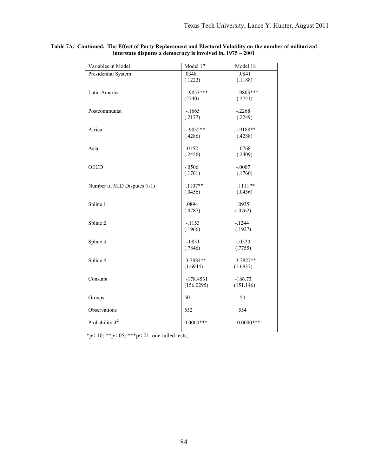| Variables in Model           | Model 17    | Model 18    |
|------------------------------|-------------|-------------|
| Presidential System          | .0348       | .0841       |
|                              | (.1222)     | (.1188)     |
| Latin America                | $-9853***$  | $-9803***$  |
|                              | (2740)      | (.2741)     |
|                              |             |             |
| Postcommunist                | $-.1665$    | $-.2268$    |
|                              | (.2177)     | (.2249)     |
|                              |             |             |
| Africa                       | $-.9032**$  | $-9188**$   |
|                              | (.4286)     | (.4288)     |
| Asia                         | .0152       | .0768       |
|                              | (.2456)     | (.2409)     |
|                              |             |             |
| <b>OECD</b>                  | $-.0506$    | $-.0007$    |
|                              | (.1761)     | (.1760)     |
|                              |             |             |
| Number of MID Disputes (t-1) | $.1107**$   | $.1111**$   |
|                              | (.0456)     | (.0456)     |
|                              |             |             |
| Spline 1                     | .0894       | .0935       |
|                              | (.0787)     | (.0762)     |
| Spline 2                     | $-1153$     | $-1244$     |
|                              | (.1966)     | (.1927)     |
|                              |             |             |
| Spline 3                     | $-.0831$    | $-.0520$    |
|                              | (.7846)     | (.7755)     |
|                              |             |             |
| Spline 4                     | 3.7884**    | 3.7827**    |
|                              | (1.6944)    | (1.6937)    |
| Constant                     | $-178.4531$ | $-186.73$   |
|                              | (156.0295)  | (151.146)   |
|                              |             |             |
| Groups                       | 50          | 50          |
|                              |             |             |
| Observations                 | 552         | 554         |
| Probability $X^2$            | $0.0000***$ | $0.0000***$ |
|                              |             |             |
|                              |             |             |

#### **Table 7A. Continued. The Effect of Party Replacement and Electoral Volatility on the number of militarized interstate disputes a democracy is involved in, 1975 – 2001**

\*p<.10; \*\*p<.05; \*\*\*p<.01, one-tailed tests;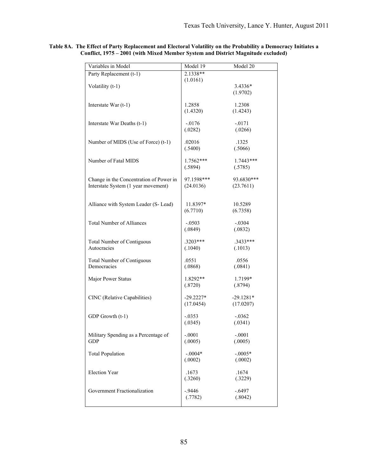| Variables in Model                      | Model 19    | Model 20         |
|-----------------------------------------|-------------|------------------|
| Party Replacement (t-1)                 | 2.1338**    |                  |
| Volatility (t-1)                        | (1.0161)    | $3.4336*$        |
|                                         |             | (1.9702)         |
|                                         |             |                  |
| Interstate War $(t-1)$                  | 1.2858      | 1.2308           |
|                                         | (1.4320)    | (1.4243)         |
| Interstate War Deaths (t-1)             | $-.0176$    | $-.0171$         |
|                                         | (.0282)     | (.0266)          |
|                                         | .02016      |                  |
| Number of MIDS (Use of Force) (t-1)     | (.5400)     | .1325<br>(.5066) |
|                                         |             |                  |
| Number of Fatal MIDS                    | 1.7562***   | $1.7443***$      |
|                                         | (.5894)     | (.5785)          |
| Change in the Concentration of Power in | 97.1598***  | 93.6830***       |
| Interstate System (1 year movement)     | (24.0136)   | (23.7611)        |
|                                         |             |                  |
| Alliance with System Leader (S- Lead)   | 11.8397*    | 10.5289          |
|                                         | (6.7710)    | (6.7358)         |
|                                         |             |                  |
| <b>Total Number of Alliances</b>        | $-.0503$    | $-.0304$         |
|                                         | (.0849)     | (.0832)          |
| <b>Total Number of Contiguous</b>       | $.3203***$  | $.3433***$       |
| Autocracies                             | (.1040)     | (.1013)          |
| <b>Total Number of Contiguous</b>       | .0551       | .0556            |
| Democracies                             | (.0868)     | (.0841)          |
|                                         |             |                  |
| Major Power Status                      | 1.8292**    | 1.7199*          |
|                                         | (.8720)     | (.8794)          |
| CINC (Relative Capabilities)            | $-29.2227*$ | $-29.1281*$      |
|                                         | (17.0454)   | (17.0207)        |
| GDP Growth (t-1)                        | $-.0353$    | $-.0362$         |
|                                         | (.0345)     | (.0341)          |
|                                         |             |                  |
| Military Spending as a Percentage of    | $-.0001$    | $-.0001$         |
| GDP                                     | (.0005)     | (.0005)          |
| <b>Total Population</b>                 | $-.0004*$   | $-.0005*$        |
|                                         | (.0002)     | (.0002)          |
| <b>Election Year</b>                    | .1673       | .1674            |
|                                         | (.3260)     | (.3229)          |
|                                         |             |                  |
| Government Fractionalization            | $-0.9446$   | $-.6497$         |
|                                         | (.7782)     | (.8042)          |
|                                         |             |                  |

**Table 8A. The Effect of Party Replacement and Electoral Volatility on the Probability a Democracy Initiates a Conflict, 1975 – 2001 (with Mixed Member System and District Magnitude excluded)**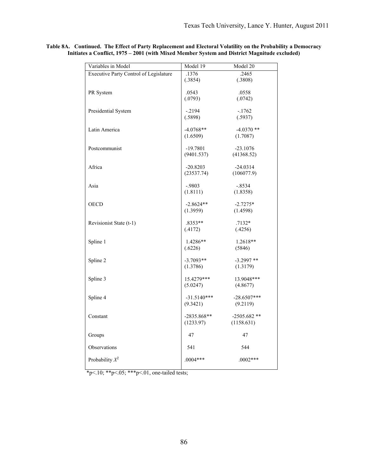| Variables in Model                            | Model 19                  | Model 20                  |
|-----------------------------------------------|---------------------------|---------------------------|
| <b>Executive Party Control of Legislature</b> | .1376                     | .2465                     |
|                                               | (.3854)                   | (.3808)                   |
| PR System                                     | .0543                     | .0558                     |
|                                               | (.0793)                   | (.0742)                   |
|                                               |                           |                           |
| Presidential System                           | $-2194$                   | $-1762$                   |
|                                               | (.5898)                   | (.5937)                   |
| Latin America                                 | $-4.0768**$               | $-4.0370**$               |
|                                               | (1.6509)                  | (1.7087)                  |
|                                               |                           |                           |
| Postcommunist                                 | $-19.7801$                | $-23.1076$                |
|                                               | (9401.537)                | (41368.52)                |
| Africa                                        | $-20.8203$                | $-24.0314$                |
|                                               | (23537.74)                | (106077.9)                |
|                                               |                           |                           |
| Asia                                          | $-.9803$                  | $-.8534$                  |
|                                               | (1.8111)                  | (1.8358)                  |
| <b>OECD</b>                                   | $-2.8624**$               | $-2.7275*$                |
|                                               | (1.3959)                  | (1.4598)                  |
|                                               |                           |                           |
| Revisionist State (t-1)                       | $.8353**$                 | $.7132*$                  |
|                                               | (.4172)                   | (.4256)                   |
| Spline 1                                      | 1.4286**                  | $1.2618**$                |
|                                               | (.6226)                   | (5846)                    |
|                                               |                           |                           |
| Spline 2                                      | $-3.7093**$<br>(1.3786)   | $-3.2997$ **<br>(1.3179)  |
|                                               |                           |                           |
| Spline 3                                      | 15.4279***                | 13.9048***                |
|                                               | (5.0247)                  | (4.8677)                  |
|                                               |                           |                           |
| Spline 4                                      | $-31.5140***$<br>(9.3421) | $-28.6507***$<br>(9.2119) |
|                                               |                           |                           |
| Constant                                      | $-2835.868**$             | $-2505.682$ **            |
|                                               | (1233.97)                 | (1158.631)                |
|                                               |                           | 47                        |
| Groups                                        | 47                        |                           |
| Observations                                  | 541                       | 544                       |
|                                               |                           |                           |
| Probability $X^2$                             | $.0004***$                | $.0002***$                |
|                                               |                           |                           |

**Table 8A. Continued. The Effect of Party Replacement and Electoral Volatility on the Probability a Democracy Initiates a Conflict, 1975 – 2001 (with Mixed Member System and District Magnitude excluded)**

\*p<.10; \*\*p<.05; \*\*\*p<.01, one-tailed tests;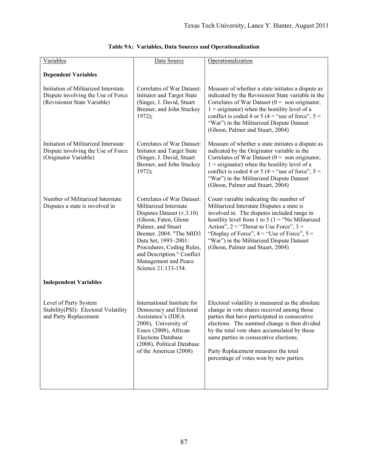| Variables                                                                                                  | Data Source                                                                                                                                                                                                                                                                                  | Operationalization                                                                                                                                                                                                                                                                                                                                                           |
|------------------------------------------------------------------------------------------------------------|----------------------------------------------------------------------------------------------------------------------------------------------------------------------------------------------------------------------------------------------------------------------------------------------|------------------------------------------------------------------------------------------------------------------------------------------------------------------------------------------------------------------------------------------------------------------------------------------------------------------------------------------------------------------------------|
| <b>Dependent Variables</b>                                                                                 |                                                                                                                                                                                                                                                                                              |                                                                                                                                                                                                                                                                                                                                                                              |
| Initiation of Militarized Interstate<br>Dispute involving the Use of Force<br>(Revisionist State Variable) | Correlates of War Dataset:<br>Initiator and Target State<br>(Singer, J. David, Stuart<br>Bremer, and John Stuckey<br>1972);                                                                                                                                                                  | Measure of whether a state initiates a dispute as<br>indicated by the Revisionist State variable in the<br>Correlates of War Dataset ( $0 = \text{non originator}$ ,<br>$1 =$ originator) when the hostility level of a<br>conflict is coded 4 or 5 (4 = "use of force", $5 =$<br>"War") in the Militarized Dispute Dataset<br>(Ghosn, Palmer and Stuart, 2004)              |
| Initiation of Militarized Interstate<br>Dispute involving the Use of Force<br>(Originator Variable)        | Correlates of War Dataset:<br>Initiator and Target State<br>(Singer, J. David, Stuart<br>Bremer, and John Stuckey<br>1972);                                                                                                                                                                  | Measure of whether a state initiates a dispute as<br>indicated by the Originator variable in the<br>Correlates of War Dataset ( $0 = \text{non originator}$ ,<br>$1 =$ originator) when the hostility level of a<br>conflict is coded 4 or 5 (4 = "use of force", $5 =$<br>"War") in the Militarized Dispute Dataset<br>(Ghosn, Palmer and Stuart, 2004)                     |
| Number of Militarized Interstate<br>Disputes a state is involved in                                        | Correlates of War Dataset:<br>Militarized Interstate<br>Disputes Dataset (v.3.10)<br>(Ghosn, Faten, Glenn<br>Palmer, and Stuart<br>Bremer. 2004. "The MID3<br>Data Set, 1993-2001:<br>Procedures, Coding Rules,<br>and Description." Conflict<br>Management and Peace<br>Science 21:133-154. | Count variable indicating the number of<br>Militarized Interstate Disputes a state is<br>involved in. The disputes included range in<br>hostility level from 1 to 5 (1 = "No Militarized<br>Action", $2 =$ "Threat to Use Force", $3 =$<br>"Display of Force", $4 =$ "Use of Force", $5 =$<br>"War") in the Militarized Dispute Dataset<br>(Ghosn, Palmer and Stuart, 2004)  |
| <b>Independent Variables</b>                                                                               |                                                                                                                                                                                                                                                                                              |                                                                                                                                                                                                                                                                                                                                                                              |
| Level of Party System<br>Stability(PSI): Electoral Volatility<br>and Party Replacement                     | International Institute for<br>Democracy and Electoral<br>Assistance's (IDEA<br>2008), University of<br>Essex (2008), African<br><b>Elections Database</b><br>(2008), Political Database<br>of the Americas (2008)                                                                           | Electoral volatility is measured as the absolute<br>change in vote shares received among those<br>parties that have participated in consecutive<br>elections. The summed change is then divided<br>by the total vote share accumulated by those<br>same parties in consecutive elections.<br>Party Replacement measures the total<br>percentage of votes won by new parties. |

| Table 9A: Variables, Data Sources and Operationalization |  |  |  |  |
|----------------------------------------------------------|--|--|--|--|
|----------------------------------------------------------|--|--|--|--|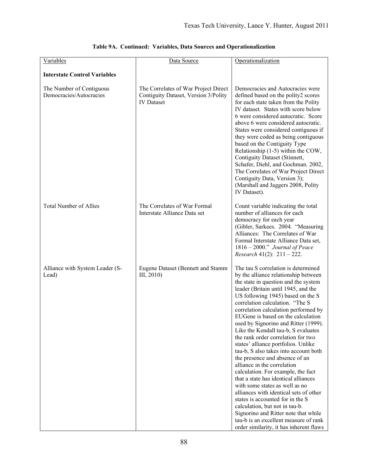| Variables                                           | Data Source                                                                                       | Operationalization                                                                                                                                                                                                                                                                                                                                                                                                                                                                                                                                                                                                                                                                                                                                                                                                                                                                                                                                |
|-----------------------------------------------------|---------------------------------------------------------------------------------------------------|---------------------------------------------------------------------------------------------------------------------------------------------------------------------------------------------------------------------------------------------------------------------------------------------------------------------------------------------------------------------------------------------------------------------------------------------------------------------------------------------------------------------------------------------------------------------------------------------------------------------------------------------------------------------------------------------------------------------------------------------------------------------------------------------------------------------------------------------------------------------------------------------------------------------------------------------------|
| <b>Interstate Control Variables</b>                 |                                                                                                   |                                                                                                                                                                                                                                                                                                                                                                                                                                                                                                                                                                                                                                                                                                                                                                                                                                                                                                                                                   |
| The Number of Contiguous<br>Democracies/Autocracies | The Correlates of War Project Direct<br>Contiguity Dataset, Version 3/Polity<br><b>IV</b> Dataset | Democracies and Autocracies were<br>defined based on the polity2 scores<br>for each state taken from the Polity<br>IV dataset. States with score below<br>6 were considered autocratic. Score<br>above 6 were considered autocratic.<br>States were considered contiguous if<br>they were coded as being contiguous<br>based on the Contiguity Type<br>Relationship (1-5) within the COW,<br>Contiguity Dataset (Stinnett,<br>Schafer, Diehl, and Gochman. 2002,<br>The Correlates of War Project Direct<br>Contiguity Data, Version 3);<br>(Marshall and Jaggers 2008, Polity<br>IV Dataset).                                                                                                                                                                                                                                                                                                                                                    |
| <b>Total Number of Allies</b>                       | The Correlates of War Formal<br>Interstate Alliance Data set                                      | Count variable indicating the total<br>number of alliances for each<br>democracy for each year<br>(Gibler, Sarkees. 2004. "Measuring<br>Alliances: The Correlates of War<br>Formal Interstate Alliance Data set,<br>1816 - 2000." Journal of Peace<br><i>Research</i> 41(2): $211 - 222$ .                                                                                                                                                                                                                                                                                                                                                                                                                                                                                                                                                                                                                                                        |
| Alliance with System Leader (S-<br>Lead)            | Eugene Dataset (Bennett and Stamm<br>III, 2010)                                                   | The tau S correlation is determined<br>by the alliance relationship between<br>the state in question and the system<br>leader (Britain until 1945, and the<br>US following 1945) based on the S<br>correlation calculation. "The S<br>correlation calculation performed by<br>EUGene is based on the calculation<br>used by Signorino and Ritter (1999)<br>Like the Kendall tau-b, S evaluates<br>the rank order correlation for two<br>states' alliance portfolios. Unlike<br>tau-b, S also takes into account both<br>the presence and absence of an<br>alliance in the correlation<br>calculation. For example, the fact<br>that a state has identical alliances<br>with some states as well as no<br>alliances with identical sets of other<br>states is accounted for in the S<br>calculation, but not in tau-b.<br>Signorino and Ritter note that while<br>tau-b is an excellent measure of rank<br>order similarity, it has inherent flaws |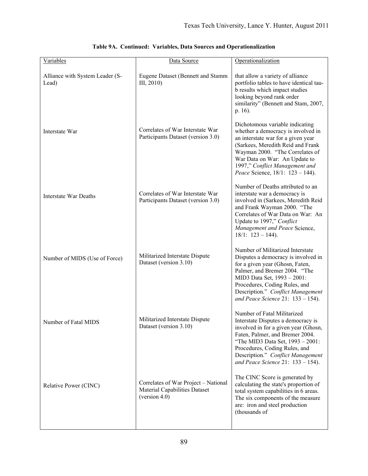| Variables                                | Data Source                                                                            | Operationalization                                                                                                                                                                                                                                                                             |
|------------------------------------------|----------------------------------------------------------------------------------------|------------------------------------------------------------------------------------------------------------------------------------------------------------------------------------------------------------------------------------------------------------------------------------------------|
| Alliance with System Leader (S-<br>Lead) | Eugene Dataset (Bennett and Stamm<br>III, 2010)                                        | that allow a variety of alliance<br>portfolio tables to have identical tau-<br>b results which impact studies<br>looking beyond rank order<br>similarity" (Bennett and Stam, 2007,<br>p. 16).                                                                                                  |
| Interstate War                           | Correlates of War Interstate War<br>Participants Dataset (version 3.0)                 | Dichotomous variable indicating<br>whether a democracy is involved in<br>an interstate war for a given year<br>(Sarkees, Meredith Reid and Frank<br>Wayman 2000. "The Correlates of<br>War Data on War: An Update to<br>1997," Conflict Management and<br>Peace Science, 18/1: 123 - 144).     |
| Interstate War Deaths                    | Correlates of War Interstate War<br>Participants Dataset (version 3.0)                 | Number of Deaths attributed to an<br>interstate war a democracy is<br>involved in (Sarkees, Meredith Reid<br>and Frank Wayman 2000. "The<br>Correlates of War Data on War: An<br>Update to 1997," Conflict<br>Management and Peace Science,<br>$18/1$ : $123 - 144$ ).                         |
| Number of MIDS (Use of Force)            | Militarized Interstate Dispute<br>Dataset (version 3.10)                               | Number of Militarized Interstate<br>Disputes a democracy is involved in<br>for a given year (Ghosn, Faten,<br>Palmer, and Bremer 2004. "The<br>MID3 Data Set, 1993 - 2001:<br>Procedures, Coding Rules, and<br>Description." Conflict Management<br>and Peace Science 21: $133 - 154$ ).       |
| Number of Fatal MIDS                     | Militarized Interstate Dispute<br>Dataset (version 3.10)                               | Number of Fatal Militarized<br>Interstate Disputes a democracy is<br>involved in for a given year (Ghosn,<br>Faten, Palmer, and Bremer 2004.<br>"The MID3 Data Set, 1993 - 2001:<br>Procedures, Coding Rules, and<br>Description." Conflict Management<br>and Peace Science 21: $133 - 154$ ). |
| Relative Power (CINC)                    | Correlates of War Project - National<br>Material Capabilities Dataset<br>(version 4.0) | The CINC Score is generated by<br>calculating the state's proportion of<br>total system capabilities in 6 areas.<br>The six components of the measure<br>are: iron and steel production<br>(thousands of                                                                                       |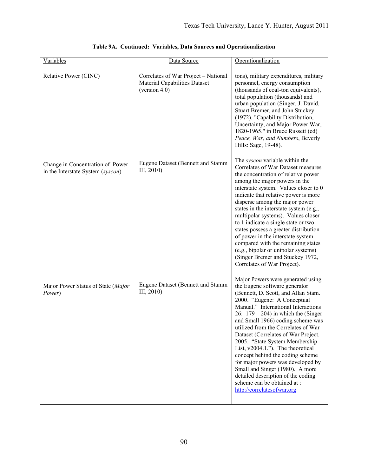| Variables                                                             | Data Source                                                                                      | Operationalization                                                                                                                                                                                                                                                                                                                                                                                                                                                                                                                                                                                                                    |
|-----------------------------------------------------------------------|--------------------------------------------------------------------------------------------------|---------------------------------------------------------------------------------------------------------------------------------------------------------------------------------------------------------------------------------------------------------------------------------------------------------------------------------------------------------------------------------------------------------------------------------------------------------------------------------------------------------------------------------------------------------------------------------------------------------------------------------------|
| Relative Power (CINC)                                                 | Correlates of War Project - National<br><b>Material Capabilities Dataset</b><br>(version $4.0$ ) | tons), military expenditures, military<br>personnel, energy consumption<br>(thousands of coal-ton equivalents),<br>total population (thousands) and<br>urban population (Singer, J. David,<br>Stuart Bremer, and John Stuckey.<br>(1972). "Capability Distribution,<br>Uncertainty, and Major Power War,<br>1820-1965." in Bruce Russett (ed)<br>Peace, War, and Numbers, Beverly<br>Hills: Sage, 19-48).                                                                                                                                                                                                                             |
| Change in Concentration of Power<br>in the Interstate System (syscon) | Eugene Dataset (Bennett and Stamm<br>III, 2010                                                   | The <i>syscon</i> variable within the<br>Correlates of War Dataset measures<br>the concentration of relative power<br>among the major powers in the<br>interstate system. Values closer to 0<br>indicate that relative power is more<br>disperse among the major power<br>states in the interstate system (e.g.,<br>multipolar systems). Values closer<br>to 1 indicate a single state or two<br>states possess a greater distribution<br>of power in the interstate system<br>compared with the remaining states<br>(e.g., bipolar or unipolar systems)<br>(Singer Bremer and Stuckey 1972,<br>Correlates of War Project).           |
| Major Power Status of State (Major<br>Power)                          | Eugene Dataset (Bennett and Stamm<br>III, 2010)                                                  | Major Powers were generated using<br>the Eugene software generator<br>(Bennett, D. Scott, and Allan Stam.<br>2000. "Eugene: A Conceptual<br>Manual." International Interactions<br>26: $179 - 204$ ) in which the (Singer<br>and Small 1966) coding scheme was<br>utilized from the Correlates of War<br>Dataset (Correlates of War Project.<br>2005. "State System Membership<br>List, $v2004.1$ ."). The theoretical<br>concept behind the coding scheme<br>for major powers was developed by<br>Small and Singer (1980). A more<br>detailed description of the coding<br>scheme can be obtained at :<br>http://correlatesofwar.org |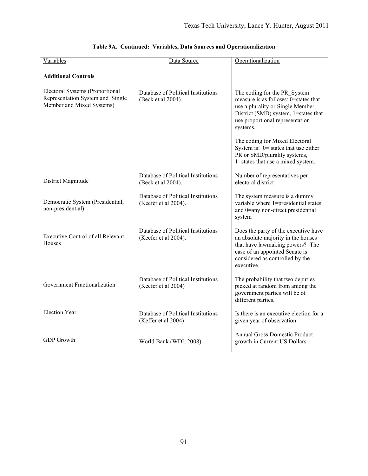| <b>Variables</b>                                                                                 | Data Source                                                | Operationalization                                                                                                                                                                              |
|--------------------------------------------------------------------------------------------------|------------------------------------------------------------|-------------------------------------------------------------------------------------------------------------------------------------------------------------------------------------------------|
| <b>Additional Controls</b>                                                                       |                                                            |                                                                                                                                                                                                 |
| Electoral Systems (Proportional<br>Representation System and Single<br>Member and Mixed Systems) | Database of Political Institutions<br>(Beck et al 2004).   | The coding for the PR System<br>measure is as follows: 0=states that<br>use a plurality or Single Member<br>District (SMD) system, 1=states that<br>use proportional representation<br>systems. |
|                                                                                                  |                                                            | The coding for Mixed Electoral<br>System is: $0$ = states that use either<br>PR or SMD/plurality systems,<br>1=states that use a mixed system.                                                  |
| District Magnitude                                                                               | Database of Political Institutions<br>(Beck et al 2004).   | Number of representatives per<br>electoral district                                                                                                                                             |
| Democratic System (Presidential,<br>non-presidential)                                            | Database of Political Institutions<br>(Keefer et al 2004). | The system measure is a dummy<br>variable where 1=presidential states<br>and 0=any non-direct presidential<br>system                                                                            |
| <b>Executive Control of all Relevant</b><br><b>Houses</b>                                        | Database of Political Institutions<br>(Keefer et al 2004). | Does the party of the executive have<br>an absolute majority in the houses<br>that have lawmaking powers? The<br>case of an appointed Senate is<br>considered as controlled by the<br>executive |
| Government Fractionalization                                                                     | Database of Political Institutions<br>(Keefer et al 2004)  | The probability that two deputies<br>picked at random from among the<br>government parties will be of<br>different parties.                                                                     |
| <b>Election Year</b>                                                                             | Database of Political Institutions<br>(Keffer et al 2004)  | Is there is an executive election for a<br>given year of observation.                                                                                                                           |
| <b>GDP</b> Growth                                                                                | World Bank (WDI, 2008)                                     | <b>Annual Gross Domestic Product</b><br>growth in Current US Dollars.                                                                                                                           |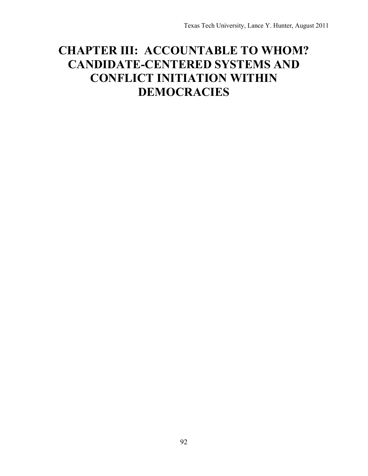# **CHAPTER III: ACCOUNTABLE TO WHOM? CANDIDATE-CENTERED SYSTEMS AND CONFLICT INITIATION WITHIN DEMOCRACIES**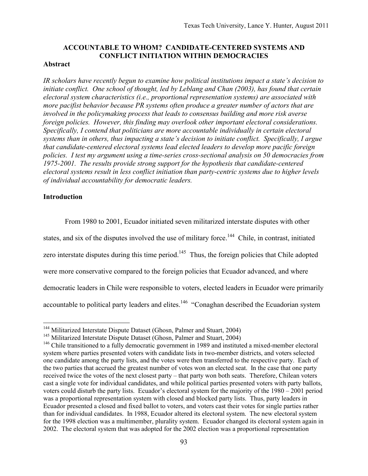# **ACCOUNTABLE TO WHOM? CANDIDATE-CENTERED SYSTEMS AND CONFLICT INITIATION WITHIN DEMOCRACIES**

# **Abstract**

*IR scholars have recently begun to examine how political institutions impact a state's decision to initiate conflict. One school of thought, led by Leblang and Chan (2003), has found that certain electoral system characteristics (i.e., proportional representation systems) are associated with more pacifist behavior because PR systems often produce a greater number of actors that are involved in the policymaking process that leads to consensus building and more risk averse foreign policies. However, this finding may overlook other important electoral considerations. Specifically, I contend that politicians are more accountable individually in certain electoral systems than in others, thus impacting a state's decision to initiate conflict. Specifically, I argue that candidate-centered electoral systems lead elected leaders to develop more pacific foreign policies. I test my argument using a time-series cross-sectional analysis on 50 democracies from 1975-2001. The results provide strong support for the hypothesis that candidate-centered electoral systems result in less conflict initiation than party-centric systems due to higher levels of individual accountability for democratic leaders.*

# **Introduction**

1

From 1980 to 2001, Ecuador initiated seven militarized interstate disputes with other states, and six of the disputes involved the use of military force.<sup>144</sup> Chile, in contrast, initiated zero interstate disputes during this time period.<sup>145</sup> Thus, the foreign policies that Chile adopted were more conservative compared to the foreign policies that Ecuador advanced, and where democratic leaders in Chile were responsible to voters, elected leaders in Ecuador were primarily accountable to political party leaders and elites.<sup>146</sup> "Conaghan described the Ecuadorian system

<sup>&</sup>lt;sup>144</sup> Militarized Interstate Dispute Dataset (Ghosn, Palmer and Stuart, 2004)

<sup>&</sup>lt;sup>145</sup> Militarized Interstate Dispute Dataset (Ghosn, Palmer and Stuart, 2004)

 $146$  Chile transitioned to a fully democratic government in 1989 and instituted a mixed-member electoral system where parties presented voters with candidate lists in two-member districts, and voters selected one candidate among the party lists, and the votes were then transferred to the respective party. Each of the two parties that accrued the greatest number of votes won an elected seat. In the case that one party received twice the votes of the next closest party – that party won both seats. Therefore, Chilean voters cast a single vote for individual candidates, and while political parties presented voters with party ballots, voters could disturb the party lists. Ecuador's electoral system for the majority of the 1980 – 2001 period was a proportional representation system with closed and blocked party lists. Thus, party leaders in Ecuador presented a closed and fixed ballot to voters, and voters cast their votes for single parties rather than for individual candidates. In 1988, Ecuador altered its electoral system. The new electoral system for the 1998 election was a multimember, plurality system. Ecuador changed its electoral system again in 2002. The electoral system that was adopted for the 2002 election was a proportional representation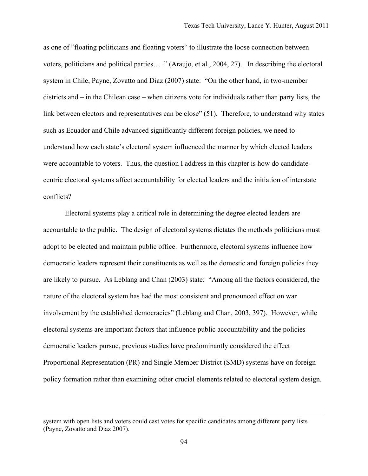as one of "floating politicians and floating voters" to illustrate the loose connection between voters, politicians and political parties… ." (Araujo, et al., 2004, 27). In describing the electoral system in Chile, Payne, Zovatto and Diaz (2007) state: "On the other hand, in two-member districts and – in the Chilean case – when citizens vote for individuals rather than party lists, the link between electors and representatives can be close" (51). Therefore, to understand why states such as Ecuador and Chile advanced significantly different foreign policies, we need to understand how each state's electoral system influenced the manner by which elected leaders were accountable to voters. Thus, the question I address in this chapter is how do candidatecentric electoral systems affect accountability for elected leaders and the initiation of interstate conflicts?

Electoral systems play a critical role in determining the degree elected leaders are accountable to the public. The design of electoral systems dictates the methods politicians must adopt to be elected and maintain public office. Furthermore, electoral systems influence how democratic leaders represent their constituents as well as the domestic and foreign policies they are likely to pursue. As Leblang and Chan (2003) state: "Among all the factors considered, the nature of the electoral system has had the most consistent and pronounced effect on war involvement by the established democracies" (Leblang and Chan, 2003, 397). However, while electoral systems are important factors that influence public accountability and the policies democratic leaders pursue, previous studies have predominantly considered the effect Proportional Representation (PR) and Single Member District (SMD) systems have on foreign policy formation rather than examining other crucial elements related to electoral system design.

 $\overline{a}$ 

system with open lists and voters could cast votes for specific candidates among different party lists (Payne, Zovatto and Diaz 2007).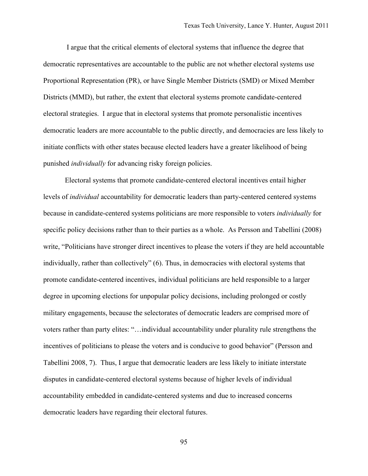I argue that the critical elements of electoral systems that influence the degree that democratic representatives are accountable to the public are not whether electoral systems use Proportional Representation (PR), or have Single Member Districts (SMD) or Mixed Member Districts (MMD), but rather, the extent that electoral systems promote candidate-centered electoral strategies. I argue that in electoral systems that promote personalistic incentives democratic leaders are more accountable to the public directly, and democracies are less likely to initiate conflicts with other states because elected leaders have a greater likelihood of being punished *individually* for advancing risky foreign policies.

Electoral systems that promote candidate-centered electoral incentives entail higher levels of *individual* accountability for democratic leaders than party-centered centered systems because in candidate-centered systems politicians are more responsible to voters *individually* for specific policy decisions rather than to their parties as a whole. As Persson and Tabellini (2008) write, "Politicians have stronger direct incentives to please the voters if they are held accountable individually, rather than collectively" (6). Thus, in democracies with electoral systems that promote candidate-centered incentives, individual politicians are held responsible to a larger degree in upcoming elections for unpopular policy decisions, including prolonged or costly military engagements, because the selectorates of democratic leaders are comprised more of voters rather than party elites: "…individual accountability under plurality rule strengthens the incentives of politicians to please the voters and is conducive to good behavior" (Persson and Tabellini 2008, 7). Thus, I argue that democratic leaders are less likely to initiate interstate disputes in candidate-centered electoral systems because of higher levels of individual accountability embedded in candidate-centered systems and due to increased concerns democratic leaders have regarding their electoral futures.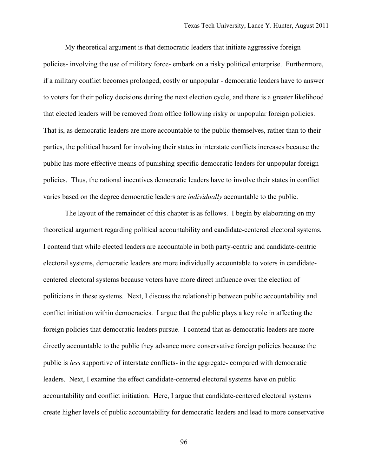My theoretical argument is that democratic leaders that initiate aggressive foreign policies- involving the use of military force- embark on a risky political enterprise. Furthermore, if a military conflict becomes prolonged, costly or unpopular - democratic leaders have to answer to voters for their policy decisions during the next election cycle, and there is a greater likelihood that elected leaders will be removed from office following risky or unpopular foreign policies. That is, as democratic leaders are more accountable to the public themselves, rather than to their parties, the political hazard for involving their states in interstate conflicts increases because the public has more effective means of punishing specific democratic leaders for unpopular foreign policies. Thus, the rational incentives democratic leaders have to involve their states in conflict varies based on the degree democratic leaders are *individually* accountable to the public.

The layout of the remainder of this chapter is as follows. I begin by elaborating on my theoretical argument regarding political accountability and candidate-centered electoral systems. I contend that while elected leaders are accountable in both party-centric and candidate-centric electoral systems, democratic leaders are more individually accountable to voters in candidatecentered electoral systems because voters have more direct influence over the election of politicians in these systems. Next, I discuss the relationship between public accountability and conflict initiation within democracies. I argue that the public plays a key role in affecting the foreign policies that democratic leaders pursue. I contend that as democratic leaders are more directly accountable to the public they advance more conservative foreign policies because the public is *less* supportive of interstate conflicts- in the aggregate- compared with democratic leaders. Next, I examine the effect candidate-centered electoral systems have on public accountability and conflict initiation. Here, I argue that candidate-centered electoral systems create higher levels of public accountability for democratic leaders and lead to more conservative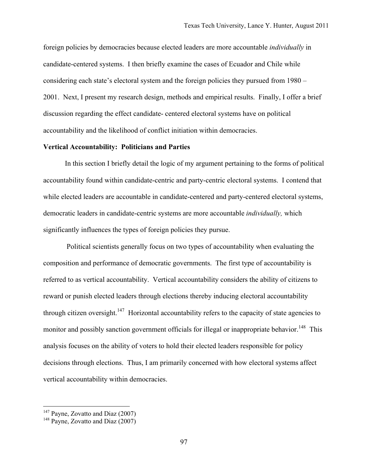foreign policies by democracies because elected leaders are more accountable *individually* in candidate-centered systems. I then briefly examine the cases of Ecuador and Chile while considering each state's electoral system and the foreign policies they pursued from 1980 – 2001. Next, I present my research design, methods and empirical results. Finally, I offer a brief discussion regarding the effect candidate- centered electoral systems have on political accountability and the likelihood of conflict initiation within democracies.

## **Vertical Accountability: Politicians and Parties**

In this section I briefly detail the logic of my argument pertaining to the forms of political accountability found within candidate-centric and party-centric electoral systems. I contend that while elected leaders are accountable in candidate-centered and party-centered electoral systems, democratic leaders in candidate-centric systems are more accountable *individually,* which significantly influences the types of foreign policies they pursue.

Political scientists generally focus on two types of accountability when evaluating the composition and performance of democratic governments. The first type of accountability is referred to as vertical accountability. Vertical accountability considers the ability of citizens to reward or punish elected leaders through elections thereby inducing electoral accountability through citizen oversight.<sup>147</sup> Horizontal accountability refers to the capacity of state agencies to monitor and possibly sanction government officials for illegal or inappropriate behavior.<sup>148</sup> This analysis focuses on the ability of voters to hold their elected leaders responsible for policy decisions through elections. Thus, I am primarily concerned with how electoral systems affect vertical accountability within democracies.

<u>.</u>

 $147$  Payne, Zovatto and Diaz (2007)

<sup>&</sup>lt;sup>148</sup> Payne, Zovatto and Diaz (2007)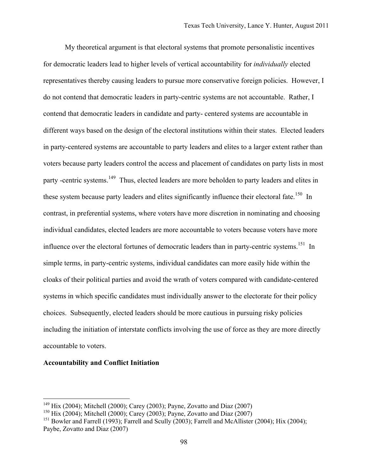My theoretical argument is that electoral systems that promote personalistic incentives for democratic leaders lead to higher levels of vertical accountability for *individually* elected representatives thereby causing leaders to pursue more conservative foreign policies. However, I do not contend that democratic leaders in party-centric systems are not accountable. Rather, I contend that democratic leaders in candidate and party- centered systems are accountable in different ways based on the design of the electoral institutions within their states. Elected leaders in party-centered systems are accountable to party leaders and elites to a larger extent rather than voters because party leaders control the access and placement of candidates on party lists in most party -centric systems.<sup>149</sup> Thus, elected leaders are more beholden to party leaders and elites in these system because party leaders and elites significantly influence their electoral fate.<sup>150</sup> In contrast, in preferential systems, where voters have more discretion in nominating and choosing individual candidates, elected leaders are more accountable to voters because voters have more influence over the electoral fortunes of democratic leaders than in party-centric systems.<sup>151</sup> In simple terms, in party-centric systems, individual candidates can more easily hide within the cloaks of their political parties and avoid the wrath of voters compared with candidate-centered systems in which specific candidates must individually answer to the electorate for their policy choices. Subsequently, elected leaders should be more cautious in pursuing risky policies including the initiation of interstate conflicts involving the use of force as they are more directly accountable to voters.

## **Accountability and Conflict Initiation**

 $\overline{a}$ 

<sup>&</sup>lt;sup>149</sup> Hix (2004); Mitchell (2000); Carey (2003); Payne, Zovatto and Diaz (2007)

<sup>&</sup>lt;sup>150</sup> Hix (2004); Mitchell (2000); Carey (2003); Payne, Zovatto and Diaz (2007)

<sup>&</sup>lt;sup>151</sup> Bowler and Farrell (1993); Farrell and Scully (2003); Farrell and McAllister (2004); Hix (2004); Paybe, Zovatto and Diaz (2007)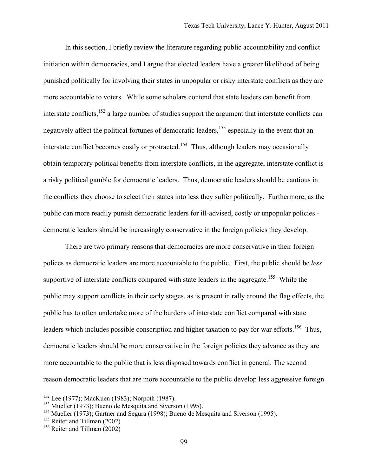In this section, I briefly review the literature regarding public accountability and conflict initiation within democracies, and I argue that elected leaders have a greater likelihood of being punished politically for involving their states in unpopular or risky interstate conflicts as they are more accountable to voters. While some scholars contend that state leaders can benefit from interstate conflicts, $152$  a large number of studies support the argument that interstate conflicts can negatively affect the political fortunes of democratic leaders,<sup>153</sup> especially in the event that an interstate conflict becomes costly or protracted.<sup>154</sup> Thus, although leaders may occasionally obtain temporary political benefits from interstate conflicts, in the aggregate, interstate conflict is a risky political gamble for democratic leaders. Thus, democratic leaders should be cautious in the conflicts they choose to select their states into less they suffer politically. Furthermore, as the public can more readily punish democratic leaders for ill-advised, costly or unpopular policies democratic leaders should be increasingly conservative in the foreign policies they develop.

There are two primary reasons that democracies are more conservative in their foreign polices as democratic leaders are more accountable to the public. First, the public should be *less* supportive of interstate conflicts compared with state leaders in the aggregate.<sup>155</sup> While the public may support conflicts in their early stages, as is present in rally around the flag effects, the public has to often undertake more of the burdens of interstate conflict compared with state leaders which includes possible conscription and higher taxation to pay for war efforts.<sup>156</sup> Thus, democratic leaders should be more conservative in the foreign policies they advance as they are more accountable to the public that is less disposed towards conflict in general. The second reason democratic leaders that are more accountable to the public develop less aggressive foreign

 $\overline{a}$ 

 $152$  Lee (1977); MacKuen (1983); Norpoth (1987).

<sup>&</sup>lt;sup>153</sup> Mueller (1973); Bueno de Mesquita and Siverson (1995).

<sup>&</sup>lt;sup>154</sup> Mueller (1973); Gartner and Segura (1998); Bueno de Mesquita and Siverson (1995).

<sup>155</sup> Reiter and Tillman (2002)

<sup>156</sup> Reiter and Tillman (2002)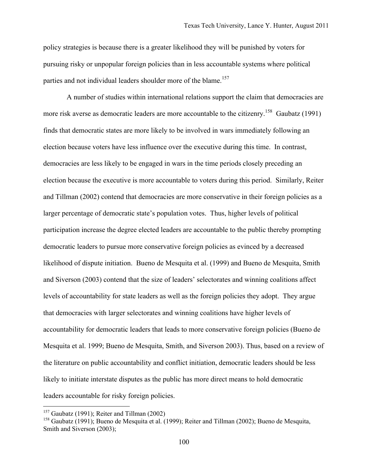policy strategies is because there is a greater likelihood they will be punished by voters for pursuing risky or unpopular foreign policies than in less accountable systems where political parties and not individual leaders shoulder more of the blame.<sup>157</sup>

A number of studies within international relations support the claim that democracies are more risk averse as democratic leaders are more accountable to the citizenry.<sup>158</sup> Gaubatz (1991) finds that democratic states are more likely to be involved in wars immediately following an election because voters have less influence over the executive during this time. In contrast, democracies are less likely to be engaged in wars in the time periods closely preceding an election because the executive is more accountable to voters during this period. Similarly, Reiter and Tillman (2002) contend that democracies are more conservative in their foreign policies as a larger percentage of democratic state's population votes. Thus, higher levels of political participation increase the degree elected leaders are accountable to the public thereby prompting democratic leaders to pursue more conservative foreign policies as evinced by a decreased likelihood of dispute initiation. Bueno de Mesquita et al. (1999) and Bueno de Mesquita, Smith and Siverson (2003) contend that the size of leaders' selectorates and winning coalitions affect levels of accountability for state leaders as well as the foreign policies they adopt. They argue that democracies with larger selectorates and winning coalitions have higher levels of accountability for democratic leaders that leads to more conservative foreign policies (Bueno de Mesquita et al. 1999; Bueno de Mesquita, Smith, and Siverson 2003). Thus, based on a review of the literature on public accountability and conflict initiation, democratic leaders should be less likely to initiate interstate disputes as the public has more direct means to hold democratic leaders accountable for risky foreign policies.

<u>.</u>

 $157$  Gaubatz (1991); Reiter and Tillman (2002)

<sup>&</sup>lt;sup>158</sup> Gaubatz (1991); Bueno de Mesquita et al. (1999); Reiter and Tillman (2002); Bueno de Mesquita, Smith and Siverson (2003);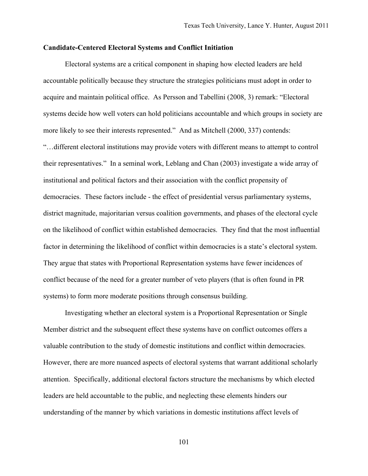#### **Candidate-Centered Electoral Systems and Conflict Initiation**

Electoral systems are a critical component in shaping how elected leaders are held accountable politically because they structure the strategies politicians must adopt in order to acquire and maintain political office. As Persson and Tabellini (2008, 3) remark: "Electoral systems decide how well voters can hold politicians accountable and which groups in society are more likely to see their interests represented." And as Mitchell (2000, 337) contends: "…different electoral institutions may provide voters with different means to attempt to control their representatives." In a seminal work, Leblang and Chan (2003) investigate a wide array of institutional and political factors and their association with the conflict propensity of democracies. These factors include - the effect of presidential versus parliamentary systems, district magnitude, majoritarian versus coalition governments, and phases of the electoral cycle on the likelihood of conflict within established democracies. They find that the most influential factor in determining the likelihood of conflict within democracies is a state's electoral system. They argue that states with Proportional Representation systems have fewer incidences of conflict because of the need for a greater number of veto players (that is often found in PR systems) to form more moderate positions through consensus building.

Investigating whether an electoral system is a Proportional Representation or Single Member district and the subsequent effect these systems have on conflict outcomes offers a valuable contribution to the study of domestic institutions and conflict within democracies. However, there are more nuanced aspects of electoral systems that warrant additional scholarly attention. Specifically, additional electoral factors structure the mechanisms by which elected leaders are held accountable to the public, and neglecting these elements hinders our understanding of the manner by which variations in domestic institutions affect levels of

101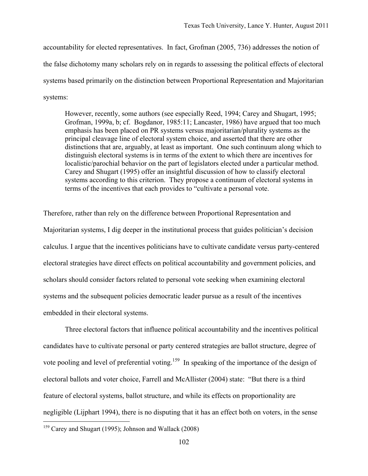accountability for elected representatives. In fact, Grofman (2005, 736) addresses the notion of the false dichotomy many scholars rely on in regards to assessing the political effects of electoral systems based primarily on the distinction between Proportional Representation and Majoritarian systems:

However, recently, some authors (see especially Reed, 1994; Carey and Shugart, 1995; Grofman, 1999a, b; cf. Bogdanor, 1985:11; Lancaster, 1986) have argued that too much emphasis has been placed on PR systems versus majoritarian/plurality systems as the principal cleavage line of electoral system choice, and asserted that there are other distinctions that are, arguably, at least as important. One such continuum along which to distinguish electoral systems is in terms of the extent to which there are incentives for localistic/parochial behavior on the part of legislators elected under a particular method. Carey and Shugart (1995) offer an insightful discussion of how to classify electoral systems according to this criterion. They propose a continuum of electoral systems in terms of the incentives that each provides to "cultivate a personal vote.

Therefore, rather than rely on the difference between Proportional Representation and Majoritarian systems, I dig deeper in the institutional process that guides politician's decision calculus. I argue that the incentives politicians have to cultivate candidate versus party-centered electoral strategies have direct effects on political accountability and government policies, and scholars should consider factors related to personal vote seeking when examining electoral systems and the subsequent policies democratic leader pursue as a result of the incentives embedded in their electoral systems.

Three electoral factors that influence political accountability and the incentives political candidates have to cultivate personal or party centered strategies are ballot structure, degree of vote pooling and level of preferential voting.<sup>159</sup> In speaking of the importance of the design of electoral ballots and voter choice, Farrell and McAllister (2004) state: "But there is a third feature of electoral systems, ballot structure, and while its effects on proportionality are negligible (Lijphart 1994), there is no disputing that it has an effect both on voters, in the sense

<sup>159</sup> Carey and Shugart (1995); Johnson and Wallack (2008)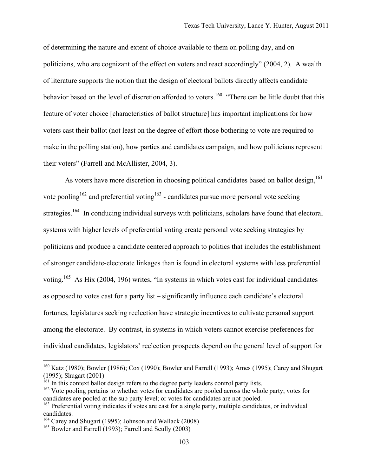of determining the nature and extent of choice available to them on polling day, and on politicians, who are cognizant of the effect on voters and react accordingly" (2004, 2). A wealth of literature supports the notion that the design of electoral ballots directly affects candidate behavior based on the level of discretion afforded to voters.<sup>160</sup> "There can be little doubt that this feature of voter choice [characteristics of ballot structure] has important implications for how voters cast their ballot (not least on the degree of effort those bothering to vote are required to make in the polling station), how parties and candidates campaign, and how politicians represent their voters" (Farrell and McAllister, 2004, 3).

As voters have more discretion in choosing political candidates based on ballot design,<sup>161</sup> vote pooling<sup>162</sup> and preferential voting<sup>163</sup> - candidates pursue more personal vote seeking strategies.<sup>164</sup> In conducing individual surveys with politicians, scholars have found that electoral systems with higher levels of preferential voting create personal vote seeking strategies by politicians and produce a candidate centered approach to politics that includes the establishment of stronger candidate-electorate linkages than is found in electoral systems with less preferential voting.<sup>165</sup> As Hix (2004, 196) writes, "In systems in which votes cast for individual candidates – as opposed to votes cast for a party list – significantly influence each candidate's electoral fortunes, legislatures seeking reelection have strategic incentives to cultivate personal support among the electorate. By contrast, in systems in which voters cannot exercise preferences for individual candidates, legislators' reelection prospects depend on the general level of support for

<sup>&</sup>lt;sup>160</sup> Katz (1980); Bowler (1986); Cox (1990); Bowler and Farrell (1993); Ames (1995); Carey and Shugart (1995); Shugart (2001)

 $161$  In this context ballot design refers to the degree party leaders control party lists.

<sup>&</sup>lt;sup>162</sup> Vote pooling pertains to whether votes for candidates are pooled across the whole party; votes for candidates are pooled at the sub party level; or votes for candidates are not pooled.

<sup>&</sup>lt;sup>163</sup> Preferential voting indicates if votes are cast for a single party, multiple candidates, or individual candidates.

<sup>&</sup>lt;sup>164</sup> Carey and Shugart (1995); Johnson and Wallack (2008)

<sup>&</sup>lt;sup>165</sup> Bowler and Farrell (1993); Farrell and Scully (2003)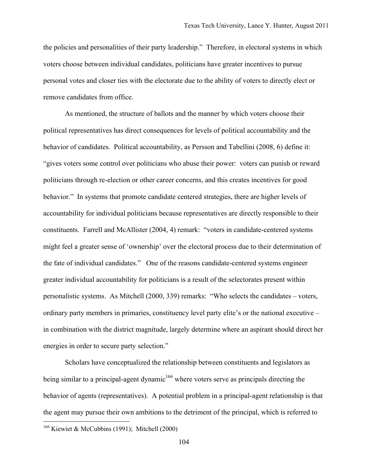the policies and personalities of their party leadership." Therefore, in electoral systems in which voters choose between individual candidates, politicians have greater incentives to pursue personal votes and closer ties with the electorate due to the ability of voters to directly elect or remove candidates from office.

As mentioned, the structure of ballots and the manner by which voters choose their political representatives has direct consequences for levels of political accountability and the behavior of candidates. Political accountability, as Persson and Tabellini (2008, 6) define it: "gives voters some control over politicians who abuse their power: voters can punish or reward politicians through re-election or other career concerns, and this creates incentives for good behavior." In systems that promote candidate centered strategies, there are higher levels of accountability for individual politicians because representatives are directly responsible to their constituents. Farrell and McAllister (2004, 4) remark: "voters in candidate-centered systems might feel a greater sense of 'ownership' over the electoral process due to their determination of the fate of individual candidates." One of the reasons candidate-centered systems engineer greater individual accountability for politicians is a result of the selectorates present within personalistic systems. As Mitchell (2000, 339) remarks: "Who selects the candidates – voters, ordinary party members in primaries, constituency level party elite's or the national executive – in combination with the district magnitude, largely determine where an aspirant should direct her energies in order to secure party selection."

Scholars have conceptualized the relationship between constituents and legislators as being similar to a principal-agent dynamic<sup>166</sup> where voters serve as principals directing the behavior of agents (representatives). A potential problem in a principal-agent relationship is that the agent may pursue their own ambitions to the detriment of the principal, which is referred to

<sup>&</sup>lt;sup>166</sup> Kiewiet & McCubbins (1991); Mitchell (2000)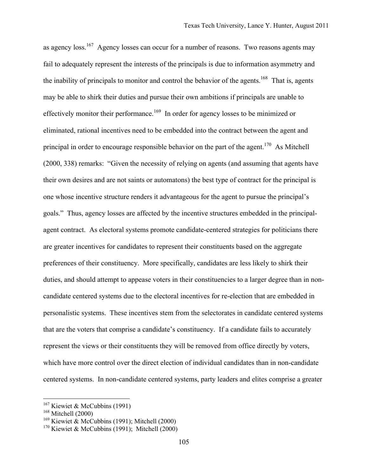as agency  $\log_{10}^{167}$  Agency losses can occur for a number of reasons. Two reasons agents may fail to adequately represent the interests of the principals is due to information asymmetry and the inability of principals to monitor and control the behavior of the agents.<sup>168</sup> That is, agents may be able to shirk their duties and pursue their own ambitions if principals are unable to effectively monitor their performance.<sup>169</sup> In order for agency losses to be minimized or eliminated, rational incentives need to be embedded into the contract between the agent and principal in order to encourage responsible behavior on the part of the agent.<sup>170</sup> As Mitchell (2000, 338) remarks: "Given the necessity of relying on agents (and assuming that agents have their own desires and are not saints or automatons) the best type of contract for the principal is one whose incentive structure renders it advantageous for the agent to pursue the principal's goals." Thus, agency losses are affected by the incentive structures embedded in the principalagent contract. As electoral systems promote candidate-centered strategies for politicians there are greater incentives for candidates to represent their constituents based on the aggregate preferences of their constituency. More specifically, candidates are less likely to shirk their duties, and should attempt to appease voters in their constituencies to a larger degree than in noncandidate centered systems due to the electoral incentives for re-election that are embedded in personalistic systems. These incentives stem from the selectorates in candidate centered systems that are the voters that comprise a candidate's constituency. If a candidate fails to accurately represent the views or their constituents they will be removed from office directly by voters, which have more control over the direct election of individual candidates than in non-candidate centered systems. In non-candidate centered systems, party leaders and elites comprise a greater

<sup>&</sup>lt;sup>167</sup> Kiewiet & McCubbins (1991)

<sup>&</sup>lt;sup>168</sup> Mitchell (2000)

 $169$  Kiewiet & McCubbins (1991); Mitchell (2000)

 $170$  Kiewiet & McCubbins (1991); Mitchell (2000)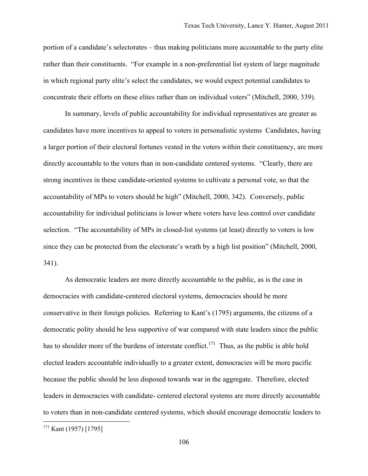portion of a candidate's selectorates – thus making politicians more accountable to the party elite rather than their constituents. "For example in a non-preferential list system of large magnitude in which regional party elite's select the candidates, we would expect potential candidates to concentrate their efforts on these elites rather than on individual voters" (Mitchell, 2000, 339).

In summary, levels of public accountability for individual representatives are greater as candidates have more incentives to appeal to voters in personalistic systems Candidates, having a larger portion of their electoral fortunes vested in the voters within their constituency, are more directly accountable to the voters than in non-candidate centered systems. "Clearly, there are strong incentives in these candidate-oriented systems to cultivate a personal vote, so that the accountability of MPs to voters should be high" (Mitchell, 2000, 342). Conversely, public accountability for individual politicians is lower where voters have less control over candidate selection. "The accountability of MPs in closed-list systems (at least) directly to voters is low since they can be protected from the electorate's wrath by a high list position" (Mitchell, 2000, 341).

As democratic leaders are more directly accountable to the public, as is the case in democracies with candidate-centered electoral systems, democracies should be more conservative in their foreign policies. Referring to Kant's (1795) arguments, the citizens of a democratic polity should be less supportive of war compared with state leaders since the public has to shoulder more of the burdens of interstate conflict.<sup>171</sup> Thus, as the public is able hold elected leaders accountable individually to a greater extent, democracies will be more pacific because the public should be less disposed towards war in the aggregate. Therefore, elected leaders in democracies with candidate- centered electoral systems are more directly accountable to voters than in non-candidate centered systems, which should encourage democratic leaders to

<sup>171</sup> Kant (1957) [1795]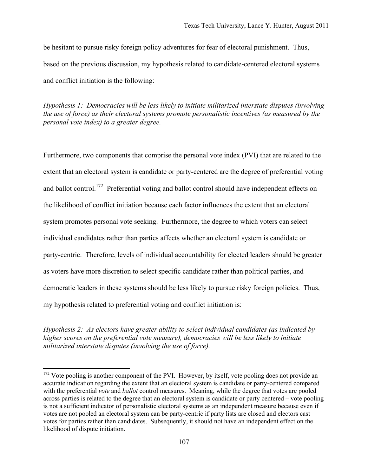be hesitant to pursue risky foreign policy adventures for fear of electoral punishment. Thus, based on the previous discussion, my hypothesis related to candidate-centered electoral systems and conflict initiation is the following:

*Hypothesis 1: Democracies will be less likely to initiate militarized interstate disputes (involving the use of force) as their electoral systems promote personalistic incentives (as measured by the personal vote index) to a greater degree.* 

Furthermore, two components that comprise the personal vote index (PVI) that are related to the extent that an electoral system is candidate or party-centered are the degree of preferential voting and ballot control.<sup>172</sup> Preferential voting and ballot control should have independent effects on the likelihood of conflict initiation because each factor influences the extent that an electoral system promotes personal vote seeking. Furthermore, the degree to which voters can select individual candidates rather than parties affects whether an electoral system is candidate or party-centric. Therefore, levels of individual accountability for elected leaders should be greater as voters have more discretion to select specific candidate rather than political parties, and democratic leaders in these systems should be less likely to pursue risky foreign policies. Thus, my hypothesis related to preferential voting and conflict initiation is:

*Hypothesis 2: As electors have greater ability to select individual candidates (as indicated by higher scores on the preferential vote measure), democracies will be less likely to initiate militarized interstate disputes (involving the use of force).* 

<sup>&</sup>lt;sup>172</sup> Vote pooling is another component of the PVI. However, by itself, vote pooling does not provide an accurate indication regarding the extent that an electoral system is candidate or party-centered compared with the preferential *vote* and *ballot* control measures. Meaning, while the degree that votes are pooled across parties is related to the degree that an electoral system is candidate or party centered – vote pooling is not a sufficient indicator of personalistic electoral systems as an independent measure because even if votes are not pooled an electoral system can be party-centric if party lists are closed and electors cast votes for parties rather than candidates. Subsequently, it should not have an independent effect on the likelihood of dispute initiation.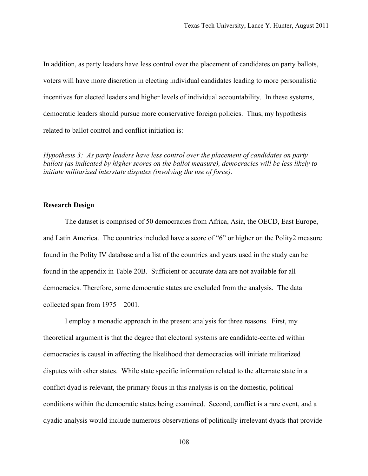In addition, as party leaders have less control over the placement of candidates on party ballots, voters will have more discretion in electing individual candidates leading to more personalistic incentives for elected leaders and higher levels of individual accountability. In these systems, democratic leaders should pursue more conservative foreign policies. Thus, my hypothesis related to ballot control and conflict initiation is:

*Hypothesis 3: As party leaders have less control over the placement of candidates on party ballots (as indicated by higher scores on the ballot measure), democracies will be less likely to initiate militarized interstate disputes (involving the use of force).* 

#### **Research Design**

The dataset is comprised of 50 democracies from Africa, Asia, the OECD, East Europe, and Latin America. The countries included have a score of "6" or higher on the Polity2 measure found in the Polity IV database and a list of the countries and years used in the study can be found in the appendix in Table 20B. Sufficient or accurate data are not available for all democracies. Therefore, some democratic states are excluded from the analysis. The data collected span from 1975 – 2001.

I employ a monadic approach in the present analysis for three reasons. First, my theoretical argument is that the degree that electoral systems are candidate-centered within democracies is causal in affecting the likelihood that democracies will initiate militarized disputes with other states. While state specific information related to the alternate state in a conflict dyad is relevant, the primary focus in this analysis is on the domestic, political conditions within the democratic states being examined. Second, conflict is a rare event, and a dyadic analysis would include numerous observations of politically irrelevant dyads that provide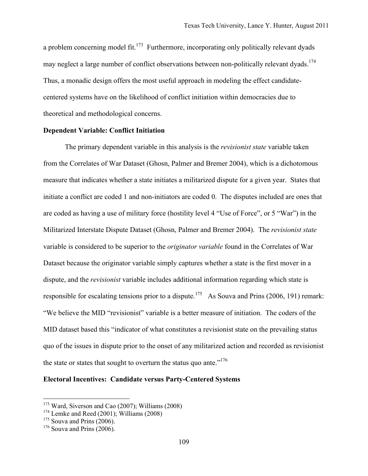a problem concerning model fit.<sup>173</sup> Furthermore, incorporating only politically relevant dyads may neglect a large number of conflict observations between non-politically relevant dyads.<sup>174</sup> Thus, a monadic design offers the most useful approach in modeling the effect candidatecentered systems have on the likelihood of conflict initiation within democracies due to theoretical and methodological concerns.

## **Dependent Variable: Conflict Initiation**

The primary dependent variable in this analysis is the *revisionist state* variable taken from the Correlates of War Dataset (Ghosn, Palmer and Bremer 2004), which is a dichotomous measure that indicates whether a state initiates a militarized dispute for a given year. States that initiate a conflict are coded 1 and non-initiators are coded 0. The disputes included are ones that are coded as having a use of military force (hostility level 4 "Use of Force", or 5 "War") in the Militarized Interstate Dispute Dataset (Ghosn, Palmer and Bremer 2004). The *revisionist state* variable is considered to be superior to the *originator variable* found in the Correlates of War Dataset because the originator variable simply captures whether a state is the first mover in a dispute, and the *revisionist* variable includes additional information regarding which state is responsible for escalating tensions prior to a dispute.<sup>175</sup> As Souva and Prins (2006, 191) remark: "We believe the MID "revisionist" variable is a better measure of initiation. The coders of the MID dataset based this "indicator of what constitutes a revisionist state on the prevailing status quo of the issues in dispute prior to the onset of any militarized action and recorded as revisionist the state or states that sought to overturn the status quo ante." $176$ 

## **Electoral Incentives: Candidate versus Party-Centered Systems**

 $173$  Ward, Siverson and Cao (2007); Williams (2008)

<sup>&</sup>lt;sup>174</sup> Lemke and Reed (2001); Williams (2008)

 $175$  Souva and Prins (2006).

 $176$  Souva and Prins  $(2006)$ .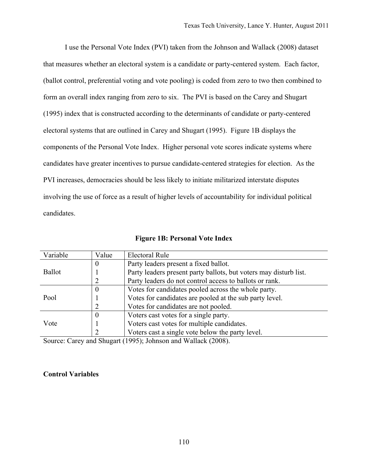I use the Personal Vote Index (PVI) taken from the Johnson and Wallack (2008) dataset that measures whether an electoral system is a candidate or party-centered system. Each factor, (ballot control, preferential voting and vote pooling) is coded from zero to two then combined to form an overall index ranging from zero to six. The PVI is based on the Carey and Shugart (1995) index that is constructed according to the determinants of candidate or party-centered electoral systems that are outlined in Carey and Shugart (1995). Figure 1B displays the components of the Personal Vote Index. Higher personal vote scores indicate systems where candidates have greater incentives to pursue candidate-centered strategies for election. As the PVI increases, democracies should be less likely to initiate militarized interstate disputes involving the use of force as a result of higher levels of accountability for individual political candidates.

| Variable      | Value    | <b>Electoral Rule</b>                                                                                                                                        |
|---------------|----------|--------------------------------------------------------------------------------------------------------------------------------------------------------------|
|               | O        | Party leaders present a fixed ballot.                                                                                                                        |
| <b>Ballot</b> |          | Party leaders present party ballots, but voters may disturb list.                                                                                            |
|               | 2        | Party leaders do not control access to ballots or rank.                                                                                                      |
| Pool          | 0        | Votes for candidates pooled across the whole party.                                                                                                          |
|               |          | Votes for candidates are pooled at the sub party level.                                                                                                      |
|               | 2        | Votes for candidates are not pooled.                                                                                                                         |
|               | 0        | Voters cast votes for a single party.                                                                                                                        |
| Vote          |          | Voters cast votes for multiple candidates.                                                                                                                   |
|               | າ        | Voters cast a single vote below the party level.                                                                                                             |
| $\sim$        | $1\sim1$ | $\frac{1}{2}$ $\frac{1}{2}$ $\frac{1}{2}$ $\frac{1}{2}$ $\frac{1}{2}$ $\frac{1}{2}$ $\frac{1}{2}$ $\frac{1}{2}$ $\frac{1}{2}$<br>$(100.7)$ $\rightarrow$ $1$ |

**Figure 1B: Personal Vote Index**

Source: Carey and Shugart (1995); Johnson and Wallack (2008).

# **Control Variables**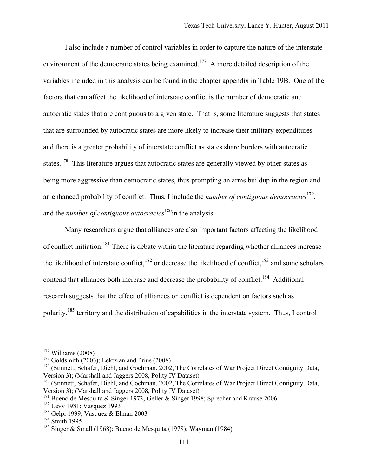I also include a number of control variables in order to capture the nature of the interstate environment of the democratic states being examined.<sup>177</sup> A more detailed description of the variables included in this analysis can be found in the chapter appendix in Table 19B. One of the factors that can affect the likelihood of interstate conflict is the number of democratic and autocratic states that are contiguous to a given state. That is, some literature suggests that states that are surrounded by autocratic states are more likely to increase their military expenditures and there is a greater probability of interstate conflict as states share borders with autocratic states.<sup>178</sup> This literature argues that autocratic states are generally viewed by other states as being more aggressive than democratic states, thus prompting an arms buildup in the region and an enhanced probability of conflict. Thus, I include the *number of contiguous democracies*<sup>179</sup>, and the *number of contiguous autocracies*<sup>180</sup>in the analysis.

Many researchers argue that alliances are also important factors affecting the likelihood of conflict initiation.<sup>181</sup> There is debate within the literature regarding whether alliances increase the likelihood of interstate conflict,<sup>182</sup> or decrease the likelihood of conflict,<sup>183</sup> and some scholars contend that alliances both increase and decrease the probability of conflict.<sup>184</sup> Additional research suggests that the effect of alliances on conflict is dependent on factors such as polarity,185 territory and the distribution of capabilities in the interstate system. Thus, I control

 $177$  Williams (2008)

 $178$  Goldsmith (2003); Lektzian and Prins (2008)

<sup>&</sup>lt;sup>179</sup> (Stinnett, Schafer, Diehl, and Gochman. 2002, The Correlates of War Project Direct Contiguity Data, Version 3); (Marshall and Jaggers 2008, Polity IV Dataset)

<sup>180 (</sup>Stinnett, Schafer, Diehl, and Gochman. 2002, The Correlates of War Project Direct Contiguity Data, Version 3); (Marshall and Jaggers 2008, Polity IV Dataset)

<sup>181</sup> Bueno de Mesquita & Singer 1973; Geller & Singer 1998; Sprecher and Krause 2006

<sup>&</sup>lt;sup>182</sup> Levy 1981; Vasquez 1993

<sup>&</sup>lt;sup>183</sup> Gelpi 1999; Vasquez & Elman 2003

<sup>184</sup> Smith 1995

<sup>&</sup>lt;sup>185</sup> Singer & Small (1968); Bueno de Mesquita (1978); Wayman (1984)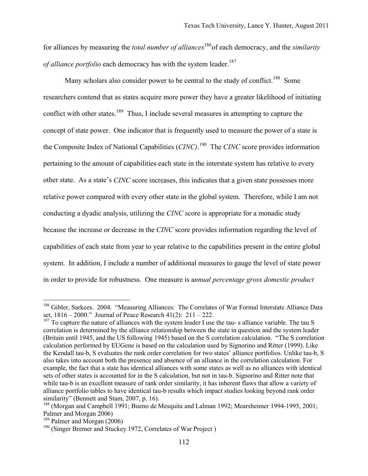for alliances by measuring the *total number of alliances*186of each democracy, and the *similarity of alliance portfolio* each democracy has with the system leader.<sup>187</sup>

Many scholars also consider power to be central to the study of conflict.<sup>188</sup> Some researchers contend that as states acquire more power they have a greater likelihood of initiating conflict with other states.<sup>189</sup> Thus, I include several measures in attempting to capture the concept of state power. One indicator that is frequently used to measure the power of a state is the Composite Index of National Capabilities (*CINC)*. 190 The *CINC* score provides information pertaining to the amount of capabilities each state in the interstate system has relative to every other state. As a state's *CINC* score increases, this indicates that a given state possesses more relative power compared with every other state in the global system. Therefore, while I am not conducting a dyadic analysis, utilizing the *CINC* score is appropriate for a monadic study because the increase or decrease in the *CINC* score provides information regarding the level of capabilities of each state from year to year relative to the capabilities present in the entire global system. In addition, I include a number of additional measures to gauge the level of state power in order to provide for robustness. One measure is a*nnual percentage gross domestic product* 

<sup>&</sup>lt;sup>186</sup> Gibler, Sarkees. 2004. "Measuring Alliances: The Correlates of War Formal Interstate Alliance Data set, 1816 – 2000." Journal of Peace Research 41(2): 211 – 222.

 $187$  To capture the nature of alliances with the system leader I use the tau-s alliance variable. The tau S correlation is determined by the alliance relationship between the state in question and the system leader (Britain until 1945, and the US following 1945) based on the S correlation calculation. "The S correlation calculation performed by EUGene is based on the calculation used by Signorino and Ritter (1999). Like the Kendall tau-b, S evaluates the rank order correlation for two states' alliance portfolios. Unlike tau-b, S also takes into account both the presence and absence of an alliance in the correlation calculation. For example, the fact that a state has identical alliances with some states as well as no alliances with identical sets of other states is accounted for in the S calculation, but not in tau-b. Signorino and Ritter note that while tau-b is an excellent measure of rank order similarity, it has inherent flaws that allow a variety of alliance portfolio tables to have identical tau-b results which impact studies looking beyond rank order similarity" (Bennett and Stam, 2007, p. 16).

<sup>&</sup>lt;sup>188</sup> (Morgan and Campbell 1991; Bueno de Mesquita and Lalman 1992; Mearsheimer 1994-1995, 2001; Palmer and Morgan 2006)

<sup>189</sup> Palmer and Morgan (2006)

<sup>190</sup> (Singer Bremer and Stuckey 1972, Correlates of War Project )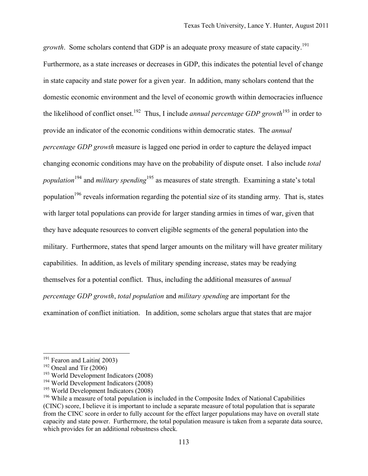*growth*. Some scholars contend that GDP is an adequate proxy measure of state capacity.<sup>191</sup> Furthermore, as a state increases or decreases in GDP, this indicates the potential level of change in state capacity and state power for a given year. In addition, many scholars contend that the domestic economic environment and the level of economic growth within democracies influence the likelihood of conflict onset.192 Thus, I include *annual percentage GDP growth*<sup>193</sup> in order to provide an indicator of the economic conditions within democratic states. The *annual percentage GDP growth* measure is lagged one period in order to capture the delayed impact changing economic conditions may have on the probability of dispute onset. I also include *total population*<sup>194</sup> and *military spending*<sup>195</sup> as measures of state strength. Examining a state's total population<sup>196</sup> reveals information regarding the potential size of its standing army. That is, states with larger total populations can provide for larger standing armies in times of war, given that they have adequate resources to convert eligible segments of the general population into the military. Furthermore, states that spend larger amounts on the military will have greater military capabilities. In addition, as levels of military spending increase, states may be readying themselves for a potential conflict. Thus, including the additional measures of a*nnual percentage GDP growth*, *total population* and *military spending* are important for the examination of conflict initiation. In addition, some scholars argue that states that are major

 $191$  Fearon and Laitin( 2003)

 $192$  Oneal and Tir (2006)

 $193$  World Development Indicators (2008)

<sup>194</sup> World Development Indicators (2008)

<sup>&</sup>lt;sup>195</sup> World Development Indicators (2008)

<sup>&</sup>lt;sup>196</sup> While a measure of total population is included in the Composite Index of National Capabilities (CINC) score, I believe it is important to include a separate measure of total population that is separate from the CINC score in order to fully account for the effect larger populations may have on overall state capacity and state power. Furthermore, the total population measure is taken from a separate data source, which provides for an additional robustness check.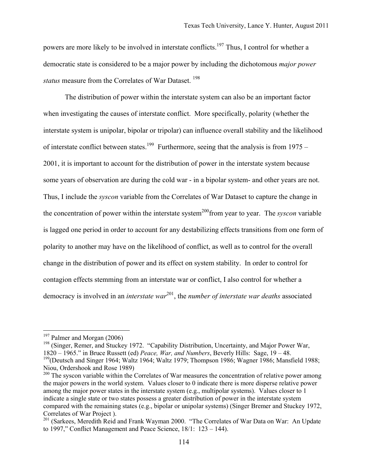powers are more likely to be involved in interstate conflicts.<sup>197</sup> Thus, I control for whether a democratic state is considered to be a major power by including the dichotomous *major power status* measure from the Correlates of War Dataset.<sup>198</sup>

The distribution of power within the interstate system can also be an important factor when investigating the causes of interstate conflict. More specifically, polarity (whether the interstate system is unipolar, bipolar or tripolar) can influence overall stability and the likelihood of interstate conflict between states.<sup>199</sup> Furthermore, seeing that the analysis is from 1975 – 2001, it is important to account for the distribution of power in the interstate system because some years of observation are during the cold war - in a bipolar system- and other years are not. Thus, I include the *syscon* variable from the Correlates of War Dataset to capture the change in the concentration of power within the interstate system<sup>200</sup>from year to year. The *syscon* variable is lagged one period in order to account for any destabilizing effects transitions from one form of polarity to another may have on the likelihood of conflict, as well as to control for the overall change in the distribution of power and its effect on system stability. In order to control for contagion effects stemming from an interstate war or conflict, I also control for whether a democracy is involved in an *interstate war*<sup>201</sup>, the *number of interstate war deaths* associated

 $\overline{a}$ 

<sup>198</sup> (Singer, Remer, and Stuckey 1972. "Capability Distribution, Uncertainty, and Major Power War, 1820 – 1965." in Bruce Russett (ed) *Peace, War, and Numbers*, Beverly Hills: Sage, 19 – 48. <sup>199</sup>(Deutsch and Singer 1964; Waltz 1964; Waltz 1979; Thompson 1986; Wagner 1986; Mansfield 1988; Niou, Ordershook and Rose 1989)

<sup>&</sup>lt;sup>197</sup> Palmer and Morgan (2006)

 $200$  The syscon variable within the Correlates of War measures the concentration of relative power among the major powers in the world system. Values closer to 0 indicate there is more disperse relative power among the major power states in the interstate system (e.g., multipolar systems). Values closer to 1 indicate a single state or two states possess a greater distribution of power in the interstate system compared with the remaining states (e.g., bipolar or unipolar systems) (Singer Bremer and Stuckey 1972, Correlates of War Project ).

<sup>201 (</sup>Sarkees, Meredith Reid and Frank Wayman 2000. "The Correlates of War Data on War: An Update to 1997," Conflict Management and Peace Science, 18/1: 123 – 144).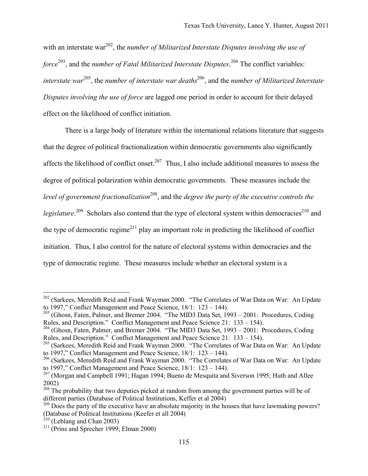with an interstate war<sup>202</sup>, the *number of Militarized Interstate Disputes involving the use of force*203, and the *number of Fatal Militarized Interstate Disputes*. <sup>204</sup> The conflict variables: *interstate war*205, the *number of interstate war deaths*206, and the *number of Militarized Interstate Disputes involving the use of force* are lagged one period in order to account for their delayed effect on the likelihood of conflict initiation.

There is a large body of literature within the international relations literature that suggests that the degree of political fractionalization within democratic governments also significantly affects the likelihood of conflict onset.<sup>207</sup> Thus, I also include additional measures to assess the degree of political polarization within democratic governments. These measures include the *level of government fractionalization*208, and the *degree the party of the executive controls the*  legislature.<sup>209</sup> Scholars also contend that the type of electoral system within democracies<sup>210</sup> and the type of democratic regime<sup>211</sup> play an important role in predicting the likelihood of conflict initiation. Thus, I also control for the nature of electoral systems within democracies and the type of democratic regime. These measures include whether an electoral system is a

<sup>&</sup>lt;sup>202</sup> (Sarkees, Meredith Reid and Frank Wayman 2000. "The Correlates of War Data on War: An Update to 1997," Conflict Management and Peace Science, 18/1: 123 – 144).

 $^{203}$  (Ghosn, Faten, Palmer, and Bremer 2004. "The MID3 Data Set, 1993 – 2001: Procedures, Coding Rules, and Description." Conflict Management and Peace Science 21: 133 – 154).

<sup>&</sup>lt;sup>204</sup> (Ghosn, Faten, Palmer, and Bremer 2004. "The MID3 Data Set, 1993 – 2001: Procedures, Coding Rules, and Description." Conflict Management and Peace Science 21: 133 – 154).

<sup>&</sup>lt;sup>205</sup> (Sarkees, Meredith Reid and Frank Wayman 2000. "The Correlates of War Data on War: An Update to 1997," Conflict Management and Peace Science, 18/1: 123 – 144).

<sup>206</sup> (Sarkees, Meredith Reid and Frank Wayman 2000. "The Correlates of War Data on War: An Update to 1997," Conflict Management and Peace Science, 18/1: 123 – 144).

 $207$  (Morgan and Campbell 1991; Hagan 1994; Bueno de Mesquita and Siverson 1995; Huth and Allee 2002)

 $208 \text{ m/s}$ <br><sup>208</sup> The probability that two deputies picked at random from among the government parties will be of different parties (Database of Political Institutions, Keffer et al 2004)

<sup>&</sup>lt;sup>209</sup> Does the party of the executive have an absolute majority in the houses that have lawmaking powers? (Database of Political Institutions (Keefer et all 2004)

 $210$  (Leblang and Chan 2003)

<sup>&</sup>lt;sup>211</sup> (Prins and Sprecher 1999; Elman 2000)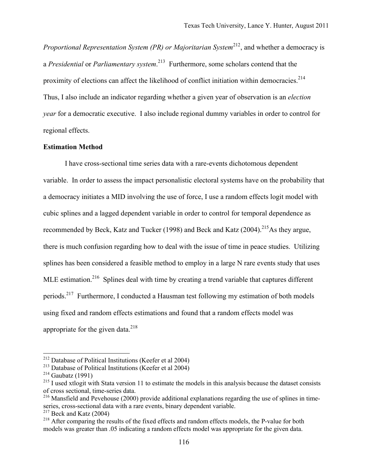*Proportional Representation System (PR) or Majoritarian System*<sup>212</sup>, and whether a democracy is a *Presidential* or *Parliamentary system*. 213 Furthermore, some scholars contend that the proximity of elections can affect the likelihood of conflict initiation within democracies.<sup>214</sup> Thus, I also include an indicator regarding whether a given year of observation is an *election year* for a democratic executive. I also include regional dummy variables in order to control for regional effects.

## **Estimation Method**

I have cross-sectional time series data with a rare-events dichotomous dependent variable. In order to assess the impact personalistic electoral systems have on the probability that a democracy initiates a MID involving the use of force, I use a random effects logit model with cubic splines and a lagged dependent variable in order to control for temporal dependence as recommended by Beck, Katz and Tucker (1998) and Beck and Katz (2004).<sup>215</sup>As they argue, there is much confusion regarding how to deal with the issue of time in peace studies. Utilizing splines has been considered a feasible method to employ in a large N rare events study that uses MLE estimation.<sup>216</sup> Splines deal with time by creating a trend variable that captures different periods.217 Furthermore, I conducted a Hausman test following my estimation of both models using fixed and random effects estimations and found that a random effects model was appropriate for the given data. $^{218}$ 

1

<sup>212</sup> Database of Political Institutions (Keefer et al 2004)

<sup>213</sup> Database of Political Institutions (Keefer et al 2004)

 $^{214}$  Gaubatz (1991)

 $215$  I used xtlogit with Stata version 11 to estimate the models in this analysis because the dataset consists of cross sectional, time-series data.

<sup>&</sup>lt;sup>216</sup> Mansfield and Pevehouse (2000) provide additional explanations regarding the use of splines in timeseries, cross-sectional data with a rare events, binary dependent variable.

 $217$  Beck and Katz (2004)

<sup>&</sup>lt;sup>218</sup> After comparing the results of the fixed effects and random effects models, the P-value for both models was greater than .05 indicating a random effects model was appropriate for the given data.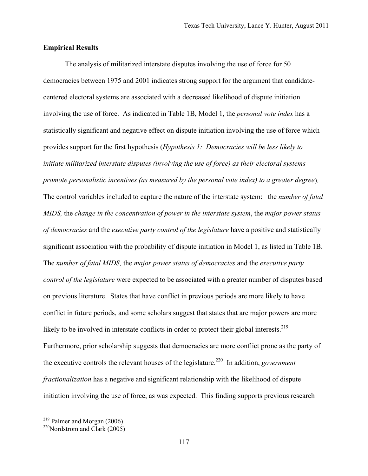## **Empirical Results**

The analysis of militarized interstate disputes involving the use of force for 50 democracies between 1975 and 2001 indicates strong support for the argument that candidatecentered electoral systems are associated with a decreased likelihood of dispute initiation involving the use of force. As indicated in Table 1B, Model 1, the *personal vote index* has a statistically significant and negative effect on dispute initiation involving the use of force which provides support for the first hypothesis (*Hypothesis 1: Democracies will be less likely to initiate militarized interstate disputes (involving the use of force) as their electoral systems promote personalistic incentives (as measured by the personal vote index) to a greater degree*). The control variables included to capture the nature of the interstate system: the *number of fatal MIDS,* the *change in the concentration of power in the interstate system*, the *major power status of democracies* and the *executive party control of the legislature* have a positive and statistically significant association with the probability of dispute initiation in Model 1, as listed in Table 1B. The *number of fatal MIDS,* the *major power status of democracies* and the *executive party control of the legislature* were expected to be associated with a greater number of disputes based on previous literature. States that have conflict in previous periods are more likely to have conflict in future periods, and some scholars suggest that states that are major powers are more likely to be involved in interstate conflicts in order to protect their global interests.<sup>219</sup> Furthermore, prior scholarship suggests that democracies are more conflict prone as the party of the executive controls the relevant houses of the legislature.<sup>220</sup> In addition, *government fractionalization* has a negative and significant relationship with the likelihood of dispute initiation involving the use of force, as was expected. This finding supports previous research

 $219$  Palmer and Morgan (2006)

<sup>&</sup>lt;sup>220</sup>Nordstrom and Clark  $(2005)$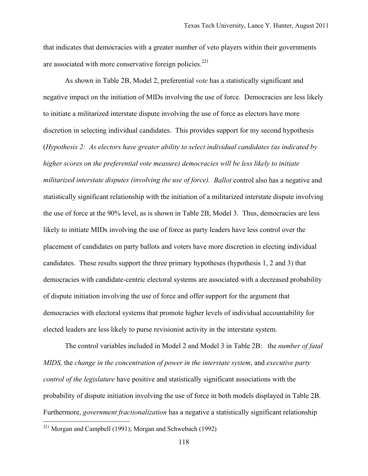that indicates that democracies with a greater number of veto players within their governments are associated with more conservative foreign policies.<sup>221</sup>

As shown in Table 2B, Model 2, preferential *vote* has a statistically significant and negative impact on the initiation of MIDs involving the use of force. Democracies are less likely to initiate a militarized interstate dispute involving the use of force as electors have more discretion in selecting individual candidates. This provides support for my second hypothesis (*Hypothesis 2: As electors have greater ability to select individual candidates (as indicated by higher scores on the preferential vote measure) democracies will be less likely to initiate militarized interstate disputes (involving the use of force). Ballot* control also has a negative and statistically significant relationship with the initiation of a militarized interstate dispute involving the use of force at the 90% level, as is shown in Table 2B, Model 3. Thus, democracies are less likely to initiate MIDs involving the use of force as party leaders have less control over the placement of candidates on party ballots and voters have more discretion in electing individual candidates. These results support the three primary hypotheses (hypothesis 1, 2 and 3) that democracies with candidate-centric electoral systems are associated with a decreased probability of dispute initiation involving the use of force and offer support for the argument that democracies with electoral systems that promote higher levels of individual accountability for elected leaders are less likely to purse revisionist activity in the interstate system.

The control variables included in Model 2 and Model 3 in Table 2B: the *number of fatal MIDS,* the *change in the concentration of power in the interstate system*, and *executive party control of the legislature* have positive and statistically significant associations with the probability of dispute initiation involving the use of force in both models displayed in Table 2B. Furthermore, *government fractionalization* has a negative a statistically significant relationship

<sup>&</sup>lt;sup>221</sup> Morgan and Campbell (1991); Morgan and Schwebach (1992)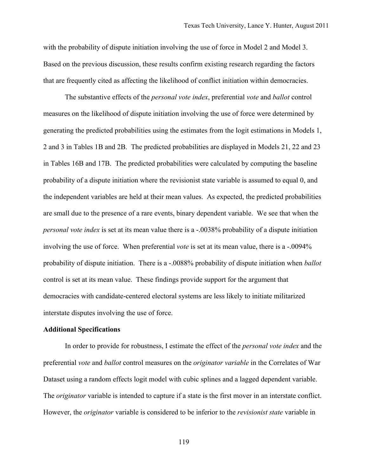with the probability of dispute initiation involving the use of force in Model 2 and Model 3. Based on the previous discussion, these results confirm existing research regarding the factors that are frequently cited as affecting the likelihood of conflict initiation within democracies.

The substantive effects of the *personal vote index*, preferential *vote* and *ballot* control measures on the likelihood of dispute initiation involving the use of force were determined by generating the predicted probabilities using the estimates from the logit estimations in Models 1, 2 and 3 in Tables 1B and 2B. The predicted probabilities are displayed in Models 21, 22 and 23 in Tables 16B and 17B. The predicted probabilities were calculated by computing the baseline probability of a dispute initiation where the revisionist state variable is assumed to equal 0, and the independent variables are held at their mean values. As expected, the predicted probabilities are small due to the presence of a rare events, binary dependent variable. We see that when the *personal vote index* is set at its mean value there is a -.0038% probability of a dispute initiation involving the use of force. When preferential *vote* is set at its mean value, there is a -.0094% probability of dispute initiation. There is a -.0088% probability of dispute initiation when *ballot* control is set at its mean value. These findings provide support for the argument that democracies with candidate-centered electoral systems are less likely to initiate militarized interstate disputes involving the use of force.

#### **Additional Specifications**

In order to provide for robustness, I estimate the effect of the *personal vote index* and the preferential *vote* and *ballot* control measures on the *originator variable* in the Correlates of War Dataset using a random effects logit model with cubic splines and a lagged dependent variable. The *originator* variable is intended to capture if a state is the first mover in an interstate conflict. However, the *originator* variable is considered to be inferior to the *revisionist state* variable in

119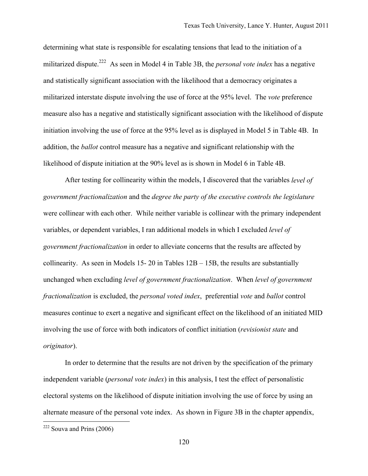determining what state is responsible for escalating tensions that lead to the initiation of a militarized dispute.222 As seen in Model 4 in Table 3B, the *personal vote index* has a negative and statistically significant association with the likelihood that a democracy originates a militarized interstate dispute involving the use of force at the 95% level. The *vote* preference measure also has a negative and statistically significant association with the likelihood of dispute initiation involving the use of force at the 95% level as is displayed in Model 5 in Table 4B. In addition, the *ballot* control measure has a negative and significant relationship with the likelihood of dispute initiation at the 90% level as is shown in Model 6 in Table 4B.

After testing for collinearity within the models, I discovered that the variables *level of government fractionalization* and the *degree the party of the executive controls the legislature* were collinear with each other. While neither variable is collinear with the primary independent variables, or dependent variables, I ran additional models in which I excluded *level of government fractionalization* in order to alleviate concerns that the results are affected by collinearity. As seen in Models 15- 20 in Tables  $12B - 15B$ , the results are substantially unchanged when excluding *level of government fractionalization*. When *level of government fractionalization* is excluded, the *personal voted index*, preferential *vote* and *ballot* control measures continue to exert a negative and significant effect on the likelihood of an initiated MID involving the use of force with both indicators of conflict initiation (*revisionist state* and *originator*).

In order to determine that the results are not driven by the specification of the primary independent variable (*personal vote index*) in this analysis, I test the effect of personalistic electoral systems on the likelihood of dispute initiation involving the use of force by using an alternate measure of the personal vote index. As shown in Figure 3B in the chapter appendix,

 $222$  Souva and Prins (2006)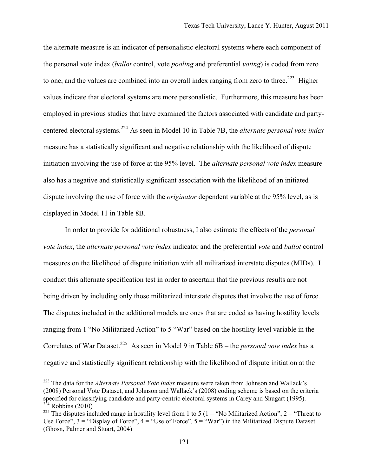the alternate measure is an indicator of personalistic electoral systems where each component of the personal vote index (*ballot* control, vote *pooling* and preferential *voting*) is coded from zero to one, and the values are combined into an overall index ranging from zero to three.<sup>223</sup> Higher values indicate that electoral systems are more personalistic. Furthermore, this measure has been employed in previous studies that have examined the factors associated with candidate and partycentered electoral systems.<sup>224</sup> As seen in Model 10 in Table 7B, the *alternate personal vote index* measure has a statistically significant and negative relationship with the likelihood of dispute initiation involving the use of force at the 95% level. The *alternate personal vote index* measure also has a negative and statistically significant association with the likelihood of an initiated dispute involving the use of force with the *originator* dependent variable at the 95% level, as is displayed in Model 11 in Table 8B.

In order to provide for additional robustness, I also estimate the effects of the *personal vote index*, the *alternate personal vote index* indicator and the preferential *vote* and *ballot* control measures on the likelihood of dispute initiation with all militarized interstate disputes (MIDs). I conduct this alternate specification test in order to ascertain that the previous results are not being driven by including only those militarized interstate disputes that involve the use of force. The disputes included in the additional models are ones that are coded as having hostility levels ranging from 1 "No Militarized Action" to 5 "War" based on the hostility level variable in the Correlates of War Dataset.<sup>225</sup> As seen in Model 9 in Table 6B – the *personal vote index* has a negative and statistically significant relationship with the likelihood of dispute initiation at the

<sup>223</sup> The data for the *Alternate Personal Vote Index* measure were taken from Johnson and Wallack's (2008) Personal Vote Dataset, and Johnson and Wallack's (2008) coding scheme is based on the criteria specified for classifying candidate and party-centric electoral systems in Carey and Shugart (1995). Robbins  $(2010)$ 

<sup>&</sup>lt;sup>225</sup> The disputes included range in hostility level from 1 to 5 (1 = "No Militarized Action", 2 = "Threat to Use Force",  $3 =$  "Display of Force",  $4 =$  "Use of Force",  $5 =$  "War") in the Militarized Dispute Dataset (Ghosn, Palmer and Stuart, 2004)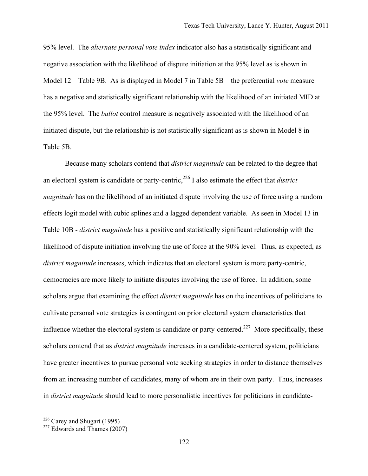95% level. The *alternate personal vote index* indicator also has a statistically significant and negative association with the likelihood of dispute initiation at the 95% level as is shown in Model 12 – Table 9B. As is displayed in Model 7 in Table 5B – the preferential *vote* measure has a negative and statistically significant relationship with the likelihood of an initiated MID at the 95% level. The *ballot* control measure is negatively associated with the likelihood of an initiated dispute, but the relationship is not statistically significant as is shown in Model 8 in Table 5B.

Because many scholars contend that *district magnitude* can be related to the degree that an electoral system is candidate or party-centric,<sup>226</sup> I also estimate the effect that *district magnitude* has on the likelihood of an initiated dispute involving the use of force using a random effects logit model with cubic splines and a lagged dependent variable. As seen in Model 13 in Table 10B - *district magnitude* has a positive and statistically significant relationship with the likelihood of dispute initiation involving the use of force at the 90% level. Thus, as expected, as *district magnitude* increases, which indicates that an electoral system is more party-centric, democracies are more likely to initiate disputes involving the use of force. In addition, some scholars argue that examining the effect *district magnitude* has on the incentives of politicians to cultivate personal vote strategies is contingent on prior electoral system characteristics that influence whether the electoral system is candidate or party-centered.<sup>227</sup> More specifically, these scholars contend that as *district magnitude* increases in a candidate-centered system, politicians have greater incentives to pursue personal vote seeking strategies in order to distance themselves from an increasing number of candidates, many of whom are in their own party. Thus, increases in *district magnitude* should lead to more personalistic incentives for politicians in candidate-

 $226$  Carey and Shugart (1995)

 $227$  Edwards and Thames (2007)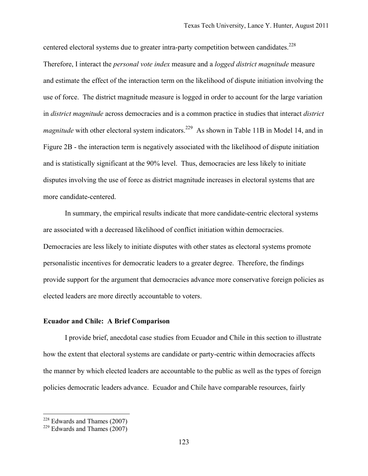centered electoral systems due to greater intra-party competition between candidates.<sup>228</sup> Therefore, I interact the *personal vote index* measure and a *logged district magnitude* measure and estimate the effect of the interaction term on the likelihood of dispute initiation involving the use of force. The district magnitude measure is logged in order to account for the large variation in *district magnitude* across democracies and is a common practice in studies that interact *district magnitude* with other electoral system indicators.<sup>229</sup> As shown in Table 11B in Model 14, and in Figure 2B - the interaction term is negatively associated with the likelihood of dispute initiation and is statistically significant at the 90% level. Thus, democracies are less likely to initiate disputes involving the use of force as district magnitude increases in electoral systems that are more candidate-centered.

In summary, the empirical results indicate that more candidate-centric electoral systems are associated with a decreased likelihood of conflict initiation within democracies. Democracies are less likely to initiate disputes with other states as electoral systems promote personalistic incentives for democratic leaders to a greater degree. Therefore, the findings provide support for the argument that democracies advance more conservative foreign policies as elected leaders are more directly accountable to voters.

## **Ecuador and Chile: A Brief Comparison**

I provide brief, anecdotal case studies from Ecuador and Chile in this section to illustrate how the extent that electoral systems are candidate or party-centric within democracies affects the manner by which elected leaders are accountable to the public as well as the types of foreign policies democratic leaders advance. Ecuador and Chile have comparable resources, fairly

 $228$  Edwards and Thames (2007)

 $229$  Edwards and Thames (2007)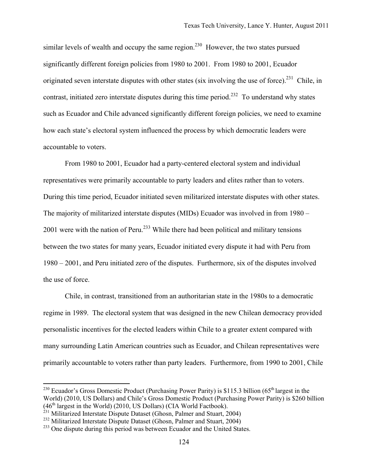similar levels of wealth and occupy the same region.<sup>230</sup> However, the two states pursued significantly different foreign policies from 1980 to 2001. From 1980 to 2001, Ecuador originated seven interstate disputes with other states (six involving the use of force).<sup>231</sup> Chile, in contrast, initiated zero interstate disputes during this time period.<sup>232</sup> To understand why states such as Ecuador and Chile advanced significantly different foreign policies, we need to examine how each state's electoral system influenced the process by which democratic leaders were accountable to voters.

From 1980 to 2001, Ecuador had a party-centered electoral system and individual representatives were primarily accountable to party leaders and elites rather than to voters. During this time period, Ecuador initiated seven militarized interstate disputes with other states. The majority of militarized interstate disputes (MIDs) Ecuador was involved in from 1980 – 2001 were with the nation of Peru.<sup>233</sup> While there had been political and military tensions between the two states for many years, Ecuador initiated every dispute it had with Peru from 1980 – 2001, and Peru initiated zero of the disputes. Furthermore, six of the disputes involved the use of force.

Chile, in contrast, transitioned from an authoritarian state in the 1980s to a democratic regime in 1989. The electoral system that was designed in the new Chilean democracy provided personalistic incentives for the elected leaders within Chile to a greater extent compared with many surrounding Latin American countries such as Ecuador, and Chilean representatives were primarily accountable to voters rather than party leaders. Furthermore, from 1990 to 2001, Chile

<sup>&</sup>lt;sup>230</sup> Ecuador's Gross Domestic Product (Purchasing Power Parity) is \$115.3 billion (65<sup>th</sup> largest in the World) (2010, US Dollars) and Chile's Gross Domestic Product (Purchasing Power Parity) is \$260 billion  $(46<sup>th</sup>$  largest in the World) (2010, US Dollars) (CIA World Factbook).

 $^{231}$  Militarized Interstate Dispute Dataset (Ghosn, Palmer and Stuart, 2004)

<sup>&</sup>lt;sup>232</sup> Militarized Interstate Dispute Dataset (Ghosn, Palmer and Stuart, 2004)

<sup>&</sup>lt;sup>233</sup> One dispute during this period was between Ecuador and the United States.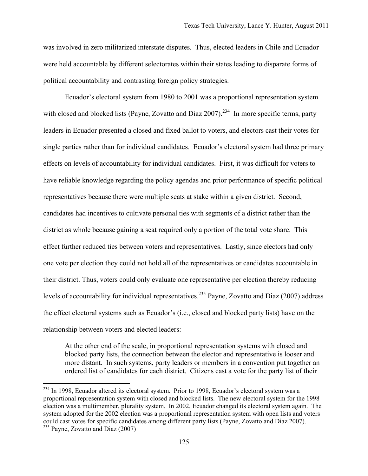was involved in zero militarized interstate disputes. Thus, elected leaders in Chile and Ecuador were held accountable by different selectorates within their states leading to disparate forms of political accountability and contrasting foreign policy strategies.

Ecuador's electoral system from 1980 to 2001 was a proportional representation system with closed and blocked lists (Payne, Zovatto and Diaz  $2007$ )<sup>234</sup> In more specific terms, party leaders in Ecuador presented a closed and fixed ballot to voters, and electors cast their votes for single parties rather than for individual candidates. Ecuador's electoral system had three primary effects on levels of accountability for individual candidates. First, it was difficult for voters to have reliable knowledge regarding the policy agendas and prior performance of specific political representatives because there were multiple seats at stake within a given district. Second, candidates had incentives to cultivate personal ties with segments of a district rather than the district as whole because gaining a seat required only a portion of the total vote share. This effect further reduced ties between voters and representatives. Lastly, since electors had only one vote per election they could not hold all of the representatives or candidates accountable in their district. Thus, voters could only evaluate one representative per election thereby reducing levels of accountability for individual representatives.235 Payne, Zovatto and Diaz (2007) address the effect electoral systems such as Ecuador's (i.e., closed and blocked party lists) have on the relationship between voters and elected leaders:

At the other end of the scale, in proportional representation systems with closed and blocked party lists, the connection between the elector and representative is looser and more distant. In such systems, party leaders or members in a convention put together an ordered list of candidates for each district. Citizens cast a vote for the party list of their

<sup>&</sup>lt;sup>234</sup> In 1998, Ecuador altered its electoral system. Prior to 1998, Ecuador's electoral system was a proportional representation system with closed and blocked lists. The new electoral system for the 1998 election was a multimember, plurality system. In 2002, Ecuador changed its electoral system again. The system adopted for the 2002 election was a proportional representation system with open lists and voters could cast votes for specific candidates among different party lists (Payne, Zovatto and Diaz 2007). <sup>235</sup> Payne, Zovatto and Diaz (2007)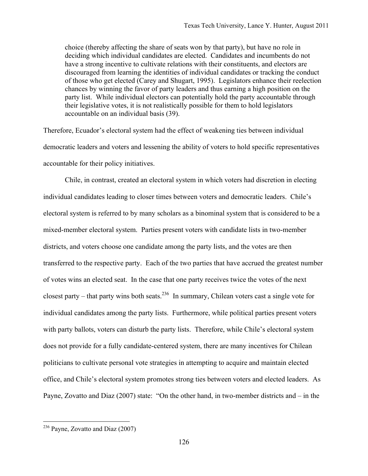choice (thereby affecting the share of seats won by that party), but have no role in deciding which individual candidates are elected. Candidates and incumbents do not have a strong incentive to cultivate relations with their constituents, and electors are discouraged from learning the identities of individual candidates or tracking the conduct of those who get elected (Carey and Shugart, 1995). Legislators enhance their reelection chances by winning the favor of party leaders and thus earning a high position on the party list. While individual electors can potentially hold the party accountable through their legislative votes, it is not realistically possible for them to hold legislators accountable on an individual basis (39).

Therefore, Ecuador's electoral system had the effect of weakening ties between individual democratic leaders and voters and lessening the ability of voters to hold specific representatives accountable for their policy initiatives.

Chile, in contrast, created an electoral system in which voters had discretion in electing individual candidates leading to closer times between voters and democratic leaders. Chile's electoral system is referred to by many scholars as a binominal system that is considered to be a mixed-member electoral system. Parties present voters with candidate lists in two-member districts, and voters choose one candidate among the party lists, and the votes are then transferred to the respective party. Each of the two parties that have accrued the greatest number of votes wins an elected seat. In the case that one party receives twice the votes of the next closest party – that party wins both seats.<sup>236</sup> In summary, Chilean voters cast a single vote for individual candidates among the party lists. Furthermore, while political parties present voters with party ballots, voters can disturb the party lists. Therefore, while Chile's electoral system does not provide for a fully candidate-centered system, there are many incentives for Chilean politicians to cultivate personal vote strategies in attempting to acquire and maintain elected office, and Chile's electoral system promotes strong ties between voters and elected leaders. As Payne, Zovatto and Diaz (2007) state: "On the other hand, in two-member districts and – in the

 $236$  Payne, Zovatto and Diaz (2007)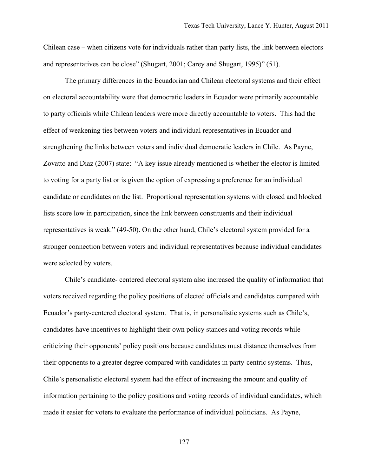Chilean case – when citizens vote for individuals rather than party lists, the link between electors and representatives can be close" (Shugart, 2001; Carey and Shugart, 1995)" (51).

The primary differences in the Ecuadorian and Chilean electoral systems and their effect on electoral accountability were that democratic leaders in Ecuador were primarily accountable to party officials while Chilean leaders were more directly accountable to voters. This had the effect of weakening ties between voters and individual representatives in Ecuador and strengthening the links between voters and individual democratic leaders in Chile. As Payne, Zovatto and Diaz (2007) state: "A key issue already mentioned is whether the elector is limited to voting for a party list or is given the option of expressing a preference for an individual candidate or candidates on the list. Proportional representation systems with closed and blocked lists score low in participation, since the link between constituents and their individual representatives is weak." (49-50). On the other hand, Chile's electoral system provided for a stronger connection between voters and individual representatives because individual candidates were selected by voters.

Chile's candidate- centered electoral system also increased the quality of information that voters received regarding the policy positions of elected officials and candidates compared with Ecuador's party-centered electoral system. That is, in personalistic systems such as Chile's, candidates have incentives to highlight their own policy stances and voting records while criticizing their opponents' policy positions because candidates must distance themselves from their opponents to a greater degree compared with candidates in party-centric systems. Thus, Chile's personalistic electoral system had the effect of increasing the amount and quality of information pertaining to the policy positions and voting records of individual candidates, which made it easier for voters to evaluate the performance of individual politicians. As Payne,

127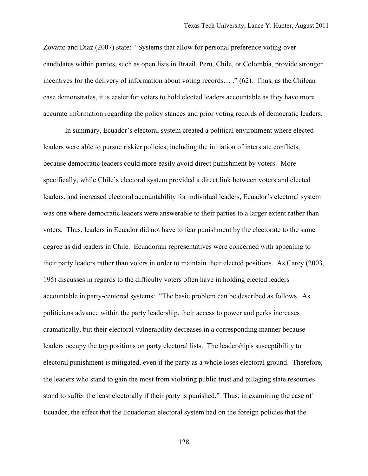Zovatto and Diaz (2007) state: "Systems that allow for personal preference voting over candidates within parties, such as open lists in Brazil, Peru, Chile, or Colombia, provide stronger incentives for the delivery of information about voting records… ." (62). Thus, as the Chilean case demonstrates, it is easier for voters to hold elected leaders accountable as they have more accurate information regarding the policy stances and prior voting records of democratic leaders.

In summary, Ecuador's electoral system created a political environment where elected leaders were able to pursue riskier policies, including the initiation of interstate conflicts, because democratic leaders could more easily avoid direct punishment by voters. More specifically, while Chile's electoral system provided a direct link between voters and elected leaders, and increased electoral accountability for individual leaders, Ecuador's electoral system was one where democratic leaders were answerable to their parties to a larger extent rather than voters. Thus, leaders in Ecuador did not have to fear punishment by the electorate to the same degree as did leaders in Chile. Ecuadorian representatives were concerned with appealing to their party leaders rather than voters in order to maintain their elected positions. As Carey (2003, 195) discusses in regards to the difficulty voters often have in holding elected leaders accountable in party-centered systems: "The basic problem can be described as follows. As politicians advance within the party leadership, their access to power and perks increases dramatically, but their electoral vulnerability decreases in a corresponding manner because leaders occupy the top positions on party electoral lists. The leadership's susceptibility to electoral punishment is mitigated, even if the party as a whole loses electoral ground. Therefore, the leaders who stand to gain the most from violating public trust and pillaging state resources stand to suffer the least electorally if their party is punished." Thus, in examining the case of Ecuador, the effect that the Ecuadorian electoral system had on the foreign policies that the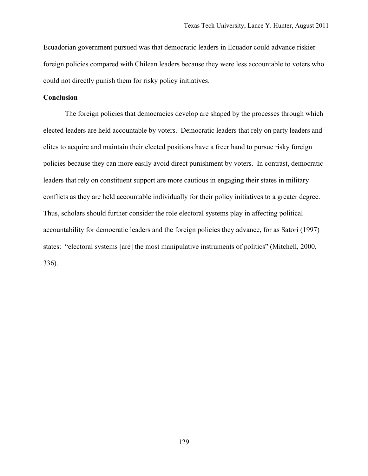Ecuadorian government pursued was that democratic leaders in Ecuador could advance riskier foreign policies compared with Chilean leaders because they were less accountable to voters who could not directly punish them for risky policy initiatives.

## **Conclusion**

The foreign policies that democracies develop are shaped by the processes through which elected leaders are held accountable by voters. Democratic leaders that rely on party leaders and elites to acquire and maintain their elected positions have a freer hand to pursue risky foreign policies because they can more easily avoid direct punishment by voters. In contrast, democratic leaders that rely on constituent support are more cautious in engaging their states in military conflicts as they are held accountable individually for their policy initiatives to a greater degree. Thus, scholars should further consider the role electoral systems play in affecting political accountability for democratic leaders and the foreign policies they advance, for as Satori (1997) states: "electoral systems [are] the most manipulative instruments of politics" (Mitchell, 2000, 336).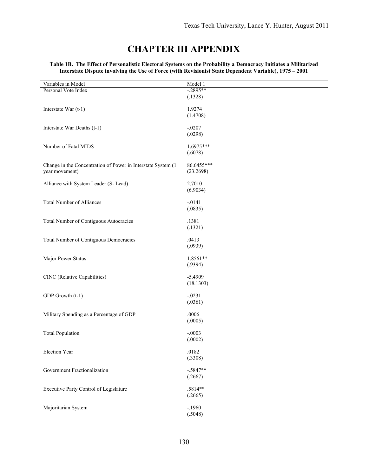# **CHAPTER III APPENDIX**

| Variables in Model                                           | Model 1             |
|--------------------------------------------------------------|---------------------|
| Personal Vote Index                                          | $-2895**$           |
|                                                              | (.1328)             |
| Interstate War (t-1)                                         | 1.9274              |
|                                                              | (1.4708)            |
|                                                              |                     |
| Interstate War Deaths (t-1)                                  | $-.0207$            |
|                                                              | (.0298)             |
| Number of Fatal MIDS                                         | 1.6975***           |
|                                                              | (.6078)             |
|                                                              |                     |
| Change in the Concentration of Power in Interstate System (1 | 86.6455***          |
| year movement)                                               | (23.2698)           |
| Alliance with System Leader (S- Lead)                        | 2.7010              |
|                                                              | (6.9034)            |
|                                                              |                     |
| <b>Total Number of Alliances</b>                             | $-.0141$<br>(.0835) |
|                                                              |                     |
| Total Number of Contiguous Autocracies                       | .1381               |
|                                                              | (.1321)             |
|                                                              |                     |
| Total Number of Contiguous Democracies                       | .0413<br>(.0939)    |
|                                                              |                     |
| Major Power Status                                           | 1.8561**            |
|                                                              | (.9394)             |
| CINC (Relative Capabilities)                                 | $-5.4909$           |
|                                                              | (18.1303)           |
|                                                              |                     |
| GDP Growth (t-1)                                             | $-.0231$            |
|                                                              | (.0361)             |
| Military Spending as a Percentage of GDP                     | .0006               |
|                                                              | (.0005)             |
|                                                              |                     |
| <b>Total Population</b>                                      | $-.0003$            |
|                                                              | (.0002)             |
| Election Year                                                | .0182               |
|                                                              | (.3308)             |
| Government Fractionalization                                 | $-.5847**$          |
|                                                              | (.2667)             |
|                                                              |                     |
| Executive Party Control of Legislature                       | .5814**             |
|                                                              | (.2665)             |
| Majoritarian System                                          | $-.1960$            |
|                                                              | (.5048)             |
|                                                              |                     |
|                                                              |                     |

**Table 1B. The Effect of Personalistic Electoral Systems on the Probability a Democracy Initiates a Militarized Interstate Dispute involving the Use of Force (with Revisionist State Dependent Variable), 1975 – 2001**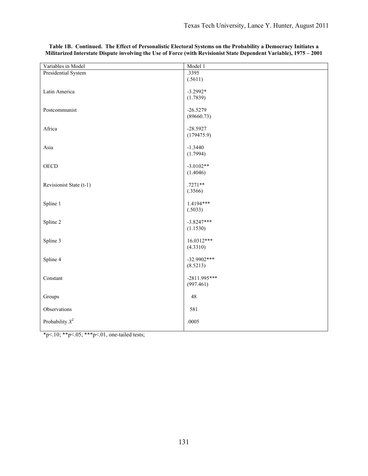| Variables in Model      | Model 1        |
|-------------------------|----------------|
| Presidential System     | .3395          |
|                         | (.5611)        |
| Latin America           | $-3.2992*$     |
|                         | (1.7839)       |
|                         |                |
| Postcommunist           | $-26.5279$     |
|                         | (89660.73)     |
|                         |                |
| Africa                  | $-28.5927$     |
|                         | (179475.9)     |
| Asia                    | $-1.3440$      |
|                         | (1.7994)       |
|                         |                |
| <b>OECD</b>             | $-3.0102**$    |
|                         | (1.4046)       |
|                         |                |
| Revisionist State (t-1) | $.7271**$      |
|                         | (.3566)        |
| Spline 1                | 1.4194***      |
|                         | (.5033)        |
|                         |                |
| Spline 2                | $-3.8247***$   |
|                         | (1.1530)       |
|                         |                |
| Spline 3                | 16.0312***     |
|                         | (4.3310)       |
| Spline 4                | $-32.9902***$  |
|                         | (8.5213)       |
|                         |                |
| Constant                | $-2811.995***$ |
|                         | (997.461)      |
|                         |                |
| Groups                  | 48             |
| Observations            | 581            |
|                         |                |
| Probability $X^2$       | .0005          |
|                         |                |

**Table 1B. Continued. The Effect of Personalistic Electoral Systems on the Probability a Democracy Initiates a Militarized Interstate Dispute involving the Use of Force (with Revisionist State Dependent Variable), 1975 – 2001**

\*p<.10; \*\*p<.05; \*\*\*p<.01, one-tailed tests;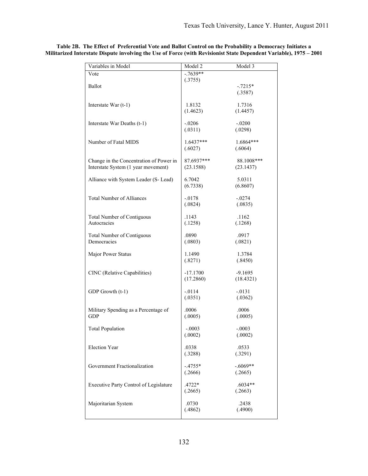| Variables in Model                                                             | Model 2                 | Model 3                 |
|--------------------------------------------------------------------------------|-------------------------|-------------------------|
| Vote                                                                           | $-7639**$               |                         |
| Ballot                                                                         | (.3755)                 | $-.7215*$<br>(.3587)    |
| Interstate War $(t-1)$                                                         | 1.8132<br>(1.4623)      | 1.7316<br>(1.4457)      |
| Interstate War Deaths (t-1)                                                    | $-.0206$<br>(.0311)     | $-.0200$<br>(.0298)     |
| Number of Fatal MIDS                                                           | $1.6437***$<br>(.6027)  | $1.6864***$<br>(.6064)  |
| Change in the Concentration of Power in<br>Interstate System (1 year movement) | 87.6937***<br>(23.1588) | 88.1008***<br>(23.1437) |
| Alliance with System Leader (S- Lead)                                          | 6.7042<br>(6.7338)      | 5.0311<br>(6.8607)      |
| <b>Total Number of Alliances</b>                                               | $-.0178$<br>(.0824)     | $-.0274$<br>(.0835)     |
| <b>Total Number of Contiguous</b><br>Autocracies                               | .1143<br>(.1258)        | .1162<br>(.1268)        |
| <b>Total Number of Contiguous</b><br>Democracies                               | .0890<br>(.0803)        | .0917<br>(.0821)        |
| Major Power Status                                                             | 1.1490<br>(.8271)       | 1.3784<br>(.8450)       |
| CINC (Relative Capabilities)                                                   | $-17.1700$<br>(17.2860) | $-9.1695$<br>(18.4321)  |
| GDP Growth (t-1)                                                               | $-0114$<br>(.0351)      | $-0131$<br>(.0362)      |
| Military Spending as a Percentage of<br><b>GDP</b>                             | .0006<br>(.0005)        | .0006<br>(.0005)        |
| <b>Total Population</b>                                                        | $-.0003$<br>(.0002)     | $-.0003$<br>(.0002)     |
| Election Year                                                                  | .0338<br>(.3288)        | .0533<br>(.3291)        |
| Government Fractionalization                                                   | $-.4755*$<br>(.2666)    | $-.6069**$<br>(.2665)   |
| Executive Party Control of Legislature                                         | .4722*<br>(.2665)       | $.6034**$<br>(.2663)    |
| Majoritarian System                                                            | .0730<br>(.4862)        | .2438<br>(.4900)        |

**Table 2B. The Effect of Preferential Vote and Ballot Control on the Probability a Democracy Initiates a Militarized Interstate Dispute involving the Use of Force (with Revisionist State Dependent Variable), 1975 – 2001**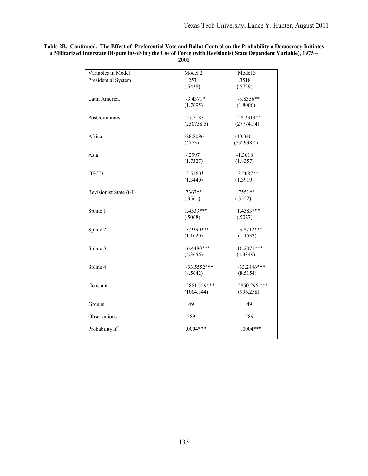| Variables in Model      | Model 2        | Model 3         |
|-------------------------|----------------|-----------------|
| Presidential System     | .1253          | .3518           |
|                         | (.5438)        | (.5729)         |
|                         |                |                 |
| Latin America           | $-3.4371*$     | $-3.8356**$     |
|                         | (1.7695)       | (1.8006)        |
| Postcommunist           | $-27.2183$     | $-28.2314**$    |
|                         | (250758.5)     | (277741.4)      |
|                         |                |                 |
| Africa                  | $-28.8096$     | $-30.3461$      |
|                         | (4773)         | (532938.4)      |
|                         |                |                 |
| Asia                    | $-.2997$       | $-1.3618$       |
|                         | (1.7327)       | (1.8357)        |
| <b>OECD</b>             | $-2.5160*$     | $-3.2087**$     |
|                         | (1.3440)       | (1.3919)        |
|                         |                |                 |
| Revisionist State (t-1) | $.7367**$      | $.7551**$       |
|                         | (.3561)        | (.3552)         |
|                         |                |                 |
| Spline 1                | $1.4533***$    | 1.4383***       |
|                         | (.5068)        | (.5027)         |
|                         |                |                 |
| Spline 2                | $-3.9390***$   | $-3.8712***$    |
|                         | (1.1620)       | (1.1532)        |
| Spline 3                | $16.4480***$   | 16.2071***      |
|                         | (4.3656)       | (4.3349)        |
|                         |                |                 |
| Spline 4                | $-33.5552***$  | $-33.2446***$   |
|                         | (8.5642)       | (8.5154)        |
|                         |                |                 |
| Constant                | $-2881.559***$ | $-2850.296$ *** |
|                         | (1004.344)     | (996.258)       |
|                         |                |                 |
| Groups                  | 49             | 49              |
| Observations            | 589            | 589             |
|                         |                |                 |
| Probability $X^2$       | $.0004***$     | $.0004***$      |
|                         |                |                 |

**Table 2B. Continued. The Effect of Preferential Vote and Ballot Control on the Probability a Democracy Initiates a Militarized Interstate Dispute involving the Use of Force (with Revisionist State Dependent Variable), 1975 – 2001**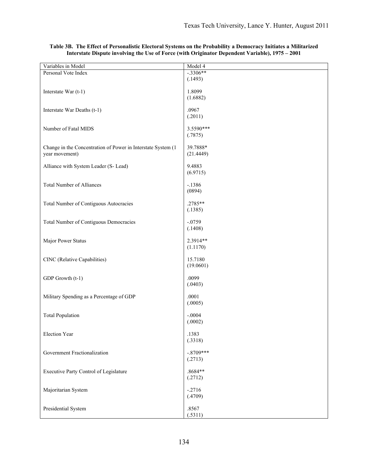| Variables in Model                                           | Model 4     |
|--------------------------------------------------------------|-------------|
| Personal Vote Index                                          | $-3306**$   |
|                                                              | (.1493)     |
|                                                              |             |
| Interstate War (t-1)                                         | 1.8099      |
|                                                              | (1.6882)    |
|                                                              |             |
| Interstate War Deaths (t-1)                                  | .0967       |
|                                                              | (.2011)     |
|                                                              |             |
| Number of Fatal MIDS                                         | 3.5590***   |
|                                                              | (.7875)     |
| Change in the Concentration of Power in Interstate System (1 | 39.7888*    |
| year movement)                                               | (21.4449)   |
|                                                              |             |
| Alliance with System Leader (S-Lead)                         | 9.4883      |
|                                                              | (6.9715)    |
|                                                              |             |
| <b>Total Number of Alliances</b>                             | $-.1386$    |
|                                                              | (0894)      |
|                                                              |             |
| <b>Total Number of Contiguous Autocracies</b>                | .2785**     |
|                                                              | (.1385)     |
|                                                              |             |
| <b>Total Number of Contiguous Democracies</b>                | $-.0759$    |
|                                                              | (.1408)     |
|                                                              |             |
| Major Power Status                                           | 2.3914**    |
|                                                              | (1.1170)    |
|                                                              |             |
| CINC (Relative Capabilities)                                 | 15.7180     |
|                                                              | (19.0601)   |
| GDP Growth (t-1)                                             | .0099       |
|                                                              | (.0403)     |
|                                                              |             |
| Military Spending as a Percentage of GDP                     | .0001       |
|                                                              | (.0005)     |
|                                                              |             |
| <b>Total Population</b>                                      | $-.0004$    |
|                                                              | (.0002)     |
|                                                              |             |
| Election Year                                                | .1383       |
|                                                              | (.3318)     |
|                                                              |             |
| Government Fractionalization                                 | $-.8709***$ |
|                                                              | (.2713)     |
|                                                              |             |
| Executive Party Control of Legislature                       | .8684**     |
|                                                              | (.2712)     |
| Majoritarian System                                          | $-.2716$    |
|                                                              | (.4709)     |
|                                                              |             |
| Presidential System                                          | .8567       |
|                                                              | (.5311)     |

#### **Table 3B. The Effect of Personalistic Electoral Systems on the Probability a Democracy Initiates a Militarized Interstate Dispute involving the Use of Force (with Originator Dependent Variable), 1975 – 2001**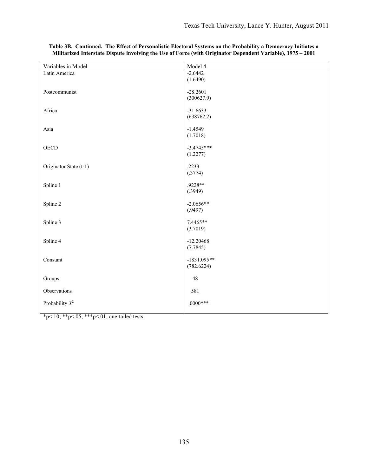| Variables in Model     | Model 4                     |
|------------------------|-----------------------------|
| Latin America          | $-2.6442$                   |
|                        | (1.6490)                    |
|                        |                             |
| Postcommunist          | $-28.2601$<br>(300627.9)    |
|                        |                             |
| Africa                 | $-31.6633$                  |
|                        | (638762.2)                  |
|                        |                             |
| Asia                   | $-1.4549$                   |
|                        | (1.7018)                    |
| <b>OECD</b>            | $-3.4745***$                |
|                        | (1.2277)                    |
|                        |                             |
| Originator State (t-1) | .2233                       |
|                        | (.3774)                     |
| Spline 1               | .9228**                     |
|                        | (.3949)                     |
|                        |                             |
| Spline 2               | $-2.0656**$                 |
|                        | (.9497)                     |
| Spline 3               | 7.4465**                    |
|                        | (3.7019)                    |
|                        |                             |
| Spline 4               | $-12.20468$                 |
|                        | (7.7845)                    |
|                        |                             |
| Constant               | $-1831.095**$<br>(782.6224) |
|                        |                             |
| Groups                 | $48\,$                      |
|                        |                             |
| Observations           | 581                         |
| Probability $X^2$      | $.0000$ ***                 |
|                        |                             |

#### **Table 3B. Continued. The Effect of Personalistic Electoral Systems on the Probability a Democracy Initiates a Militarized Interstate Dispute involving the Use of Force (with Originator Dependent Variable), 1975 – 2001**

\*p<.10; \*\*p<.05; \*\*\*p<.01, one-tailed tests;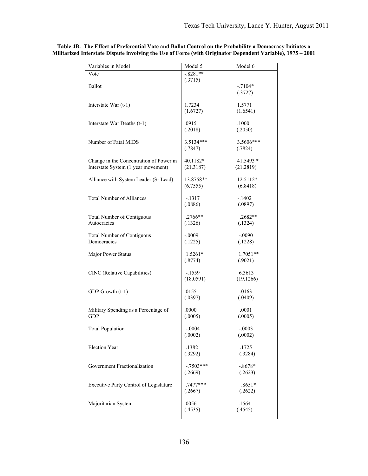| Variables in Model                      | Model 5     | Model 6    |
|-----------------------------------------|-------------|------------|
| Vote                                    | $-.8281**$  |            |
| Ballot                                  | (.3715)     | $-.7104*$  |
|                                         |             | (.3727)    |
| Interstate War (t-1)                    | 1.7234      | 1.5771     |
|                                         | (1.6727)    | (1.6541)   |
| Interstate War Deaths (t-1)             | .0915       | .1000      |
|                                         | (.2018)     | (.2050)    |
| Number of Fatal MIDS                    | $3.5134***$ | 3.5606***  |
|                                         | (.7847)     | (.7824)    |
| Change in the Concentration of Power in | 40.1182*    | 41.5493 *  |
| Interstate System (1 year movement)     | (21.3187)   | (21.2819)  |
| Alliance with System Leader (S- Lead)   | 13.8758**   | 12.5112*   |
|                                         | (6.7555)    | (6.8418)   |
| <b>Total Number of Alliances</b>        | $-1317$     | $-1402$    |
|                                         | (.0886)     | (.0897)    |
| <b>Total Number of Contiguous</b>       | $.2766**$   | .2682**    |
| Autocracies                             | (.1326)     | (.1324)    |
| <b>Total Number of Contiguous</b>       | $-.0009$    | $-.0090$   |
| Democracies                             | (.1225)     | (.1228)    |
| Major Power Status                      | $1.5261*$   | $1.7051**$ |
|                                         | (.8774)     | (.9021)    |
| CINC (Relative Capabilities)            | $-1559$     | 6.3613     |
|                                         | (18.0591)   | (19.1266)  |
| GDP Growth (t-1)                        | .0155       | .0163      |
|                                         | (.0397)     | (.0409)    |
| Military Spending as a Percentage of    | .0000       | .0001      |
| <b>GDP</b>                              | (.0005)     | (.0005)    |
| <b>Total Population</b>                 | -.0004      | $-.0003$   |
|                                         | (.0002)     | (.0002)    |
| Election Year                           | .1382       | .1725      |
|                                         | (.3292)     | (.3284)    |
| Government Fractionalization            | $-.7503***$ | $-.8678*$  |
|                                         | (.2669)     | (.2623)    |
| Executive Party Control of Legislature  | .7477***    | $.8651*$   |
|                                         | (.2667)     | (.2622)    |
| Majoritarian System                     | .0056       | .1564      |
|                                         | (.4535)     | (.4545)    |

**Table 4B. The Effect of Preferential Vote and Ballot Control on the Probability a Democracy Initiates a Militarized Interstate Dispute involving the Use of Force (with Originator Dependent Variable), 1975 – 2001**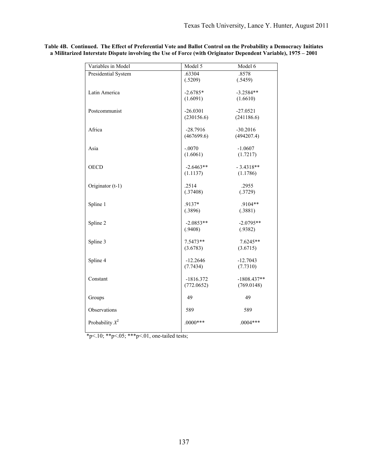| Variables in Model  | Model 5                | Model 6              |
|---------------------|------------------------|----------------------|
| Presidential System | .63304                 | .8578                |
|                     | (.5209)                | (.5459)              |
| Latin America       | $-2.6785*$             | $-3.2584**$          |
|                     | (1.6091)               | (1.6610)             |
|                     |                        |                      |
| Postcommunist       | $-26.0301$             | $-27.0521$           |
|                     | (230156.6)             | (241186.6)           |
| Africa              | $-28.7916$             | $-30.2016$           |
|                     | (467699.6)             | (494207.4)           |
|                     |                        |                      |
| Asia                | $-.0070$               | $-1.0607$            |
|                     | (1.6061)               | (1.7217)             |
| <b>OECD</b>         | $-2.6463**$            | $-3.4318**$          |
|                     | (1.1137)               | (1.1786)             |
|                     |                        |                      |
| Originator (t-1)    | .2514                  | .2955                |
|                     | (.37408)               | (.3729)              |
|                     | .9137*                 | .9104**              |
| Spline 1            | (.3896)                | (.3881)              |
|                     |                        |                      |
| Spline 2            | $-2.0853**$            | $-2.0795**$          |
|                     | (.9408)                | (.9382)              |
|                     |                        |                      |
| Spline 3            | $7.5473**$<br>(3.6783) | 7.6245**<br>(3.6715) |
|                     |                        |                      |
| Spline 4            | $-12.2646$             | $-12.7043$           |
|                     | (7.7434)               | (7.7310)             |
| Constant            | $-1816.372$            | $-1808.437**$        |
|                     | (772.0652)             | (769.0148)           |
|                     |                        |                      |
| Groups              | 49                     | 49                   |
|                     |                        |                      |
| Observations        | 589                    | 589                  |
| Probability $X^2$   | $.0000***$             | $.0004***$           |
|                     |                        |                      |

**Table 4B. Continued. The Effect of Preferential Vote and Ballot Control on the Probability a Democracy Initiates a Militarized Interstate Dispute involving the Use of Force (with Originator Dependent Variable), 1975 – 2001**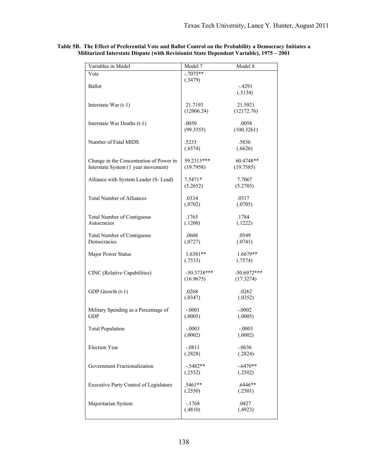| Variables in Model                                                             | Model 7       | Model 8            |
|--------------------------------------------------------------------------------|---------------|--------------------|
| Vote                                                                           | $-7075**$     |                    |
|                                                                                | (.3479)       |                    |
| Ballot                                                                         |               | $-4291$<br>(.3134) |
|                                                                                |               |                    |
| Interstate War $(t-1)$                                                         | 21.7193       | 21.5921            |
|                                                                                | (12006.24)    | (12172.76)         |
|                                                                                | .0050         | .0058              |
| Interstate War Deaths (t-1)                                                    | (99.3355)     | (100.3261)         |
|                                                                                |               |                    |
| Number of Fatal MIDS                                                           | .5233         | .5836              |
|                                                                                | (.6574)       | (.6626)            |
|                                                                                | 59.2313***    | 60.4748**          |
| Change in the Concentration of Power in<br>Interstate System (1 year movement) | (19.7958)     | (19.7585)          |
|                                                                                |               |                    |
| Alliance with System Leader (S- Lead)                                          | $7.5471*$     | 7.7067             |
|                                                                                | (5.2652)      | (5.2703)           |
| <b>Total Number of Alliances</b>                                               | .0334         | .0317              |
|                                                                                | (.0702)       | (.0705)            |
|                                                                                |               |                    |
| <b>Total Number of Contiguous</b>                                              | .1765         | .1784              |
| Autocracies                                                                    | (.1200)       | (.1222)            |
|                                                                                | .0606         | .0549              |
| <b>Total Number of Contiguous</b><br>Democracies                               | (.0727)       | (.0741)            |
|                                                                                |               |                    |
| Major Power Status                                                             | $1.6381**$    | $1.6679**$         |
|                                                                                | (.7533)       | (.7574)            |
| CINC (Relative Capabilities)                                                   | $-50.3738***$ | $-50.6972***$      |
|                                                                                | (16.9675)     | (17.3274)          |
|                                                                                |               |                    |
| GDP Growth (t-1)                                                               | .0268         | .0262              |
|                                                                                | (.0347)       | (.0352)            |
| Military Spending as a Percentage of                                           | $-.0001$      | $-.0002$           |
| <b>GDP</b>                                                                     | (.0005)       | (.0005)            |
|                                                                                |               |                    |
| <b>Total Population</b>                                                        | $-.0003$      | $-.0003$           |
|                                                                                | (.0002)       | (.0002)            |
| <b>Election Year</b>                                                           | $-.0811$      | $-.0636$           |
|                                                                                | (.2828)       | (.2824)            |
|                                                                                |               |                    |
| Government Fractionalization                                                   | $-.5482**$    | $-.6470**$         |
|                                                                                | (.2552)       | (.2502)            |
| Executive Party Control of Legislature                                         | .5461**       | $.6446**$          |
|                                                                                | (.2550)       | (.2501)            |
|                                                                                |               |                    |
| Majoritarian System                                                            | $-.1768$      | .0427              |
|                                                                                | (.4810)       | (.4923)            |
|                                                                                |               |                    |

**Table 5B. The Effect of Preferential Vote and Ballot Control on the Probability a Democracy Initiates a Militarized Interstate Dispute (with Revisionist State Dependent Variable), 1975 – 2001**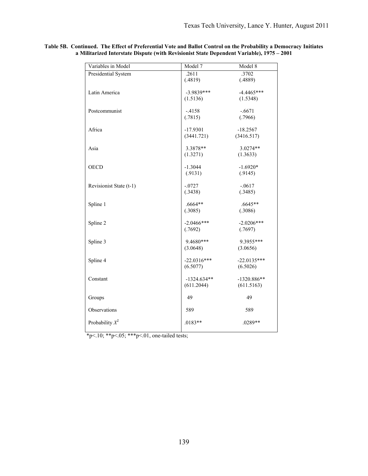| Variables in Model      | Model 7                   | Model 8                   |
|-------------------------|---------------------------|---------------------------|
| Presidential System     | .2611                     | .3702                     |
|                         | (.4819)                   | (.4889)                   |
| Latin America           | $-3.9839***$              | $-4.4465***$              |
|                         | (1.5136)                  | (1.5348)                  |
|                         |                           |                           |
| Postcommunist           | $-4158$                   | $-.6671$                  |
|                         | (.7815)                   | (.7966)                   |
|                         |                           |                           |
| Africa                  | $-17.9301$                | $-18.2567$                |
|                         | (3441.721)                | (3416.517)                |
| Asia                    | 3.3878**                  | 3.0274**                  |
|                         | (1.3271)                  | (1.3633)                  |
|                         |                           |                           |
| <b>OECD</b>             | $-1.3044$                 | $-1.6920*$                |
|                         | (.9131)                   | (.9145)                   |
|                         |                           |                           |
| Revisionist State (t-1) | $-.0727$                  | $-.0617$                  |
|                         | (.3438)                   | (.3485)                   |
| Spline 1                | .6664**                   | .6645**                   |
|                         | (.3085)                   | (.3086)                   |
|                         |                           |                           |
| Spline 2                | $-2.0466$ ***             | $-2.0206***$              |
|                         | (.7692)                   | (.7697)                   |
|                         |                           |                           |
| Spline 3                | 9.4680***                 | 9.3955***                 |
|                         | (3.0648)                  | (3.0656)                  |
|                         |                           |                           |
| Spline 4                | $-22.0316***$<br>(6.5077) | $-22.0135***$<br>(6.5026) |
|                         |                           |                           |
| Constant                | $-1324.634**$             | $-1320.886**$             |
|                         | (611.2044)                | (611.5163)                |
|                         |                           |                           |
| Groups                  | 49                        | 49                        |
|                         |                           |                           |
| Observations            | 589                       | 589                       |
| Probability $X^2$       | $.0183**$                 | .0289**                   |
|                         |                           |                           |
|                         |                           |                           |

**Table 5B. Continued. The Effect of Preferential Vote and Ballot Control on the Probability a Democracy Initiates a Militarized Interstate Dispute (with Revisionist State Dependent Variable), 1975 – 2001**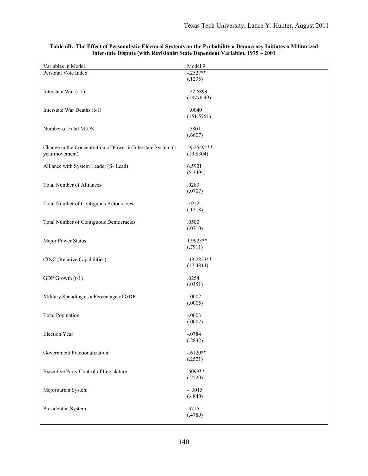| Variables in Model                                           | Model 9      |
|--------------------------------------------------------------|--------------|
| Personal Vote Index                                          | $-.2527**$   |
|                                                              | (.1235)      |
|                                                              |              |
| Interstate War (t-1)                                         | 22.6899      |
|                                                              | (18776.49)   |
|                                                              |              |
| Interstate War Deaths (t-1)                                  | .0040        |
|                                                              | (151.5751)   |
|                                                              |              |
| Number of Fatal MIDS                                         | .5801        |
|                                                              | (.6607)      |
|                                                              |              |
| Change in the Concentration of Power in Interstate System (1 | 59.2549***   |
| year movement)                                               | (19.8304)    |
|                                                              |              |
| Alliance with System Leader (S- Lead)                        | 6.5901       |
|                                                              | (5.3494)     |
|                                                              |              |
| <b>Total Number of Alliances</b>                             | .0283        |
|                                                              | (.0707)      |
|                                                              |              |
| Total Number of Contiguous Autocracies                       | .1912        |
|                                                              | (.1218)      |
|                                                              | .0500        |
| Total Number of Contiguous Democracies                       |              |
|                                                              | (.0710)      |
| Major Power Status                                           | 1.9923**     |
|                                                              | (.7911)      |
|                                                              |              |
| CINC (Relative Capabilities)                                 | $-43.2823**$ |
|                                                              | (17.4814)    |
|                                                              |              |
| GDP Growth (t-1)                                             | .0254        |
|                                                              | (.0351)      |
|                                                              |              |
| Military Spending as a Percentage of GDP                     | $-.0002$     |
|                                                              | (.0005)      |
|                                                              |              |
| <b>Total Population</b>                                      | $-.0003$     |
|                                                              | (.0002)      |
|                                                              |              |
| Election Year                                                | $-.0784$     |
|                                                              | (.2832)      |
|                                                              |              |
| Government Fractionalization                                 | $-.6120**$   |
|                                                              | (.2521)      |
|                                                              | $.6099**$    |
| Executive Party Control of Legislature                       | (.2520)      |
|                                                              |              |
| Majoritarian System                                          | $-.3015$     |
|                                                              | (.4840)      |
|                                                              |              |
| Presidential System                                          | .3715        |
|                                                              | (.4789)      |
|                                                              |              |

#### **Table 6B. The Effect of Personalistic Electoral Systems on the Probability a Democracy Initiates a Militarized Interstate Dispute (with Revisionist State Dependent Variable), 1975 – 2001**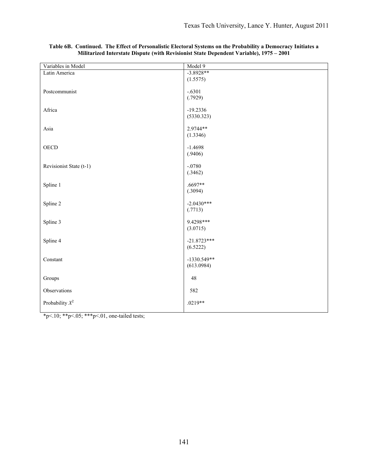| Variables in Model         | Model 9              |
|----------------------------|----------------------|
| Latin America              | $-3.8928**$          |
|                            | (1.5575)             |
|                            |                      |
| Postcommunist              | $-.6301$             |
|                            | (.7929)              |
| Africa                     | $-19.2336$           |
|                            | (5330.323)           |
|                            |                      |
| Asia                       | 2.9744**             |
|                            | (1.3346)             |
|                            |                      |
| <b>OECD</b>                | $-1.4698$<br>(.9406) |
|                            |                      |
| Revisionist State (t-1)    | $-.0780$             |
|                            | (.3462)              |
|                            |                      |
| Spline 1                   | $.6697**$            |
|                            | (.3094)              |
| Spline 2                   | $-2.0430***$         |
|                            | (.7713)              |
|                            |                      |
| Spline 3                   | 9.4298***            |
|                            | (3.0715)             |
|                            |                      |
| Spline 4                   | $-21.8723***$        |
|                            | (6.5222)             |
| Constant                   | $-1330.549**$        |
|                            | (613.0984)           |
|                            |                      |
| Groups                     | 48                   |
| Observations               | 582                  |
|                            |                      |
| Probability $\mathbb{X}^2$ | .0219**              |
|                            |                      |

#### **Table 6B. Continued. The Effect of Personalistic Electoral Systems on the Probability a Democracy Initiates a Militarized Interstate Dispute (with Revisionist State Dependent Variable), 1975 – 2001**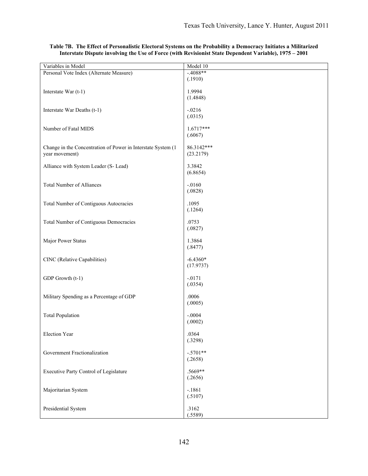| Variables in Model                                           | Model 10    |
|--------------------------------------------------------------|-------------|
| Personal Vote Index (Alternate Measure)                      | $-4088**$   |
|                                                              | (.1910)     |
|                                                              |             |
| Interstate War (t-1)                                         | 1.9994      |
|                                                              | (1.4848)    |
|                                                              |             |
| Interstate War Deaths (t-1)                                  | $-.0216$    |
|                                                              | (.0315)     |
|                                                              |             |
| Number of Fatal MIDS                                         | $1.6717***$ |
|                                                              | (.6067)     |
|                                                              |             |
| Change in the Concentration of Power in Interstate System (1 | 86.3142***  |
| year movement)                                               | (23.2179)   |
|                                                              |             |
| Alliance with System Leader (S-Lead)                         | 3.3842      |
|                                                              | (6.8654)    |
|                                                              |             |
| <b>Total Number of Alliances</b>                             | $-.0160$    |
|                                                              | (.0828)     |
|                                                              |             |
| Total Number of Contiguous Autocracies                       | .1095       |
|                                                              | (.1264)     |
|                                                              |             |
| Total Number of Contiguous Democracies                       | .0753       |
|                                                              | (.0827)     |
|                                                              |             |
| Major Power Status                                           | 1.3864      |
|                                                              | (.8477)     |
|                                                              |             |
| CINC (Relative Capabilities)                                 | $-6.4360*$  |
|                                                              | (17.9737)   |
|                                                              |             |
| GDP Growth (t-1)                                             | $-.0171$    |
|                                                              | (.0354)     |
|                                                              |             |
| Military Spending as a Percentage of GDP                     | .0006       |
|                                                              | (.0005)     |
|                                                              |             |
| <b>Total Population</b>                                      | $-.0004$    |
|                                                              | (.0002)     |
|                                                              |             |
| Election Year                                                | .0364       |
|                                                              | (.3298)     |
|                                                              |             |
| Government Fractionalization                                 | $-.5701**$  |
|                                                              | (.2658)     |
|                                                              |             |
| Executive Party Control of Legislature                       | .5669**     |
|                                                              | (.2656)     |
|                                                              |             |
| Majoritarian System                                          | $-.1861$    |
|                                                              | (.5107)     |
|                                                              |             |
| Presidential System                                          | .3162       |
|                                                              | (.5589)     |

# **Table 7B. The Effect of Personalistic Electoral Systems on the Probability a Democracy Initiates a Militarized Interstate Dispute involving the Use of Force (with Revisionist State Dependent Variable), 1975 – 2001**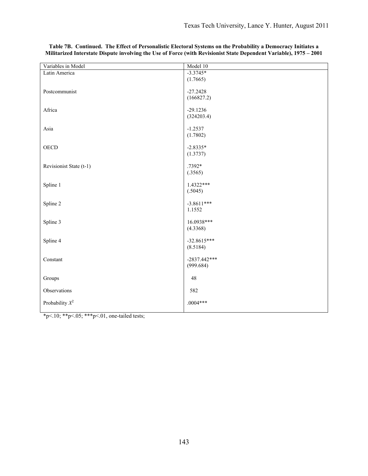| Variables in Model      | Model 10       |
|-------------------------|----------------|
| Latin America           | $-3.3745*$     |
|                         | (1.7665)       |
|                         |                |
| Postcommunist           | $-27.2428$     |
|                         | (166827.2)     |
| Africa                  | $-29.1236$     |
|                         | (324203.4)     |
|                         |                |
| Asia                    | $-1.2537$      |
|                         | (1.7802)       |
| <b>OECD</b>             | $-2.8335*$     |
|                         | (1.3737)       |
|                         |                |
| Revisionist State (t-1) | .7392*         |
|                         | (.3565)        |
|                         |                |
| Spline 1                | $1.4322***$    |
|                         | (.5045)        |
| Spline 2                | $-3.8611***$   |
|                         | 1.1552         |
|                         |                |
| Spline 3                | 16.0938***     |
|                         | (4.3368)       |
| Spline 4                | $-32.8615***$  |
|                         | (8.5184)       |
|                         |                |
| Constant                | $-2837.442***$ |
|                         | (999.684)      |
|                         |                |
| Groups                  | $48\,$         |
| Observations            | 582            |
|                         |                |
| Probability $X^2$       | $.0004***$     |
|                         |                |

**Table 7B. Continued. The Effect of Personalistic Electoral Systems on the Probability a Democracy Initiates a Militarized Interstate Dispute involving the Use of Force (with Revisionist State Dependent Variable), 1975 – 2001**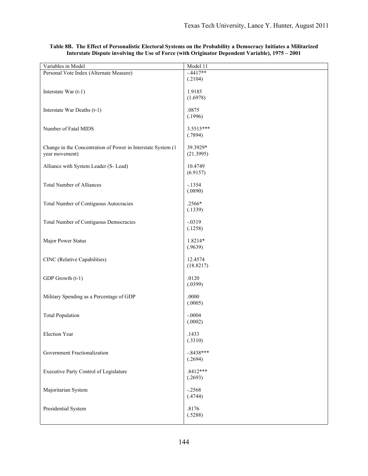| Variables in Model                                           | Model 11    |
|--------------------------------------------------------------|-------------|
| Personal Vote Index (Alternate Measure)                      | $-.4417**$  |
|                                                              | (.2104)     |
|                                                              |             |
| Interstate War (t-1)                                         | 1.9185      |
|                                                              | (1.6978)    |
|                                                              |             |
| Interstate War Deaths (t-1)                                  | .0875       |
|                                                              | (.1996)     |
|                                                              |             |
| Number of Fatal MIDS                                         | 3.5515***   |
|                                                              | (.7894)     |
|                                                              |             |
| Change in the Concentration of Power in Interstate System (1 | 39.3929*    |
| year movement)                                               | (21.3995)   |
|                                                              |             |
| Alliance with System Leader (S- Lead)                        | 10.4749     |
|                                                              | (6.9157)    |
|                                                              |             |
| <b>Total Number of Alliances</b>                             | $-.1354$    |
|                                                              | (.0890)     |
|                                                              | .2566*      |
| <b>Total Number of Contiguous Autocracies</b>                |             |
|                                                              | (.1339)     |
|                                                              | $-.0319$    |
| Total Number of Contiguous Democracies                       |             |
|                                                              | (.1258)     |
| Major Power Status                                           | 1.8214*     |
|                                                              | (.9639)     |
|                                                              |             |
| CINC (Relative Capabilities)                                 | 12.4574     |
|                                                              | (18.8217)   |
|                                                              |             |
| GDP Growth (t-1)                                             | .0120       |
|                                                              | (.0399)     |
|                                                              |             |
| Military Spending as a Percentage of GDP                     | .0000       |
|                                                              | (.0005)     |
|                                                              |             |
| <b>Total Population</b>                                      | $-.0004$    |
|                                                              | (.0002)     |
|                                                              |             |
| Election Year                                                | .1433       |
|                                                              | (.3310)     |
|                                                              |             |
| Government Fractionalization                                 | $-.8438***$ |
|                                                              | (.2694)     |
|                                                              |             |
| Executive Party Control of Legislature                       | $.8412***$  |
|                                                              | (.2693)     |
|                                                              |             |
| Majoritarian System                                          | $-.2568$    |
|                                                              | (.4744)     |
|                                                              |             |
| Presidential System                                          | .8176       |
|                                                              | (.5288)     |
|                                                              |             |

#### **Table 8B. The Effect of Personalistic Electoral Systems on the Probability a Democracy Initiates a Militarized Interstate Dispute involving the Use of Force (with Originator Dependent Variable), 1975 – 2001**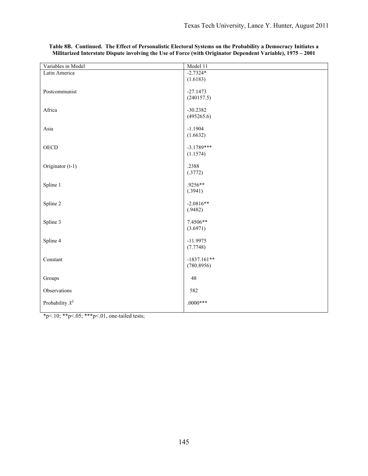| Variables in Model | Model 11                 |
|--------------------|--------------------------|
| Latin America      | $-2.7324*$               |
|                    | (1.6183)                 |
|                    |                          |
| Postcommunist      | $-27.1473$               |
|                    | (240157.5)               |
| Africa             | $-30.2382$               |
|                    | (495265.6)               |
|                    |                          |
| Asia               | $-1.1904$                |
|                    | (1.6632)                 |
|                    |                          |
| <b>OECD</b>        | $-3.1789***$<br>(1.1574) |
|                    |                          |
| Originator (t-1)   | .2388                    |
|                    | (.3772)                  |
|                    |                          |
| Spline 1           | .9256**                  |
|                    | (.3941)                  |
| Spline 2           | $-2.0816**$              |
|                    | (.9482)                  |
|                    |                          |
| Spline 3           | 7.4506**                 |
|                    | (3.6971)                 |
|                    |                          |
| Spline 4           | $-11.9975$<br>(7.7748)   |
|                    |                          |
| Constant           | $-1837.161**$            |
|                    | (780.8956)               |
|                    |                          |
| Groups             | $48\,$                   |
| Observations       | 582                      |
|                    |                          |
| Probability $X^2$  | $.0000***$               |
|                    |                          |

**Table 8B. Continued. The Effect of Personalistic Electoral Systems on the Probability a Democracy Initiates a Militarized Interstate Dispute involving the Use of Force (with Originator Dependent Variable), 1975 – 2001**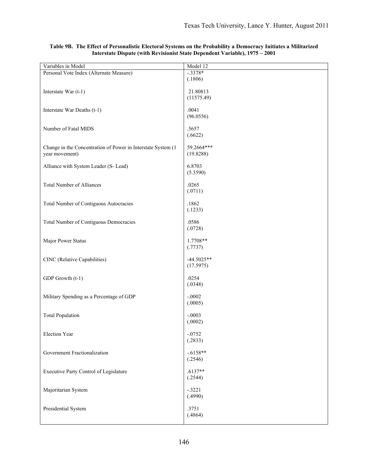| Variables in Model                                           | Model 12     |
|--------------------------------------------------------------|--------------|
| Personal Vote Index (Alternate Measure)                      | $-.3378*$    |
|                                                              | (.1806)      |
|                                                              |              |
| Interstate War (t-1)                                         | 21.80813     |
|                                                              | (11575.49)   |
|                                                              |              |
| Interstate War Deaths (t-1)                                  | .0041        |
|                                                              | (96.0556)    |
|                                                              |              |
| Number of Fatal MIDS                                         | .5657        |
|                                                              | (.6622)      |
|                                                              |              |
| Change in the Concentration of Power in Interstate System (1 | 59.2664***   |
| year movement)                                               | (19.8288)    |
|                                                              |              |
| Alliance with System Leader (S- Lead)                        | 6.8703       |
|                                                              | (5.3590)     |
|                                                              |              |
| <b>Total Number of Alliances</b>                             | .0265        |
|                                                              | (.0711)      |
|                                                              |              |
| Total Number of Contiguous Autocracies                       | .1862        |
|                                                              | (.1233)      |
|                                                              |              |
| Total Number of Contiguous Democracies                       | .0586        |
|                                                              | (.0728)      |
|                                                              |              |
| Major Power Status                                           | 1.7708**     |
|                                                              | (.7737)      |
|                                                              |              |
| CINC (Relative Capabilities)                                 | $-44.5025**$ |
|                                                              | (17.5975)    |
|                                                              |              |
| GDP Growth (t-1)                                             | .0254        |
|                                                              | (.0348)      |
|                                                              |              |
| Military Spending as a Percentage of GDP                     | $-.0002$     |
|                                                              | (.0005)      |
|                                                              |              |
| <b>Total Population</b>                                      | $-.0003$     |
|                                                              | (.0002)      |
|                                                              |              |
| Election Year                                                | $-.0752$     |
|                                                              | (.2833)      |
|                                                              |              |
| Government Fractionalization                                 | $-.6158**$   |
|                                                              | (.2546)      |
|                                                              | $.6137**$    |
| Executive Party Control of Legislature                       |              |
|                                                              | (.2544)      |
|                                                              | $-.3221$     |
| Majoritarian System                                          | (.4990)      |
|                                                              |              |
| Presidential System                                          | .3751        |
|                                                              | (.4864)      |
|                                                              |              |
|                                                              |              |

#### **Table 9B. The Effect of Personalistic Electoral Systems on the Probability a Democracy Initiates a Militarized Interstate Dispute (with Revisionist State Dependent Variable), 1975 – 2001**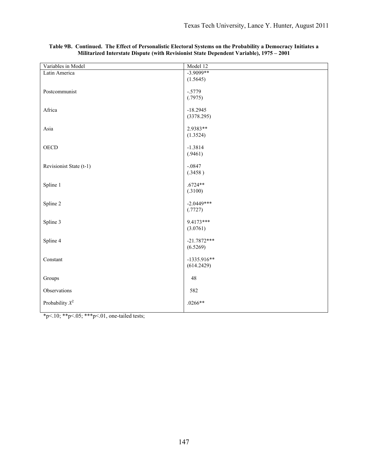| Variables in Model         | Model 12      |
|----------------------------|---------------|
| Latin America              | $-3.9099**$   |
|                            | (1.5645)      |
|                            |               |
| Postcommunist              | $-.5779$      |
|                            | (.7975)       |
| Africa                     | $-18.2945$    |
|                            | (3378.295)    |
|                            |               |
| Asia                       | 2.9383**      |
|                            | (1.3524)      |
| <b>OECD</b>                | $-1.3814$     |
|                            | (.9461)       |
|                            |               |
| Revisionist State (t-1)    | $-.0847$      |
|                            | (.3458)       |
|                            |               |
| Spline 1                   | $.6724**$     |
|                            | (.3100)       |
| Spline 2                   | $-2.0449***$  |
|                            | (.7727)       |
|                            |               |
| Spline 3                   | 9.4173***     |
|                            | (3.0761)      |
|                            | $-21.7872***$ |
| Spline 4                   | (6.5269)      |
|                            |               |
| Constant                   | $-1335.916**$ |
|                            | (614.2429)    |
|                            |               |
| Groups                     | $48\,$        |
| Observations               | 582           |
|                            |               |
| Probability $\mathbb{X}^2$ | $.0266**$     |
|                            |               |

|  |  | Table 9B. Continued. The Effect of Personalistic Electoral Systems on the Probability a Democracy Initiates a |  |  |
|--|--|---------------------------------------------------------------------------------------------------------------|--|--|
|  |  | Militarized Interstate Dispute (with Revisionist State Dependent Variable), 1975 – 2001                       |  |  |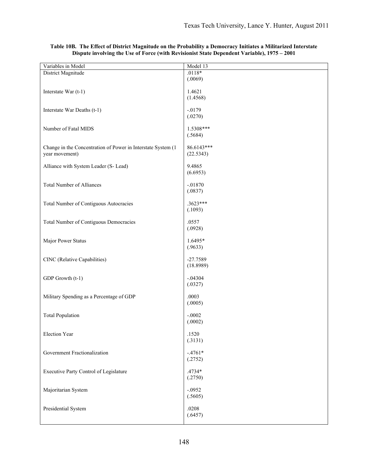| Variables in Model                                           | Model 13   |
|--------------------------------------------------------------|------------|
| District Magnitude                                           | $.0118*$   |
|                                                              | (.0069)    |
|                                                              |            |
| Interstate War (t-1)                                         | 1.4621     |
|                                                              | (1.4568)   |
|                                                              |            |
|                                                              | $-.0179$   |
| Interstate War Deaths (t-1)                                  |            |
|                                                              | (.0270)    |
|                                                              |            |
| Number of Fatal MIDS                                         | 1.5308***  |
|                                                              | (.5684)    |
|                                                              |            |
| Change in the Concentration of Power in Interstate System (1 | 86.6143*** |
| year movement)                                               | (22.5343)  |
|                                                              |            |
| Alliance with System Leader (S- Lead)                        | 9.4865     |
|                                                              | (6.6953)   |
|                                                              |            |
| <b>Total Number of Alliances</b>                             | $-.01870$  |
|                                                              | (.0837)    |
|                                                              |            |
| Total Number of Contiguous Autocracies                       | .3623***   |
|                                                              | (.1093)    |
|                                                              |            |
| Total Number of Contiguous Democracies                       | .0557      |
|                                                              | (.0928)    |
|                                                              |            |
| Major Power Status                                           | 1.6495*    |
|                                                              | (.9633)    |
|                                                              |            |
| CINC (Relative Capabilities)                                 | $-27.7589$ |
|                                                              | (18.8989)  |
|                                                              |            |
| GDP Growth (t-1)                                             | $-.04304$  |
|                                                              | (.0327)    |
|                                                              |            |
| Military Spending as a Percentage of GDP                     | .0003      |
|                                                              |            |
|                                                              | (.0005)    |
|                                                              |            |
| <b>Total Population</b>                                      | $-.0002$   |
|                                                              | (.0002)    |
|                                                              |            |
| Election Year                                                | .1520      |
|                                                              | (.3131)    |
|                                                              |            |
| Government Fractionalization                                 | $-.4761*$  |
|                                                              | (.2752)    |
|                                                              |            |
| Executive Party Control of Legislature                       | .4734*     |
|                                                              | (.2750)    |
|                                                              |            |
| Majoritarian System                                          | $-.0952$   |
|                                                              | (.5605)    |
|                                                              |            |
| Presidential System                                          | .0208      |
|                                                              | (.6457)    |
|                                                              |            |

#### **Table 10B. The Effect of District Magnitude on the Probability a Democracy Initiates a Militarized Interstate Dispute involving the Use of Force (with Revisionist State Dependent Variable), 1975 – 2001**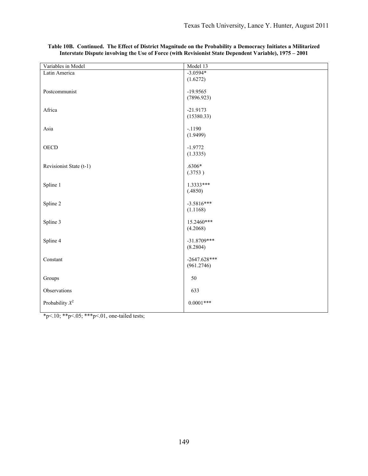| Variables in Model      | Model 13                     |
|-------------------------|------------------------------|
| Latin America           | $-3.0594*$                   |
|                         | (1.6272)                     |
| Postcommunist           | $-19.9565$                   |
|                         | (7896.923)                   |
|                         |                              |
| Africa                  | $-21.9173$                   |
|                         | (15380.33)                   |
| Asia                    | $-.1190$                     |
|                         | (1.9499)                     |
|                         |                              |
| <b>OECD</b>             | $-1.9772$                    |
|                         | (1.3335)                     |
| Revisionist State (t-1) | $.6306*$                     |
|                         | (.3753)                      |
|                         |                              |
| Spline 1                | $1.3333***$                  |
|                         | (.4850)                      |
| Spline 2                | $-3.5816***$                 |
|                         | (1.1168)                     |
|                         |                              |
| Spline 3                | 15.2460***                   |
|                         | (4.2068)                     |
| Spline 4                | $-31.8709***$                |
|                         | (8.2804)                     |
|                         |                              |
| Constant                | $-2647.628***$<br>(961.2746) |
|                         |                              |
| Groups                  | 50                           |
| Observations            | 633                          |
| Probability $X^2$       | $0.0001***$                  |
|                         |                              |
|                         |                              |

|  | Table 10B.  Continued.  The Effect of District Magnitude on the Probability a Democracy Initiates a Militarized |  |  |  |
|--|-----------------------------------------------------------------------------------------------------------------|--|--|--|
|  | Interstate Dispute involving the Use of Force (with Revisionist State Dependent Variable), 1975 – 2001          |  |  |  |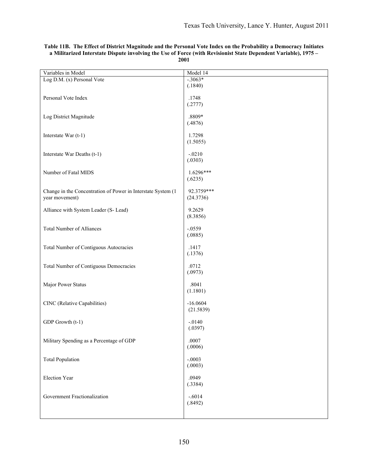| Variables in Model                                           | Model 14         |
|--------------------------------------------------------------|------------------|
| Log D.M. (x) Personal Vote                                   | $-.3063*$        |
|                                                              | (.1840)          |
| Personal Vote Index                                          | .1748            |
|                                                              | (.2777)          |
|                                                              |                  |
| Log District Magnitude                                       | .8809*           |
|                                                              | (.4876)          |
|                                                              |                  |
| Interstate War (t-1)                                         | 1.7298           |
|                                                              | (1.5055)         |
| Interstate War Deaths (t-1)                                  | $-.0210$         |
|                                                              | (.0303)          |
|                                                              |                  |
| Number of Fatal MIDS                                         | 1.6296***        |
|                                                              | (.6235)          |
| Change in the Concentration of Power in Interstate System (1 | 92.3759***       |
| year movement)                                               | (24.3736)        |
|                                                              |                  |
| Alliance with System Leader (S- Lead)                        | 9.2629           |
|                                                              | (8.3856)         |
|                                                              |                  |
| <b>Total Number of Alliances</b>                             | $-.0559$         |
|                                                              | (.0885)          |
| Total Number of Contiguous Autocracies                       | .1417            |
|                                                              | (.1376)          |
|                                                              |                  |
| Total Number of Contiguous Democracies                       | .0712            |
|                                                              | (.0973)          |
|                                                              |                  |
| Major Power Status                                           | .8041            |
|                                                              | (1.1801)         |
| CINC (Relative Capabilities)                                 | $-16.0604$       |
|                                                              | (21.5839)        |
|                                                              |                  |
| GDP Growth (t-1)                                             | $-.0140$         |
|                                                              | (.0397)          |
|                                                              |                  |
| Military Spending as a Percentage of GDP                     | .0007<br>(.0006) |
|                                                              |                  |
| <b>Total Population</b>                                      | $-.0003$         |
|                                                              | (.0003)          |
|                                                              |                  |
| Election Year                                                | .0949            |
|                                                              | (.3384)          |
| Government Fractionalization                                 | $-.6014$         |
|                                                              | (.8492)          |
|                                                              |                  |
|                                                              |                  |

#### **Table 11B. The Effect of District Magnitude and the Personal Vote Index on the Probability a Democracy Initiates a Militarized Interstate Dispute involving the Use of Force (with Revisionist State Dependent Variable), 1975 – 2001**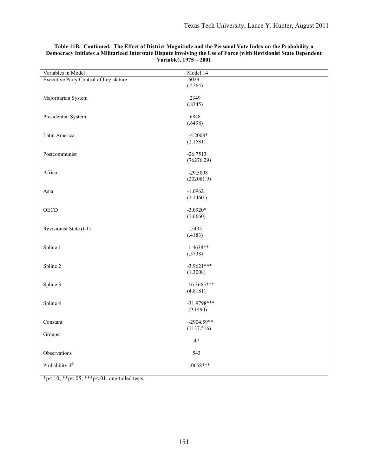| Variables in Model                            | Model 14                 |
|-----------------------------------------------|--------------------------|
| <b>Executive Party Control of Legislature</b> | .6029                    |
|                                               | (.4264)                  |
|                                               |                          |
| Majoritarian System                           | .2349<br>(.8345)         |
|                                               |                          |
| Presidential System                           | .6848                    |
|                                               | (.6498)                  |
|                                               |                          |
| Latin America                                 | $-4.2008*$               |
|                                               | (2.1581)                 |
|                                               |                          |
| Postcommunist                                 | $-26.7513$<br>(76276.29) |
|                                               |                          |
| Africa                                        | -29.5098                 |
|                                               | (202081.9)               |
|                                               |                          |
| Asia                                          | $-1.0962$                |
|                                               | (2.1460)                 |
|                                               | $-3.0920*$               |
| ${\rm OECD}$                                  | (1.6660)                 |
|                                               |                          |
| Revisionist State (t-1)                       | .5435                    |
|                                               | (.4183)                  |
|                                               |                          |
| Spline 1                                      | 1.4638**                 |
|                                               | (.5738)                  |
| Spline 2                                      | $-3.9621***$             |
|                                               | (1.3008)                 |
|                                               |                          |
| Spline 3                                      | 16.3665***               |
|                                               | (4.8181)                 |
|                                               |                          |
| Spline 4                                      | $-31.9798***$            |
|                                               | (9.1490)                 |
| Constant                                      | $-2904.59**$             |
|                                               | (1137.516)               |
| Groups                                        |                          |
|                                               | $47\,$                   |
|                                               |                          |
| Observations                                  | 543                      |
| Probability $X^2$                             | $.0058***$               |
|                                               |                          |

# **Table 11B. Continued. The Effect of District Magnitude and the Personal Vote Index on the Probability a Democracy Initiates a Militarized Interstate Dispute involving the Use of Force (with Revisionist State Dependent Variable), 1975 – 2001**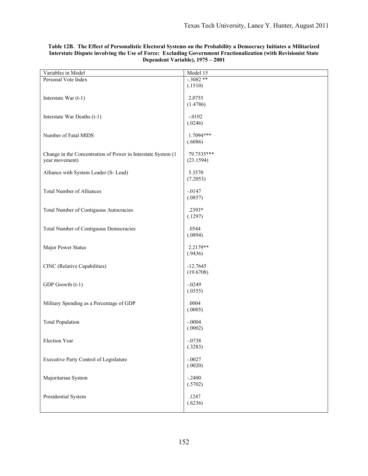| Variables in Model                                                             | Model 15                |
|--------------------------------------------------------------------------------|-------------------------|
| Personal Vote Index                                                            | $-.3082**$              |
|                                                                                | (.1510)                 |
| Interstate War (t-1)                                                           | 2.0755<br>(1.4786)      |
| Interstate War Deaths (t-1)                                                    | $-.0192$<br>(.0246)     |
| Number of Fatal MIDS                                                           | 1.7094***<br>(.6086)    |
| Change in the Concentration of Power in Interstate System (1<br>year movement) | 79.7535***<br>(23.1594) |
| Alliance with System Leader (S-Lead)                                           | 5.3570<br>(7.2053)      |
| <b>Total Number of Alliances</b>                                               | $-.0147$<br>(.0857)     |
| Total Number of Contiguous Autocracies                                         | .2393*<br>(.1297)       |
| <b>Total Number of Contiguous Democracies</b>                                  | .0544<br>(.0894)        |
| Major Power Status                                                             | 2.2179**<br>(.9436)     |
| CINC (Relative Capabilities)                                                   | $-12.7645$<br>(19.6708) |
| GDP Growth (t-1)                                                               | $-.0249$<br>(.0355)     |
| Military Spending as a Percentage of GDP                                       | .0004<br>(.0005)        |
| <b>Total Population</b>                                                        | $-.0004$<br>(.0002)     |
| Election Year                                                                  | $-.0738$<br>(.3283)     |
| <b>Executive Party Control of Legislature</b>                                  | $-.0027$<br>(.0020)     |
| Majoritarian System                                                            | $-.2400$<br>(.5702)     |
| Presidential System                                                            | .1247<br>(.6236)        |

#### **Table 12B. The Effect of Personalistic Electoral Systems on the Probability a Democracy Initiates a Militarized Interstate Dispute involving the Use of Force: Excluding Government Fractionalization (with Revisionist State Dependent Variable), 1975 – 2001**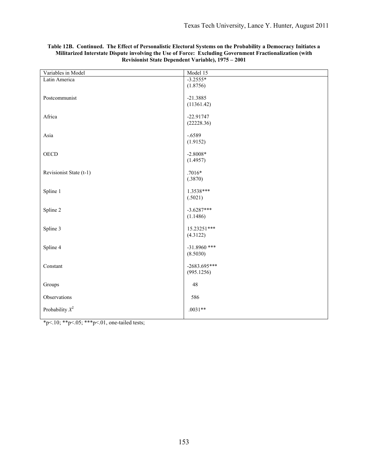| Variables in Model      | Model 15                 |
|-------------------------|--------------------------|
| Latin America           | $-3.2555*$               |
|                         | (1.8756)                 |
| Postcommunist           |                          |
|                         | $-21.3885$<br>(11361.42) |
|                         |                          |
| Africa                  | $-22.91747$              |
|                         | (22228.36)               |
|                         |                          |
| Asia                    | $-.6589$                 |
|                         | (1.9152)                 |
| <b>OECD</b>             | $-2.8008*$               |
|                         | (1.4957)                 |
|                         |                          |
| Revisionist State (t-1) | $.7016*$                 |
|                         | (.3870)                  |
|                         | 1.3538***                |
| Spline 1                | (.5021)                  |
|                         |                          |
| Spline 2                | $-3.6287***$             |
|                         | (1.1486)                 |
|                         |                          |
| Spline 3                | 15.23251***              |
|                         | (4.3122)                 |
| Spline 4                | $-31.8960$ ***           |
|                         | (8.5030)                 |
|                         |                          |
| Constant                | $-2683.695***$           |
|                         | (995.1256)               |
| Groups                  | 48                       |
|                         |                          |
| Observations            | 586                      |
|                         |                          |
| Probability $X^2$       | $.0031**$                |
|                         |                          |

## **Table 12B. Continued. The Effect of Personalistic Electoral Systems on the Probability a Democracy Initiates a Militarized Interstate Dispute involving the Use of Force: Excluding Government Fractionalization (with Revisionist State Dependent Variable), 1975 – 2001**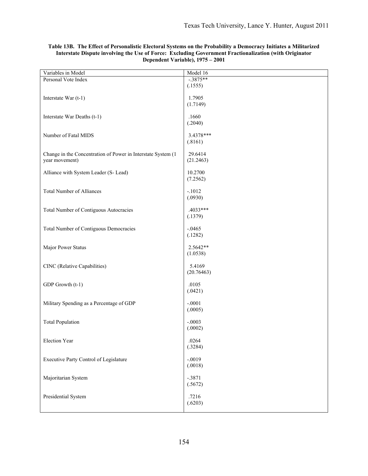| Variables in Model                                                             | Model 16             |
|--------------------------------------------------------------------------------|----------------------|
| Personal Vote Index                                                            | $-.3875**$           |
|                                                                                | (.1555)              |
| Interstate War (t-1)                                                           | 1.7905<br>(1.7149)   |
| Interstate War Deaths (t-1)                                                    | .1660<br>(.2040)     |
| Number of Fatal MIDS                                                           | 3.4378***<br>(.8161) |
| Change in the Concentration of Power in Interstate System (1<br>year movement) | 29.6414<br>(21.2463) |
| Alliance with System Leader (S-Lead)                                           | 10.2700<br>(7.2562)  |
| <b>Total Number of Alliances</b>                                               | $-.1012$<br>(.0930)  |
| Total Number of Contiguous Autocracies                                         | .4033***<br>(.1379)  |
| Total Number of Contiguous Democracies                                         | $-.0465$<br>(.1282)  |
| Major Power Status                                                             | 2.5642**<br>(1.0538) |
| CINC (Relative Capabilities)                                                   | 5.4169<br>(20.76463) |
| GDP Growth (t-1)                                                               | .0105<br>(.0421)     |
| Military Spending as a Percentage of GDP                                       | $-.0001$<br>(.0005)  |
| <b>Total Population</b>                                                        | $-.0003$<br>(.0002)  |
| Election Year                                                                  | .0264<br>(.3284)     |
| Executive Party Control of Legislature                                         | $-.0019$<br>(.0018)  |
| Majoritarian System                                                            | $-.3871$<br>(.5672)  |
| Presidential System                                                            | .7216<br>(.6203)     |

## **Table 13B. The Effect of Personalistic Electoral Systems on the Probability a Democracy Initiates a Militarized Interstate Dispute involving the Use of Force: Excluding Government Fractionalization (with Originator Dependent Variable), 1975 – 2001**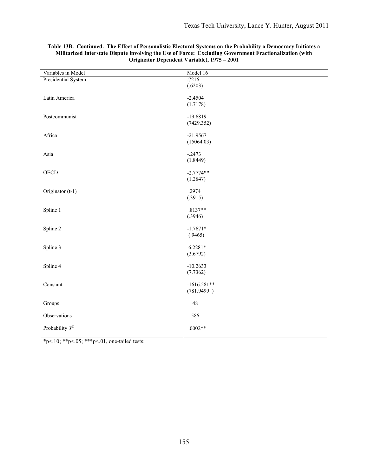| Variables in Model  | Model 16      |
|---------------------|---------------|
| Presidential System | .7216         |
|                     | (.6203)       |
|                     |               |
| Latin America       | $-2.4504$     |
|                     | (1.7178)      |
| Postcommunist       | $-19.6819$    |
|                     | (7429.352)    |
|                     |               |
| Africa              | $-21.9567$    |
|                     | (15064.03)    |
|                     |               |
| Asia                | $-.2473$      |
|                     | (1.8449)      |
|                     |               |
| <b>OECD</b>         | $-2.7774**$   |
|                     | (1.2847)      |
|                     |               |
| Originator (t-1)    | .2974         |
|                     | (.3915)       |
| Spline 1            | $.8137**$     |
|                     | (.3946)       |
|                     |               |
| Spline 2            | $-1.7671*$    |
|                     | (.9465)       |
|                     |               |
| Spline 3            | $6.2281*$     |
|                     | (3.6792)      |
|                     |               |
| Spline 4            | $-10.2633$    |
|                     | (7.7362)      |
| Constant            | $-1616.581**$ |
|                     | (781.9499)    |
|                     |               |
| Groups              | 48            |
|                     |               |
| Observations        | 586           |
|                     |               |
| Probability $X^2$   | $.0002**$     |
|                     |               |

## **Table 13B. Continued. The Effect of Personalistic Electoral Systems on the Probability a Democracy Initiates a Militarized Interstate Dispute involving the Use of Force: Excluding Government Fractionalization (with Originator Dependent Variable), 1975 – 2001**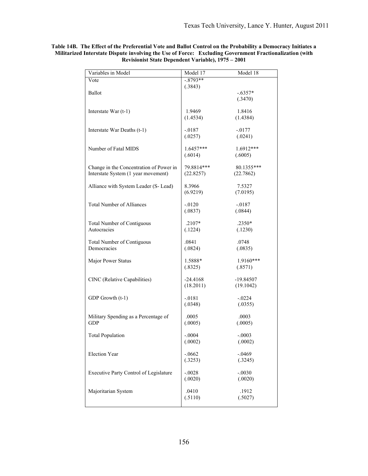| Variables in Model                      | Model 17               | Model 18             |
|-----------------------------------------|------------------------|----------------------|
| Vote                                    | $-0.8793**$            |                      |
| Ballot                                  | (.3843)                | $-.6357*$            |
|                                         |                        | (.3470)              |
|                                         |                        |                      |
| Interstate War $(t-1)$                  | 1.9469                 | 1.8416               |
|                                         | (1.4534)               | (1.4384)             |
| Interstate War Deaths (t-1)             | -.0187                 | $-0177$              |
|                                         | (.0257)                | (.0241)              |
|                                         |                        |                      |
| Number of Fatal MIDS                    | $1.6457***$<br>(.6014) | 1.6912***<br>(.6005) |
|                                         |                        |                      |
| Change in the Concentration of Power in | 79.8814***             | 80.1355***           |
| Interstate System (1 year movement)     | (22.8257)              | (22.7862)            |
| Alliance with System Leader (S- Lead)   | 8.3966                 | 7.5327               |
|                                         | (6.9219)               | (7.0195)             |
|                                         |                        |                      |
| <b>Total Number of Alliances</b>        | $-0120$                | $-0.0187$            |
|                                         | (.0837)                | (.0844)              |
| <b>Total Number of Contiguous</b>       | $.2107*$               | $.2350*$             |
| Autocracies                             | (.1224)                | (.1230)              |
| <b>Total Number of Contiguous</b>       | .0841                  | .0748                |
| Democracies                             | (.0824)                | (.0835)              |
|                                         |                        |                      |
| Major Power Status                      | 1.5888*                | 1.9160***            |
|                                         | (.8325)                | (.8571)              |
| CINC (Relative Capabilities)            | $-24.4168$             | $-19.84507$          |
|                                         | (18.2011)              | (19.1042)            |
|                                         |                        |                      |
| GDP Growth (t-1)                        | $-.0181$<br>(.0348)    | $-0.0224$<br>(.0355) |
|                                         |                        |                      |
| Military Spending as a Percentage of    | .0005                  | .0003                |
| <b>GDP</b>                              | (.0005)                | (.0005)              |
| <b>Total Population</b>                 | $-.0004$               | $-.0003$             |
|                                         | (.0002)                | (.0002)              |
|                                         |                        |                      |
| <b>Election Year</b>                    | $-.0662$<br>(.3253)    | $-.0469$<br>(.3245)  |
|                                         |                        |                      |
| Executive Party Control of Legislature  | $-.0028$               | $-.0030$             |
|                                         | (.0020)                | (.0020)              |
| Majoritarian System                     | .0410                  | .1912                |
|                                         | (.5110)                | (.5027)              |
|                                         |                        |                      |

**Table 14B. The Effect of the Preferential Vote and Ballot Control on the Probability a Democracy Initiates a Militarized Interstate Dispute involving the Use of Force: Excluding Government Fractionalization (with Revisionist State Dependent Variable), 1975 – 2001**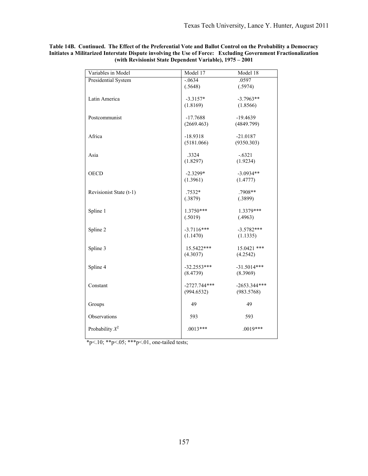| Variables in Model      | Model 17                     | Model 18                     |
|-------------------------|------------------------------|------------------------------|
| Presidential System     | $-.0634$                     | .0597                        |
|                         | (.5648)                      | (.5974)                      |
| Latin America           | $-3.3157*$                   | $-3.7963**$                  |
|                         | (1.8169)                     | (1.8566)                     |
|                         |                              |                              |
| Postcommunist           | $-17.7688$                   | $-19.4639$                   |
|                         | (2669.463)                   | (4849.799)                   |
|                         |                              |                              |
| Africa                  | $-18.9318$                   | $-21.0187$                   |
|                         | (5181.066)                   | (9350.303)                   |
| Asia                    | .3324                        | $-.6321$                     |
|                         | (1.8297)                     | (1.9234)                     |
|                         |                              |                              |
| <b>OECD</b>             | $-2.3299*$                   | $-3.0934**$                  |
|                         | (1.3961)                     | (1.4777)                     |
|                         | .7532*                       | .7908**                      |
| Revisionist State (t-1) | (.3879)                      | (.3899)                      |
|                         |                              |                              |
| Spline 1                | 1.3750***                    | 1.3379***                    |
|                         | (.5019)                      | (.4963)                      |
|                         |                              |                              |
| Spline 2                | $-3.7116***$                 | $-3.5782***$                 |
|                         | (1.1470)                     | (1.1335)                     |
| Spline 3                | 15.5422***                   | 15.0421 ***                  |
|                         | (4.3037)                     | (4.2542)                     |
|                         |                              |                              |
| Spline 4                | $-32.2553***$                | $-31.5014***$                |
|                         | (8.4739)                     | (8.3969)                     |
|                         |                              |                              |
| Constant                | $-2727.744***$<br>(994.6532) | $-2653.344***$<br>(983.5768) |
|                         |                              |                              |
| Groups                  | 49                           | 49                           |
|                         |                              |                              |
| Observations            | 593                          | 593                          |
|                         |                              |                              |
| Probability $X^2$       | $.0013***$                   | $.0019***$                   |
|                         |                              |                              |

**Table 14B. Continued. The Effect of the Preferential Vote and Ballot Control on the Probability a Democracy Initiates a Militarized Interstate Dispute involving the Use of Force: Excluding Government Fractionalization (with Revisionist State Dependent Variable), 1975 – 2001**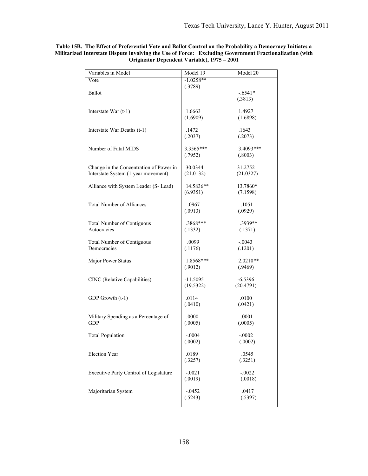| Variables in Model                                 | Model 19            | Model 20            |
|----------------------------------------------------|---------------------|---------------------|
| Vote                                               | $-1.0258**$         |                     |
|                                                    | (.3789)             |                     |
| <b>Ballot</b>                                      |                     | $-.6541*$           |
|                                                    |                     | (.3813)             |
| Interstate War $(t-1)$                             | 1.6663              | 1.4927              |
|                                                    | (1.6909)            | (1.6898)            |
|                                                    |                     |                     |
| Interstate War Deaths (t-1)                        | .1472               | .1643               |
|                                                    | (.2037)             | (.2073)             |
|                                                    |                     |                     |
| Number of Fatal MIDS                               | 3.3565***           | 3.4093***           |
|                                                    | (.7952)             | (.8003)             |
| Change in the Concentration of Power in            | 30.0344             | 31.2752             |
| Interstate System (1 year movement)                | (21.0132)           | (21.0327)           |
|                                                    |                     |                     |
| Alliance with System Leader (S- Lead)              | 14.5836**           | 13.7860*            |
|                                                    | (6.9351)            | (7.1598)            |
|                                                    |                     |                     |
| <b>Total Number of Alliances</b>                   | $-.0967$            | $-.1051$            |
|                                                    | (.0913)             | (.0929)             |
| <b>Total Number of Contiguous</b>                  | .3868***            | .3939**             |
| Autocracies                                        | (.1332)             | (.1371)             |
|                                                    |                     |                     |
| <b>Total Number of Contiguous</b>                  | .0099               | $-.0043$            |
| Democracies                                        | (.1176)             | (.1201)             |
|                                                    |                     |                     |
| Major Power Status                                 | 1.8568***           | $2.0210**$          |
|                                                    | (.9012)             | (.9469)             |
| CINC (Relative Capabilities)                       | $-11.5095$          | $-6.5396$           |
|                                                    | (19.5322)           | (20.4791)           |
|                                                    |                     |                     |
| GDP Growth (t-1)                                   | .0114               | .0100               |
|                                                    | (.0410)             | (.0421)             |
|                                                    |                     |                     |
| Military Spending as a Percentage of<br><b>GDP</b> | $-.0000$<br>(.0005) | $-.0001$<br>(.0005) |
|                                                    |                     |                     |
| <b>Total Population</b>                            | $-.0004$            | $-.0002$            |
|                                                    | (.0002)             | (.0002)             |
|                                                    |                     |                     |
| <b>Election Year</b>                               | .0189               | .0545               |
|                                                    | (.3257)             | (.3251)             |
|                                                    |                     | $-.0022$            |
| Executive Party Control of Legislature             | $-.0021$<br>(.0019) | (.0018)             |
|                                                    |                     |                     |
| Majoritarian System                                | $-.0452$            | .0417               |
|                                                    | (.5243)             | (.5397)             |
|                                                    |                     |                     |

**Table 15B. The Effect of Preferential Vote and Ballot Control on the Probability a Democracy Initiates a Militarized Interstate Dispute involving the Use of Force: Excluding Government Fractionalization (with Originator Dependent Variable), 1975 – 2001**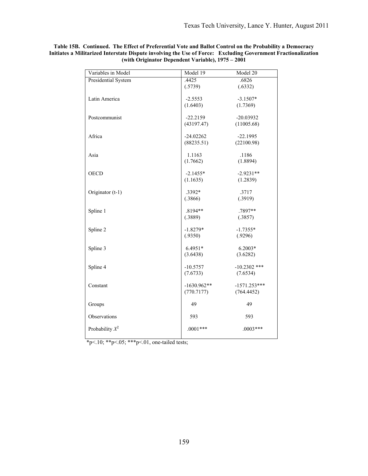| Variables in Model  | Model 19                    | Model 20       |
|---------------------|-----------------------------|----------------|
| Presidential System | .4425                       | .6826          |
|                     | (.5739)                     | (.6332)        |
|                     |                             |                |
| Latin America       | $-2.5553$                   | $-3.1507*$     |
|                     | (1.6403)                    | (1.7369)       |
| Postcommunist       | $-22.2159$                  | $-20.03932$    |
|                     | (43197.47)                  | (11005.68)     |
|                     |                             |                |
| Africa              | $-24.02262$                 | $-22.1995$     |
|                     | (88235.51)                  | (22100.98)     |
|                     |                             |                |
| Asia                | 1.1163                      | .1186          |
|                     | (1.7662)                    | (1.8894)       |
| <b>OECD</b>         | $-2.1455*$                  | $-2.9231**$    |
|                     | (1.1635)                    | (1.2839)       |
|                     |                             |                |
| Originator (t-1)    | .3392*                      | .3717          |
|                     | (.3866)                     | (.3919)        |
|                     |                             |                |
| Spline 1            | $.8194**$                   | .7897**        |
|                     | (.3889)                     | (.3857)        |
|                     | $-1.8279*$                  | $-1.7355*$     |
| Spline 2            | (.9350)                     | (.9296)        |
|                     |                             |                |
| Spline 3            | $6.4951*$                   | $6.2003*$      |
|                     | (3.6438)                    | (3.6282)       |
|                     |                             |                |
| Spline 4            | $-10.5757$                  | $-10.2302$ *** |
|                     | (7.6733)                    | (7.6534)       |
| Constant            |                             | $-1571.253***$ |
|                     | $-1630.962**$<br>(770.7177) | (764.4452)     |
|                     |                             |                |
| Groups              | 49                          | 49             |
|                     |                             |                |
| Observations        | 593                         | 593            |
|                     |                             |                |
| Probability $X^2$   | $.0001***$                  | $.0003***$     |
|                     |                             |                |

**Table 15B. Continued. The Effect of Preferential Vote and Ballot Control on the Probability a Democracy Initiates a Militarized Interstate Dispute involving the Use of Force: Excluding Government Fractionalization (with Originator Dependent Variable), 1975 – 2001**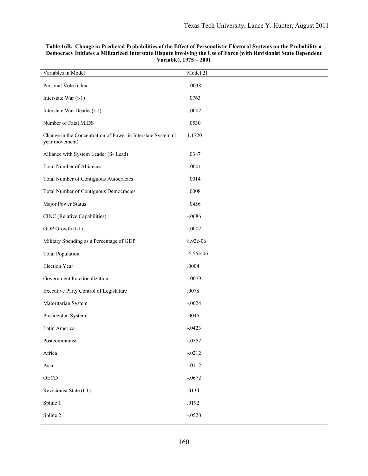| Variables in Model                                                             | Model 21    |
|--------------------------------------------------------------------------------|-------------|
| Personal Vote Index                                                            | $-.0038$    |
| Interstate War (t-1)                                                           | .0763       |
| Interstate War Deaths (t-1)                                                    | $-.0002$    |
| Number of Fatal MIDS                                                           | .0530       |
| Change in the Concentration of Power in Interstate System (1<br>year movement) | 1.1720      |
| Alliance with System Leader (S- Lead)                                          | .0387       |
| <b>Total Number of Alliances</b>                                               | $-.0001$    |
| Total Number of Contiguous Autocracies                                         | .0014       |
| <b>Total Number of Contiguous Democracies</b>                                  | .0008       |
| Major Power Status                                                             | .0456       |
| CINC (Relative Capabilities)                                                   | $-.0686$    |
| GDP Growth (t-1)                                                               | $-.0002$    |
| Military Spending as a Percentage of GDP                                       | 8.92e-06    |
| <b>Total Population</b>                                                        | $-5.55e-06$ |
| <b>Election Year</b>                                                           | .0004       |
| Government Fractionalization                                                   | $-.0079$    |
| Executive Party Control of Legislature                                         | .0078       |
| Majoritarian System                                                            | $-.0024$    |
| Presidential System                                                            | .0045       |
| Latin America                                                                  | $-.0423$    |
| Postcommunist                                                                  | $-.0552$    |
| Africa                                                                         | $-.0212$    |
| Asia                                                                           | $-.0112$    |
| OECD                                                                           | $-.0672$    |
| Revisionist State (t-1)                                                        | .0134       |
| Spline 1                                                                       | .0192       |
| Spline 2                                                                       | $-.0520$    |

# **Table 16B. Change in Predicted Probabilities of the Effect of Personalistic Electoral Systems on the Probability a Democracy Initiates a Militarized Interstate Dispute involving the Use of Force (with Revisionist State Dependent Variable), 1975 – 2001**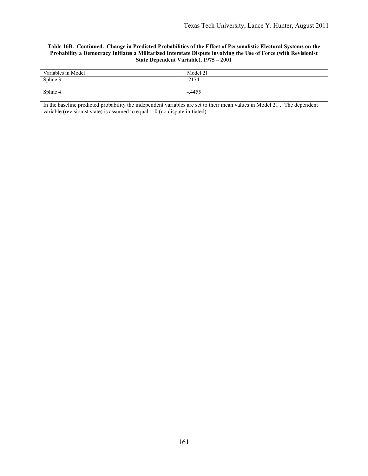#### **Table 16B. Continued. Change in Predicted Probabilities of the Effect of Personalistic Electoral Systems on the Probability a Democracy Initiates a Militarized Interstate Dispute involving the Use of Force (with Revisionist State Dependent Variable), 1975 – 2001**

| Variables in Model | Model 21 |
|--------------------|----------|
| Spline 3           | .2174    |
| Spline 4           | $-.4455$ |
|                    |          |

In the baseline predicted probability the independent variables are set to their mean values in Model 21 . The dependent variable (revisionist state) is assumed to equal  $= 0$  (no dispute initiated).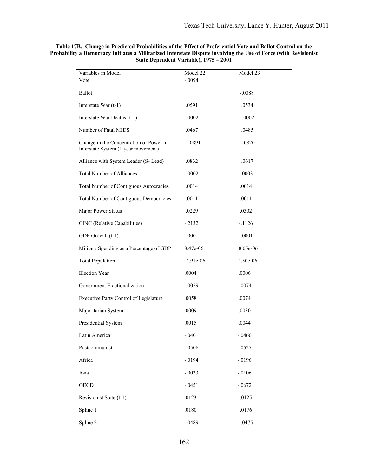| Variables in Model                                                             | Model 22    | Model 23    |
|--------------------------------------------------------------------------------|-------------|-------------|
| Vote                                                                           | $-.0094$    |             |
| Ballot                                                                         |             | $-.0088$    |
| Interstate War (t-1)                                                           | .0591       | .0534       |
| Interstate War Deaths (t-1)                                                    | $-.0002$    | $-.0002$    |
| Number of Fatal MIDS                                                           | .0467       | .0485       |
| Change in the Concentration of Power in<br>Interstate System (1 year movement) | 1.0891      | 1.0820      |
| Alliance with System Leader (S- Lead)                                          | .0832       | .0617       |
| <b>Total Number of Alliances</b>                                               | $-.0002$    | $-.0003$    |
| Total Number of Contiguous Autocracies                                         | .0014       | .0014       |
| <b>Total Number of Contiguous Democracies</b>                                  | .0011       | .0011       |
| Major Power Status                                                             | .0229       | .0302       |
| CINC (Relative Capabilities)                                                   | $-.2132$    | $-1126$     |
| GDP Growth (t-1)                                                               | $-.0001$    | $-.0001$    |
| Military Spending as a Percentage of GDP                                       | 8.47e-06    | 8.05e-06    |
| <b>Total Population</b>                                                        | $-4.91e-06$ | $-4.50e-06$ |
| <b>Election Year</b>                                                           | .0004       | .0006       |
| Government Fractionalization                                                   | $-.0059$    | $-.0074$    |
| Executive Party Control of Legislature                                         | .0058       | .0074       |
| Majoritarian System                                                            | .0009       | .0030       |
| Presidential System                                                            | .0015       | .0044       |
| Latin America                                                                  | $-.0401$    | $-.0460$    |
| Postcommunist                                                                  | $-.0506$    | $-.0527$    |
| Africa                                                                         | $-.0194$    | $-0.0196$   |
| Asia                                                                           | $-.0033$    | $-.0106$    |
| <b>OECD</b>                                                                    | $-.0451$    | $-.0672$    |
| Revisionist State (t-1)                                                        | .0123       | .0125       |
| Spline 1                                                                       | .0180       | .0176       |
| Spline 2                                                                       | $-.0489$    | $-.0475$    |

# **Table 17B. Change in Predicted Probabilities of the Effect of Preferential Vote and Ballot Control on the Probability a Democracy Initiates a Militarized Interstate Dispute involving the Use of Force (with Revisionist State Dependent Variable), 1975 – 2001**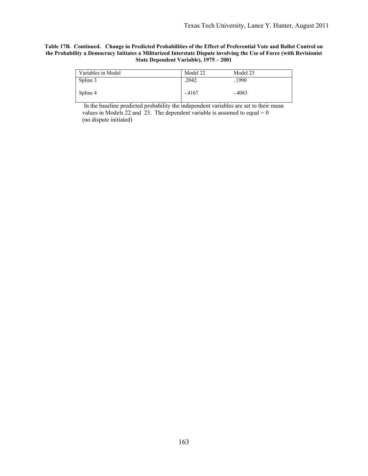#### **Table 17B. Continued. Change in Predicted Probabilities of the Effect of Preferential Vote and Ballot Control on the Probability a Democracy Initiates a Militarized Interstate Dispute involving the Use of Force (with Revisionist State Dependent Variable), 1975 – 2001**

| Variables in Model | Model 22 | Model 23 |
|--------------------|----------|----------|
| Spline 3           | .2042    | .1990    |
| Spline 4           | $-4167$  | $-.4083$ |

In the baseline predicted probability the independent variables are set to their mean values in Models 22 and 23. The dependent variable is assumed to equal  $= 0$ (no dispute initiated)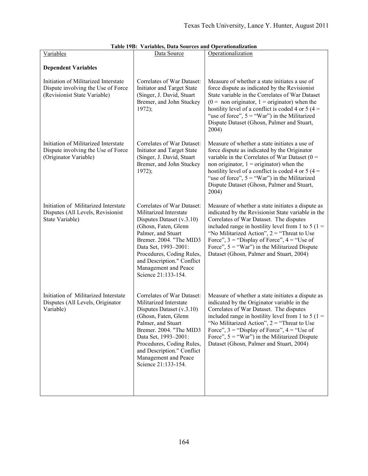| Variables                                                                                                  | Data Source                                                                                                                                                                                                                                                                                  | Operationalization                                                                                                                                                                                                                                                                                                                                                                                             |
|------------------------------------------------------------------------------------------------------------|----------------------------------------------------------------------------------------------------------------------------------------------------------------------------------------------------------------------------------------------------------------------------------------------|----------------------------------------------------------------------------------------------------------------------------------------------------------------------------------------------------------------------------------------------------------------------------------------------------------------------------------------------------------------------------------------------------------------|
| <b>Dependent Variables</b>                                                                                 |                                                                                                                                                                                                                                                                                              |                                                                                                                                                                                                                                                                                                                                                                                                                |
| Initiation of Militarized Interstate<br>Dispute involving the Use of Force<br>(Revisionist State Variable) | Correlates of War Dataset:<br>Initiator and Target State<br>(Singer, J. David, Stuart<br>Bremer, and John Stuckey<br>1972);                                                                                                                                                                  | Measure of whether a state initiates a use of<br>force dispute as indicated by the Revisionist<br>State variable in the Correlates of War Dataset<br>$(0 =$ non originator, 1 = originator) when the<br>hostility level of a conflict is coded 4 or 5 (4 =<br>"use of force", $5 =$ "War") in the Militarized<br>Dispute Dataset (Ghosn, Palmer and Stuart,<br>2004)                                           |
| Initiation of Militarized Interstate<br>Dispute involving the Use of Force<br>(Originator Variable)        | Correlates of War Dataset:<br>Initiator and Target State<br>(Singer, J. David, Stuart<br>Bremer, and John Stuckey<br>1972);                                                                                                                                                                  | Measure of whether a state initiates a use of<br>force dispute as indicated by the Originator<br>variable in the Correlates of War Dataset ( $0 =$<br>non originator, $1 =$ originator) when the<br>hostility level of a conflict is coded 4 or 5 (4 =<br>"use of force", $5 =$ "War") in the Militarized<br>Dispute Dataset (Ghosn, Palmer and Stuart,<br>2004)                                               |
| Initiation of Militarized Interstate<br>Disputes (All Levels, Revisionist<br>State Variable)               | Correlates of War Dataset:<br>Militarized Interstate<br>Disputes Dataset (v.3.10)<br>(Ghosn, Faten, Glenn<br>Palmer, and Stuart<br>Bremer. 2004. "The MID3<br>Data Set, 1993-2001:<br>Procedures, Coding Rules,<br>and Description." Conflict<br>Management and Peace<br>Science 21:133-154. | Measure of whether a state initiates a dispute as<br>indicated by the Revisionist State variable in the<br>Correlates of War Dataset. The disputes<br>included range in hostility level from 1 to 5 ( $1 =$<br>"No Militarized Action", $2 =$ "Threat to Use<br>Force", $3$ = "Display of Force", $4$ = "Use of<br>Force", $5 =$ "War") in the Militarized Dispute<br>Dataset (Ghosn, Palmer and Stuart, 2004) |
| Initiation of Militarized Interstate<br>Disputes (All Levels, Originator<br>Variable)                      | Correlates of War Dataset:<br>Militarized Interstate<br>Disputes Dataset (v.3.10)<br>(Ghosn, Faten, Glenn<br>Palmer, and Stuart<br>Bremer. 2004. "The MID3<br>Data Set, 1993-2001:<br>Procedures, Coding Rules,<br>and Description." Conflict<br>Management and Peace<br>Science 21:133-154. | Measure of whether a state initiates a dispute as<br>indicated by the Originator variable in the<br>Correlates of War Dataset. The disputes<br>included range in hostility level from 1 to 5 ( $1 =$<br>"No Militarized Action", $2 =$ "Threat to Use<br>Force", $3 =$ "Display of Force", $4 =$ "Use of<br>Force", $5 =$ "War") in the Militarized Dispute<br>Dataset (Ghosn, Palmer and Stuart, 2004)        |

|  |  |  | Table 19B: Variables, Data Sources and Operationalization |
|--|--|--|-----------------------------------------------------------|
|--|--|--|-----------------------------------------------------------|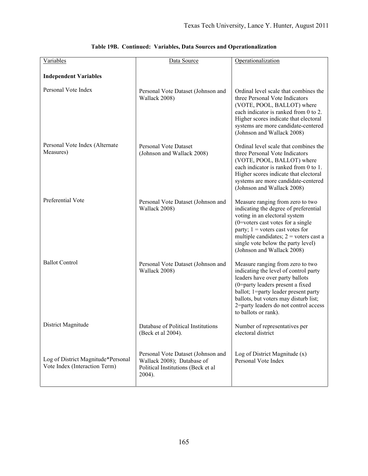| Variables                                                           | Data Source                                                                                                      | Operationalization                                                                                                                                                                                                                                                                                       |
|---------------------------------------------------------------------|------------------------------------------------------------------------------------------------------------------|----------------------------------------------------------------------------------------------------------------------------------------------------------------------------------------------------------------------------------------------------------------------------------------------------------|
| <b>Independent Variables</b>                                        |                                                                                                                  |                                                                                                                                                                                                                                                                                                          |
| Personal Vote Index                                                 | Personal Vote Dataset (Johnson and<br>Wallack 2008)                                                              | Ordinal level scale that combines the<br>three Personal Vote Indicators<br>(VOTE, POOL, BALLOT) where<br>each indicator is ranked from 0 to 2.<br>Higher scores indicate that electoral<br>systems are more candidate-centered<br>(Johnson and Wallack 2008)                                             |
| Personal Vote Index (Alternate<br>Measures)                         | <b>Personal Vote Dataset</b><br>(Johnson and Wallack 2008)                                                       | Ordinal level scale that combines the<br>three Personal Vote Indicators<br>(VOTE, POOL, BALLOT) where<br>each indicator is ranked from 0 to 1.<br>Higher scores indicate that electoral<br>systems are more candidate-centered<br>(Johnson and Wallack 2008)                                             |
| Preferential Vote                                                   | Personal Vote Dataset (Johnson and<br>Wallack 2008)                                                              | Measure ranging from zero to two<br>indicating the degree of preferential<br>voting in an electoral system<br>$(0=$ voters cast votes for a single<br>party; $1$ = voters cast votes for<br>multiple candidates; $2$ = voters cast a<br>single vote below the party level)<br>(Johnson and Wallack 2008) |
| <b>Ballot Control</b>                                               | Personal Vote Dataset (Johnson and<br>Wallack 2008)                                                              | Measure ranging from zero to two<br>indicating the level of control party<br>leaders have over party ballots<br>(0=party leaders present a fixed<br>ballot; 1=party leader present party<br>ballots, but voters may disturb list;<br>2=party leaders do not control access<br>to ballots or rank).       |
| District Magnitude                                                  | Database of Political Institutions<br>(Beck et al 2004).                                                         | Number of representatives per<br>electoral district                                                                                                                                                                                                                                                      |
| Log of District Magnitude*Personal<br>Vote Index (Interaction Term) | Personal Vote Dataset (Johnson and<br>Wallack 2008); Database of<br>Political Institutions (Beck et al<br>2004). | Log of District Magnitude $(x)$<br>Personal Vote Index                                                                                                                                                                                                                                                   |

|  |  |  | Table 19B. Continued: Variables, Data Sources and Operationalization |
|--|--|--|----------------------------------------------------------------------|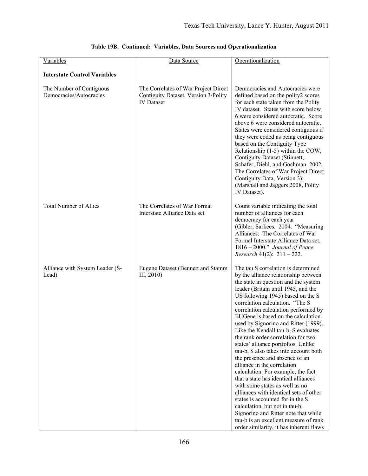| Variables                                           | Data Source                                                                                       | Operationalization                                                                                                                                                                                                                                                                                                                                                                                                                                                                                                                                                                                                                                                                                                                                                                                                                                                                                                                                 |
|-----------------------------------------------------|---------------------------------------------------------------------------------------------------|----------------------------------------------------------------------------------------------------------------------------------------------------------------------------------------------------------------------------------------------------------------------------------------------------------------------------------------------------------------------------------------------------------------------------------------------------------------------------------------------------------------------------------------------------------------------------------------------------------------------------------------------------------------------------------------------------------------------------------------------------------------------------------------------------------------------------------------------------------------------------------------------------------------------------------------------------|
| <b>Interstate Control Variables</b>                 |                                                                                                   |                                                                                                                                                                                                                                                                                                                                                                                                                                                                                                                                                                                                                                                                                                                                                                                                                                                                                                                                                    |
| The Number of Contiguous<br>Democracies/Autocracies | The Correlates of War Project Direct<br>Contiguity Dataset, Version 3/Polity<br><b>IV</b> Dataset | Democracies and Autocracies were<br>defined based on the polity2 scores<br>for each state taken from the Polity<br>IV dataset. States with score below<br>6 were considered autocratic. Score<br>above 6 were considered autocratic.<br>States were considered contiguous if<br>they were coded as being contiguous<br>based on the Contiguity Type<br>Relationship (1-5) within the COW,<br>Contiguity Dataset (Stinnett,<br>Schafer, Diehl, and Gochman. 2002,<br>The Correlates of War Project Direct<br>Contiguity Data, Version 3);<br>(Marshall and Jaggers 2008, Polity<br>IV Dataset).                                                                                                                                                                                                                                                                                                                                                     |
| <b>Total Number of Allies</b>                       | The Correlates of War Formal<br>Interstate Alliance Data set                                      | Count variable indicating the total<br>number of alliances for each<br>democracy for each year<br>(Gibler, Sarkees. 2004. "Measuring<br>Alliances: The Correlates of War<br>Formal Interstate Alliance Data set,<br>1816 - 2000." Journal of Peace<br><i>Research</i> 41(2): $211 - 222$ .                                                                                                                                                                                                                                                                                                                                                                                                                                                                                                                                                                                                                                                         |
| Alliance with System Leader (S-<br>Lead)            | Eugene Dataset (Bennett and Stamm<br>III, 2010)                                                   | The tau S correlation is determined<br>by the alliance relationship between<br>the state in question and the system<br>leader (Britain until 1945, and the<br>US following 1945) based on the S<br>correlation calculation. "The S<br>correlation calculation performed by<br>EUGene is based on the calculation<br>used by Signorino and Ritter (1999).<br>Like the Kendall tau-b, S evaluates<br>the rank order correlation for two<br>states' alliance portfolios. Unlike<br>tau-b, S also takes into account both<br>the presence and absence of an<br>alliance in the correlation<br>calculation. For example, the fact<br>that a state has identical alliances<br>with some states as well as no<br>alliances with identical sets of other<br>states is accounted for in the S<br>calculation, but not in tau-b.<br>Signorino and Ritter note that while<br>tau-b is an excellent measure of rank<br>order similarity, it has inherent flaws |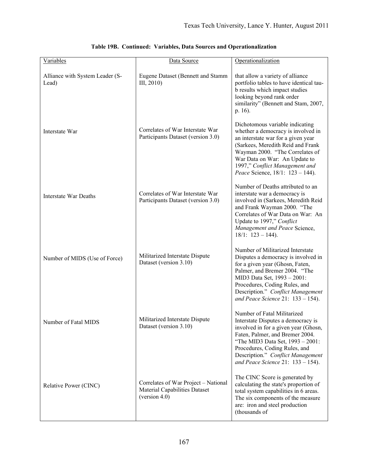| Variables                                | Data Source                                                                                      | Operationalization                                                                                                                                                                                                                                                                             |
|------------------------------------------|--------------------------------------------------------------------------------------------------|------------------------------------------------------------------------------------------------------------------------------------------------------------------------------------------------------------------------------------------------------------------------------------------------|
| Alliance with System Leader (S-<br>Lead) | Eugene Dataset (Bennett and Stamm<br>III, 2010                                                   | that allow a variety of alliance<br>portfolio tables to have identical tau-<br>b results which impact studies<br>looking beyond rank order<br>similarity" (Bennett and Stam, 2007,<br>p. 16).                                                                                                  |
| Interstate War                           | Correlates of War Interstate War<br>Participants Dataset (version 3.0)                           | Dichotomous variable indicating<br>whether a democracy is involved in<br>an interstate war for a given year<br>(Sarkees, Meredith Reid and Frank<br>Wayman 2000. "The Correlates of<br>War Data on War: An Update to<br>1997," Conflict Management and<br>Peace Science, 18/1: 123 - 144).     |
| <b>Interstate War Deaths</b>             | Correlates of War Interstate War<br>Participants Dataset (version 3.0)                           | Number of Deaths attributed to an<br>interstate war a democracy is<br>involved in (Sarkees, Meredith Reid<br>and Frank Wayman 2000. "The<br>Correlates of War Data on War: An<br>Update to 1997," Conflict<br>Management and Peace Science,<br>$18/1$ : $123 - 144$ ).                         |
| Number of MIDS (Use of Force)            | Militarized Interstate Dispute<br>Dataset (version 3.10)                                         | Number of Militarized Interstate<br>Disputes a democracy is involved in<br>for a given year (Ghosn, Faten,<br>Palmer, and Bremer 2004. "The<br>MID3 Data Set, 1993 - 2001:<br>Procedures, Coding Rules, and<br>Description." Conflict Management<br>and Peace Science 21: $133 - 154$ ).       |
| Number of Fatal MIDS                     | Militarized Interstate Dispute<br>Dataset (version 3.10)                                         | Number of Fatal Militarized<br>Interstate Disputes a democracy is<br>involved in for a given year (Ghosn,<br>Faten, Palmer, and Bremer 2004.<br>"The MID3 Data Set, 1993 - 2001:<br>Procedures, Coding Rules, and<br>Description." Conflict Management<br>and Peace Science 21: $133 - 154$ ). |
| Relative Power (CINC)                    | Correlates of War Project - National<br><b>Material Capabilities Dataset</b><br>(version $4.0$ ) | The CINC Score is generated by<br>calculating the state's proportion of<br>total system capabilities in 6 areas.<br>The six components of the measure<br>are: iron and steel production<br>(thousands of                                                                                       |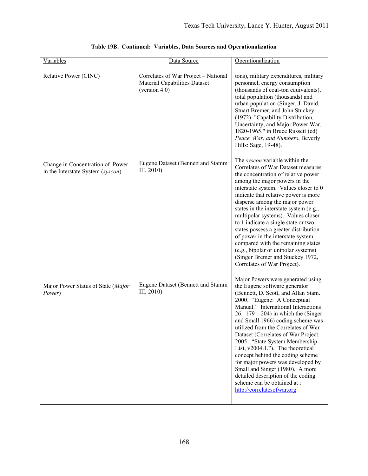| Variables                                                             | Data Source                                                                                   | Operationalization                                                                                                                                                                                                                                                                                                                                                                                                                                                                                                                                                                                                                    |
|-----------------------------------------------------------------------|-----------------------------------------------------------------------------------------------|---------------------------------------------------------------------------------------------------------------------------------------------------------------------------------------------------------------------------------------------------------------------------------------------------------------------------------------------------------------------------------------------------------------------------------------------------------------------------------------------------------------------------------------------------------------------------------------------------------------------------------------|
| Relative Power (CINC)                                                 | Correlates of War Project - National<br><b>Material Capabilities Dataset</b><br>(version 4.0) | tons), military expenditures, military<br>personnel, energy consumption<br>(thousands of coal-ton equivalents),<br>total population (thousands) and<br>urban population (Singer, J. David,<br>Stuart Bremer, and John Stuckey.<br>(1972). "Capability Distribution,<br>Uncertainty, and Major Power War,<br>1820-1965." in Bruce Russett (ed)<br>Peace, War, and Numbers, Beverly<br>Hills: Sage, 19-48).                                                                                                                                                                                                                             |
| Change in Concentration of Power<br>in the Interstate System (syscon) | Eugene Dataset (Bennett and Stamm<br>III, 2010                                                | The syscon variable within the<br>Correlates of War Dataset measures<br>the concentration of relative power<br>among the major powers in the<br>interstate system. Values closer to 0<br>indicate that relative power is more<br>disperse among the major power<br>states in the interstate system (e.g.,<br>multipolar systems). Values closer<br>to 1 indicate a single state or two<br>states possess a greater distribution<br>of power in the interstate system<br>compared with the remaining states<br>(e.g., bipolar or unipolar systems)<br>(Singer Bremer and Stuckey 1972,<br>Correlates of War Project).                  |
| Major Power Status of State (Major<br>Power)                          | Eugene Dataset (Bennett and Stamm<br>III, 2010)                                               | Major Powers were generated using<br>the Eugene software generator<br>(Bennett, D. Scott, and Allan Stam.<br>2000. "Eugene: A Conceptual<br>Manual." International Interactions<br>26: $179 - 204$ ) in which the (Singer<br>and Small 1966) coding scheme was<br>utilized from the Correlates of War<br>Dataset (Correlates of War Project.<br>2005. "State System Membership<br>List, $v2004.1$ ."). The theoretical<br>concept behind the coding scheme<br>for major powers was developed by<br>Small and Singer (1980). A more<br>detailed description of the coding<br>scheme can be obtained at :<br>http://correlatesofwar.org |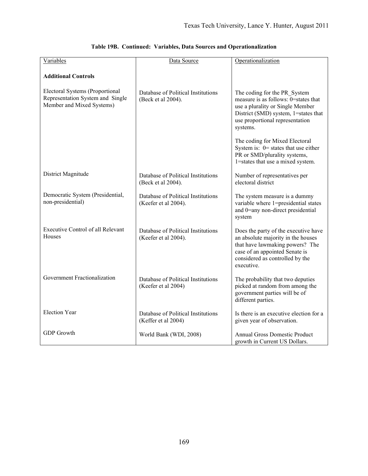| Variables                                                                                        | Data Source                                                | Operationalization                                                                                                                                                                               |
|--------------------------------------------------------------------------------------------------|------------------------------------------------------------|--------------------------------------------------------------------------------------------------------------------------------------------------------------------------------------------------|
| <b>Additional Controls</b>                                                                       |                                                            |                                                                                                                                                                                                  |
| Electoral Systems (Proportional<br>Representation System and Single<br>Member and Mixed Systems) | Database of Political Institutions<br>(Beck et al 2004).   | The coding for the PR System<br>measure is as follows: 0=states that<br>use a plurality or Single Member<br>District (SMD) system, 1=states that<br>use proportional representation<br>systems.  |
|                                                                                                  |                                                            | The coding for Mixed Electoral<br>System is: $0$ = states that use either<br>PR or SMD/plurality systems,<br>1=states that use a mixed system.                                                   |
| District Magnitude                                                                               | Database of Political Institutions<br>(Beck et al 2004).   | Number of representatives per<br>electoral district                                                                                                                                              |
| Democratic System (Presidential,<br>non-presidential)                                            | Database of Political Institutions<br>(Keefer et al 2004). | The system measure is a dummy<br>variable where 1=presidential states<br>and 0=any non-direct presidential<br>system                                                                             |
| <b>Executive Control of all Relevant</b><br>Houses                                               | Database of Political Institutions<br>(Keefer et al 2004). | Does the party of the executive have<br>an absolute majority in the houses<br>that have lawmaking powers? The<br>case of an appointed Senate is<br>considered as controlled by the<br>executive. |
| Government Fractionalization                                                                     | Database of Political Institutions<br>(Keefer et al 2004)  | The probability that two deputies<br>picked at random from among the<br>government parties will be of<br>different parties.                                                                      |
| <b>Election Year</b>                                                                             | Database of Political Institutions<br>(Keffer et al 2004)  | Is there is an executive election for a<br>given year of observation.                                                                                                                            |
| <b>GDP</b> Growth                                                                                | World Bank (WDI, 2008)                                     | <b>Annual Gross Domestic Product</b><br>growth in Current US Dollars.                                                                                                                            |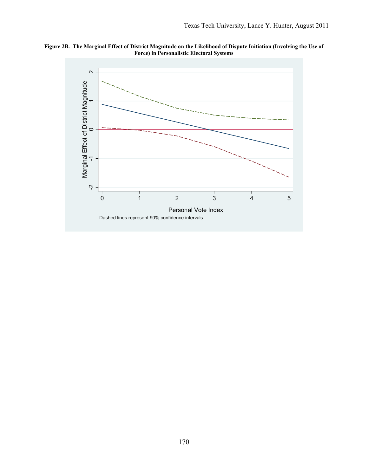

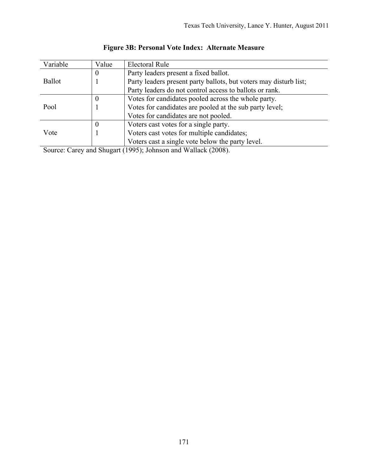| Variable      |          |                                                                                                                                                                                                                                                                                                                   |
|---------------|----------|-------------------------------------------------------------------------------------------------------------------------------------------------------------------------------------------------------------------------------------------------------------------------------------------------------------------|
|               | Value    | Electoral Rule                                                                                                                                                                                                                                                                                                    |
| <b>Ballot</b> | $\theta$ | Party leaders present a fixed ballot.                                                                                                                                                                                                                                                                             |
|               |          | Party leaders present party ballots, but voters may disturb list;                                                                                                                                                                                                                                                 |
|               |          | Party leaders do not control access to ballots or rank.                                                                                                                                                                                                                                                           |
| Pool          | $\bf{0}$ | Votes for candidates pooled across the whole party.                                                                                                                                                                                                                                                               |
|               |          | Votes for candidates are pooled at the sub party level;                                                                                                                                                                                                                                                           |
|               |          | Votes for candidates are not pooled.                                                                                                                                                                                                                                                                              |
| Vote          | $\bf{0}$ | Voters cast votes for a single party.                                                                                                                                                                                                                                                                             |
|               |          | Voters cast votes for multiple candidates;                                                                                                                                                                                                                                                                        |
|               |          | Voters cast a single vote below the party level.                                                                                                                                                                                                                                                                  |
|               | $\sim$   | $\mathcal{L}$ and $\mathcal{L}$ and $\mathcal{L}$ and $\mathcal{L}$ and $\mathcal{L}$ and $\mathcal{L}$ and $\mathcal{L}$ and $\mathcal{L}$ and $\mathcal{L}$ and $\mathcal{L}$ and $\mathcal{L}$ and $\mathcal{L}$ and $\mathcal{L}$ and $\mathcal{L}$ and $\mathcal{L}$ and $\mathcal{L}$ and $\mathcal{L}$ and |

# **Figure 3B: Personal Vote Index: Alternate Measure**

Source: Carey and Shugart (1995); Johnson and Wallack (2008).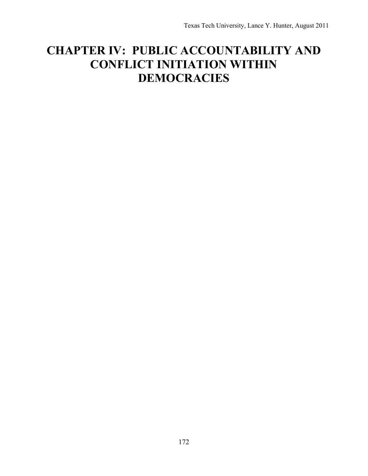# **CHAPTER IV: PUBLIC ACCOUNTABILITY AND CONFLICT INITIATION WITHIN DEMOCRACIES**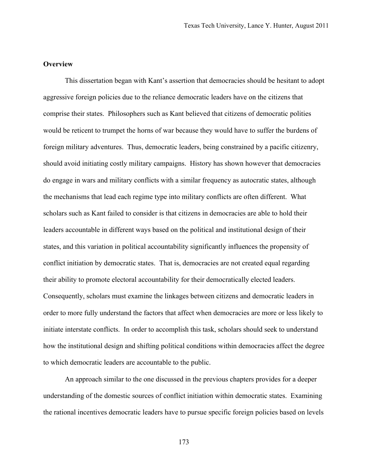#### **Overview**

This dissertation began with Kant's assertion that democracies should be hesitant to adopt aggressive foreign policies due to the reliance democratic leaders have on the citizens that comprise their states. Philosophers such as Kant believed that citizens of democratic polities would be reticent to trumpet the horns of war because they would have to suffer the burdens of foreign military adventures. Thus, democratic leaders, being constrained by a pacific citizenry, should avoid initiating costly military campaigns. History has shown however that democracies do engage in wars and military conflicts with a similar frequency as autocratic states, although the mechanisms that lead each regime type into military conflicts are often different. What scholars such as Kant failed to consider is that citizens in democracies are able to hold their leaders accountable in different ways based on the political and institutional design of their states, and this variation in political accountability significantly influences the propensity of conflict initiation by democratic states. That is, democracies are not created equal regarding their ability to promote electoral accountability for their democratically elected leaders. Consequently, scholars must examine the linkages between citizens and democratic leaders in order to more fully understand the factors that affect when democracies are more or less likely to initiate interstate conflicts. In order to accomplish this task, scholars should seek to understand how the institutional design and shifting political conditions within democracies affect the degree to which democratic leaders are accountable to the public.

An approach similar to the one discussed in the previous chapters provides for a deeper understanding of the domestic sources of conflict initiation within democratic states. Examining the rational incentives democratic leaders have to pursue specific foreign policies based on levels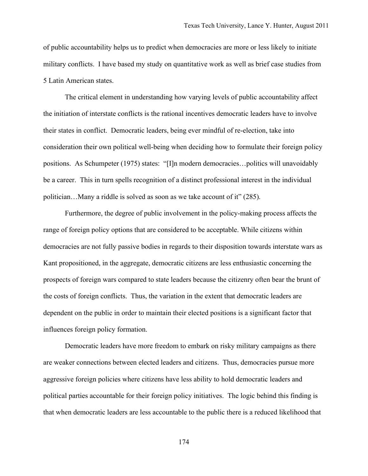of public accountability helps us to predict when democracies are more or less likely to initiate military conflicts. I have based my study on quantitative work as well as brief case studies from 5 Latin American states.

The critical element in understanding how varying levels of public accountability affect the initiation of interstate conflicts is the rational incentives democratic leaders have to involve their states in conflict. Democratic leaders, being ever mindful of re-election, take into consideration their own political well-being when deciding how to formulate their foreign policy positions. As Schumpeter (1975) states: "[I]n modern democracies…politics will unavoidably be a career. This in turn spells recognition of a distinct professional interest in the individual politician…Many a riddle is solved as soon as we take account of it" (285).

Furthermore, the degree of public involvement in the policy-making process affects the range of foreign policy options that are considered to be acceptable. While citizens within democracies are not fully passive bodies in regards to their disposition towards interstate wars as Kant propositioned, in the aggregate, democratic citizens are less enthusiastic concerning the prospects of foreign wars compared to state leaders because the citizenry often bear the brunt of the costs of foreign conflicts. Thus, the variation in the extent that democratic leaders are dependent on the public in order to maintain their elected positions is a significant factor that influences foreign policy formation.

Democratic leaders have more freedom to embark on risky military campaigns as there are weaker connections between elected leaders and citizens. Thus, democracies pursue more aggressive foreign policies where citizens have less ability to hold democratic leaders and political parties accountable for their foreign policy initiatives. The logic behind this finding is that when democratic leaders are less accountable to the public there is a reduced likelihood that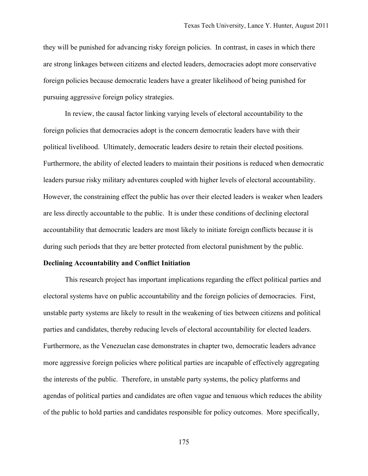they will be punished for advancing risky foreign policies. In contrast, in cases in which there are strong linkages between citizens and elected leaders, democracies adopt more conservative foreign policies because democratic leaders have a greater likelihood of being punished for pursuing aggressive foreign policy strategies.

In review, the causal factor linking varying levels of electoral accountability to the foreign policies that democracies adopt is the concern democratic leaders have with their political livelihood. Ultimately, democratic leaders desire to retain their elected positions. Furthermore, the ability of elected leaders to maintain their positions is reduced when democratic leaders pursue risky military adventures coupled with higher levels of electoral accountability. However, the constraining effect the public has over their elected leaders is weaker when leaders are less directly accountable to the public. It is under these conditions of declining electoral accountability that democratic leaders are most likely to initiate foreign conflicts because it is during such periods that they are better protected from electoral punishment by the public.

#### **Declining Accountability and Conflict Initiation**

This research project has important implications regarding the effect political parties and electoral systems have on public accountability and the foreign policies of democracies. First, unstable party systems are likely to result in the weakening of ties between citizens and political parties and candidates, thereby reducing levels of electoral accountability for elected leaders. Furthermore, as the Venezuelan case demonstrates in chapter two, democratic leaders advance more aggressive foreign policies where political parties are incapable of effectively aggregating the interests of the public. Therefore, in unstable party systems, the policy platforms and agendas of political parties and candidates are often vague and tenuous which reduces the ability of the public to hold parties and candidates responsible for policy outcomes. More specifically,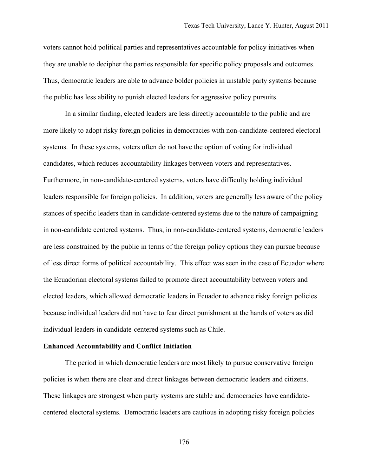voters cannot hold political parties and representatives accountable for policy initiatives when they are unable to decipher the parties responsible for specific policy proposals and outcomes. Thus, democratic leaders are able to advance bolder policies in unstable party systems because the public has less ability to punish elected leaders for aggressive policy pursuits.

In a similar finding, elected leaders are less directly accountable to the public and are more likely to adopt risky foreign policies in democracies with non-candidate-centered electoral systems. In these systems, voters often do not have the option of voting for individual candidates, which reduces accountability linkages between voters and representatives. Furthermore, in non-candidate-centered systems, voters have difficulty holding individual leaders responsible for foreign policies. In addition, voters are generally less aware of the policy stances of specific leaders than in candidate-centered systems due to the nature of campaigning in non-candidate centered systems. Thus, in non-candidate-centered systems, democratic leaders are less constrained by the public in terms of the foreign policy options they can pursue because of less direct forms of political accountability. This effect was seen in the case of Ecuador where the Ecuadorian electoral systems failed to promote direct accountability between voters and elected leaders, which allowed democratic leaders in Ecuador to advance risky foreign policies because individual leaders did not have to fear direct punishment at the hands of voters as did individual leaders in candidate-centered systems such as Chile.

#### **Enhanced Accountability and Conflict Initiation**

The period in which democratic leaders are most likely to pursue conservative foreign policies is when there are clear and direct linkages between democratic leaders and citizens. These linkages are strongest when party systems are stable and democracies have candidatecentered electoral systems. Democratic leaders are cautious in adopting risky foreign policies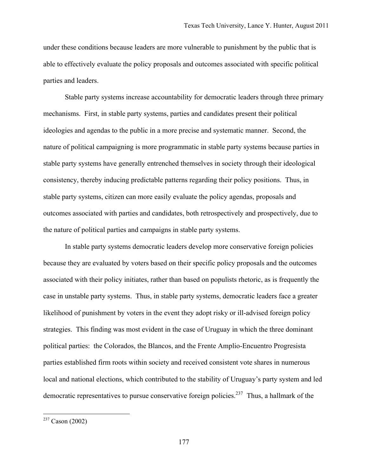under these conditions because leaders are more vulnerable to punishment by the public that is able to effectively evaluate the policy proposals and outcomes associated with specific political parties and leaders.

Stable party systems increase accountability for democratic leaders through three primary mechanisms. First, in stable party systems, parties and candidates present their political ideologies and agendas to the public in a more precise and systematic manner. Second, the nature of political campaigning is more programmatic in stable party systems because parties in stable party systems have generally entrenched themselves in society through their ideological consistency, thereby inducing predictable patterns regarding their policy positions. Thus, in stable party systems, citizen can more easily evaluate the policy agendas, proposals and outcomes associated with parties and candidates, both retrospectively and prospectively, due to the nature of political parties and campaigns in stable party systems.

In stable party systems democratic leaders develop more conservative foreign policies because they are evaluated by voters based on their specific policy proposals and the outcomes associated with their policy initiates, rather than based on populists rhetoric, as is frequently the case in unstable party systems. Thus, in stable party systems, democratic leaders face a greater likelihood of punishment by voters in the event they adopt risky or ill-advised foreign policy strategies. This finding was most evident in the case of Uruguay in which the three dominant political parties: the Colorados, the Blancos, and the Frente Amplio-Encuentro Progresista parties established firm roots within society and received consistent vote shares in numerous local and national elections, which contributed to the stability of Uruguay's party system and led democratic representatives to pursue conservative foreign policies.<sup>237</sup> Thus, a hallmark of the

1

 $237$  Cason (2002)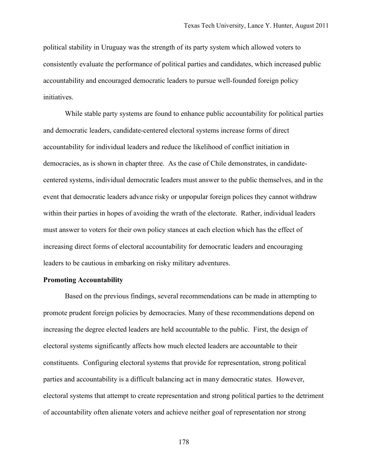political stability in Uruguay was the strength of its party system which allowed voters to consistently evaluate the performance of political parties and candidates, which increased public accountability and encouraged democratic leaders to pursue well-founded foreign policy initiatives.

While stable party systems are found to enhance public accountability for political parties and democratic leaders, candidate-centered electoral systems increase forms of direct accountability for individual leaders and reduce the likelihood of conflict initiation in democracies, as is shown in chapter three. As the case of Chile demonstrates, in candidatecentered systems, individual democratic leaders must answer to the public themselves, and in the event that democratic leaders advance risky or unpopular foreign polices they cannot withdraw within their parties in hopes of avoiding the wrath of the electorate. Rather, individual leaders must answer to voters for their own policy stances at each election which has the effect of increasing direct forms of electoral accountability for democratic leaders and encouraging leaders to be cautious in embarking on risky military adventures.

#### **Promoting Accountability**

Based on the previous findings, several recommendations can be made in attempting to promote prudent foreign policies by democracies. Many of these recommendations depend on increasing the degree elected leaders are held accountable to the public. First, the design of electoral systems significantly affects how much elected leaders are accountable to their constituents. Configuring electoral systems that provide for representation, strong political parties and accountability is a difficult balancing act in many democratic states. However, electoral systems that attempt to create representation and strong political parties to the detriment of accountability often alienate voters and achieve neither goal of representation nor strong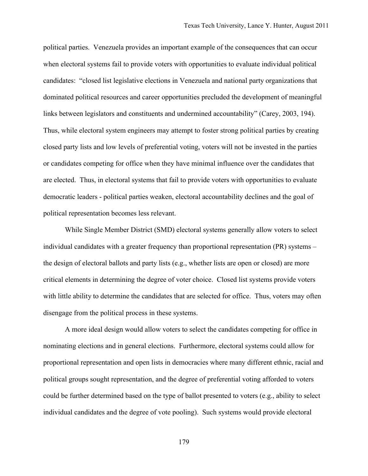political parties. Venezuela provides an important example of the consequences that can occur when electoral systems fail to provide voters with opportunities to evaluate individual political candidates: "closed list legislative elections in Venezuela and national party organizations that dominated political resources and career opportunities precluded the development of meaningful links between legislators and constituents and undermined accountability" (Carey, 2003, 194). Thus, while electoral system engineers may attempt to foster strong political parties by creating closed party lists and low levels of preferential voting, voters will not be invested in the parties or candidates competing for office when they have minimal influence over the candidates that are elected. Thus, in electoral systems that fail to provide voters with opportunities to evaluate democratic leaders - political parties weaken, electoral accountability declines and the goal of political representation becomes less relevant.

While Single Member District (SMD) electoral systems generally allow voters to select individual candidates with a greater frequency than proportional representation (PR) systems – the design of electoral ballots and party lists (e.g., whether lists are open or closed) are more critical elements in determining the degree of voter choice. Closed list systems provide voters with little ability to determine the candidates that are selected for office. Thus, voters may often disengage from the political process in these systems.

A more ideal design would allow voters to select the candidates competing for office in nominating elections and in general elections. Furthermore, electoral systems could allow for proportional representation and open lists in democracies where many different ethnic, racial and political groups sought representation, and the degree of preferential voting afforded to voters could be further determined based on the type of ballot presented to voters (e.g., ability to select individual candidates and the degree of vote pooling). Such systems would provide electoral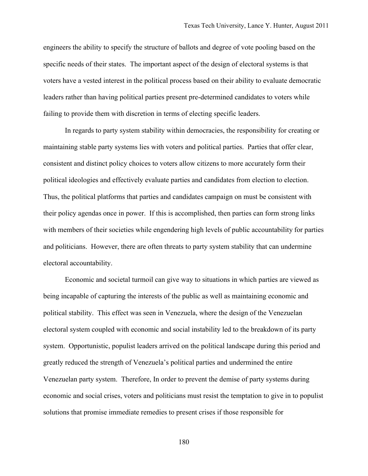engineers the ability to specify the structure of ballots and degree of vote pooling based on the specific needs of their states. The important aspect of the design of electoral systems is that voters have a vested interest in the political process based on their ability to evaluate democratic leaders rather than having political parties present pre-determined candidates to voters while failing to provide them with discretion in terms of electing specific leaders.

In regards to party system stability within democracies, the responsibility for creating or maintaining stable party systems lies with voters and political parties. Parties that offer clear, consistent and distinct policy choices to voters allow citizens to more accurately form their political ideologies and effectively evaluate parties and candidates from election to election. Thus, the political platforms that parties and candidates campaign on must be consistent with their policy agendas once in power. If this is accomplished, then parties can form strong links with members of their societies while engendering high levels of public accountability for parties and politicians. However, there are often threats to party system stability that can undermine electoral accountability.

Economic and societal turmoil can give way to situations in which parties are viewed as being incapable of capturing the interests of the public as well as maintaining economic and political stability. This effect was seen in Venezuela, where the design of the Venezuelan electoral system coupled with economic and social instability led to the breakdown of its party system. Opportunistic, populist leaders arrived on the political landscape during this period and greatly reduced the strength of Venezuela's political parties and undermined the entire Venezuelan party system. Therefore, In order to prevent the demise of party systems during economic and social crises, voters and politicians must resist the temptation to give in to populist solutions that promise immediate remedies to present crises if those responsible for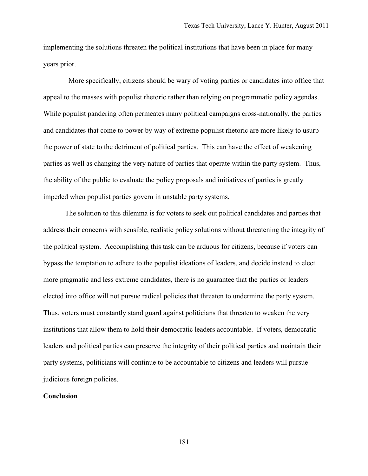implementing the solutions threaten the political institutions that have been in place for many years prior.

 More specifically, citizens should be wary of voting parties or candidates into office that appeal to the masses with populist rhetoric rather than relying on programmatic policy agendas. While populist pandering often permeates many political campaigns cross-nationally, the parties and candidates that come to power by way of extreme populist rhetoric are more likely to usurp the power of state to the detriment of political parties. This can have the effect of weakening parties as well as changing the very nature of parties that operate within the party system. Thus, the ability of the public to evaluate the policy proposals and initiatives of parties is greatly impeded when populist parties govern in unstable party systems.

The solution to this dilemma is for voters to seek out political candidates and parties that address their concerns with sensible, realistic policy solutions without threatening the integrity of the political system. Accomplishing this task can be arduous for citizens, because if voters can bypass the temptation to adhere to the populist ideations of leaders, and decide instead to elect more pragmatic and less extreme candidates, there is no guarantee that the parties or leaders elected into office will not pursue radical policies that threaten to undermine the party system. Thus, voters must constantly stand guard against politicians that threaten to weaken the very institutions that allow them to hold their democratic leaders accountable. If voters, democratic leaders and political parties can preserve the integrity of their political parties and maintain their party systems, politicians will continue to be accountable to citizens and leaders will pursue judicious foreign policies.

#### **Conclusion**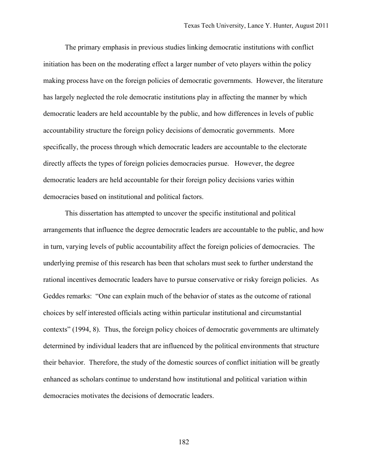The primary emphasis in previous studies linking democratic institutions with conflict initiation has been on the moderating effect a larger number of veto players within the policy making process have on the foreign policies of democratic governments. However, the literature has largely neglected the role democratic institutions play in affecting the manner by which democratic leaders are held accountable by the public, and how differences in levels of public accountability structure the foreign policy decisions of democratic governments. More specifically, the process through which democratic leaders are accountable to the electorate directly affects the types of foreign policies democracies pursue. However, the degree democratic leaders are held accountable for their foreign policy decisions varies within democracies based on institutional and political factors.

This dissertation has attempted to uncover the specific institutional and political arrangements that influence the degree democratic leaders are accountable to the public, and how in turn, varying levels of public accountability affect the foreign policies of democracies. The underlying premise of this research has been that scholars must seek to further understand the rational incentives democratic leaders have to pursue conservative or risky foreign policies. As Geddes remarks: "One can explain much of the behavior of states as the outcome of rational choices by self interested officials acting within particular institutional and circumstantial contexts" (1994, 8). Thus, the foreign policy choices of democratic governments are ultimately determined by individual leaders that are influenced by the political environments that structure their behavior. Therefore, the study of the domestic sources of conflict initiation will be greatly enhanced as scholars continue to understand how institutional and political variation within democracies motivates the decisions of democratic leaders.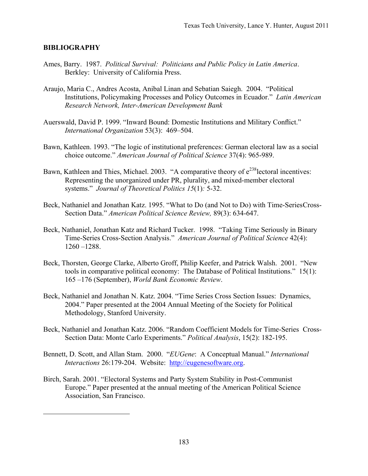### **BIBLIOGRAPHY**

 $\overline{a}$ 

- Ames, Barry. 1987. *Political Survival: Politicians and Public Policy in Latin America*. Berkley: University of California Press.
- Araujo, Maria C., Andres Acosta, Anibal Linan and Sebatian Saiegh. 2004. "Political Institutions, Policymaking Processes and Policy Outcomes in Ecuador." *Latin American Research Network, Inter-American Development Bank*
- Auerswald, David P. 1999. "Inward Bound: Domestic Institutions and Military Conflict." *International Organization* 53(3): 469–504.
- Bawn, Kathleen. 1993. "The logic of institutional preferences: German electoral law as a social choice outcome." *American Journal of Political Science* 37(4): 965-989.
- Bawn, Kathleen and Thies, Michael. 2003. "A comparative theory of  $e^{238}$ lectoral incentives: Representing the unorganized under PR, plurality, and mixed-member electoral systems." *Journal of Theoretical Politics 15*(1)*:* 5-32.
- Beck, Nathaniel and Jonathan Katz. 1995. "What to Do (and Not to Do) with Time-SeriesCross-Section Data." *American Political Science Review,* 89(3): 634-647.
- Beck, Nathaniel, Jonathan Katz and Richard Tucker. 1998. "Taking Time Seriously in Binary Time-Series Cross-Section Analysis." *American Journal of Political Science* 42(4): 1260 –1288.
- Beck, Thorsten, George Clarke, Alberto Groff, Philip Keefer, and Patrick Walsh. 2001. "New tools in comparative political economy: The Database of Political Institutions." 15(1): 165 –176 (September), *World Bank Economic Review*.
- Beck, Nathaniel and Jonathan N. Katz. 2004. "Time Series Cross Section Issues: Dynamics, 2004." Paper presented at the 2004 Annual Meeting of the Society for Political Methodology, Stanford University.
- Beck, Nathaniel and Jonathan Katz. 2006. "Random Coefficient Models for Time-Series Cross-Section Data: Monte Carlo Experiments." *Political Analysis*, 15(2): 182-195.
- Bennett, D. Scott, and Allan Stam. 2000. "*EUGene*: A Conceptual Manual." *International Interactions* 26:179-204. Website: http://eugenesoftware.org.
- Birch, Sarah. 2001. "Electoral Systems and Party System Stability in Post-Communist Europe." Paper presented at the annual meeting of the American Political Science Association, San Francisco.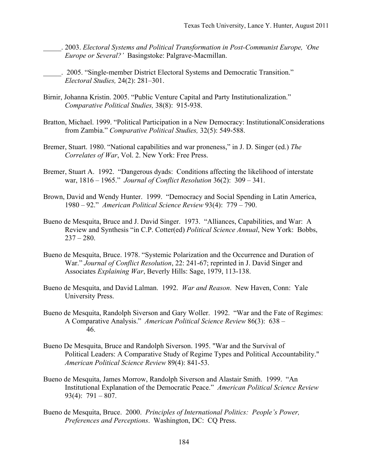- \_\_\_\_\_. 2003. *Electoral Systems and Political Transformation in Post-Communist Europe, 'One Europe or Several?'* Basingstoke: Palgrave-Macmillan.
- \_\_\_\_\_. 2005. "Single-member District Electoral Systems and Democratic Transition." *Electoral Studies,* 24(2): 281–301.
- Birnir, Johanna Kristin. 2005. "Public Venture Capital and Party Institutionalization." *Comparative Political Studies,* 38(8): 915-938.
- Bratton, Michael. 1999. "Political Participation in a New Democracy: InstitutionalConsiderations from Zambia." *Comparative Political Studies,* 32(5): 549-588.
- Bremer, Stuart. 1980. "National capabilities and war proneness," in J. D. Singer (ed.) *The Correlates of War*, Vol. 2. New York: Free Press.
- Bremer, Stuart A. 1992. "Dangerous dyads: Conditions affecting the likelihood of interstate war, 1816 – 1965." *Journal of Conflict Resolution* 36(2): 309 – 341.
- Brown, David and Wendy Hunter. 1999. "Democracy and Social Spending in Latin America, 1980 – 92." *American Political Science Review* 93(4): 779 – 790.
- Bueno de Mesquita, Bruce and J. David Singer. 1973. "Alliances, Capabilities, and War: A Review and Synthesis "in C.P. Cotter(ed) *Political Science Annual*, New York: Bobbs,  $237 - 280$ .
- Bueno de Mesquita, Bruce. 1978. "Systemic Polarization and the Occurrence and Duration of War." *Journal of Conflict Resolution*, 22: 241-67; reprinted in J. David Singer and Associates *Explaining War*, Beverly Hills: Sage, 1979, 113-138.
- Bueno de Mesquita, and David Lalman. 1992. *War and Reason*. New Haven, Conn: Yale University Press.
- Bueno de Mesquita, Randolph Siverson and Gary Woller. 1992. "War and the Fate of Regimes: A Comparative Analysis." *American Political Science Review* 86(3): 638 – 46.
- Bueno De Mesquita, Bruce and Randolph Siverson. 1995. "War and the Survival of Political Leaders: A Comparative Study of Regime Types and Political Accountability." *American Political Science Review* 89(4): 841-53.
- Bueno de Mesquita, James Morrow, Randolph Siverson and Alastair Smith. 1999. "An Institutional Explanation of the Democratic Peace." *American Political Science Review* 93(4):  $791 - 807$ .
- Bueno de Mesquita, Bruce. 2000. *Principles of International Politics: People's Power, Preferences and Perceptions*. Washington, DC: CQ Press.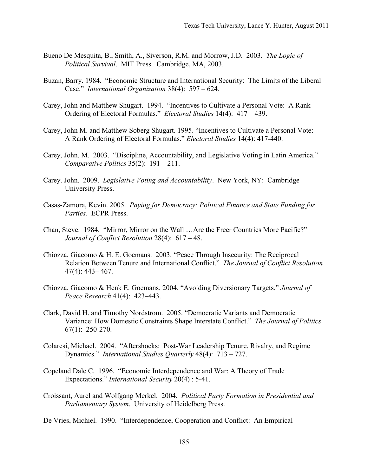- Bueno De Mesquita, B., Smith, A., Siverson, R.M. and Morrow, J.D. 2003. *The Logic of Political Survival*. MIT Press. Cambridge, MA, 2003.
- Buzan, Barry. 1984. "Economic Structure and International Security: The Limits of the Liberal Case." *International Organization* 38(4): 597 – 624.
- Carey, John and Matthew Shugart. 1994. "Incentives to Cultivate a Personal Vote: A Rank Ordering of Electoral Formulas." *Electoral Studies* 14(4): 417 – 439.
- Carey, John M. and Matthew Soberg Shugart. 1995. "Incentives to Cultivate a Personal Vote: A Rank Ordering of Electoral Formulas." *Electoral Studies* 14(4): 417-440.
- Carey, John. M. 2003. "Discipline, Accountability, and Legislative Voting in Latin America." *Comparative Politics* 35(2): 191 – 211.
- Carey. John. 2009. *Legislative Voting and Accountability*. New York, NY: Cambridge University Press.
- Casas-Zamora, Kevin. 2005. *Paying for Democracy: Political Finance and State Funding for Parties.* ECPR Press.
- Chan, Steve. 1984. "Mirror, Mirror on the Wall …Are the Freer Countries More Pacific?" *Journal of Conflict Resolution* 28(4): 617 – 48.
- Chiozza, Giacomo & H. E. Goemans. 2003. "Peace Through Insecurity: The Reciprocal Relation Between Tenure and International Conflict." *The Journal of Conflict Resolution* 47(4): 443– 467.
- Chiozza, Giacomo & Henk E. Goemans. 2004. "Avoiding Diversionary Targets." *Journal of Peace Research* 41(4): 423–443.
- Clark, David H. and Timothy Nordstrom. 2005. "Democratic Variants and Democratic Variance: How Domestic Constraints Shape Interstate Conflict." *The Journal of Politics* 67(1): 250-270.
- Colaresi, Michael. 2004. "Aftershocks: Post-War Leadership Tenure, Rivalry, and Regime Dynamics." *International Studies Quarterly* 48(4): 713 – 727.
- Copeland Dale C. 1996. "Economic Interdependence and War: A Theory of Trade Expectations." *International Security* 20(4) : 5-41.
- Croissant, Aurel and Wolfgang Merkel. 2004. *Political Party Formation in Presidential and Parliamentary System*. University of Heidelberg Press.

De Vries, Michiel. 1990. "Interdependence, Cooperation and Conflict: An Empirical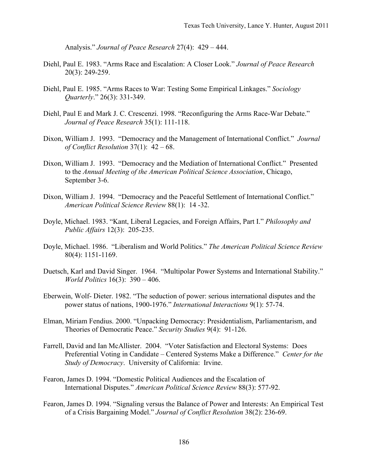Analysis." *Journal of Peace Research* 27(4): 429 – 444.

- Diehl, Paul E. 1983. "Arms Race and Escalation: A Closer Look." *Journal of Peace Research* 20(3): 249-259.
- Diehl, Paul E. 1985. "Arms Races to War: Testing Some Empirical Linkages." *Sociology Quarterly*." 26(3): 331-349.
- Diehl, Paul E and Mark J. C. Crescenzi. 1998. "Reconfiguring the Arms Race-War Debate." *Journal of Peace Research* 35(1): 111-118.
- Dixon, William J. 1993. "Democracy and the Management of International Conflict." *Journal of Conflict Resolution* 37(1): 42 – 68.
- Dixon, William J. 1993. "Democracy and the Mediation of International Conflict." Presented to the *Annual Meeting of the American Political Science Association*, Chicago, September 3-6.
- Dixon, William J. 1994. "Democracy and the Peaceful Settlement of International Conflict." *American Political Science Review* 88(1): 14 -32.
- Doyle, Michael. 1983. "Kant, Liberal Legacies, and Foreign Affairs, Part I." *Philosophy and Public Affairs* 12(3): 205-235.
- Doyle, Michael. 1986. "Liberalism and World Politics." *The American Political Science Review* 80(4): 1151-1169.
- Duetsch, Karl and David Singer. 1964. "Multipolar Power Systems and International Stability." *World Politics* 16(3): 390 – 406.
- Eberwein, Wolf- Dieter. 1982. "The seduction of power: serious international disputes and the power status of nations, 1900-1976." *International Interactions* 9(1): 57-74.
- Elman, Miriam Fendius. 2000. "Unpacking Democracy: Presidentialism, Parliamentarism, and Theories of Democratic Peace." *Security Studies* 9(4): 91-126.
- Farrell, David and Ian McAllister. 2004. "Voter Satisfaction and Electoral Systems: Does Preferential Voting in Candidate – Centered Systems Make a Difference." *Center for the Study of Democracy*. University of California: Irvine.
- Fearon, James D. 1994. "Domestic Political Audiences and the Escalation of International Disputes." *American Political Science Review* 88(3): 577-92.
- Fearon, James D. 1994. "Signaling versus the Balance of Power and Interests: An Empirical Test of a Crisis Bargaining Model." *Journal of Conflict Resolution* 38(2): 236-69.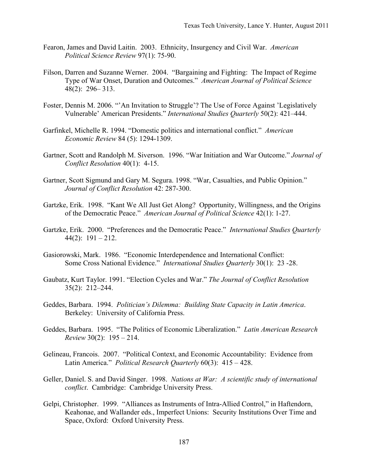- Fearon, James and David Laitin. 2003. Ethnicity, Insurgency and Civil War. *American Political Science Review* 97(1): 75-90.
- Filson, Darren and Suzanne Werner. 2004. "Bargaining and Fighting: The Impact of Regime Type of War Onset, Duration and Outcomes." *American Journal of Political Science* 48(2): 296– 313.
- Foster, Dennis M. 2006. "'An Invitation to Struggle'? The Use of Force Against 'Legislatively Vulnerable' American Presidents." *International Studies Quarterly* 50(2): 421–444.
- Garfinkel, Michelle R. 1994. "Domestic politics and international conflict." *American Economic Review* 84 (5): 1294-1309.
- Gartner, Scott and Randolph M. Siverson. 1996. "War Initiation and War Outcome." *Journal of Conflict Resolution* 40(1): 4-15.
- Gartner, Scott Sigmund and Gary M. Segura. 1998. "War, Casualties, and Public Opinion." *Journal of Conflict Resolution* 42: 287-300.
- Gartzke, Erik. 1998. "Kant We All Just Get Along? Opportunity, Willingness, and the Origins of the Democratic Peace." *American Journal of Political Science* 42(1): 1-27.
- Gartzke, Erik. 2000. "Preferences and the Democratic Peace." *International Studies Quarterly*  $44(2): 191 - 212.$
- Gasiorowski, Mark. 1986. "Economic Interdependence and International Conflict: Some Cross National Evidence." *International Studies Quarterly* 30(1): 23 -28.
- Gaubatz, Kurt Taylor. 1991. "Election Cycles and War." *The Journal of Conflict Resolution* 35(2): 212–244.
- Geddes, Barbara. 1994. *Politician's Dilemma: Building State Capacity in Latin America*. Berkeley: University of California Press.
- Geddes, Barbara. 1995. "The Politics of Economic Liberalization." *Latin American Research Review* 30(2): 195 – 214.
- Gelineau, Francois. 2007. "Political Context, and Economic Accountability: Evidence from Latin America." *Political Research Quarterly* 60(3): 415 – 428.
- Geller, Daniel. S. and David Singer. 1998. *Nations at War: A scientific study of international conflict*. Cambridge: Cambridge University Press.
- Gelpi, Christopher. 1999. "Alliances as Instruments of Intra-Allied Control," in Haftendorn, Keahonae, and Wallander eds., Imperfect Unions: Security Institutions Over Time and Space, Oxford: Oxford University Press.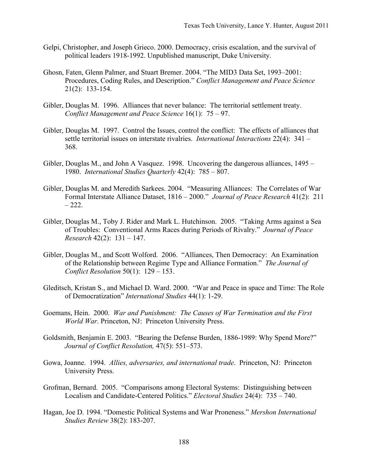- Gelpi, Christopher, and Joseph Grieco. 2000. Democracy, crisis escalation, and the survival of political leaders 1918-1992. Unpublished manuscript, Duke University.
- Ghosn, Faten, Glenn Palmer, and Stuart Bremer. 2004. "The MID3 Data Set, 1993–2001: Procedures, Coding Rules, and Description." *Conflict Management and Peace Science* 21(2): 133-154.
- Gibler, Douglas M. 1996. Alliances that never balance: The territorial settlement treaty. *Conflict Management and Peace Science* 16(1): 75 – 97.
- Gibler, Douglas M. 1997. Control the Issues, control the conflict: The effects of alliances that settle territorial issues on interstate rivalries. *International Interactions* 22(4): 341 – 368.
- Gibler, Douglas M., and John A Vasquez. 1998. Uncovering the dangerous alliances, 1495 1980. *International Studies Quarterly* 42(4): 785 – 807.
- Gibler, Douglas M. and Meredith Sarkees. 2004. "Measuring Alliances: The Correlates of War Formal Interstate Alliance Dataset, 1816 – 2000." *Journal of Peace Research* 41(2): 211  $-222.$
- Gibler, Douglas M., Toby J. Rider and Mark L. Hutchinson. 2005. "Taking Arms against a Sea of Troubles: Conventional Arms Races during Periods of Rivalry." *Journal of Peace Research* 42(2): 131 – 147.
- Gibler, Douglas M., and Scott Wolford. 2006. "Alliances, Then Democracy: An Examination of the Relationship between Regime Type and Alliance Formation." *The Journal of Conflict Resolution* 50(1): 129 – 153.
- Gleditsch, Kristan S., and Michael D. Ward. 2000. "War and Peace in space and Time: The Role of Democratization" *International Studies* 44(1): 1-29.
- Goemans, Hein. 2000. *War and Punishment: The Causes of War Termination and the First World War*. Princeton, NJ: Princeton University Press.
- Goldsmith, Benjamin E. 2003. "Bearing the Defense Burden, 1886-1989: Why Spend More?" *Journal of Conflict Resolution,* 47(5): 551–573.
- Gowa, Joanne. 1994. *Allies, adversaries, and international trade*. Princeton, NJ: Princeton University Press.
- Grofman, Bernard. 2005. "Comparisons among Electoral Systems: Distinguishing between Localism and Candidate-Centered Politics." *Electoral Studies* 24(4): 735 – 740.
- Hagan, Joe D. 1994. "Domestic Political Systems and War Proneness." *Mershon International Studies Review* 38(2): 183-207.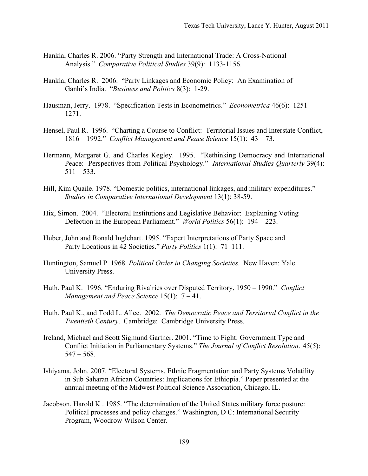- Hankla, Charles R. 2006. "Party Strength and International Trade: A Cross-National Analysis." *Comparative Political Studies* 39(9): 1133-1156.
- Hankla, Charles R. 2006. "Party Linkages and Economic Policy: An Examination of Ganhi's India. "*Business and Politics* 8(3): 1-29.
- Hausman, Jerry. 1978. "Specification Tests in Econometrics." *Econometrica* 46(6): 1251 1271.
- Hensel, Paul R. 1996. "Charting a Course to Conflict: Territorial Issues and Interstate Conflict, 1816 – 1992." *Conflict Management and Peace Science* 15(1): 43 – 73.
- Hermann, Margaret G. and Charles Kegley. 1995. "Rethinking Democracy and International Peace: Perspectives from Political Psychology." *International Studies Quarterly* 39(4):  $511 - 533$ .
- Hill, Kim Quaile. 1978. "Domestic politics, international linkages, and military expenditures." *Studies in Comparative International Development* 13(1): 38-59.
- Hix, Simon. 2004. "Electoral Institutions and Legislative Behavior: Explaining Voting Defection in the European Parliament." *World Politics* 56(1): 194 – 223.
- Huber, John and Ronald Inglehart. 1995. "Expert Interpretations of Party Space and Party Locations in 42 Societies." *Party Politics* 1(1): 71–111.
- Huntington, Samuel P. 1968. *Political Order in Changing Societies.* New Haven: Yale University Press.
- Huth, Paul K. 1996. "Enduring Rivalries over Disputed Territory, 1950 1990." *Conflict Management and Peace Science* 15(1): 7 – 41.
- Huth, Paul K., and Todd L. Allee. 2002. *The Democratic Peace and Territorial Conflict in the Twentieth Century*. Cambridge: Cambridge University Press.
- Ireland, Michael and Scott Sigmund Gartner. 2001. "Time to Fight: Government Type and Conflict Initiation in Parliamentary Systems." *The Journal of Conflict Resolution*. 45(5):  $547 - 568$ .
- Ishiyama, John. 2007. "Electoral Systems, Ethnic Fragmentation and Party Systems Volatility in Sub Saharan African Countries: Implications for Ethiopia." Paper presented at the annual meeting of the Midwest Political Science Association, Chicago, IL.
- Jacobson, Harold K . 1985. "The determination of the United States military force posture: Political processes and policy changes." Washington, D C: International Security Program, Woodrow Wilson Center.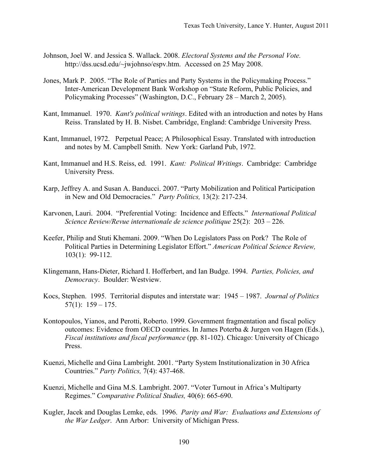- Johnson, Joel W. and Jessica S. Wallack. 2008. *Electoral Systems and the Personal Vote.* http://dss.ucsd.edu/~jwjohnso/espv.htm. Accessed on 25 May 2008.
- Jones, Mark P. 2005. "The Role of Parties and Party Systems in the Policymaking Process." Inter-American Development Bank Workshop on "State Reform, Public Policies, and Policymaking Processes" (Washington, D.C., February 28 – March 2, 2005).
- Kant, Immanuel. 1970. *Kant's political writings*. Edited with an introduction and notes by Hans Reiss. Translated by H. B. Nisbet. Cambridge, England: Cambridge University Press.
- Kant, Immanuel, 1972. Perpetual Peace; A Philosophical Essay. Translated with introduction and notes by M. Campbell Smith. New York: Garland Pub, 1972.
- Kant, Immanuel and H.S. Reiss, ed. 1991. *Kant: Political Writings*. Cambridge: Cambridge University Press.
- Karp, Jeffrey A. and Susan A. Banducci. 2007. "Party Mobilization and Political Participation in New and Old Democracies." *Party Politics,* 13(2): 217-234.
- Karvonen, Lauri. 2004. "Preferential Voting: Incidence and Effects." *International Political Science Review/Revue internationale de science politique* 25(2): 203 – 226.
- Keefer, Philip and Stuti Khemani. 2009. "When Do Legislators Pass on Pork? The Role of Political Parties in Determining Legislator Effort." *American Political Science Review,* 103(1): 99-112.
- Klingemann, Hans-Dieter, Richard I. Hofferbert, and Ian Budge. 1994. *Parties, Policies, and Democracy*. Boulder: Westview.
- Kocs, Stephen. 1995. Territorial disputes and interstate war: 1945 1987. *Journal of Politics*  $57(1): 159 - 175.$
- Kontopoulos, Yianos, and Perotti, Roberto. 1999. Government fragmentation and fiscal policy outcomes: Evidence from OECD countries. In James Poterba & Jurgen von Hagen (Eds.), *Fiscal institutions and fiscal performance* (pp. 81-102). Chicago: University of Chicago Press.
- Kuenzi, Michelle and Gina Lambright. 2001. "Party System Institutionalization in 30 Africa Countries." *Party Politics,* 7(4): 437-468.
- Kuenzi, Michelle and Gina M.S. Lambright. 2007. "Voter Turnout in Africa's Multiparty Regimes." *Comparative Political Studies,* 40(6): 665-690.
- Kugler, Jacek and Douglas Lemke, eds. 1996. *Parity and War: Evaluations and Extensions of the War Ledger*. Ann Arbor: University of Michigan Press.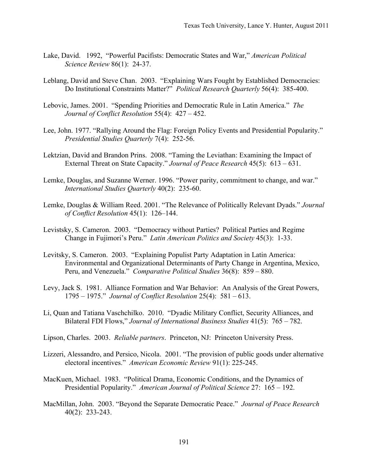- Lake, David. 1992, "Powerful Pacifists: Democratic States and War," *American Political Science Review* 86(1): 24-37.
- Leblang, David and Steve Chan. 2003. "Explaining Wars Fought by Established Democracies: Do Institutional Constraints Matter?" *Political Research Quarterly* 56(4): 385-400.
- Lebovic, James. 2001. "Spending Priorities and Democratic Rule in Latin America." *The Journal of Conflict Resolution* 55(4): 427 – 452.
- Lee, John. 1977. "Rallying Around the Flag: Foreign Policy Events and Presidential Popularity." *Presidential Studies Quarterly* 7(4): 252-56.
- Lektzian, David and Brandon Prins. 2008. "Taming the Leviathan: Examining the Impact of External Threat on State Capacity." *Journal of Peace Research* 45(5): 613 – 631.
- Lemke, Douglas, and Suzanne Werner. 1996. "Power parity, commitment to change, and war." *International Studies Quarterly* 40(2): 235-60.
- Lemke, Douglas & William Reed. 2001. "The Relevance of Politically Relevant Dyads." *Journal of Conflict Resolution* 45(1): 126–144.
- Levistsky, S. Cameron. 2003. "Democracy without Parties? Political Parties and Regime Change in Fujimori's Peru." *Latin American Politics and Society* 45(3): 1-33.
- Levitsky, S. Cameron. 2003. "Explaining Populist Party Adaptation in Latin America: Environmental and Organizational Determinants of Party Change in Argentina, Mexico, Peru, and Venezuela." *Comparative Political Studies* 36(8): 859 – 880.
- Levy, Jack S. 1981. Alliance Formation and War Behavior: An Analysis of the Great Powers, 1795 – 1975." *Journal of Conflict Resolution* 25(4): 581 – 613.
- Li, Quan and Tatiana Vaschchilko. 2010. "Dyadic Military Conflict, Security Alliances, and Bilateral FDI Flows," *Journal of International Business Studies* 41(5): 765 – 782.
- Lipson, Charles. 2003. *Reliable partners*. Princeton, NJ: Princeton University Press.
- Lizzeri, Alessandro, and Persico, Nicola. 2001. "The provision of public goods under alternative electoral incentives." *American Economic Review* 91(1): 225-245.
- MacKuen, Michael. 1983. "Political Drama, Economic Conditions, and the Dynamics of Presidential Popularity." *American Journal of Political Science* 27: 165 – 192.
- MacMillan, John. 2003. "Beyond the Separate Democratic Peace." *Journal of Peace Research*  40(2): 233-243.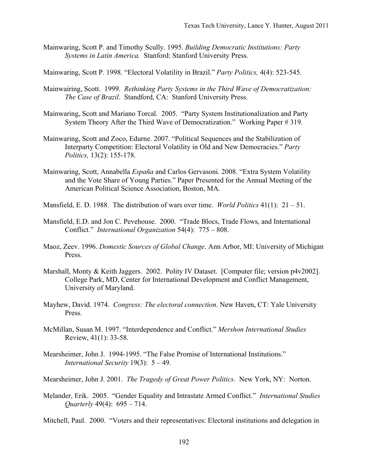- Mainwaring, Scott P. and Timothy Scully. 1995. *Building Democratic Institutions: Party Systems in Latin America.* Stanford: Stanford University Press.
- Mainwaring, Scott P. 1998. "Electoral Volatility in Brazil." *Party Politics,* 4(4): 523-545.
- Mainwairing, Scott. 1999. *Rethinking Party Systems in the Third Wave of Democratization: The Case of Brazil*. Standford, CA: Stanford University Press.
- Mainwaring, Scott and Mariano Torcal. 2005. "Party System Institutionalization and Party System Theory After the Third Wave of Democratization." Working Paper # 319.
- Mainwaring, Scott and Zoco, Edurne. 2007. "Political Sequences and the Stabilization of Interparty Competition: Electoral Volatility in Old and New Democracies." *Party Politics,* 13(2): 155-178.
- Mainwaring, Scott, Annabella *España* and Carlos Gervasoni. 2008. "Extra System Volatility and the Vote Share of Young Parties." Paper Presented for the Annual Meeting of the American Political Science Association, Boston, MA.
- Mansfield, E. D. 1988. The distribution of wars over time. *World Politics* 41(1): 21 51.
- Mansfield, E.D. and Jon C. Pevehouse. 2000. "Trade Blocs, Trade Flows, and International Conflict." *International Organization* 54(4): 775 – 808.
- Maoz, Zeev. 1996. *Domestic Sources of Global Change*. Ann Arbor, MI: University of Michigan Press.
- Marshall, Monty & Keith Jaggers. 2002. Polity IV Dataset. [Computer file; version p4v2002]. College Park, MD, Center for International Development and Conflict Management, University of Maryland.
- Mayhew, David. 1974. *Congress: The electoral connection*. New Haven, CT: Yale University Press.
- McMillan, Susan M. 1997. "Interdependence and Conflict." *Mershon International Studies* Review, 41(1): 33-58.
- Mearsheimer, John J. 1994-1995. "The False Promise of International Institutions." *International Security* 19(3): 5 – 49.

Mearsheimer, John J. 2001. *The Tragedy of Great Power Politics*. New York, NY: Norton.

Melander, Erik. 2005. "Gender Equality and Intrastate Armed Conflict." *International Studies Quarterly* 49(4): 695 – 714.

Mitchell, Paul. 2000. "Voters and their representatives: Electoral institutions and delegation in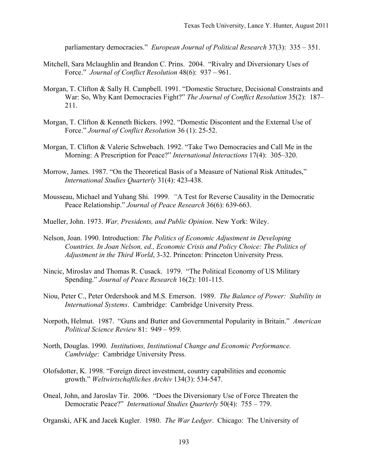parliamentary democracies." *European Journal of Political Research* 37(3): 335 – 351.

- Mitchell, Sara Mclaughlin and Brandon C. Prins. 2004. "Rivalry and Diversionary Uses of Force." *Journal of Conflict Resolution* 48(6): 937 – 961.
- Morgan, T. Clifton & Sally H. Campbell. 1991. "Domestic Structure, Decisional Constraints and War: So, Why Kant Democracies Fight?" *The Journal of Conflict Resolution* 35(2): 187– 211.
- Morgan, T. Clifton & Kenneth Bickers. 1992. "Domestic Discontent and the External Use of Force." *Journal of Conflict Resolution* 36 (1): 25-52.
- Morgan, T. Clifton & Valerie Schwebach. 1992. "Take Two Democracies and Call Me in the Morning: A Prescription for Peace?" *International Interactions* 17(4): 305–320.
- Morrow, James. 1987. "On the Theoretical Basis of a Measure of National Risk Attitudes," *International Studies Quarterly* 31(4): 423-438.
- Mousseau, Michael and Yuhang Shi*.* 1999*. "*A Test for Reverse Causality in the Democratic Peace Relationship." *Journal of Peace Research* 36(6): 639-663.
- Mueller, John. 1973. *War, Presidents, and Public Opinion*. New York: Wiley.
- Nelson, Joan. 1990. Introduction: *The Politics of Economic Adjustment in Developing Countries. In Joan Nelson, ed., Economic Crisis and Policy Choice: The Politics of Adjustment in the Third World*, 3-32. Princeton: Princeton University Press.
- Nincic, Miroslav and Thomas R. Cusack. 1979. "The Political Economy of US Military Spending." *Journal of Peace Research* 16(2): 101-115.
- Niou, Peter C., Peter Ordershook and M.S. Emerson. 1989. *The Balance of Power: Stability in International Systems*. Cambridge: Cambridge University Press.
- Norpoth, Helmut. 1987. "Guns and Butter and Governmental Popularity in Britain." *American Political Science Review* 81: 949 – 959.
- North, Douglas. 1990. *Institutions, Institutional Change and Economic Performance. Cambridge*: Cambridge University Press.
- Olofsdotter, K. 1998. "Foreign direct investment, country capabilities and economic growth." *Weltwirtschaftliches Archiv* 134(3): 534-547.
- Oneal, John, and Jaroslav Tir. 2006. "Does the Diversionary Use of Force Threaten the Democratic Peace?" *International Studies Quarterly* 50(4): 755 – 779.
- Organski, AFK and Jacek Kugler. 1980. *The War Ledger*. Chicago: The University of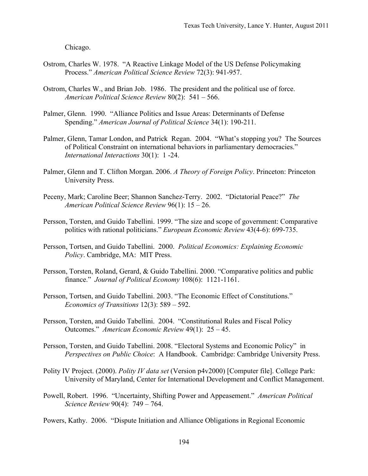Chicago.

- Ostrom, Charles W. 1978. "A Reactive Linkage Model of the US Defense Policymaking Process." *American Political Science Review* 72(3): 941-957.
- Ostrom, Charles W., and Brian Job. 1986. The president and the political use of force. *American Political Science Review* 80(2): 541 – 566.
- Palmer, Glenn. 1990. "Alliance Politics and Issue Areas: Determinants of Defense Spending." *American Journal of Political Science* 34(1): 190-211.
- Palmer, Glenn, Tamar London, and Patrick Regan. 2004. "What's stopping you? The Sources of Political Constraint on international behaviors in parliamentary democracies." *International Interactions* 30(1): 1 -24.
- Palmer, Glenn and T. Clifton Morgan. 2006. *A Theory of Foreign Policy*. Princeton: Princeton University Press.
- Peceny, Mark; Caroline Beer; Shannon Sanchez-Terry. 2002. "Dictatorial Peace?" *The American Political Science Review* 96(1): 15 – 26.
- Persson, Torsten, and Guido Tabellini. 1999. "The size and scope of government: Comparative politics with rational politicians." *European Economic Review* 43(4-6): 699-735.
- Persson, Tortsen, and Guido Tabellini. 2000. *Political Economics: Explaining Economic Policy*. Cambridge, MA: MIT Press.
- Persson, Torsten, Roland, Gerard, & Guido Tabellini. 2000. "Comparative politics and public finance." *Journal of Political Economy* 108(6): 1121-1161.
- Persson, Tortsen, and Guido Tabellini. 2003. "The Economic Effect of Constitutions." *Economics of Transitions* 12(3): 589 – 592.
- Persson, Torsten, and Guido Tabellini. 2004. "Constitutional Rules and Fiscal Policy Outcomes." *American Economic Review* 49(1): 25 – 45.
- Persson, Torsten, and Guido Tabellini. 2008. "Electoral Systems and Economic Policy" in *Perspectives on Public Choice*: A Handbook. Cambridge: Cambridge University Press.
- Polity IV Project. (2000). *Polity IV data set* (Version p4v2000) [Computer file]. College Park: University of Maryland, Center for International Development and Conflict Management.
- Powell, Robert. 1996. "Uncertainty, Shifting Power and Appeasement." *American Political Science Review* 90(4): 749 – 764.
- Powers, Kathy. 2006. "Dispute Initiation and Alliance Obligations in Regional Economic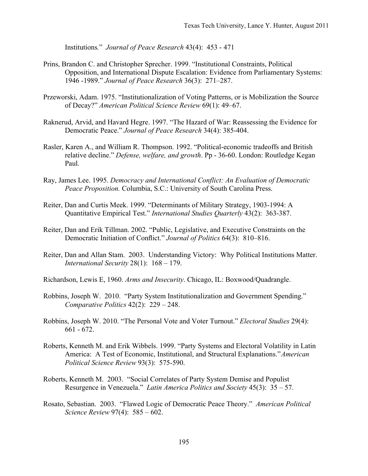Institutions*.*" *Journal of Peace Research* 43(4): 453 - 471

- Prins, Brandon C. and Christopher Sprecher. 1999. "Institutional Constraints, Political Opposition, and International Dispute Escalation: Evidence from Parliamentary Systems: 1946 -1989." *Journal of Peace Research* 36(3): 271–287.
- Przeworski, Adam. 1975. "Institutionalization of Voting Patterns, or is Mobilization the Source of Decay?" *American Political Science Review* 69(1): 49–67.
- Raknerud, Arvid, and Havard Hegre. 1997. "The Hazard of War: Reassessing the Evidence for Democratic Peace." *Journal of Peace Research* 34(4): 385-404.
- Rasler, Karen A., and William R. Thompson. 1992. "Political-economic tradeoffs and British relative decline." *Defense, welfare, and growth*. Pp - 36-60. London: Routledge Kegan Paul.
- Ray, James Lee. 1995. *Democracy and International Conflict: An Evaluation of Democratic Peace Proposition.* Columbia, S.C.: University of South Carolina Press.
- Reiter, Dan and Curtis Meek. 1999. "Determinants of Military Strategy, 1903-1994: A Quantitative Empirical Test." *International Studies Quarterly* 43(2): 363-387.
- Reiter, Dan and Erik Tillman. 2002. "Public, Legislative, and Executive Constraints on the Democratic Initiation of Conflict." *Journal of Politics* 64(3): 810–816.
- Reiter, Dan and Allan Stam. 2003. Understanding Victory: Why Political Institutions Matter. *International Security* 28(1): 168 – 179.
- Richardson, Lewis E, 1960. *Arms and Insecurity*. Chicago, IL: Boxwood/Quadrangle.
- Robbins, Joseph W. 2010. "Party System Institutionalization and Government Spending." *Comparative Politics* 42(2): 229 – 248.
- Robbins, Joseph W. 2010. "The Personal Vote and Voter Turnout." *Electoral Studies* 29(4): 661 - 672.
- Roberts, Kenneth M. and Erik Wibbels. 1999. "Party Systems and Electoral Volatility in Latin America: A Test of Economic, Institutional, and Structural Explanations."*American Political Science Review* 93(3): 575-590.
- Roberts, Kenneth M. 2003. "Social Correlates of Party System Demise and Populist Resurgence in Venezuela." *Latin America Politics and Society* 45(3): 35 – 57.
- Rosato, Sebastian. 2003. "Flawed Logic of Democratic Peace Theory." *American Political Science Review* 97(4): 585 – 602.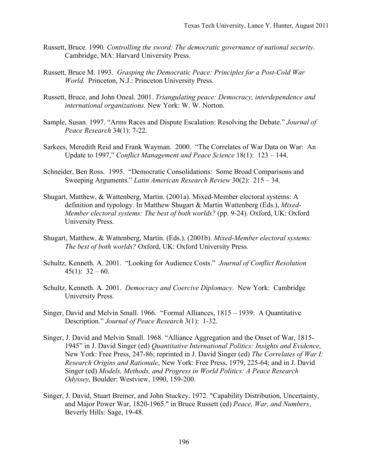- Russett, Bruce. 1990*. Controlling the sword: The democratic governance of national security*. Cambridge, MA: Harvard University Press.
- Russett, Bruce M. 1993. *Grasping the Democratic Peace: Principles for a Post-Cold War World.* Princeton, N.J.: Princeton University Press.
- Russett, Bruce, and John Oneal. 2001. *Triangulating peace: Democracy, interdependence and international organizations*. New York: W. W. Norton.
- Sample, Susan. 1997. "Arms Races and Dispute Escalation: Resolving the Debate." *Journal of Peace Research* 34(1): 7-22.
- Sarkees, Meredith Reid and Frank Wayman. 2000. "The Correlates of War Data on War: An Update to 1997," *Conflict Management and Peace Science* 18(1): 123 – 144.
- Schneider, Ben Ross. 1995. "Democratic Consolidations: Some Broad Comparisons and Sweeping Arguments." *Latin American Research Review* 30(2): 215 – 34.
- Shugart, Matthew, & Wattenberg, Martin. (2001a). Mixed-Member electoral systems: A definition and typology. In Matthew Shugart & Martin Wattenberg (Eds.), *Mixed-Member electoral systems: The best of both worlds?* (pp. 9-24). Oxford, UK: Oxford University Press.
- Shugart, Matthew, & Wattenberg, Martin. (Eds.). (2001b). *Mixed-Member electoral systems: The best of both worlds?* Oxford, UK: Oxford University Press.
- Schultz, Kenneth. A. 2001. "Looking for Audience Costs." *Journal of Conflict Resolution*  $45(1)$ :  $32 - 60$ .
- Schultz, Kenneth. A. 2001. *Democracy and Coercive Diplomacy*. New York: Cambridge University Press.
- Singer, David and Melvin Small. 1966. "Formal Alliances, 1815 1939: A Quantitative Description." *Journal of Peace Research* 3(1): 1-32.
- Singer, J. David and Melvin Small. 1968. "Alliance Aggregation and the Onset of War, 1815- 1945" in J. David Singer (ed) *Quantitative International Politics: Insights and Evidence*, New York: Free Press, 247-86; reprinted in J. David Singer (ed) *The Correlates of War I: Research Origins and Rationale*, New York: Free Press, 1979, 225-64; and in J. David Singer (ed) *Models, Methods, and Progress in World Politics: A Peace Research Odyssey*, Boulder: Westview, 1990, 159-200.
- Singer, J. David, Stuart Bremer, and John Stuckey. 1972. "Capability Distribution, Uncertainty, and Major Power War, 1820-1965." in Bruce Russett (ed) *Peace, War, and Numbers*, Beverly Hills: Sage, 19-48.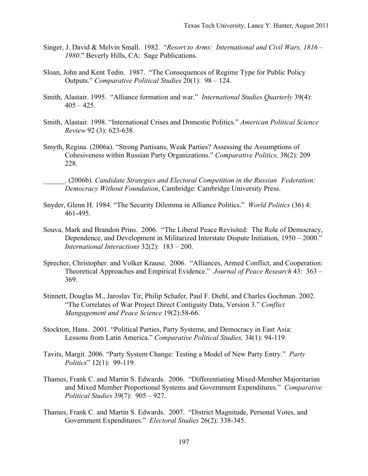- Singer, J. David & Melvin Small. 1982. "*Resort to Arms: International and Civil Wars, 1816 – 1980*." Beverly Hills, CA: Sage Publications.
- Sloan, John and Kent Tedin. 1987. "The Consequences of Regime Type for Public Policy Outputs." *Comparative Political Studies* 20(1): 98 – 124.
- Smith, Alastair. 1995. "Alliance formation and war." *International Studies Quarterly* 39(4):  $405 - 425$ .
- Smith, Alastair. 1998. "International Crises and Domestic Politics." *American Political Science Review* 92 (3): 623-638.
- Smyth, Regina. (2006a). "Strong Partisans, Weak Parties? Assessing the Assumptions of Cohesiveness within Russian Party Organizations." *Comparative Politics,* 38(2): 209 228.

\_\_\_\_\_\_. (2006b). *Candidate Strategies and Electoral Competition in the Russian Federation: Democracy Without Foundation*, Cambridge: Cambridge University Press.

- Snyder, Glenn H. 1984. "The Security Dilemma in Alliance Politics." *World Politics* (36) 4: 461-495.
- Souva, Mark and Brandon Prins. 2006. "The Liberal Peace Revisited: The Role of Democracy, Dependence, and Development in Militarized Interstate Dispute Initiation, 1950 – 2000." *International Interactions* 32(2): 183 – 200.
- Sprecher, Christopher. and Volker Krause. 2006. "Alliances, Armed Conflict, and Cooperation: Theoretical Approaches and Empirical Evidence." *Journal of Peace Research* 43: 363 – 369.
- Stinnett, Douglas M., Jaroslav Tir, Philip Schafer, Paul F. Diehl, and Charles Gochman. 2002. "The Correlates of War Project Direct Contiguity Data, Version 3." *Conflict Mangagement and Peace Science* 19(2):58-66.
- Stockton, Hans. 2001. "Political Parties, Party Systems, and Democracy in East Asia: Lessons from Latin America." *Comparative Political Studies,* 34(1): 94-119.
- Tavits, Margit. 2006. "Party System Change: Testing a Model of New Party Entry." *Party Politics*" 12(1): 99-119.
- Thames, Frank C. and Martin S. Edwards. 2006. "Differentiating Mixed-Member Majoritarian and Mixed Member Proportional Systems and Government Expenditures." *Comparative Political Studies* 39(7): 905 – 927.
- Thames, Frank C. and Martin S. Edwards. 2007. "District Magnitude, Personal Votes, and Government Expenditures." *Electoral Studies* 26(2): 338-345.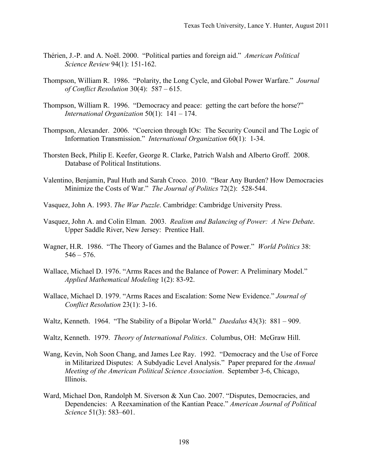- Thérien, J.-P. and A. Noël. 2000. "Political parties and foreign aid." *American Political Science Review* 94(1): 151-162.
- Thompson, William R. 1986. "Polarity, the Long Cycle, and Global Power Warfare." *Journal of Conflict Resolution* 30(4): 587 – 615.
- Thompson, William R. 1996. "Democracy and peace: getting the cart before the horse?" *International Organization* 50(1): 141 – 174.
- Thompson, Alexander. 2006. "Coercion through IOs: The Security Council and The Logic of Information Transmission." *International Organization* 60(1): 1-34.
- Thorsten Beck, Philip E. Keefer, George R. Clarke, Patrich Walsh and Alberto Groff. 2008. Database of Political Institutions.
- Valentino, Benjamin, Paul Huth and Sarah Croco. 2010. "Bear Any Burden? How Democracies Minimize the Costs of War." *The Journal of Politics* 72(2): 528-544.
- Vasquez, John A. 1993. *The War Puzzle*. Cambridge: Cambridge University Press.
- Vasquez, John A. and Colin Elman. 2003. *Realism and Balancing of Power: A New Debate*. Upper Saddle River, New Jersey: Prentice Hall.
- Wagner, H.R. 1986. "The Theory of Games and the Balance of Power." *World Politics* 38:  $546 - 576$ .
- Wallace, Michael D. 1976. "Arms Races and the Balance of Power: A Preliminary Model." *Applied Mathematical Modeling* 1(2): 83-92.
- Wallace, Michael D. 1979. "Arms Races and Escalation: Some New Evidence." *Journal of Conflict Resolution* 23(1): 3-16.
- Waltz, Kenneth. 1964. "The Stability of a Bipolar World." *Daedalus* 43(3): 881 909.
- Waltz, Kenneth. 1979. *Theory of International Politics*. Columbus, OH: McGraw Hill.
- Wang, Kevin, Noh Soon Chang, and James Lee Ray. 1992. "Democracy and the Use of Force in Militarized Disputes: A Subdyadic Level Analysis." Paper prepared for the *Annual Meeting of the American Political Science Association*. September 3-6, Chicago, Illinois.
- Ward, Michael Don, Randolph M. Siverson & Xun Cao. 2007. "Disputes, Democracies, and Dependencies: A Reexamination of the Kantian Peace." *American Journal of Political Science* 51(3): 583–601.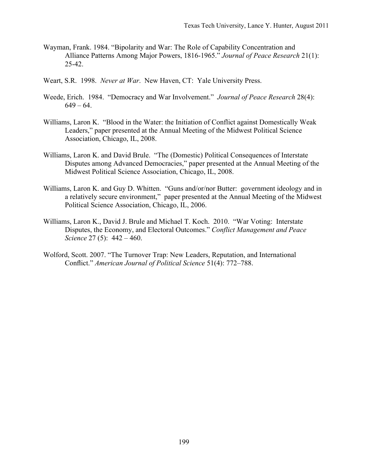- Wayman, Frank. 1984. "Bipolarity and War: The Role of Capability Concentration and Alliance Patterns Among Major Powers, 1816-1965." *Journal of Peace Research* 21(1): 25-42.
- Weart, S.R. 1998. *Never at War*. New Haven, CT: Yale University Press.
- Weede, Erich. 1984. "Democracy and War Involvement." *Journal of Peace Research* 28(4):  $649 - 64$ .
- Williams, Laron K. "Blood in the Water: the Initiation of Conflict against Domestically Weak Leaders," paper presented at the Annual Meeting of the Midwest Political Science Association, Chicago, IL, 2008.
- Williams, Laron K. and David Brule. "The (Domestic) Political Consequences of Interstate Disputes among Advanced Democracies," paper presented at the Annual Meeting of the Midwest Political Science Association, Chicago, IL, 2008.
- Williams, Laron K. and Guy D. Whitten. "Guns and/or/nor Butter: government ideology and in a relatively secure environment," paper presented at the Annual Meeting of the Midwest Political Science Association, Chicago, IL, 2006.
- Williams, Laron K., David J. Brule and Michael T. Koch. 2010. "War Voting: Interstate Disputes, the Economy, and Electoral Outcomes." *Conflict Management and Peace Science* 27 (5): 442 – 460.
- Wolford, Scott. 2007. "The Turnover Trap: New Leaders, Reputation, and International Conflict." *American Journal of Political Science* 51(4): 772–788.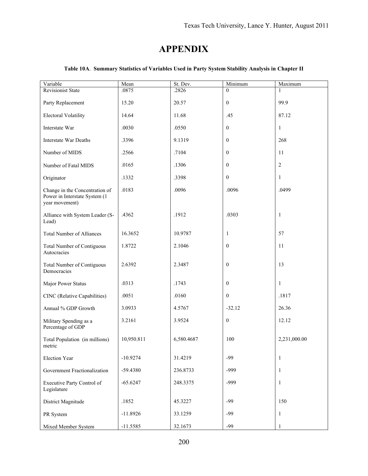# **APPENDIX**

| Variable                                                                          | Mean       | St. Dev.   | Minimum          | Maximum        |
|-----------------------------------------------------------------------------------|------------|------------|------------------|----------------|
| <b>Revisionist State</b>                                                          | .0875      | .2826      | $\theta$         |                |
| Party Replacement                                                                 | 15.20      | 20.57      | $\boldsymbol{0}$ | 99.9           |
| <b>Electoral Volatility</b>                                                       | 14.64      | 11.68      | .45              | 87.12          |
| Interstate War                                                                    | .0030      | .0550      | $\overline{0}$   | $\mathbf{1}$   |
| Interstate War Deaths                                                             | .3396      | 9.1319     | $\mathbf{0}$     | 268            |
| Number of MIDS                                                                    | .2566      | .7104      | $\mathbf{0}$     | 11             |
| Number of Fatal MIDS                                                              | .0165      | .1306      | $\mathbf{0}$     | $\overline{2}$ |
| Originator                                                                        | .1332      | .3398      | $\mathbf{0}$     | $\mathbf{1}$   |
| Change in the Concentration of<br>Power in Interstate System (1<br>year movement) | .0183      | .0096      | .0096            | .0499          |
| Alliance with System Leader (S-<br>Lead)                                          | .4362      | .1912      | .0303            | $\mathbf{1}$   |
| <b>Total Number of Alliances</b>                                                  | 16.3652    | 10.9787    | $\mathbf{1}$     | 57             |
| <b>Total Number of Contiguous</b><br>Autocracies                                  | 1.8722     | 2.1046     | $\mathbf{0}$     | 11             |
| <b>Total Number of Contiguous</b><br>Democracies                                  | 2.6392     | 2.3487     | $\mathbf{0}$     | 13             |
| Major Power Status                                                                | .0313      | .1743      | $\boldsymbol{0}$ | $\mathbf{1}$   |
| CINC (Relative Capabilities)                                                      | .0051      | .0160      | $\mathbf{0}$     | .1817          |
| Annual % GDP Growth                                                               | 3.0933     | 4.5767     | $-32.12$         | 26.36          |
| Military Spending as a<br>Percentage of GDP                                       | 3.2161     | 3.9524     | $\mathbf{0}$     | 12.12          |
| Total Population (in millions)<br>metric                                          | 10,950.811 | 6,580.4687 | 100              | 2,231,000.00   |
| <b>Election Year</b>                                                              | $-10.9274$ | 31.4219    | $-99$            | 1              |
| Government Fractionalization                                                      | -59.4380   | 236.8733   | $-999$           | $\mathbf{1}$   |
| Executive Party Control of<br>Legislature                                         | $-65.6247$ | 248.3375   | $-999$           | $\mathbf{1}$   |
| District Magnitude                                                                | .1852      | 45.3227    | -99              | 150            |
| PR System                                                                         | $-11.8926$ | 33.1259    | $-99$            | $\mathbf{1}$   |
| Mixed Member System                                                               | $-11.5585$ | 32.1673    | $-99$            | 1              |

# **Table 10A**. **Summary Statistics of Variables Used in Party System Stability Analysis in Chapter II**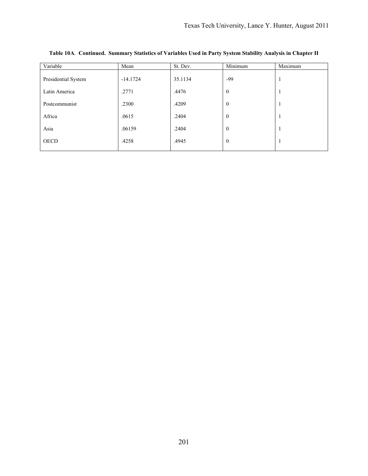| Variable            | Mean       | St. Dev. | Minimum      | Maximum |
|---------------------|------------|----------|--------------|---------|
| Presidential System | $-14.1724$ | 35.1134  | -99          | 1       |
| Latin America       | .2771      | .4476    | $\mathbf{0}$ |         |
| Postcommunist       | .2300      | .4209    | $\mathbf{0}$ |         |
| Africa              | .0615      | .2404    | $\mathbf{0}$ | -1      |
| Asia                | .06159     | .2404    | $\mathbf{0}$ |         |
| <b>OECD</b>         | .4258      | .4945    | $\mathbf{0}$ |         |

**Table 10A**. **Continued. Summary Statistics of Variables Used in Party System Stability Analysis in Chapter II**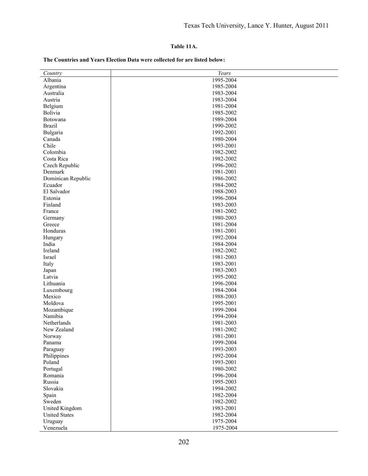### **Table 11A.**

#### **The Countries and Years Election Data were collected for are listed below:**

| Country              | Years     |
|----------------------|-----------|
| Albania              | 1995-2004 |
| Argentina            | 1985-2004 |
| Australia            | 1983-2004 |
| Austria              | 1983-2004 |
| Belgium              | 1981-2004 |
| Bolivia              | 1985-2002 |
| Botswana             | 1989-2004 |
| <b>Brazil</b>        | 1990-2002 |
| Bulgaria             | 1992-2001 |
| Canada               | 1980-2004 |
| Chile                | 1993-2001 |
| Colombia             | 1982-2002 |
| Costa Rica           | 1982-2002 |
| Czech Republic       | 1996-2002 |
| Denmark              | 1981-2001 |
| Dominican Republic   | 1986-2002 |
| Ecuador              | 1984-2002 |
| El Salvador          | 1988-2003 |
| Estonia              | 1996-2004 |
| Finland              | 1983-2003 |
| France               | 1981-2002 |
| Germany              | 1980-2003 |
| Greece               | 1981-2004 |
| Honduras             | 1981-2001 |
| Hungary              | 1992-2004 |
| India                | 1984-2004 |
| Ireland              | 1982-2002 |
| Israel               | 1981-2003 |
| Italy                | 1983-2001 |
| Japan                | 1983-2003 |
| Latvia               | 1995-2002 |
| Lithuania            | 1996-2004 |
| Luxembourg           | 1984-2004 |
| Mexico               | 1988-2003 |
| Moldova              | 1995-2001 |
| Mozambique           | 1999-2004 |
| Namibia              | 1994-2004 |
| Netherlands          | 1981-2003 |
| New Zealand          | 1981-2002 |
| Norway               | 1981-2001 |
| Panama               | 1999-2004 |
| Paraguay             | 1993-2003 |
| Philippines          | 1992-2004 |
| Poland               | 1993-2001 |
| Portugal             | 1980-2002 |
| Romania              | 1996-2004 |
| Russia               | 1995-2003 |
| Slovakia             | 1994-2002 |
| Spain                | 1982-2004 |
| Sweden               | 1982-2002 |
| United Kingdom       | 1983-2001 |
| <b>United States</b> | 1982-2004 |
|                      |           |
| Uruguay              | 1975-2004 |
| Venezuela            | 1975-2004 |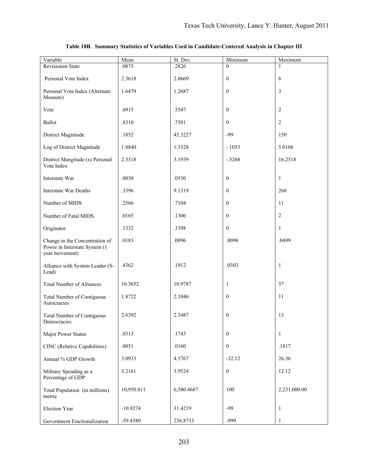| Variable                                                                          | Mean       | St. Dev.   | Minimum          | Maximum        |
|-----------------------------------------------------------------------------------|------------|------------|------------------|----------------|
| <b>Revisionist State</b>                                                          | .0875      | .2826      | $\Omega$         |                |
| Personal Vote Index                                                               | 2.3618     | 2.0669     | $\mathbf{0}$     | 6              |
| Personal Vote Index (Alternate<br>Measure)                                        | 1.6479     | 1.2687     | $\theta$         | 3              |
| Vote                                                                              | .6915      | .5547      | $\theta$         | $\sqrt{2}$     |
| Ballot                                                                            | .8310      | .7501      | $\mathbf{0}$     | $\overline{c}$ |
| District Magnitude                                                                | .1852      | 45.3227    | $-99$            | 150            |
| Log of District Magnitude                                                         | 1.8840     | 1.3328     | $-.1053$         | 5.0106         |
| District Mangitude (x) Personal<br>Vote Index                                     | 2.3318     | 3.1939     | $-.5268$         | 16.2518        |
| Interstate War                                                                    | .0030      | .0550      | $\mathbf{0}$     | $\mathbf{1}$   |
| <b>Interstate War Deaths</b>                                                      | .3396      | 9.1319     | $\Omega$         | 268            |
| Number of MIDS                                                                    | .2566      | .7104      | $\theta$         | 11             |
| Number of Fatal MIDS                                                              | .0165      | .1306      | $\theta$         | 2              |
| Originator                                                                        | .1332      | .3398      | $\mathbf{0}$     | $\mathbf{1}$   |
| Change in the Concentration of<br>Power in Interstate System (1<br>year movement) | .0183      | .0096      | .0096            | .0499          |
| Alliance with System Leader (S-<br>Lead)                                          | .4362      | .1912      | .0303            | $\mathbf{1}$   |
| <b>Total Number of Alliances</b>                                                  | 16.3652    | 10.9787    | 1                | 57             |
| <b>Total Number of Contiguous</b><br>Autocracies                                  | 1.8722     | 2.1046     | $\theta$         | 11             |
| <b>Total Number of Contiguous</b><br>Democracies                                  | 2.6392     | 2.3487     | $\boldsymbol{0}$ | 13             |
| Major Power Status                                                                | .0313      | .1743      | $\theta$         | $\mathbf{1}$   |
| CINC (Relative Capabilities)                                                      | .0051      | .0160      | $\theta$         | .1817          |
| Annual % GDP Growth                                                               | 3.0933     | 4.5767     | $-32.12$         | 26.36          |
| Military Spending as a<br>Percentage of GDP                                       | 3.2161     | 3.9524     | $\boldsymbol{0}$ | 12.12          |
| Total Population (in millions)<br>metric                                          | 10,950.811 | 6,580.4687 | 100              | 2,231,000.00   |
| Election Year                                                                     | $-10.9274$ | 31.4219    | $-99$            | 1              |
| Government Fractionalization                                                      | -59.4380   | 236.8733   | $-999$           | $\mathbf{1}$   |

# **Table 18B**. **Summary Statistics of Variables Used in Candidate-Centered Analysis in Chapter III**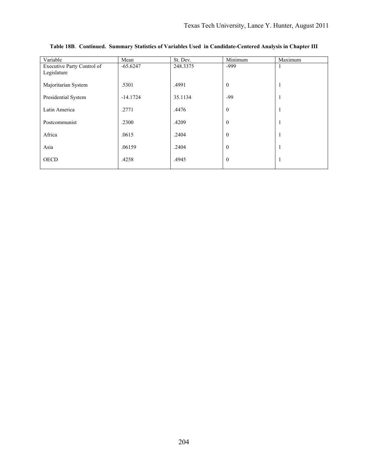| Variable                   | Mean       | St. Dev. | Minimum        | Maximum      |
|----------------------------|------------|----------|----------------|--------------|
| Executive Party Control of | $-65.6247$ | 248.3375 | $-999$         |              |
| Legislature                |            |          |                |              |
| Majoritarian System        | .5301      | .4991    | $\overline{0}$ |              |
| Presidential System        | $-14.1724$ | 35.1134  | $-99$          |              |
| Latin America              | .2771      | .4476    | $\mathbf{0}$   |              |
| Postcommunist              | .2300      | .4209    | $\mathbf{0}$   | $\mathbf{I}$ |
| Africa                     | .0615      | .2404    | $\mathbf{0}$   |              |
| Asia                       | .06159     | .2404    | $\mathbf{0}$   |              |
| <b>OECD</b>                | .4258      | .4945    | $\overline{0}$ |              |

**Table 18B**. **Continued. Summary Statistics of Variables Used in Candidate-Centered Analysis in Chapter III**